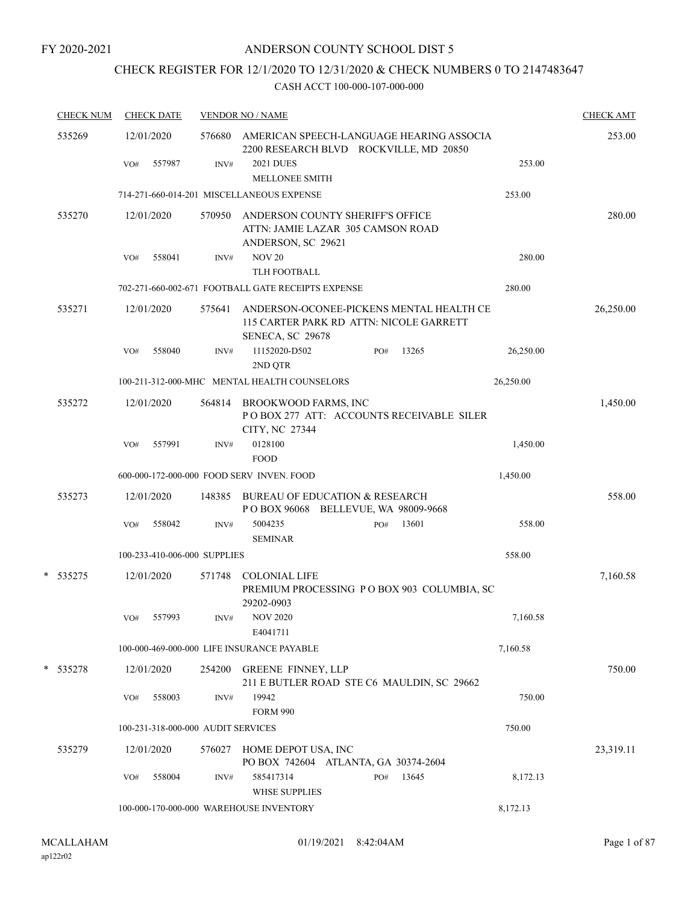# CHECK REGISTER FOR 12/1/2020 TO 12/31/2020 & CHECK NUMBERS 0 TO 2147483647

| 535269           | 12/01/2020 |        |                                    | AMERICAN SPEECH-LANGUAGE HEARING ASSOCIA                                                                |     |       |           |           |
|------------------|------------|--------|------------------------------------|---------------------------------------------------------------------------------------------------------|-----|-------|-----------|-----------|
|                  |            |        | 576680                             | 253.00                                                                                                  |     |       |           |           |
|                  | VO#        | 557987 | INV#                               | <b>2021 DUES</b><br><b>MELLONEE SMITH</b>                                                               |     |       | 253.00    |           |
|                  |            |        |                                    | 714-271-660-014-201 MISCELLANEOUS EXPENSE                                                               |     |       | 253.00    |           |
| 535270           | 12/01/2020 |        | 570950                             | ANDERSON COUNTY SHERIFF'S OFFICE<br>ATTN: JAMIE LAZAR 305 CAMSON ROAD<br>ANDERSON, SC 29621             |     |       |           | 280.00    |
|                  | VO#        | 558041 | INV#                               | <b>NOV 20</b>                                                                                           |     |       | 280.00    |           |
|                  |            |        |                                    | TLH FOOTBALL                                                                                            |     |       |           |           |
|                  |            |        |                                    | 702-271-660-002-671 FOOTBALL GATE RECEIPTS EXPENSE                                                      |     |       | 280.00    |           |
| 535271           | 12/01/2020 |        | 575641                             | ANDERSON-OCONEE-PICKENS MENTAL HEALTH CE<br>115 CARTER PARK RD ATTN: NICOLE GARRETT<br>SENECA, SC 29678 |     |       |           | 26,250.00 |
|                  | VO#        | 558040 | INV#                               | 11152020-D502<br>2ND QTR                                                                                | PO# | 13265 | 26,250.00 |           |
|                  |            |        |                                    | 100-211-312-000-MHC MENTAL HEALTH COUNSELORS                                                            |     |       | 26,250.00 |           |
| 535272           | 12/01/2020 |        | 564814                             | <b>BROOKWOOD FARMS, INC</b><br>POBOX 277 ATT: ACCOUNTS RECEIVABLE SILER<br>CITY, NC 27344               |     |       |           | 1,450.00  |
|                  | VO#        | 557991 | INV#                               | 0128100<br><b>FOOD</b>                                                                                  |     |       | 1,450.00  |           |
|                  |            |        |                                    | 600-000-172-000-000 FOOD SERV INVEN. FOOD                                                               |     |       | 1,450.00  |           |
| 535273           | 12/01/2020 |        | 148385                             | <b>BUREAU OF EDUCATION &amp; RESEARCH</b><br>POBOX 96068 BELLEVUE, WA 98009-9668                        |     |       |           | 558.00    |
|                  | VO#        | 558042 | INV#                               | 5004235<br><b>SEMINAR</b>                                                                               | PO# | 13601 | 558.00    |           |
|                  |            |        | 100-233-410-006-000 SUPPLIES       |                                                                                                         |     |       | 558.00    |           |
| $\ast$<br>535275 | 12/01/2020 |        | 571748                             | <b>COLONIAL LIFE</b><br>PREMIUM PROCESSING PO BOX 903 COLUMBIA, SC<br>29202-0903                        |     |       |           | 7,160.58  |
|                  | VO#        | 557993 | INV#                               | <b>NOV 2020</b><br>E4041711                                                                             |     |       | 7.160.58  |           |
|                  |            |        |                                    | 100-000-469-000-000 LIFE INSURANCE PAYABLE                                                              |     |       | 7,160.58  |           |
| * 535278         | 12/01/2020 |        | 254200                             | <b>GREENE FINNEY, LLP</b><br>211 E BUTLER ROAD STE C6 MAULDIN, SC 29662                                 |     |       |           | 750.00    |
|                  | VO#        | 558003 | INV#                               | 19942<br><b>FORM 990</b>                                                                                |     |       | 750.00    |           |
|                  |            |        | 100-231-318-000-000 AUDIT SERVICES |                                                                                                         |     |       | 750.00    |           |
| 535279           | 12/01/2020 |        | 576027                             | HOME DEPOT USA, INC<br>PO BOX 742604 ATLANTA, GA 30374-2604                                             |     |       |           | 23,319.11 |
|                  | VO#        | 558004 | INV#                               | 585417314<br><b>WHSE SUPPLIES</b>                                                                       | PO# | 13645 | 8,172.13  |           |
|                  |            |        |                                    | 100-000-170-000-000 WAREHOUSE INVENTORY                                                                 |     |       | 8,172.13  |           |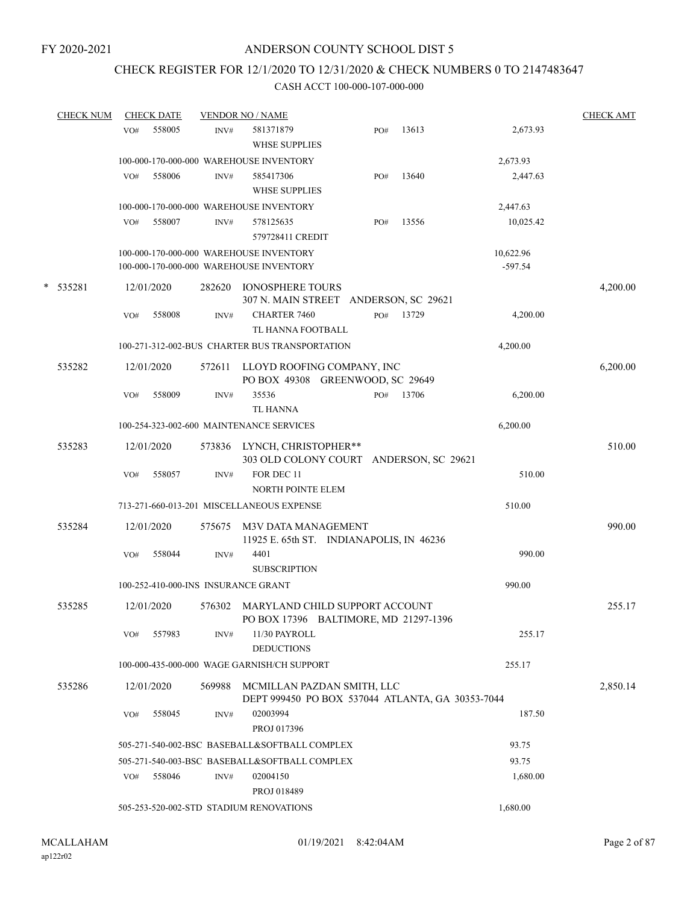### CHECK REGISTER FOR 12/1/2020 TO 12/31/2020 & CHECK NUMBERS 0 TO 2147483647

|   | <b>CHECK NUM</b> |     | <b>CHECK DATE</b> |        | <b>VENDOR NO / NAME</b>                                                            |     |       |                        | <b>CHECK AMT</b> |
|---|------------------|-----|-------------------|--------|------------------------------------------------------------------------------------|-----|-------|------------------------|------------------|
|   |                  | VO# | 558005            | INV#   | 581371879<br><b>WHSE SUPPLIES</b>                                                  | PO# | 13613 | 2,673.93               |                  |
|   |                  |     |                   |        | 100-000-170-000-000 WAREHOUSE INVENTORY                                            |     |       | 2,673.93               |                  |
|   |                  | VO# | 558006            | INV#   | 585417306<br><b>WHSE SUPPLIES</b>                                                  | PO# | 13640 | 2,447.63               |                  |
|   |                  |     |                   |        | 100-000-170-000-000 WAREHOUSE INVENTORY                                            |     |       | 2,447.63               |                  |
|   |                  | VO# | 558007            | INV#   | 578125635<br>579728411 CREDIT                                                      | PO# | 13556 | 10,025.42              |                  |
|   |                  |     |                   |        | 100-000-170-000-000 WAREHOUSE INVENTORY<br>100-000-170-000-000 WAREHOUSE INVENTORY |     |       | 10,622.96<br>$-597.54$ |                  |
| * | 535281           |     | 12/01/2020        | 282620 | <b>IONOSPHERE TOURS</b><br>307 N. MAIN STREET ANDERSON, SC 29621                   |     |       |                        | 4,200.00         |
|   |                  | VO# | 558008            | INV#   | <b>CHARTER 7460</b><br>TL HANNA FOOTBALL                                           | PO# | 13729 | 4,200.00               |                  |
|   |                  |     |                   |        | 100-271-312-002-BUS CHARTER BUS TRANSPORTATION                                     |     |       | 4,200.00               |                  |
|   | 535282           |     | 12/01/2020        | 572611 | LLOYD ROOFING COMPANY, INC<br>PO BOX 49308 GREENWOOD, SC 29649                     |     |       |                        | 6,200.00         |
|   |                  | VO# | 558009            | INV#   | 35536<br><b>TL HANNA</b>                                                           | PO# | 13706 | 6,200.00               |                  |
|   |                  |     |                   |        | 100-254-323-002-600 MAINTENANCE SERVICES                                           |     |       | 6,200.00               |                  |
|   | 535283           |     | 12/01/2020        | 573836 | LYNCH, CHRISTOPHER**<br>303 OLD COLONY COURT ANDERSON, SC 29621                    |     |       |                        | 510.00           |
|   |                  | VO# | 558057            | INV#   | FOR DEC 11<br><b>NORTH POINTE ELEM</b>                                             |     |       | 510.00                 |                  |
|   |                  |     |                   |        | 713-271-660-013-201 MISCELLANEOUS EXPENSE                                          |     |       | 510.00                 |                  |
|   | 535284           |     | 12/01/2020        | 575675 | <b>M3V DATA MANAGEMENT</b><br>11925 E. 65th ST. INDIANAPOLIS, IN 46236             |     |       |                        | 990.00           |
|   |                  | VO# | 558044            | INV#   | 4401<br><b>SUBSCRIPTION</b>                                                        |     |       | 990.00                 |                  |
|   |                  |     |                   |        | 100-252-410-000-INS INSURANCE GRANT                                                |     |       | 990.00                 |                  |
|   | 535285           |     | 12/01/2020        | 576302 | MARYLAND CHILD SUPPORT ACCOUNT<br>PO BOX 17396 BALTIMORE, MD 21297-1396            |     |       |                        | 255.17           |
|   |                  | VO# | 557983            | INV#   | 11/30 PAYROLL<br><b>DEDUCTIONS</b>                                                 |     |       | 255.17                 |                  |
|   |                  |     |                   |        | 100-000-435-000-000 WAGE GARNISH/CH SUPPORT                                        |     |       | 255.17                 |                  |
|   | 535286           |     | 12/01/2020        | 569988 | MCMILLAN PAZDAN SMITH, LLC<br>DEPT 999450 PO BOX 537044 ATLANTA, GA 30353-7044     |     |       |                        | 2,850.14         |
|   |                  | VO# | 558045            | INV#   | 02003994<br>PROJ 017396                                                            |     |       | 187.50                 |                  |
|   |                  |     |                   |        | 505-271-540-002-BSC BASEBALL&SOFTBALL COMPLEX                                      |     |       | 93.75                  |                  |
|   |                  |     |                   |        | 505-271-540-003-BSC BASEBALL&SOFTBALL COMPLEX                                      |     |       | 93.75                  |                  |
|   |                  | VO# | 558046            | INV#   | 02004150<br>PROJ 018489                                                            |     |       | 1,680.00               |                  |
|   |                  |     |                   |        | 505-253-520-002-STD STADIUM RENOVATIONS                                            |     |       | 1,680.00               |                  |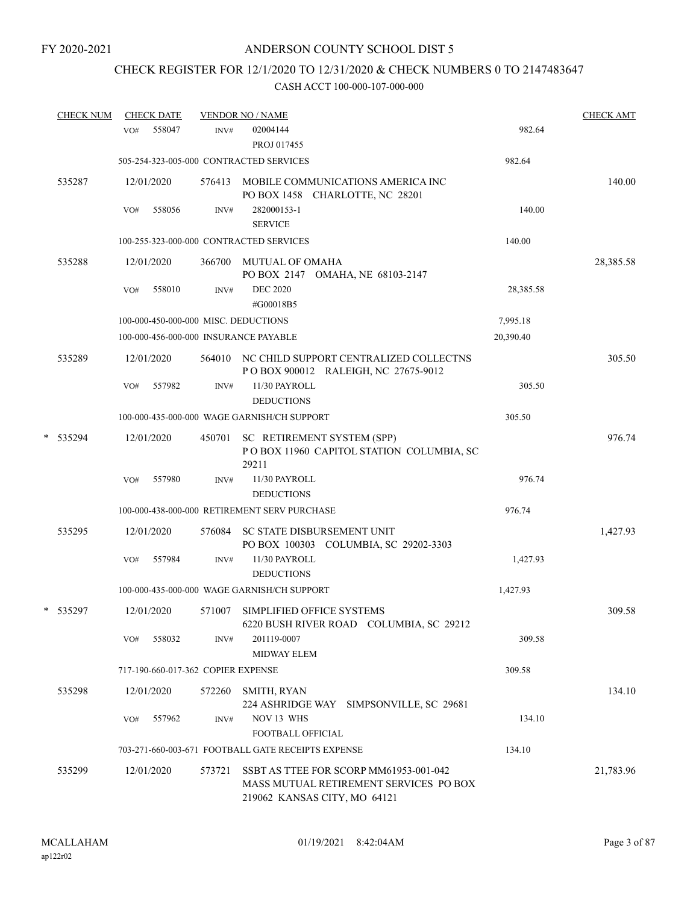# CHECK REGISTER FOR 12/1/2020 TO 12/31/2020 & CHECK NUMBERS 0 TO 2147483647

|   | <b>CHECK NUM</b> |     | <b>CHECK DATE</b> |                                    | <b>VENDOR NO / NAME</b>                                                                                          |           | <b>CHECK AMT</b> |
|---|------------------|-----|-------------------|------------------------------------|------------------------------------------------------------------------------------------------------------------|-----------|------------------|
|   |                  | VO# | 558047            | INV#                               | 02004144<br>PROJ 017455                                                                                          | 982.64    |                  |
|   |                  |     |                   |                                    | 505-254-323-005-000 CONTRACTED SERVICES                                                                          | 982.64    |                  |
|   | 535287           |     | 12/01/2020        |                                    | 576413 MOBILE COMMUNICATIONS AMERICA INC<br>PO BOX 1458 CHARLOTTE, NC 28201                                      |           | 140.00           |
|   |                  | VO# | 558056            | INV#                               | 282000153-1<br><b>SERVICE</b>                                                                                    | 140.00    |                  |
|   |                  |     |                   |                                    | 100-255-323-000-000 CONTRACTED SERVICES                                                                          | 140.00    |                  |
|   | 535288           |     | 12/01/2020        | 366700                             | MUTUAL OF OMAHA<br>PO BOX 2147 OMAHA, NE 68103-2147                                                              |           | 28,385.58        |
|   |                  | VO# | 558010            | INV#                               | <b>DEC 2020</b><br>#G00018B5                                                                                     | 28,385.58 |                  |
|   |                  |     |                   |                                    | 100-000-450-000-000 MISC. DEDUCTIONS                                                                             | 7,995.18  |                  |
|   |                  |     |                   |                                    | 100-000-456-000-000 INSURANCE PAYABLE                                                                            | 20,390.40 |                  |
|   | 535289           |     | 12/01/2020        |                                    | 564010 NC CHILD SUPPORT CENTRALIZED COLLECTNS<br>POBOX 900012 RALEIGH, NC 27675-9012                             |           | 305.50           |
|   |                  | VO# | 557982            | INV#                               | 11/30 PAYROLL                                                                                                    | 305.50    |                  |
|   |                  |     |                   |                                    | <b>DEDUCTIONS</b>                                                                                                |           |                  |
|   |                  |     |                   |                                    | 100-000-435-000-000 WAGE GARNISH/CH SUPPORT                                                                      | 305.50    |                  |
| * | 535294           |     | 12/01/2020        | 450701                             | SC RETIREMENT SYSTEM (SPP)<br>POBOX 11960 CAPITOL STATION COLUMBIA, SC<br>29211                                  |           | 976.74           |
|   |                  | VO# | 557980            | INV#                               | 11/30 PAYROLL<br><b>DEDUCTIONS</b>                                                                               | 976.74    |                  |
|   |                  |     |                   |                                    | 100-000-438-000-000 RETIREMENT SERV PURCHASE                                                                     | 976.74    |                  |
|   | 535295           |     | 12/01/2020        | 576084                             | SC STATE DISBURSEMENT UNIT<br>PO BOX 100303 COLUMBIA, SC 29202-3303                                              |           | 1,427.93         |
|   |                  | VO# | 557984            | INV#                               | 11/30 PAYROLL<br><b>DEDUCTIONS</b>                                                                               | 1,427.93  |                  |
|   |                  |     |                   |                                    | 100-000-435-000-000 WAGE GARNISH/CH SUPPORT                                                                      | 1,427.93  |                  |
|   | * 535297         |     | 12/01/2020        | 571007                             | SIMPLIFIED OFFICE SYSTEMS<br>6220 BUSH RIVER ROAD COLUMBIA, SC 29212                                             |           | 309.58           |
|   |                  | VO# | 558032            | INV#                               | 201119-0007<br><b>MIDWAY ELEM</b>                                                                                | 309.58    |                  |
|   |                  |     |                   | 717-190-660-017-362 COPIER EXPENSE |                                                                                                                  | 309.58    |                  |
|   | 535298           |     | 12/01/2020        | 572260                             | SMITH, RYAN<br>224 ASHRIDGE WAY SIMPSONVILLE, SC 29681                                                           |           | 134.10           |
|   |                  | VO# | 557962            | INV#                               | NOV 13 WHS<br>FOOTBALL OFFICIAL                                                                                  | 134.10    |                  |
|   |                  |     |                   |                                    | 703-271-660-003-671 FOOTBALL GATE RECEIPTS EXPENSE                                                               | 134.10    |                  |
|   | 535299           |     | 12/01/2020        | 573721                             | SSBT AS TTEE FOR SCORP MM61953-001-042<br>MASS MUTUAL RETIREMENT SERVICES PO BOX<br>219062 KANSAS CITY, MO 64121 |           | 21,783.96        |
|   |                  |     |                   |                                    |                                                                                                                  |           |                  |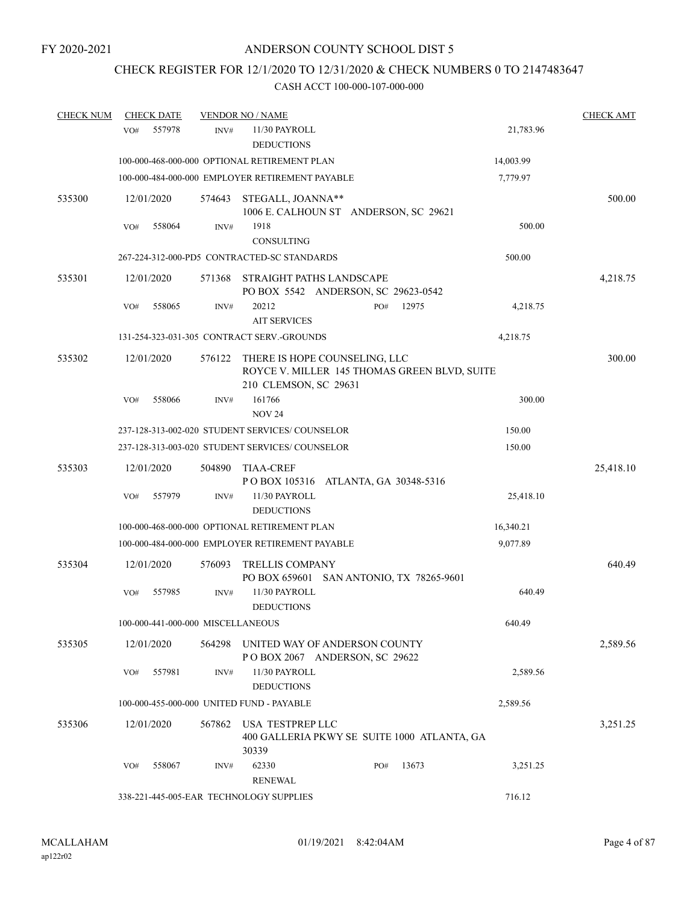### CHECK REGISTER FOR 12/1/2020 TO 12/31/2020 & CHECK NUMBERS 0 TO 2147483647

| <b>CHECK NUM</b> | <b>CHECK DATE</b>                 |                | <b>VENDOR NO / NAME</b>                                                                                |     |       |           | <b>CHECK AMT</b> |
|------------------|-----------------------------------|----------------|--------------------------------------------------------------------------------------------------------|-----|-------|-----------|------------------|
|                  | 557978<br>VO#                     | INV#           | 11/30 PAYROLL<br><b>DEDUCTIONS</b>                                                                     |     |       | 21,783.96 |                  |
|                  |                                   |                | 100-000-468-000-000 OPTIONAL RETIREMENT PLAN                                                           |     |       | 14,003.99 |                  |
|                  |                                   |                | 100-000-484-000-000 EMPLOYER RETIREMENT PAYABLE                                                        |     |       | 7,779.97  |                  |
| 535300           | 12/01/2020                        | 574643         | STEGALL, JOANNA**<br>1006 E. CALHOUN ST ANDERSON, SC 29621                                             |     |       |           | 500.00           |
|                  | 558064<br>VO#                     | INV#           | 1918<br><b>CONSULTING</b>                                                                              |     |       | 500.00    |                  |
|                  |                                   |                | 267-224-312-000-PD5 CONTRACTED-SC STANDARDS                                                            |     |       | 500.00    |                  |
| 535301           | 12/01/2020                        | 571368         | STRAIGHT PATHS LANDSCAPE<br>PO BOX 5542 ANDERSON, SC 29623-0542                                        |     |       |           | 4,218.75         |
|                  | 558065<br>VO#                     | INV#           | 20212<br><b>AIT SERVICES</b>                                                                           | PO# | 12975 | 4,218.75  |                  |
|                  |                                   |                | 131-254-323-031-305 CONTRACT SERV.-GROUNDS                                                             |     |       | 4,218.75  |                  |
| 535302           | 12/01/2020                        | 576122         | THERE IS HOPE COUNSELING, LLC<br>ROYCE V. MILLER 145 THOMAS GREEN BLVD, SUITE<br>210 CLEMSON, SC 29631 |     |       |           | 300.00           |
|                  | 558066<br>VO#                     | INV#           | 161766<br><b>NOV 24</b>                                                                                |     |       | 300.00    |                  |
|                  |                                   |                | 237-128-313-002-020 STUDENT SERVICES/ COUNSELOR                                                        |     |       | 150.00    |                  |
|                  |                                   |                | 237-128-313-003-020 STUDENT SERVICES/ COUNSELOR                                                        |     |       | 150.00    |                  |
| 535303           | 12/01/2020                        | 504890         | <b>TIAA-CREF</b><br>POBOX 105316 ATLANTA, GA 30348-5316                                                |     |       |           | 25,418.10        |
|                  | 557979<br>VO#                     | INV#           | 11/30 PAYROLL<br><b>DEDUCTIONS</b>                                                                     |     |       | 25,418.10 |                  |
|                  |                                   |                | 100-000-468-000-000 OPTIONAL RETIREMENT PLAN                                                           |     |       | 16,340.21 |                  |
|                  |                                   |                | 100-000-484-000-000 EMPLOYER RETIREMENT PAYABLE                                                        |     |       | 9,077.89  |                  |
| 535304           | 12/01/2020                        | 576093         | <b>TRELLIS COMPANY</b><br>PO BOX 659601 SAN ANTONIO, TX 78265-9601                                     |     |       |           | 640.49           |
|                  | 557985<br>VO#                     | $\text{INV}\#$ | 11/30 PAYROLL<br><b>DEDUCTIONS</b>                                                                     |     |       | 640.49    |                  |
|                  | 100-000-441-000-000 MISCELLANEOUS |                |                                                                                                        |     |       | 640.49    |                  |
| 535305           | 12/01/2020                        | 564298         | UNITED WAY OF ANDERSON COUNTY<br>POBOX 2067 ANDERSON, SC 29622                                         |     |       |           | 2,589.56         |
|                  | 557981<br>VO#                     | INV#           | 11/30 PAYROLL<br><b>DEDUCTIONS</b>                                                                     |     |       | 2,589.56  |                  |
|                  |                                   |                | 100-000-455-000-000 UNITED FUND - PAYABLE                                                              |     |       | 2,589.56  |                  |
| 535306           | 12/01/2020                        | 567862         | USA TESTPREP LLC<br>400 GALLERIA PKWY SE SUITE 1000 ATLANTA, GA<br>30339                               |     |       |           | 3,251.25         |
|                  | 558067<br>VO#                     | INV#           | 62330<br><b>RENEWAL</b>                                                                                | PO# | 13673 | 3,251.25  |                  |
|                  |                                   |                | 338-221-445-005-EAR TECHNOLOGY SUPPLIES                                                                |     |       | 716.12    |                  |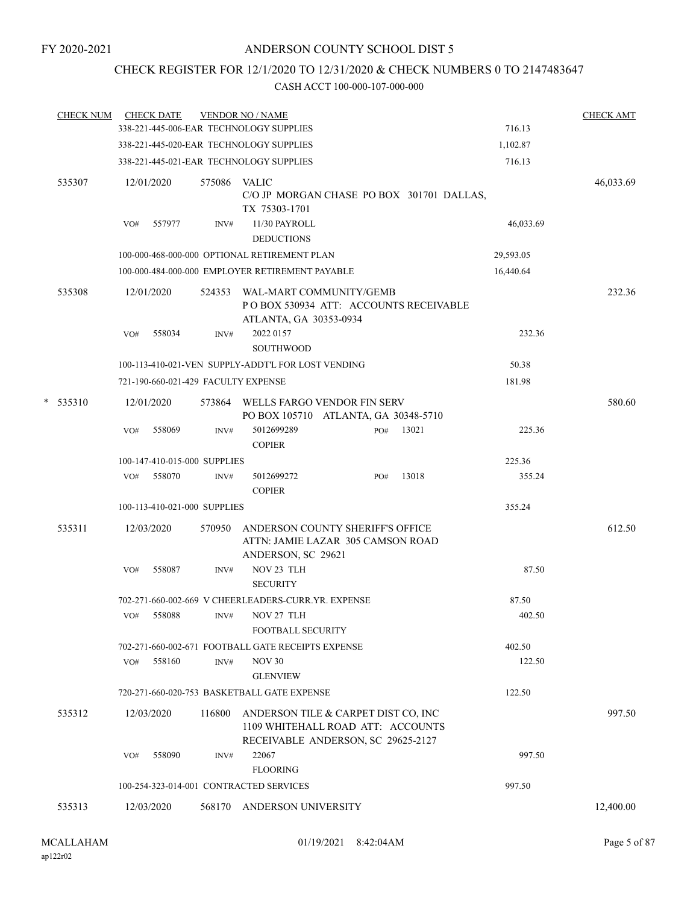### CHECK REGISTER FOR 12/1/2020 TO 12/31/2020 & CHECK NUMBERS 0 TO 2147483647

| <b>CHECK NUM</b> |     | <b>CHECK DATE</b>                   |              | <b>VENDOR NO / NAME</b><br>338-221-445-006-EAR TECHNOLOGY SUPPLIES                                             |     |       | 716.13    | <b>CHECK AMT</b> |
|------------------|-----|-------------------------------------|--------------|----------------------------------------------------------------------------------------------------------------|-----|-------|-----------|------------------|
|                  |     |                                     |              |                                                                                                                |     |       |           |                  |
|                  |     |                                     |              | 338-221-445-020-EAR TECHNOLOGY SUPPLIES                                                                        |     |       | 1,102.87  |                  |
|                  |     |                                     |              | 338-221-445-021-EAR TECHNOLOGY SUPPLIES                                                                        |     |       | 716.13    |                  |
| 535307           |     | 12/01/2020                          | 575086 VALIC | C/O JP MORGAN CHASE PO BOX 301701 DALLAS,<br>TX 75303-1701                                                     |     |       |           | 46,033.69        |
|                  | VO# | 557977                              | INV#         | 11/30 PAYROLL<br><b>DEDUCTIONS</b>                                                                             |     |       | 46,033.69 |                  |
|                  |     |                                     |              | 100-000-468-000-000 OPTIONAL RETIREMENT PLAN                                                                   |     |       | 29,593.05 |                  |
|                  |     |                                     |              | 100-000-484-000-000 EMPLOYER RETIREMENT PAYABLE                                                                |     |       | 16,440.64 |                  |
| 535308           |     | 12/01/2020                          |              | 524353 WAL-MART COMMUNITY/GEMB<br>PO BOX 530934 ATT: ACCOUNTS RECEIVABLE<br>ATLANTA, GA 30353-0934             |     |       |           | 232.36           |
|                  | VO# | 558034                              | INV#         | 2022 0157<br>SOUTHWOOD                                                                                         |     |       | 232.36    |                  |
|                  |     |                                     |              | 100-113-410-021-VEN SUPPLY-ADDT'L FOR LOST VENDING                                                             |     |       | 50.38     |                  |
|                  |     | 721-190-660-021-429 FACULTY EXPENSE |              |                                                                                                                |     |       | 181.98    |                  |
| $*$ 535310       |     | 12/01/2020                          |              | 573864 WELLS FARGO VENDOR FIN SERV                                                                             |     |       |           | 580.60           |
|                  |     |                                     |              | PO BOX 105710 ATLANTA, GA 30348-5710                                                                           |     |       |           |                  |
|                  | VO# | 558069                              | INV#         | 5012699289<br><b>COPIER</b>                                                                                    | PO# | 13021 | 225.36    |                  |
|                  |     | 100-147-410-015-000 SUPPLIES        |              |                                                                                                                |     |       | 225.36    |                  |
|                  |     | VO# 558070                          | INV#         | 5012699272<br><b>COPIER</b>                                                                                    | PO# | 13018 | 355.24    |                  |
|                  |     | 100-113-410-021-000 SUPPLIES        |              |                                                                                                                |     |       | 355.24    |                  |
| 535311           |     | 12/03/2020                          | 570950       | ANDERSON COUNTY SHERIFF'S OFFICE<br>ATTN: JAMIE LAZAR 305 CAMSON ROAD<br>ANDERSON, SC 29621                    |     |       |           | 612.50           |
|                  | VO# | 558087                              | INV#         | NOV 23 TLH<br><b>SECURITY</b>                                                                                  |     |       | 87.50     |                  |
|                  |     |                                     |              | 702-271-660-002-669 V CHEERLEADERS-CURR.YR. EXPENSE                                                            |     |       | 87.50     |                  |
|                  | VO# | 558088                              | INV#         | NOV 27 TLH<br>FOOTBALL SECURITY                                                                                |     |       | 402.50    |                  |
|                  |     |                                     |              | 702-271-660-002-671 FOOTBALL GATE RECEIPTS EXPENSE                                                             |     |       | 402.50    |                  |
|                  | VO# | 558160                              | INV#         | <b>NOV 30</b><br><b>GLENVIEW</b>                                                                               |     |       | 122.50    |                  |
|                  |     |                                     |              | 720-271-660-020-753 BASKETBALL GATE EXPENSE                                                                    |     |       | 122.50    |                  |
| 535312           |     | 12/03/2020                          | 116800       | ANDERSON TILE & CARPET DIST CO, INC<br>1109 WHITEHALL ROAD ATT: ACCOUNTS<br>RECEIVABLE ANDERSON, SC 29625-2127 |     |       |           | 997.50           |
|                  | VO# | 558090                              | INV#         | 22067<br><b>FLOORING</b>                                                                                       |     |       | 997.50    |                  |
|                  |     |                                     |              | 100-254-323-014-001 CONTRACTED SERVICES                                                                        |     |       | 997.50    |                  |
| 535313           |     | 12/03/2020                          | 568170       | ANDERSON UNIVERSITY                                                                                            |     |       |           | 12,400.00        |
|                  |     |                                     |              |                                                                                                                |     |       |           |                  |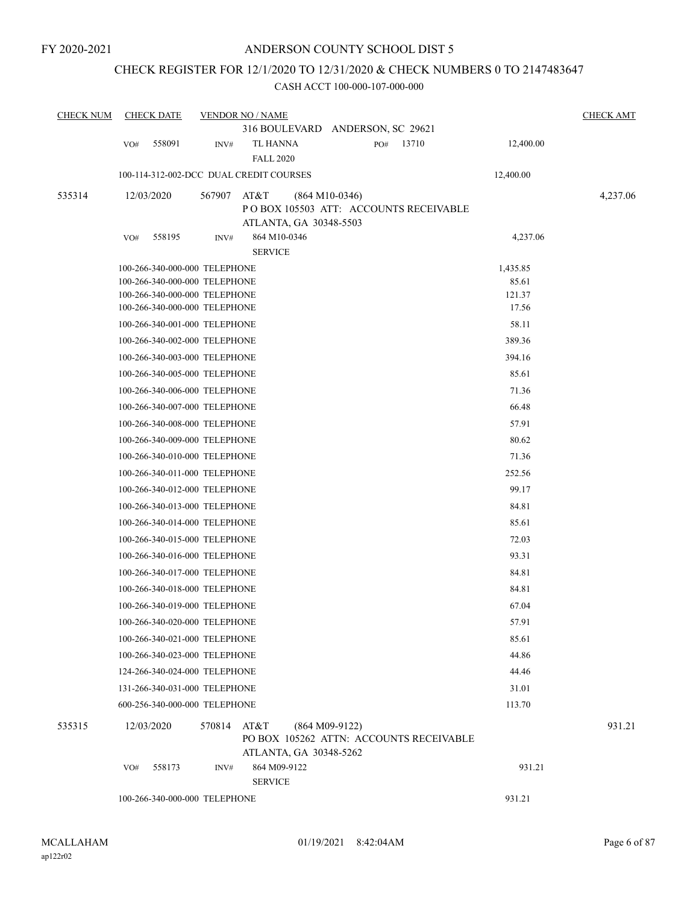### CHECK REGISTER FOR 12/1/2020 TO 12/31/2020 & CHECK NUMBERS 0 TO 2147483647

| <b>CHECK NUM</b> |     | <b>CHECK DATE</b>                                              |        | <b>VENDOR NO / NAME</b>                |                  |     |                                         |                   | <b>CHECK AMT</b> |
|------------------|-----|----------------------------------------------------------------|--------|----------------------------------------|------------------|-----|-----------------------------------------|-------------------|------------------|
|                  |     |                                                                |        | 316 BOULEVARD ANDERSON, SC 29621       |                  |     |                                         |                   |                  |
|                  | VO# | 558091                                                         | INV#   | TL HANNA                               |                  | PO# | 13710                                   | 12,400.00         |                  |
|                  |     |                                                                |        | <b>FALL 2020</b>                       |                  |     |                                         |                   |                  |
|                  |     | 100-114-312-002-DCC DUAL CREDIT COURSES                        |        |                                        |                  |     |                                         | 12,400.00         |                  |
| 535314           |     | 12/03/2020                                                     | 567907 | AT&T                                   | $(864 M10-0346)$ |     |                                         |                   | 4,237.06         |
|                  |     |                                                                |        |                                        |                  |     | POBOX 105503 ATT: ACCOUNTS RECEIVABLE   |                   |                  |
|                  |     |                                                                |        | ATLANTA, GA 30348-5503                 |                  |     |                                         |                   |                  |
|                  | VO# | 558195                                                         | INV#   | 864 M10-0346<br><b>SERVICE</b>         |                  |     |                                         | 4,237.06          |                  |
|                  |     |                                                                |        |                                        |                  |     |                                         |                   |                  |
|                  |     | 100-266-340-000-000 TELEPHONE<br>100-266-340-000-000 TELEPHONE |        |                                        |                  |     |                                         | 1,435.85<br>85.61 |                  |
|                  |     | 100-266-340-000-000 TELEPHONE                                  |        |                                        |                  |     |                                         | 121.37            |                  |
|                  |     | 100-266-340-000-000 TELEPHONE                                  |        |                                        |                  |     |                                         | 17.56             |                  |
|                  |     | 100-266-340-001-000 TELEPHONE                                  |        |                                        |                  |     |                                         | 58.11             |                  |
|                  |     | 100-266-340-002-000 TELEPHONE                                  |        |                                        |                  |     |                                         | 389.36            |                  |
|                  |     | 100-266-340-003-000 TELEPHONE                                  |        |                                        |                  |     |                                         | 394.16            |                  |
|                  |     | 100-266-340-005-000 TELEPHONE                                  |        |                                        |                  |     |                                         | 85.61             |                  |
|                  |     | 100-266-340-006-000 TELEPHONE                                  |        |                                        |                  |     |                                         | 71.36             |                  |
|                  |     | 100-266-340-007-000 TELEPHONE                                  |        |                                        |                  |     |                                         | 66.48             |                  |
|                  |     | 100-266-340-008-000 TELEPHONE                                  |        |                                        |                  |     |                                         | 57.91             |                  |
|                  |     | 100-266-340-009-000 TELEPHONE                                  |        |                                        |                  |     |                                         | 80.62             |                  |
|                  |     | 100-266-340-010-000 TELEPHONE                                  |        |                                        |                  |     |                                         | 71.36             |                  |
|                  |     | 100-266-340-011-000 TELEPHONE                                  |        |                                        |                  |     |                                         | 252.56            |                  |
|                  |     | 100-266-340-012-000 TELEPHONE                                  |        |                                        |                  |     |                                         | 99.17             |                  |
|                  |     | 100-266-340-013-000 TELEPHONE                                  |        |                                        |                  |     |                                         | 84.81             |                  |
|                  |     | 100-266-340-014-000 TELEPHONE                                  |        |                                        |                  |     |                                         | 85.61             |                  |
|                  |     | 100-266-340-015-000 TELEPHONE                                  |        |                                        |                  |     |                                         | 72.03             |                  |
|                  |     | 100-266-340-016-000 TELEPHONE                                  |        |                                        |                  |     |                                         | 93.31             |                  |
|                  |     | 100-266-340-017-000 TELEPHONE                                  |        |                                        |                  |     |                                         | 84.81             |                  |
|                  |     | 100-266-340-018-000 TELEPHONE                                  |        |                                        |                  |     |                                         | 84.81             |                  |
|                  |     | 100-266-340-019-000 TELEPHONE                                  |        |                                        |                  |     |                                         | 67.04             |                  |
|                  |     | 100-266-340-020-000 TELEPHONE                                  |        |                                        |                  |     |                                         | 57.91             |                  |
|                  |     | 100-266-340-021-000 TELEPHONE                                  |        |                                        |                  |     |                                         | 85.61             |                  |
|                  |     | 100-266-340-023-000 TELEPHONE                                  |        |                                        |                  |     |                                         | 44.86             |                  |
|                  |     | 124-266-340-024-000 TELEPHONE                                  |        |                                        |                  |     |                                         | 44.46             |                  |
|                  |     | 131-266-340-031-000 TELEPHONE                                  |        |                                        |                  |     |                                         | 31.01             |                  |
|                  |     | 600-256-340-000-000 TELEPHONE                                  |        |                                        |                  |     |                                         | 113.70            |                  |
| 535315           |     | 12/03/2020                                                     | 570814 | AT&T                                   | $(864 M09-9122)$ |     | PO BOX 105262 ATTN: ACCOUNTS RECEIVABLE |                   | 931.21           |
|                  | VO# | 558173                                                         | INV#   | ATLANTA, GA 30348-5262<br>864 M09-9122 |                  |     |                                         | 931.21            |                  |
|                  |     |                                                                |        | <b>SERVICE</b>                         |                  |     |                                         |                   |                  |
|                  |     | 100-266-340-000-000 TELEPHONE                                  |        |                                        |                  |     |                                         | 931.21            |                  |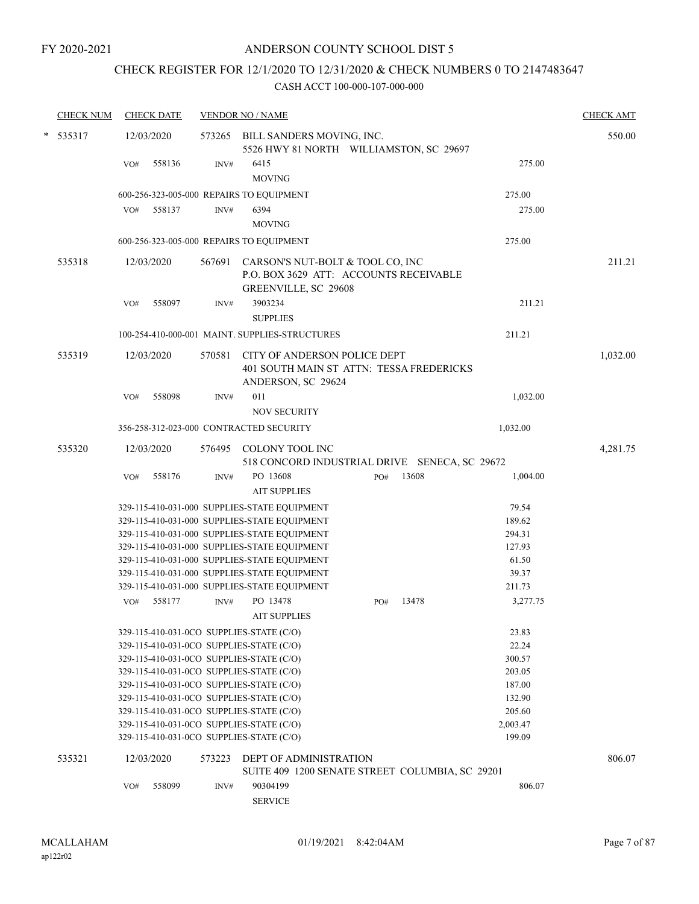# CHECK REGISTER FOR 12/1/2020 TO 12/31/2020 & CHECK NUMBERS 0 TO 2147483647

| $* 535317$<br>12/03/2020<br>573265 BILL SANDERS MOVING, INC.<br>5526 HWY 81 NORTH WILLIAMSTON, SC 29697<br>6415<br>275.00<br>558136<br>$\text{INV}\#$<br>VO#<br><b>MOVING</b><br>600-256-323-005-000 REPAIRS TO EQUIPMENT<br>275.00<br>558137<br>6394<br>275.00<br>VO#<br>INV#<br><b>MOVING</b><br>600-256-323-005-000 REPAIRS TO EQUIPMENT<br>275.00<br>535318<br>12/03/2020<br>CARSON'S NUT-BOLT & TOOL CO, INC<br>567691<br>P.O. BOX 3629 ATT: ACCOUNTS RECEIVABLE<br>GREENVILLE, SC 29608<br>558097<br>3903234<br>211.21<br>VO#<br>INV#<br><b>SUPPLIES</b><br>100-254-410-000-001 MAINT. SUPPLIES-STRUCTURES<br>211.21<br>535319<br>570581<br>CITY OF ANDERSON POLICE DEPT<br>12/03/2020<br>401 SOUTH MAIN ST ATTN: TESSA FREDERICKS<br>ANDERSON, SC 29624<br>011<br>1,032.00<br>558098<br>VO#<br>INV#<br><b>NOV SECURITY</b><br>356-258-312-023-000 CONTRACTED SECURITY<br>1,032.00<br>535320<br>12/03/2020<br>COLONY TOOL INC<br>576495<br>518 CONCORD INDUSTRIAL DRIVE SENECA, SC 29672<br>558176<br>PO 13608<br>13608<br>1,004.00<br>VO#<br>INV#<br>PO#<br><b>AIT SUPPLIES</b><br>79.54<br>329-115-410-031-000 SUPPLIES-STATE EQUIPMENT<br>329-115-410-031-000 SUPPLIES-STATE EQUIPMENT<br>189.62<br>329-115-410-031-000 SUPPLIES-STATE EQUIPMENT<br>294.31<br>329-115-410-031-000 SUPPLIES-STATE EQUIPMENT<br>127.93<br>329-115-410-031-000 SUPPLIES-STATE EQUIPMENT<br>61.50<br>329-115-410-031-000 SUPPLIES-STATE EQUIPMENT<br>39.37<br>329-115-410-031-000 SUPPLIES-STATE EQUIPMENT<br>211.73<br>558177<br>PO 13478<br>3,277.75<br>13478<br>VO#<br>INV#<br>PO#<br><b>AIT SUPPLIES</b><br>329-115-410-031-0CO SUPPLIES-STATE (C/O)<br>23.83<br>22.24<br>329-115-410-031-0CO SUPPLIES-STATE (C/O)<br>329-115-410-031-0CO SUPPLIES-STATE (C/O)<br>300.57<br>203.05<br>329-115-410-031-0CO SUPPLIES-STATE (C/O)<br>329-115-410-031-0CO SUPPLIES-STATE (C/O)<br>187.00<br>132.90<br>329-115-410-031-0CO SUPPLIES-STATE (C/O)<br>205.60<br>329-115-410-031-0CO SUPPLIES-STATE (C/O)<br>329-115-410-031-0CO SUPPLIES-STATE (C/O)<br>2,003.47<br>329-115-410-031-0CO SUPPLIES-STATE (C/O)<br>199.09<br>535321<br><b>DEPT OF ADMINISTRATION</b><br>12/03/2020<br>573223<br>SUITE 409 1200 SENATE STREET COLUMBIA, SC 29201<br>90304199<br>558099<br>INV#<br>806.07<br>VO#<br><b>SERVICE</b> | <b>CHECK NUM</b> | <b>CHECK DATE</b> | <b>VENDOR NO / NAME</b> |  | <b>CHECK AMT</b> |
|------------------------------------------------------------------------------------------------------------------------------------------------------------------------------------------------------------------------------------------------------------------------------------------------------------------------------------------------------------------------------------------------------------------------------------------------------------------------------------------------------------------------------------------------------------------------------------------------------------------------------------------------------------------------------------------------------------------------------------------------------------------------------------------------------------------------------------------------------------------------------------------------------------------------------------------------------------------------------------------------------------------------------------------------------------------------------------------------------------------------------------------------------------------------------------------------------------------------------------------------------------------------------------------------------------------------------------------------------------------------------------------------------------------------------------------------------------------------------------------------------------------------------------------------------------------------------------------------------------------------------------------------------------------------------------------------------------------------------------------------------------------------------------------------------------------------------------------------------------------------------------------------------------------------------------------------------------------------------------------------------------------------------------------------------------------------------------------------------------------------------------------------------------------------------------------------------------------------------------------------------------------------------------------------|------------------|-------------------|-------------------------|--|------------------|
|                                                                                                                                                                                                                                                                                                                                                                                                                                                                                                                                                                                                                                                                                                                                                                                                                                                                                                                                                                                                                                                                                                                                                                                                                                                                                                                                                                                                                                                                                                                                                                                                                                                                                                                                                                                                                                                                                                                                                                                                                                                                                                                                                                                                                                                                                                |                  |                   |                         |  | 550.00           |
|                                                                                                                                                                                                                                                                                                                                                                                                                                                                                                                                                                                                                                                                                                                                                                                                                                                                                                                                                                                                                                                                                                                                                                                                                                                                                                                                                                                                                                                                                                                                                                                                                                                                                                                                                                                                                                                                                                                                                                                                                                                                                                                                                                                                                                                                                                |                  |                   |                         |  |                  |
|                                                                                                                                                                                                                                                                                                                                                                                                                                                                                                                                                                                                                                                                                                                                                                                                                                                                                                                                                                                                                                                                                                                                                                                                                                                                                                                                                                                                                                                                                                                                                                                                                                                                                                                                                                                                                                                                                                                                                                                                                                                                                                                                                                                                                                                                                                |                  |                   |                         |  |                  |
|                                                                                                                                                                                                                                                                                                                                                                                                                                                                                                                                                                                                                                                                                                                                                                                                                                                                                                                                                                                                                                                                                                                                                                                                                                                                                                                                                                                                                                                                                                                                                                                                                                                                                                                                                                                                                                                                                                                                                                                                                                                                                                                                                                                                                                                                                                |                  |                   |                         |  |                  |
|                                                                                                                                                                                                                                                                                                                                                                                                                                                                                                                                                                                                                                                                                                                                                                                                                                                                                                                                                                                                                                                                                                                                                                                                                                                                                                                                                                                                                                                                                                                                                                                                                                                                                                                                                                                                                                                                                                                                                                                                                                                                                                                                                                                                                                                                                                |                  |                   |                         |  |                  |
|                                                                                                                                                                                                                                                                                                                                                                                                                                                                                                                                                                                                                                                                                                                                                                                                                                                                                                                                                                                                                                                                                                                                                                                                                                                                                                                                                                                                                                                                                                                                                                                                                                                                                                                                                                                                                                                                                                                                                                                                                                                                                                                                                                                                                                                                                                |                  |                   |                         |  |                  |
|                                                                                                                                                                                                                                                                                                                                                                                                                                                                                                                                                                                                                                                                                                                                                                                                                                                                                                                                                                                                                                                                                                                                                                                                                                                                                                                                                                                                                                                                                                                                                                                                                                                                                                                                                                                                                                                                                                                                                                                                                                                                                                                                                                                                                                                                                                |                  |                   |                         |  | 211.21           |
|                                                                                                                                                                                                                                                                                                                                                                                                                                                                                                                                                                                                                                                                                                                                                                                                                                                                                                                                                                                                                                                                                                                                                                                                                                                                                                                                                                                                                                                                                                                                                                                                                                                                                                                                                                                                                                                                                                                                                                                                                                                                                                                                                                                                                                                                                                |                  |                   |                         |  |                  |
|                                                                                                                                                                                                                                                                                                                                                                                                                                                                                                                                                                                                                                                                                                                                                                                                                                                                                                                                                                                                                                                                                                                                                                                                                                                                                                                                                                                                                                                                                                                                                                                                                                                                                                                                                                                                                                                                                                                                                                                                                                                                                                                                                                                                                                                                                                |                  |                   |                         |  |                  |
|                                                                                                                                                                                                                                                                                                                                                                                                                                                                                                                                                                                                                                                                                                                                                                                                                                                                                                                                                                                                                                                                                                                                                                                                                                                                                                                                                                                                                                                                                                                                                                                                                                                                                                                                                                                                                                                                                                                                                                                                                                                                                                                                                                                                                                                                                                |                  |                   |                         |  | 1,032.00         |
|                                                                                                                                                                                                                                                                                                                                                                                                                                                                                                                                                                                                                                                                                                                                                                                                                                                                                                                                                                                                                                                                                                                                                                                                                                                                                                                                                                                                                                                                                                                                                                                                                                                                                                                                                                                                                                                                                                                                                                                                                                                                                                                                                                                                                                                                                                |                  |                   |                         |  |                  |
|                                                                                                                                                                                                                                                                                                                                                                                                                                                                                                                                                                                                                                                                                                                                                                                                                                                                                                                                                                                                                                                                                                                                                                                                                                                                                                                                                                                                                                                                                                                                                                                                                                                                                                                                                                                                                                                                                                                                                                                                                                                                                                                                                                                                                                                                                                |                  |                   |                         |  |                  |
|                                                                                                                                                                                                                                                                                                                                                                                                                                                                                                                                                                                                                                                                                                                                                                                                                                                                                                                                                                                                                                                                                                                                                                                                                                                                                                                                                                                                                                                                                                                                                                                                                                                                                                                                                                                                                                                                                                                                                                                                                                                                                                                                                                                                                                                                                                |                  |                   |                         |  |                  |
|                                                                                                                                                                                                                                                                                                                                                                                                                                                                                                                                                                                                                                                                                                                                                                                                                                                                                                                                                                                                                                                                                                                                                                                                                                                                                                                                                                                                                                                                                                                                                                                                                                                                                                                                                                                                                                                                                                                                                                                                                                                                                                                                                                                                                                                                                                |                  |                   |                         |  | 4,281.75         |
|                                                                                                                                                                                                                                                                                                                                                                                                                                                                                                                                                                                                                                                                                                                                                                                                                                                                                                                                                                                                                                                                                                                                                                                                                                                                                                                                                                                                                                                                                                                                                                                                                                                                                                                                                                                                                                                                                                                                                                                                                                                                                                                                                                                                                                                                                                |                  |                   |                         |  |                  |
|                                                                                                                                                                                                                                                                                                                                                                                                                                                                                                                                                                                                                                                                                                                                                                                                                                                                                                                                                                                                                                                                                                                                                                                                                                                                                                                                                                                                                                                                                                                                                                                                                                                                                                                                                                                                                                                                                                                                                                                                                                                                                                                                                                                                                                                                                                |                  |                   |                         |  |                  |
|                                                                                                                                                                                                                                                                                                                                                                                                                                                                                                                                                                                                                                                                                                                                                                                                                                                                                                                                                                                                                                                                                                                                                                                                                                                                                                                                                                                                                                                                                                                                                                                                                                                                                                                                                                                                                                                                                                                                                                                                                                                                                                                                                                                                                                                                                                |                  |                   |                         |  |                  |
|                                                                                                                                                                                                                                                                                                                                                                                                                                                                                                                                                                                                                                                                                                                                                                                                                                                                                                                                                                                                                                                                                                                                                                                                                                                                                                                                                                                                                                                                                                                                                                                                                                                                                                                                                                                                                                                                                                                                                                                                                                                                                                                                                                                                                                                                                                |                  |                   |                         |  |                  |
|                                                                                                                                                                                                                                                                                                                                                                                                                                                                                                                                                                                                                                                                                                                                                                                                                                                                                                                                                                                                                                                                                                                                                                                                                                                                                                                                                                                                                                                                                                                                                                                                                                                                                                                                                                                                                                                                                                                                                                                                                                                                                                                                                                                                                                                                                                |                  |                   |                         |  |                  |
|                                                                                                                                                                                                                                                                                                                                                                                                                                                                                                                                                                                                                                                                                                                                                                                                                                                                                                                                                                                                                                                                                                                                                                                                                                                                                                                                                                                                                                                                                                                                                                                                                                                                                                                                                                                                                                                                                                                                                                                                                                                                                                                                                                                                                                                                                                |                  |                   |                         |  |                  |
|                                                                                                                                                                                                                                                                                                                                                                                                                                                                                                                                                                                                                                                                                                                                                                                                                                                                                                                                                                                                                                                                                                                                                                                                                                                                                                                                                                                                                                                                                                                                                                                                                                                                                                                                                                                                                                                                                                                                                                                                                                                                                                                                                                                                                                                                                                |                  |                   |                         |  |                  |
|                                                                                                                                                                                                                                                                                                                                                                                                                                                                                                                                                                                                                                                                                                                                                                                                                                                                                                                                                                                                                                                                                                                                                                                                                                                                                                                                                                                                                                                                                                                                                                                                                                                                                                                                                                                                                                                                                                                                                                                                                                                                                                                                                                                                                                                                                                |                  |                   |                         |  |                  |
|                                                                                                                                                                                                                                                                                                                                                                                                                                                                                                                                                                                                                                                                                                                                                                                                                                                                                                                                                                                                                                                                                                                                                                                                                                                                                                                                                                                                                                                                                                                                                                                                                                                                                                                                                                                                                                                                                                                                                                                                                                                                                                                                                                                                                                                                                                |                  |                   |                         |  |                  |
|                                                                                                                                                                                                                                                                                                                                                                                                                                                                                                                                                                                                                                                                                                                                                                                                                                                                                                                                                                                                                                                                                                                                                                                                                                                                                                                                                                                                                                                                                                                                                                                                                                                                                                                                                                                                                                                                                                                                                                                                                                                                                                                                                                                                                                                                                                |                  |                   |                         |  |                  |
|                                                                                                                                                                                                                                                                                                                                                                                                                                                                                                                                                                                                                                                                                                                                                                                                                                                                                                                                                                                                                                                                                                                                                                                                                                                                                                                                                                                                                                                                                                                                                                                                                                                                                                                                                                                                                                                                                                                                                                                                                                                                                                                                                                                                                                                                                                |                  |                   |                         |  |                  |
|                                                                                                                                                                                                                                                                                                                                                                                                                                                                                                                                                                                                                                                                                                                                                                                                                                                                                                                                                                                                                                                                                                                                                                                                                                                                                                                                                                                                                                                                                                                                                                                                                                                                                                                                                                                                                                                                                                                                                                                                                                                                                                                                                                                                                                                                                                |                  |                   |                         |  |                  |
|                                                                                                                                                                                                                                                                                                                                                                                                                                                                                                                                                                                                                                                                                                                                                                                                                                                                                                                                                                                                                                                                                                                                                                                                                                                                                                                                                                                                                                                                                                                                                                                                                                                                                                                                                                                                                                                                                                                                                                                                                                                                                                                                                                                                                                                                                                |                  |                   |                         |  |                  |
|                                                                                                                                                                                                                                                                                                                                                                                                                                                                                                                                                                                                                                                                                                                                                                                                                                                                                                                                                                                                                                                                                                                                                                                                                                                                                                                                                                                                                                                                                                                                                                                                                                                                                                                                                                                                                                                                                                                                                                                                                                                                                                                                                                                                                                                                                                |                  |                   |                         |  |                  |
|                                                                                                                                                                                                                                                                                                                                                                                                                                                                                                                                                                                                                                                                                                                                                                                                                                                                                                                                                                                                                                                                                                                                                                                                                                                                                                                                                                                                                                                                                                                                                                                                                                                                                                                                                                                                                                                                                                                                                                                                                                                                                                                                                                                                                                                                                                |                  |                   |                         |  |                  |
|                                                                                                                                                                                                                                                                                                                                                                                                                                                                                                                                                                                                                                                                                                                                                                                                                                                                                                                                                                                                                                                                                                                                                                                                                                                                                                                                                                                                                                                                                                                                                                                                                                                                                                                                                                                                                                                                                                                                                                                                                                                                                                                                                                                                                                                                                                |                  |                   |                         |  |                  |
|                                                                                                                                                                                                                                                                                                                                                                                                                                                                                                                                                                                                                                                                                                                                                                                                                                                                                                                                                                                                                                                                                                                                                                                                                                                                                                                                                                                                                                                                                                                                                                                                                                                                                                                                                                                                                                                                                                                                                                                                                                                                                                                                                                                                                                                                                                |                  |                   |                         |  |                  |
|                                                                                                                                                                                                                                                                                                                                                                                                                                                                                                                                                                                                                                                                                                                                                                                                                                                                                                                                                                                                                                                                                                                                                                                                                                                                                                                                                                                                                                                                                                                                                                                                                                                                                                                                                                                                                                                                                                                                                                                                                                                                                                                                                                                                                                                                                                |                  |                   |                         |  |                  |
|                                                                                                                                                                                                                                                                                                                                                                                                                                                                                                                                                                                                                                                                                                                                                                                                                                                                                                                                                                                                                                                                                                                                                                                                                                                                                                                                                                                                                                                                                                                                                                                                                                                                                                                                                                                                                                                                                                                                                                                                                                                                                                                                                                                                                                                                                                |                  |                   |                         |  |                  |
|                                                                                                                                                                                                                                                                                                                                                                                                                                                                                                                                                                                                                                                                                                                                                                                                                                                                                                                                                                                                                                                                                                                                                                                                                                                                                                                                                                                                                                                                                                                                                                                                                                                                                                                                                                                                                                                                                                                                                                                                                                                                                                                                                                                                                                                                                                |                  |                   |                         |  |                  |
|                                                                                                                                                                                                                                                                                                                                                                                                                                                                                                                                                                                                                                                                                                                                                                                                                                                                                                                                                                                                                                                                                                                                                                                                                                                                                                                                                                                                                                                                                                                                                                                                                                                                                                                                                                                                                                                                                                                                                                                                                                                                                                                                                                                                                                                                                                |                  |                   |                         |  | 806.07           |
|                                                                                                                                                                                                                                                                                                                                                                                                                                                                                                                                                                                                                                                                                                                                                                                                                                                                                                                                                                                                                                                                                                                                                                                                                                                                                                                                                                                                                                                                                                                                                                                                                                                                                                                                                                                                                                                                                                                                                                                                                                                                                                                                                                                                                                                                                                |                  |                   |                         |  |                  |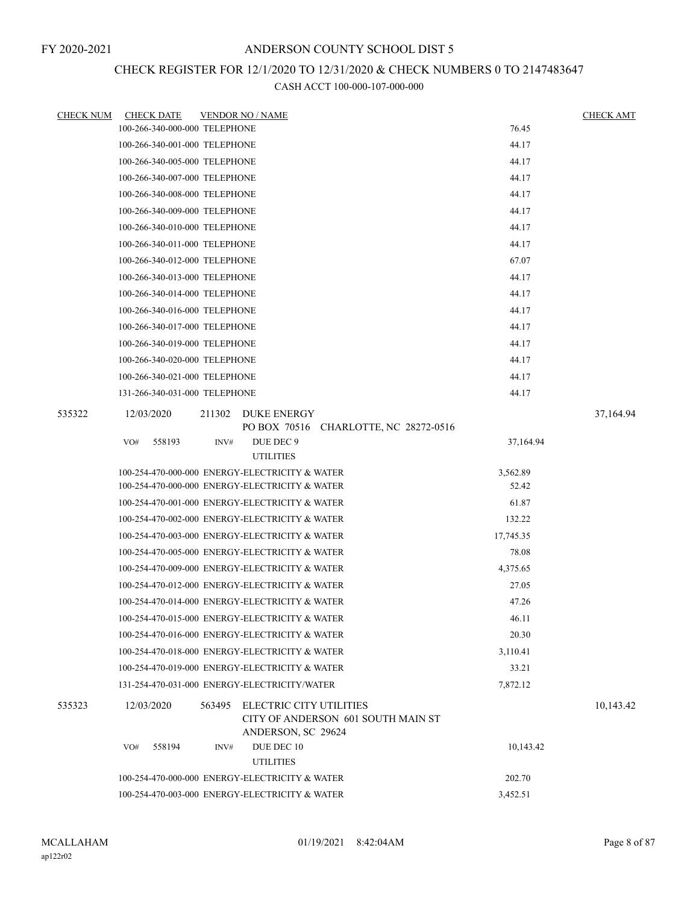### CHECK REGISTER FOR 12/1/2020 TO 12/31/2020 & CHECK NUMBERS 0 TO 2147483647

| <b>CHECK NUM</b> | <b>CHECK DATE</b>                              |        | <b>VENDOR NO / NAME</b>                                                             |           | <b>CHECK AMT</b> |
|------------------|------------------------------------------------|--------|-------------------------------------------------------------------------------------|-----------|------------------|
|                  | 100-266-340-000-000 TELEPHONE                  |        |                                                                                     | 76.45     |                  |
|                  | 100-266-340-001-000 TELEPHONE                  |        |                                                                                     | 44.17     |                  |
|                  | 100-266-340-005-000 TELEPHONE                  |        |                                                                                     | 44.17     |                  |
|                  | 100-266-340-007-000 TELEPHONE                  |        |                                                                                     | 44.17     |                  |
|                  | 100-266-340-008-000 TELEPHONE                  |        |                                                                                     | 44.17     |                  |
|                  | 100-266-340-009-000 TELEPHONE                  |        |                                                                                     | 44.17     |                  |
|                  | 100-266-340-010-000 TELEPHONE                  |        |                                                                                     | 44.17     |                  |
|                  | 100-266-340-011-000 TELEPHONE                  |        |                                                                                     | 44.17     |                  |
|                  | 100-266-340-012-000 TELEPHONE                  |        |                                                                                     | 67.07     |                  |
|                  | 100-266-340-013-000 TELEPHONE                  |        | 44.17                                                                               |           |                  |
|                  | 100-266-340-014-000 TELEPHONE                  |        | 44.17                                                                               |           |                  |
|                  | 100-266-340-016-000 TELEPHONE                  |        |                                                                                     | 44.17     |                  |
|                  | 100-266-340-017-000 TELEPHONE                  |        | 44.17                                                                               |           |                  |
|                  | 100-266-340-019-000 TELEPHONE                  |        |                                                                                     | 44.17     |                  |
|                  | 100-266-340-020-000 TELEPHONE                  |        |                                                                                     | 44.17     |                  |
|                  | 100-266-340-021-000 TELEPHONE                  |        |                                                                                     | 44.17     |                  |
|                  | 131-266-340-031-000 TELEPHONE                  |        |                                                                                     | 44.17     |                  |
| 535322           | 12/03/2020                                     | 211302 | <b>DUKE ENERGY</b><br>PO BOX 70516 CHARLOTTE, NC 28272-0516                         |           | 37,164.94        |
|                  | 558193<br>VO#                                  | INV#   | DUE DEC 9                                                                           | 37,164.94 |                  |
|                  |                                                |        | <b>UTILITIES</b>                                                                    |           |                  |
|                  |                                                |        | 100-254-470-000-000 ENERGY-ELECTRICITY & WATER                                      | 3,562.89  |                  |
|                  |                                                |        | 100-254-470-000-000 ENERGY-ELECTRICITY & WATER                                      | 52.42     |                  |
|                  |                                                |        | 100-254-470-001-000 ENERGY-ELECTRICITY & WATER                                      | 61.87     |                  |
|                  |                                                |        | 100-254-470-002-000 ENERGY-ELECTRICITY & WATER                                      | 132.22    |                  |
|                  |                                                |        | 100-254-470-003-000 ENERGY-ELECTRICITY & WATER                                      | 17,745.35 |                  |
|                  |                                                |        | 100-254-470-005-000 ENERGY-ELECTRICITY & WATER                                      | 78.08     |                  |
|                  |                                                |        | 100-254-470-009-000 ENERGY-ELECTRICITY & WATER                                      | 4,375.65  |                  |
|                  |                                                |        | 100-254-470-012-000 ENERGY-ELECTRICITY & WATER                                      | 27.05     |                  |
|                  |                                                |        | 100-254-470-014-000 ENERGY-ELECTRICITY & WATER                                      | 47.26     |                  |
|                  |                                                |        | 100-254-470-015-000 ENERGY-ELECTRICITY & WATER                                      | 46.11     |                  |
|                  |                                                |        | 100-254-470-016-000 ENERGY-ELECTRICITY & WATER                                      | 20.30     |                  |
|                  |                                                |        | 100-254-470-018-000 ENERGY-ELECTRICITY & WATER                                      | 3,110.41  |                  |
|                  |                                                |        | 100-254-470-019-000 ENERGY-ELECTRICITY & WATER                                      | 33.21     |                  |
|                  |                                                |        | 131-254-470-031-000 ENERGY-ELECTRICITY/WATER                                        | 7,872.12  |                  |
| 535323           | 12/03/2020                                     | 563495 | ELECTRIC CITY UTILITIES<br>CITY OF ANDERSON 601 SOUTH MAIN ST<br>ANDERSON, SC 29624 |           | 10,143.42        |
|                  | 558194<br>VO#                                  | INV#   | DUE DEC 10<br><b>UTILITIES</b>                                                      | 10,143.42 |                  |
|                  |                                                |        | 100-254-470-000-000 ENERGY-ELECTRICITY & WATER                                      | 202.70    |                  |
|                  | 100-254-470-003-000 ENERGY-ELECTRICITY & WATER |        | 3,452.51                                                                            |           |                  |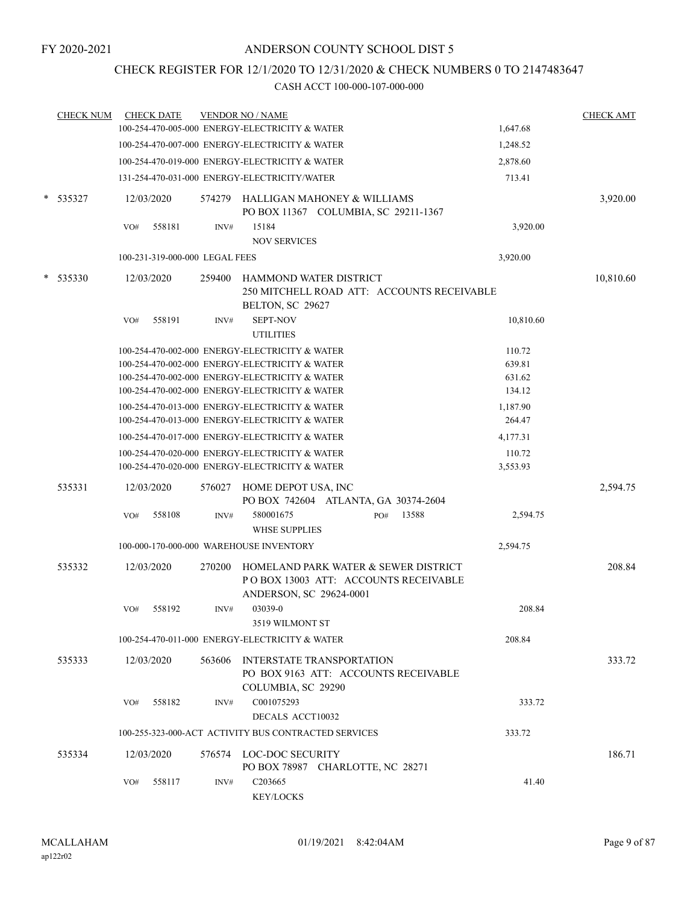### CHECK REGISTER FOR 12/1/2020 TO 12/31/2020 & CHECK NUMBERS 0 TO 2147483647

|        | <b>CHECK NUM</b> |     | <b>CHECK DATE</b>              |        | <b>VENDOR NO / NAME</b>                                                                                 |                    | <b>CHECK AMT</b> |
|--------|------------------|-----|--------------------------------|--------|---------------------------------------------------------------------------------------------------------|--------------------|------------------|
|        |                  |     |                                |        | 100-254-470-005-000 ENERGY-ELECTRICITY & WATER                                                          | 1,647.68           |                  |
|        |                  |     |                                |        | 100-254-470-007-000 ENERGY-ELECTRICITY & WATER                                                          | 1,248.52           |                  |
|        |                  |     |                                |        | 100-254-470-019-000 ENERGY-ELECTRICITY & WATER                                                          | 2,878.60           |                  |
|        |                  |     |                                |        | 131-254-470-031-000 ENERGY-ELECTRICITY/WATER                                                            | 713.41             |                  |
| $\ast$ | 535327           |     | 12/03/2020                     |        | 574279 HALLIGAN MAHONEY & WILLIAMS<br>PO BOX 11367 COLUMBIA, SC 29211-1367                              |                    | 3,920.00         |
|        |                  | VO# | 558181                         | INV#   | 15184<br><b>NOV SERVICES</b>                                                                            | 3,920.00           |                  |
|        |                  |     | 100-231-319-000-000 LEGAL FEES |        |                                                                                                         | 3,920.00           |                  |
|        | 535330           |     | 12/03/2020                     | 259400 | HAMMOND WATER DISTRICT<br>250 MITCHELL ROAD ATT: ACCOUNTS RECEIVABLE<br>BELTON, SC 29627                |                    | 10,810.60        |
|        |                  | VO# | 558191                         | INV#   | <b>SEPT-NOV</b><br><b>UTILITIES</b>                                                                     | 10,810.60          |                  |
|        |                  |     |                                |        | 100-254-470-002-000 ENERGY-ELECTRICITY & WATER                                                          | 110.72             |                  |
|        |                  |     |                                |        | 100-254-470-002-000 ENERGY-ELECTRICITY & WATER                                                          | 639.81             |                  |
|        |                  |     |                                |        | 100-254-470-002-000 ENERGY-ELECTRICITY & WATER                                                          | 631.62             |                  |
|        |                  |     |                                |        | 100-254-470-002-000 ENERGY-ELECTRICITY & WATER                                                          | 134.12             |                  |
|        |                  |     |                                |        | 100-254-470-013-000 ENERGY-ELECTRICITY & WATER<br>100-254-470-013-000 ENERGY-ELECTRICITY & WATER        | 1,187.90<br>264.47 |                  |
|        |                  |     |                                |        | 100-254-470-017-000 ENERGY-ELECTRICITY & WATER                                                          | 4,177.31           |                  |
|        |                  |     |                                |        | 100-254-470-020-000 ENERGY-ELECTRICITY & WATER<br>100-254-470-020-000 ENERGY-ELECTRICITY & WATER        | 110.72<br>3,553.93 |                  |
|        | 535331           |     | 12/03/2020                     | 576027 | HOME DEPOT USA, INC<br>PO BOX 742604 ATLANTA, GA 30374-2604                                             |                    | 2,594.75         |
|        |                  | VO# | 558108                         | INV#   | 580001675<br>13588<br>PO#<br><b>WHSE SUPPLIES</b>                                                       | 2,594.75           |                  |
|        |                  |     |                                |        | 100-000-170-000-000 WAREHOUSE INVENTORY                                                                 | 2,594.75           |                  |
|        | 535332           |     | 12/03/2020                     | 270200 | HOMELAND PARK WATER & SEWER DISTRICT<br>POBOX 13003 ATT: ACCOUNTS RECEIVABLE<br>ANDERSON, SC 29624-0001 |                    | 208.84           |
|        |                  | VO# | 558192                         | INV#   | 03039-0<br>3519 WILMONT ST                                                                              | 208.84             |                  |
|        |                  |     |                                |        | 100-254-470-011-000 ENERGY-ELECTRICITY & WATER                                                          | 208.84             |                  |
|        | 535333           |     | 12/03/2020                     | 563606 | INTERSTATE TRANSPORTATION<br>PO BOX 9163 ATT: ACCOUNTS RECEIVABLE<br>COLUMBIA, SC 29290                 |                    | 333.72           |
|        |                  | VO# | 558182                         | INV#   | C001075293<br>DECALS ACCT10032                                                                          | 333.72             |                  |
|        |                  |     |                                |        | 100-255-323-000-ACT ACTIVITY BUS CONTRACTED SERVICES                                                    | 333.72             |                  |
|        | 535334           |     | 12/03/2020                     |        | 576574 LOC-DOC SECURITY<br>PO BOX 78987 CHARLOTTE, NC 28271                                             |                    | 186.71           |
|        |                  | VO# | 558117                         | INV#   | C <sub>203665</sub><br>KEY/LOCKS                                                                        | 41.40              |                  |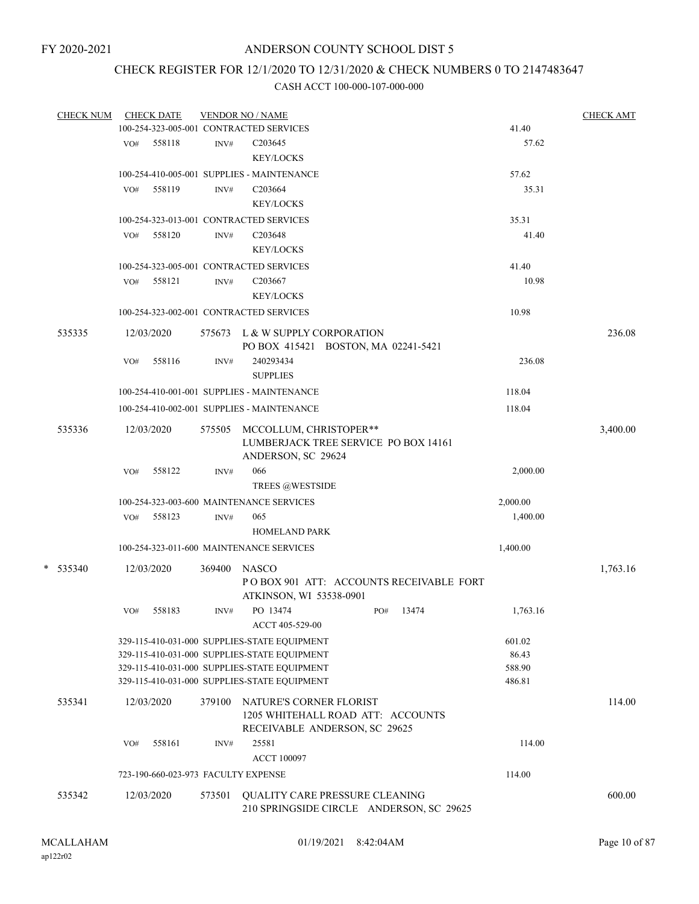### CHECK REGISTER FOR 12/1/2020 TO 12/31/2020 & CHECK NUMBERS 0 TO 2147483647

| <b>CHECK NUM</b> | <b>CHECK DATE</b>                       |        | <b>VENDOR NO / NAME</b>                                                                       |     |       |          | <b>CHECK AMT</b> |
|------------------|-----------------------------------------|--------|-----------------------------------------------------------------------------------------------|-----|-------|----------|------------------|
|                  | 100-254-323-005-001 CONTRACTED SERVICES |        |                                                                                               |     |       | 41.40    |                  |
|                  | 558118<br>VO#                           | INV#   | C203645                                                                                       |     |       | 57.62    |                  |
|                  |                                         |        | <b>KEY/LOCKS</b>                                                                              |     |       |          |                  |
|                  |                                         |        | 100-254-410-005-001 SUPPLIES - MAINTENANCE                                                    |     |       | 57.62    |                  |
|                  | 558119<br>VO#                           | INV#   | C <sub>203664</sub>                                                                           |     |       | 35.31    |                  |
|                  |                                         |        | <b>KEY/LOCKS</b>                                                                              |     |       |          |                  |
|                  | 100-254-323-013-001 CONTRACTED SERVICES |        |                                                                                               |     |       | 35.31    |                  |
|                  | 558120<br>VO#                           | INV#   | C203648                                                                                       |     |       | 41.40    |                  |
|                  |                                         |        | <b>KEY/LOCKS</b>                                                                              |     |       |          |                  |
|                  | 100-254-323-005-001 CONTRACTED SERVICES |        |                                                                                               |     |       | 41.40    |                  |
|                  | 558121<br>VO#                           | INV#   | C203667                                                                                       |     |       | 10.98    |                  |
|                  |                                         |        | <b>KEY/LOCKS</b>                                                                              |     |       |          |                  |
|                  | 100-254-323-002-001 CONTRACTED SERVICES |        |                                                                                               |     |       | 10.98    |                  |
| 535335           | 12/03/2020                              |        | 575673 L & W SUPPLY CORPORATION<br>PO BOX 415421 BOSTON, MA 02241-5421                        |     |       |          | 236.08           |
|                  | 558116<br>VO#                           | INV#   | 240293434                                                                                     |     |       | 236.08   |                  |
|                  |                                         |        | <b>SUPPLIES</b>                                                                               |     |       |          |                  |
|                  |                                         |        | 100-254-410-001-001 SUPPLIES - MAINTENANCE                                                    |     |       | 118.04   |                  |
|                  |                                         |        | 100-254-410-002-001 SUPPLIES - MAINTENANCE                                                    |     |       | 118.04   |                  |
|                  |                                         |        |                                                                                               |     |       |          |                  |
| 535336           | 12/03/2020                              |        | 575505 MCCOLLUM, CHRISTOPER**<br>LUMBERJACK TREE SERVICE PO BOX 14161<br>ANDERSON, SC 29624   |     |       |          | 3,400.00         |
|                  | 558122<br>VO#                           | INV#   | 066                                                                                           |     |       | 2,000.00 |                  |
|                  |                                         |        | TREES @WESTSIDE                                                                               |     |       |          |                  |
|                  |                                         |        | 100-254-323-003-600 MAINTENANCE SERVICES                                                      |     |       | 2,000.00 |                  |
|                  | 558123<br>VO#                           | INV#   | 065                                                                                           |     |       | 1,400.00 |                  |
|                  |                                         |        | <b>HOMELAND PARK</b>                                                                          |     |       |          |                  |
|                  |                                         |        | 100-254-323-011-600 MAINTENANCE SERVICES                                                      |     |       | 1,400.00 |                  |
|                  |                                         |        |                                                                                               |     |       |          |                  |
| $*$ 535340       | 12/03/2020                              | 369400 | <b>NASCO</b>                                                                                  |     |       |          | 1,763.16         |
|                  |                                         |        | POBOX 901 ATT: ACCOUNTS RECEIVABLE FORT                                                       |     |       |          |                  |
|                  | 558183                                  |        | ATKINSON, WI 53538-0901<br>PO 13474                                                           | PO# | 13474 | 1,763.16 |                  |
|                  | VO#                                     | INV#   | ACCT 405-529-00                                                                               |     |       |          |                  |
|                  |                                         |        | 329-115-410-031-000 SUPPLIES-STATE EQUIPMENT                                                  |     |       | 601.02   |                  |
|                  |                                         |        | 329-115-410-031-000 SUPPLIES-STATE EQUIPMENT                                                  |     |       | 86.43    |                  |
|                  |                                         |        | 329-115-410-031-000 SUPPLIES-STATE EQUIPMENT                                                  |     |       | 588.90   |                  |
|                  |                                         |        | 329-115-410-031-000 SUPPLIES-STATE EQUIPMENT                                                  |     |       | 486.81   |                  |
|                  |                                         |        |                                                                                               |     |       |          |                  |
| 535341           | 12/03/2020                              | 379100 | NATURE'S CORNER FLORIST<br>1205 WHITEHALL ROAD ATT: ACCOUNTS<br>RECEIVABLE ANDERSON, SC 29625 |     |       |          | 114.00           |
|                  | 558161<br>VO#                           | INV#   | 25581                                                                                         |     |       | 114.00   |                  |
|                  |                                         |        | <b>ACCT 100097</b>                                                                            |     |       |          |                  |
|                  | 723-190-660-023-973 FACULTY EXPENSE     |        |                                                                                               |     |       | 114.00   |                  |
|                  |                                         |        |                                                                                               |     |       |          | 600.00           |
| 535342           | 12/03/2020                              | 573501 | <b>QUALITY CARE PRESSURE CLEANING</b><br>210 SPRINGSIDE CIRCLE ANDERSON, SC 29625             |     |       |          |                  |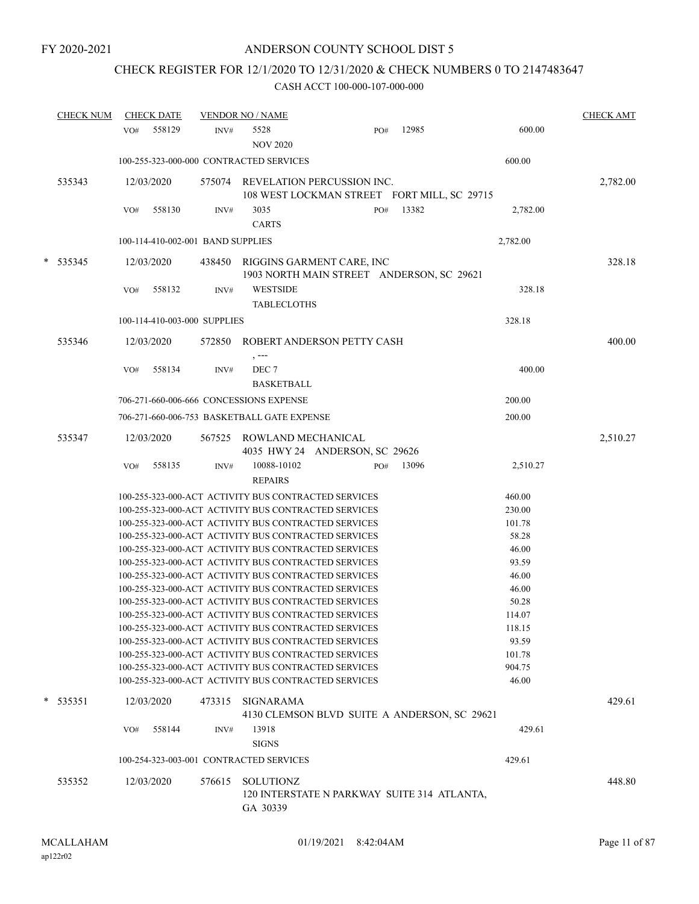# CHECK REGISTER FOR 12/1/2020 TO 12/31/2020 & CHECK NUMBERS 0 TO 2147483647

|   | <b>CHECK NUM</b> |     | <b>CHECK DATE</b> |                                   | <b>VENDOR NO / NAME</b>                     |                                                                                                              |     |       |                 | <b>CHECK AMT</b> |
|---|------------------|-----|-------------------|-----------------------------------|---------------------------------------------|--------------------------------------------------------------------------------------------------------------|-----|-------|-----------------|------------------|
|   |                  | VO# | 558129            | INV#                              | 5528<br><b>NOV 2020</b>                     |                                                                                                              | PO# | 12985 | 600.00          |                  |
|   |                  |     |                   |                                   | 100-255-323-000-000 CONTRACTED SERVICES     |                                                                                                              |     |       | 600.00          |                  |
|   | 535343           |     | 12/03/2020        |                                   |                                             | 575074 REVELATION PERCUSSION INC.<br>108 WEST LOCKMAN STREET FORT MILL, SC 29715                             |     |       |                 | 2,782.00         |
|   |                  | VO# | 558130            | INV#                              | 3035<br><b>CARTS</b>                        |                                                                                                              | PO# | 13382 | 2,782.00        |                  |
|   |                  |     |                   | 100-114-410-002-001 BAND SUPPLIES |                                             |                                                                                                              |     |       | 2,782.00        |                  |
| * | 535345           |     | 12/03/2020        | 438450                            |                                             | RIGGINS GARMENT CARE, INC<br>1903 NORTH MAIN STREET ANDERSON, SC 29621                                       |     |       |                 | 328.18           |
|   |                  | VO# | 558132            | INV#                              | <b>WESTSIDE</b><br><b>TABLECLOTHS</b>       |                                                                                                              |     |       | 328.18          |                  |
|   |                  |     |                   | 100-114-410-003-000 SUPPLIES      |                                             |                                                                                                              |     |       | 328.18          |                  |
|   | 535346           |     | 12/03/2020        |                                   | , ---                                       | 572850 ROBERT ANDERSON PETTY CASH                                                                            |     |       |                 | 400.00           |
|   |                  | VO# | 558134            | INV#                              | DEC 7<br><b>BASKETBALL</b>                  |                                                                                                              |     |       | 400.00          |                  |
|   |                  |     |                   |                                   | 706-271-660-006-666 CONCESSIONS EXPENSE     |                                                                                                              |     |       | 200.00          |                  |
|   |                  |     |                   |                                   | 706-271-660-006-753 BASKETBALL GATE EXPENSE |                                                                                                              |     |       | 200.00          |                  |
|   | 535347           |     | 12/03/2020        | 567525                            | ROWLAND MECHANICAL                          | 4035 HWY 24 ANDERSON, SC 29626                                                                               |     |       |                 | 2,510.27         |
|   |                  | VO# | 558135            | INV#                              | 10088-10102<br><b>REPAIRS</b>               |                                                                                                              | PO# | 13096 | 2,510.27        |                  |
|   |                  |     |                   |                                   |                                             | 100-255-323-000-ACT ACTIVITY BUS CONTRACTED SERVICES                                                         |     |       | 460.00          |                  |
|   |                  |     |                   |                                   |                                             | 100-255-323-000-ACT ACTIVITY BUS CONTRACTED SERVICES                                                         |     |       | 230.00          |                  |
|   |                  |     |                   |                                   |                                             | 100-255-323-000-ACT ACTIVITY BUS CONTRACTED SERVICES                                                         |     |       | 101.78          |                  |
|   |                  |     |                   |                                   |                                             | 100-255-323-000-ACT ACTIVITY BUS CONTRACTED SERVICES                                                         |     |       | 58.28           |                  |
|   |                  |     |                   |                                   |                                             | 100-255-323-000-ACT ACTIVITY BUS CONTRACTED SERVICES                                                         |     |       | 46.00           |                  |
|   |                  |     |                   |                                   |                                             | 100-255-323-000-ACT ACTIVITY BUS CONTRACTED SERVICES                                                         |     |       | 93.59           |                  |
|   |                  |     |                   |                                   |                                             | 100-255-323-000-ACT ACTIVITY BUS CONTRACTED SERVICES                                                         |     |       | 46.00           |                  |
|   |                  |     |                   |                                   |                                             | 100-255-323-000-ACT ACTIVITY BUS CONTRACTED SERVICES<br>100-255-323-000-ACT ACTIVITY BUS CONTRACTED SERVICES |     |       | 46.00           |                  |
|   |                  |     |                   |                                   |                                             | 100-255-323-000-ACT ACTIVITY BUS CONTRACTED SERVICES                                                         |     |       | 50.28<br>114.07 |                  |
|   |                  |     |                   |                                   |                                             | 100-255-323-000-ACT ACTIVITY BUS CONTRACTED SERVICES                                                         |     |       | 118.15          |                  |
|   |                  |     |                   |                                   |                                             | 100-255-323-000-ACT ACTIVITY BUS CONTRACTED SERVICES                                                         |     |       | 93.59           |                  |
|   |                  |     |                   |                                   |                                             | 100-255-323-000-ACT ACTIVITY BUS CONTRACTED SERVICES                                                         |     |       | 101.78          |                  |
|   |                  |     |                   |                                   |                                             | 100-255-323-000-ACT ACTIVITY BUS CONTRACTED SERVICES                                                         |     |       | 904.75          |                  |
|   |                  |     |                   |                                   |                                             | 100-255-323-000-ACT ACTIVITY BUS CONTRACTED SERVICES                                                         |     |       | 46.00           |                  |
|   | $*$ 535351       |     | 12/03/2020        | 473315                            | SIGNARAMA                                   | 4130 CLEMSON BLVD SUITE A ANDERSON, SC 29621                                                                 |     |       |                 | 429.61           |
|   |                  | VO# | 558144            | INV#                              | 13918<br><b>SIGNS</b>                       |                                                                                                              |     |       | 429.61          |                  |
|   |                  |     |                   |                                   | 100-254-323-003-001 CONTRACTED SERVICES     |                                                                                                              |     |       | 429.61          |                  |
|   | 535352           |     | 12/03/2020        | 576615                            | SOLUTIONZ                                   | 120 INTERSTATE N PARKWAY SUITE 314 ATLANTA,                                                                  |     |       |                 | 448.80           |
|   |                  |     |                   |                                   | GA 30339                                    |                                                                                                              |     |       |                 |                  |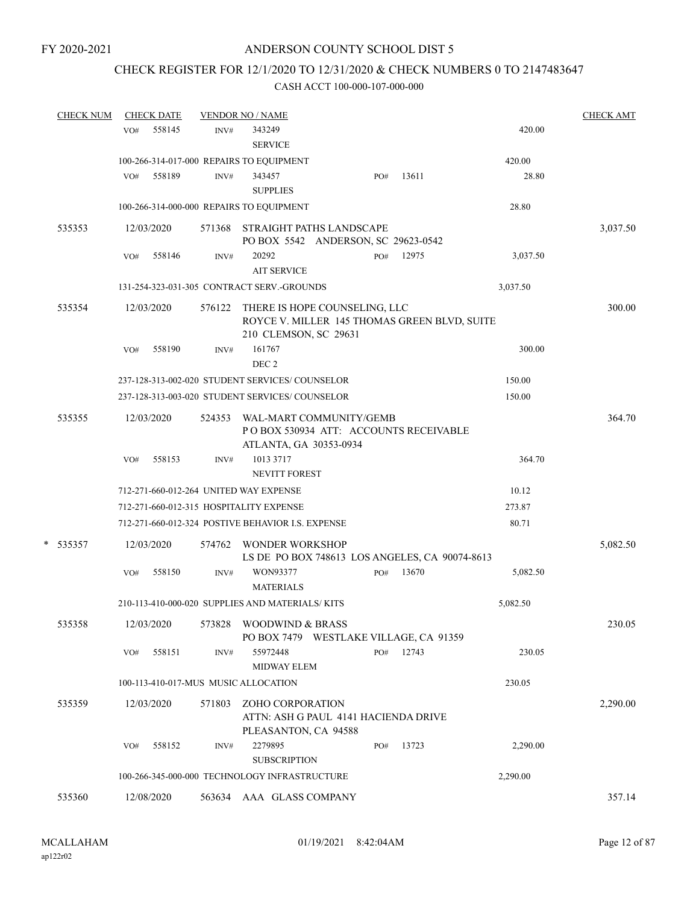# CHECK REGISTER FOR 12/1/2020 TO 12/31/2020 & CHECK NUMBERS 0 TO 2147483647

| <b>CHECK NUM</b> |     | <b>CHECK DATE</b> |        | <b>VENDOR NO / NAME</b>                                                                                       |     |       |          | <b>CHECK AMT</b> |
|------------------|-----|-------------------|--------|---------------------------------------------------------------------------------------------------------------|-----|-------|----------|------------------|
|                  | VO# | 558145            | INV#   | 343249                                                                                                        |     |       | 420.00   |                  |
|                  |     |                   |        | <b>SERVICE</b>                                                                                                |     |       |          |                  |
|                  |     |                   |        | 100-266-314-017-000 REPAIRS TO EQUIPMENT                                                                      |     |       | 420.00   |                  |
|                  | VO# | 558189            | INV#   | 343457<br><b>SUPPLIES</b>                                                                                     | PO# | 13611 | 28.80    |                  |
|                  |     |                   |        | 100-266-314-000-000 REPAIRS TO EQUIPMENT                                                                      |     |       | 28.80    |                  |
| 535353           |     | 12/03/2020        |        | 571368 STRAIGHT PATHS LANDSCAPE<br>PO BOX 5542 ANDERSON, SC 29623-0542                                        |     |       |          | 3,037.50         |
|                  | VO# | 558146            | INV#   | 20292<br><b>AIT SERVICE</b>                                                                                   | PO# | 12975 | 3,037.50 |                  |
|                  |     |                   |        | 131-254-323-031-305 CONTRACT SERV.-GROUNDS                                                                    |     |       | 3,037.50 |                  |
| 535354           |     | 12/03/2020        |        | 576122 THERE IS HOPE COUNSELING, LLC<br>ROYCE V. MILLER 145 THOMAS GREEN BLVD, SUITE<br>210 CLEMSON, SC 29631 |     |       |          | 300.00           |
|                  | VO# | 558190            | INV#   | 161767<br>DEC <sub>2</sub>                                                                                    |     |       | 300.00   |                  |
|                  |     |                   |        | 237-128-313-002-020 STUDENT SERVICES/COUNSELOR                                                                |     |       | 150.00   |                  |
|                  |     |                   |        | 237-128-313-003-020 STUDENT SERVICES/ COUNSELOR                                                               |     |       | 150.00   |                  |
| 535355           |     | 12/03/2020        | 524353 | WAL-MART COMMUNITY/GEMB<br>PO BOX 530934 ATT: ACCOUNTS RECEIVABLE<br>ATLANTA, GA 30353-0934                   |     |       |          | 364.70           |
|                  | VO# | 558153            | INV#   | 1013 3717<br>NEVITT FOREST                                                                                    |     |       | 364.70   |                  |
|                  |     |                   |        | 712-271-660-012-264 UNITED WAY EXPENSE                                                                        |     |       | 10.12    |                  |
|                  |     |                   |        | 712-271-660-012-315 HOSPITALITY EXPENSE                                                                       |     |       | 273.87   |                  |
|                  |     |                   |        | 712-271-660-012-324 POSTIVE BEHAVIOR I.S. EXPENSE                                                             |     |       | 80.71    |                  |
| $*$ 535357       |     | 12/03/2020        |        | 574762 WONDER WORKSHOP<br>LS DE PO BOX 748613 LOS ANGELES, CA 90074-8613                                      |     |       |          | 5,082.50         |
|                  | VO# | 558150            | INV#   | WON93377<br><b>MATERIALS</b>                                                                                  | PO# | 13670 | 5,082.50 |                  |
|                  |     |                   |        | 210-113-410-000-020 SUPPLIES AND MATERIALS/KITS                                                               |     |       | 5,082.50 |                  |
| 535358           |     | 12/03/2020        | 573828 | WOODWIND & BRASS<br>PO BOX 7479 WESTLAKE VILLAGE, CA 91359                                                    |     |       |          | 230.05           |
|                  | VO# | 558151            | INV#   | 55972448<br><b>MIDWAY ELEM</b>                                                                                | PO# | 12743 | 230.05   |                  |
|                  |     |                   |        | 100-113-410-017-MUS MUSIC ALLOCATION                                                                          |     |       | 230.05   |                  |
| 535359           |     | 12/03/2020        | 571803 | ZOHO CORPORATION<br>ATTN: ASH G PAUL 4141 HACIENDA DRIVE<br>PLEASANTON, CA 94588                              |     |       |          | 2,290.00         |
|                  | VO# | 558152            | INV#   | 2279895<br><b>SUBSCRIPTION</b>                                                                                | PO# | 13723 | 2,290.00 |                  |
|                  |     |                   |        | 100-266-345-000-000 TECHNOLOGY INFRASTRUCTURE                                                                 |     |       | 2,290.00 |                  |
| 535360           |     | 12/08/2020        |        | 563634 AAA GLASS COMPANY                                                                                      |     |       |          | 357.14           |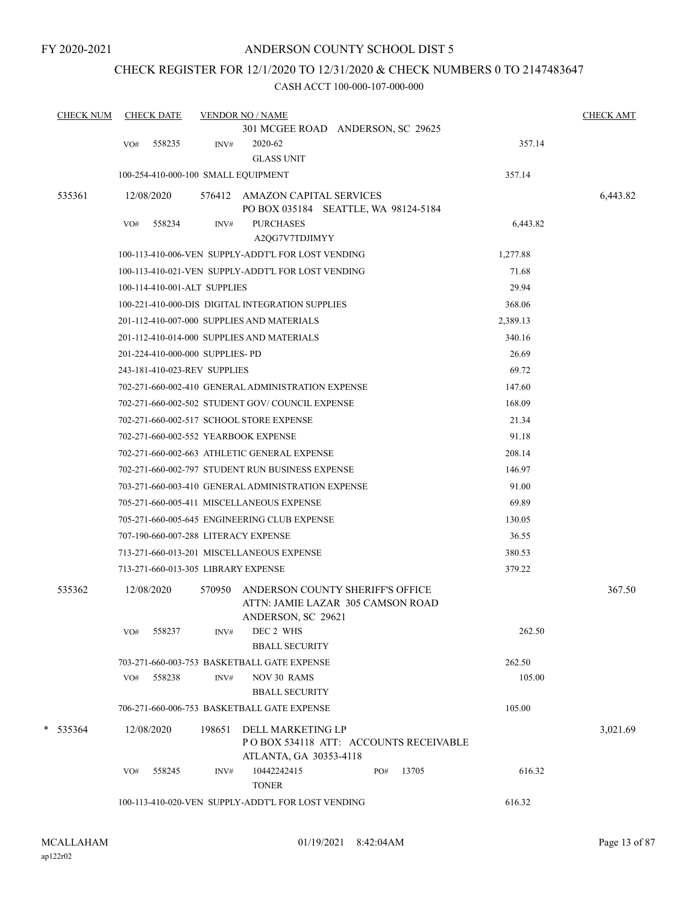### CHECK REGISTER FOR 12/1/2020 TO 12/31/2020 & CHECK NUMBERS 0 TO 2147483647

| <b>CHECK NUM</b> | <b>CHECK DATE</b>                    |        | <b>VENDOR NO / NAME</b>                                                              |     |       |          | <b>CHECK AMT</b> |
|------------------|--------------------------------------|--------|--------------------------------------------------------------------------------------|-----|-------|----------|------------------|
|                  |                                      |        | 301 MCGEE ROAD ANDERSON, SC 29625                                                    |     |       |          |                  |
|                  | 558235<br>VO#                        | INV#   | 2020-62                                                                              |     |       | 357.14   |                  |
|                  |                                      |        | <b>GLASS UNIT</b>                                                                    |     |       |          |                  |
|                  | 100-254-410-000-100 SMALL EQUIPMENT  |        |                                                                                      |     |       | 357.14   |                  |
| 535361           | 12/08/2020                           |        | 576412 AMAZON CAPITAL SERVICES<br>PO BOX 035184 SEATTLE, WA 98124-5184               |     |       |          | 6,443.82         |
|                  | 558234<br>VO#                        | INV#   | <b>PURCHASES</b><br>A2QG7V7TDJIMYY                                                   |     |       | 6,443.82 |                  |
|                  |                                      |        | 100-113-410-006-VEN SUPPLY-ADDT'L FOR LOST VENDING                                   |     |       | 1,277.88 |                  |
|                  |                                      |        | 100-113-410-021-VEN SUPPLY-ADDT'L FOR LOST VENDING                                   |     |       | 71.68    |                  |
|                  | 100-114-410-001-ALT SUPPLIES         |        |                                                                                      |     |       | 29.94    |                  |
|                  |                                      |        | 100-221-410-000-DIS DIGITAL INTEGRATION SUPPLIES                                     |     |       | 368.06   |                  |
|                  |                                      |        | 201-112-410-007-000 SUPPLIES AND MATERIALS                                           |     |       | 2,389.13 |                  |
|                  |                                      |        | 201-112-410-014-000 SUPPLIES AND MATERIALS                                           |     |       | 340.16   |                  |
|                  | 201-224-410-000-000 SUPPLIES- PD     |        |                                                                                      |     |       | 26.69    |                  |
|                  | 243-181-410-023-REV SUPPLIES         |        |                                                                                      |     |       | 69.72    |                  |
|                  |                                      |        | 702-271-660-002-410 GENERAL ADMINISTRATION EXPENSE                                   |     |       | 147.60   |                  |
|                  |                                      |        | 702-271-660-002-502 STUDENT GOV/COUNCIL EXPENSE                                      |     |       | 168.09   |                  |
|                  |                                      |        | 702-271-660-002-517 SCHOOL STORE EXPENSE                                             |     |       | 21.34    |                  |
|                  | 702-271-660-002-552 YEARBOOK EXPENSE |        |                                                                                      |     |       | 91.18    |                  |
|                  |                                      |        | 702-271-660-002-663 ATHLETIC GENERAL EXPENSE                                         |     |       | 208.14   |                  |
|                  |                                      |        | 702-271-660-002-797 STUDENT RUN BUSINESS EXPENSE                                     |     |       | 146.97   |                  |
|                  |                                      |        | 703-271-660-003-410 GENERAL ADMINISTRATION EXPENSE                                   |     |       | 91.00    |                  |
|                  |                                      |        | 705-271-660-005-411 MISCELLANEOUS EXPENSE                                            |     |       | 69.89    |                  |
|                  |                                      |        | 705-271-660-005-645 ENGINEERING CLUB EXPENSE                                         |     |       | 130.05   |                  |
|                  | 707-190-660-007-288 LITERACY EXPENSE |        |                                                                                      |     |       | 36.55    |                  |
|                  |                                      |        | 713-271-660-013-201 MISCELLANEOUS EXPENSE                                            |     |       | 380.53   |                  |
|                  | 713-271-660-013-305 LIBRARY EXPENSE  |        |                                                                                      |     |       | 379.22   |                  |
| 535362           | 12/08/2020                           | 570950 | ANDERSON COUNTY SHERIFF'S OFFICE<br>ATTN: JAMIE LAZAR 305 CAMSON ROAD                |     |       |          | 367.50           |
|                  |                                      |        | ANDERSON, SC 29621                                                                   |     |       |          |                  |
|                  | 558237<br>VO#                        | INV#   | DEC 2 WHS<br><b>BBALL SECURITY</b>                                                   |     |       | 262.50   |                  |
|                  |                                      |        | 703-271-660-003-753 BASKETBALL GATE EXPENSE                                          |     |       | 262.50   |                  |
|                  | 558238<br>VO#                        | INV#   | <b>NOV 30 RAMS</b>                                                                   |     |       | 105.00   |                  |
|                  |                                      |        | <b>BBALL SECURITY</b>                                                                |     |       |          |                  |
|                  |                                      |        | 706-271-660-006-753 BASKETBALL GATE EXPENSE                                          |     |       | 105.00   |                  |
| $*$ 535364       | 12/08/2020                           | 198651 | DELL MARKETING LP<br>POBOX 534118 ATT: ACCOUNTS RECEIVABLE<br>ATLANTA, GA 30353-4118 |     |       |          | 3,021.69         |
|                  | 558245<br>VO#                        | INV#   | 10442242415                                                                          | PO# | 13705 | 616.32   |                  |
|                  |                                      |        | <b>TONER</b>                                                                         |     |       |          |                  |
|                  |                                      |        | 100-113-410-020-VEN SUPPLY-ADDT'L FOR LOST VENDING                                   |     |       | 616.32   |                  |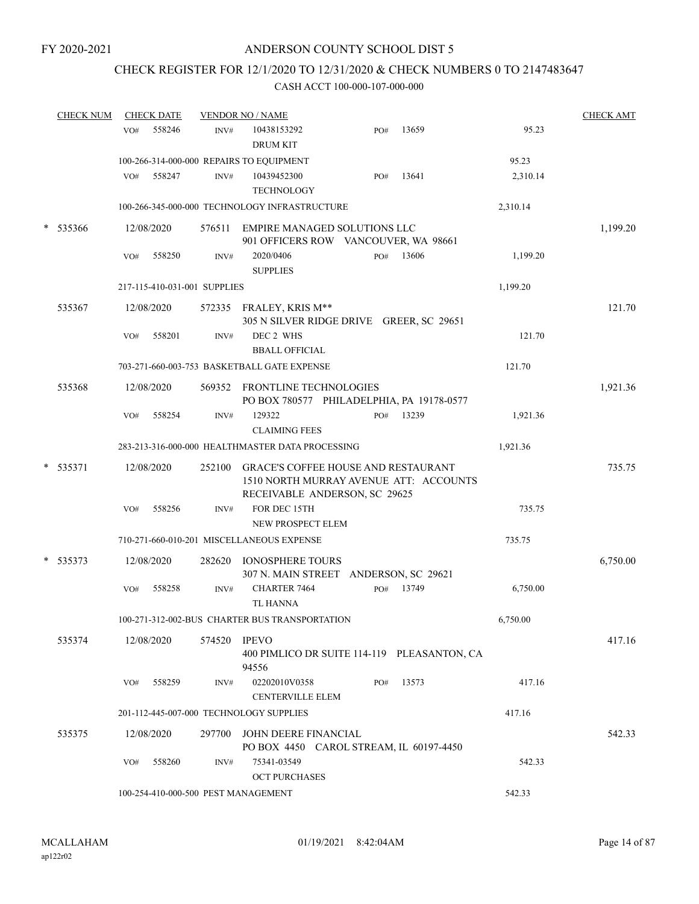### CHECK REGISTER FOR 12/1/2020 TO 12/31/2020 & CHECK NUMBERS 0 TO 2147483647

| <b>CHECK NUM</b> | <b>CHECK DATE</b>                   |        | <b>VENDOR NO / NAME</b>                                                                                               |     |           |          | <b>CHECK AMT</b> |
|------------------|-------------------------------------|--------|-----------------------------------------------------------------------------------------------------------------------|-----|-----------|----------|------------------|
|                  | 558246<br>VO#                       | INV#   | 10438153292<br><b>DRUM KIT</b>                                                                                        | PO# | 13659     | 95.23    |                  |
|                  |                                     |        | 100-266-314-000-000 REPAIRS TO EQUIPMENT                                                                              |     |           | 95.23    |                  |
|                  | VO#<br>558247                       | INV#   | 10439452300<br><b>TECHNOLOGY</b>                                                                                      | PO# | 13641     | 2,310.14 |                  |
|                  |                                     |        | 100-266-345-000-000 TECHNOLOGY INFRASTRUCTURE                                                                         |     |           | 2,310.14 |                  |
| $*$ 535366       | 12/08/2020                          |        | 576511 EMPIRE MANAGED SOLUTIONS LLC<br>901 OFFICERS ROW VANCOUVER, WA 98661                                           |     |           |          | 1,199.20         |
|                  | VO#<br>558250                       | INV#   | 2020/0406<br><b>SUPPLIES</b>                                                                                          |     | PO# 13606 | 1,199.20 |                  |
|                  | 217-115-410-031-001 SUPPLIES        |        |                                                                                                                       |     |           | 1,199.20 |                  |
| 535367           | 12/08/2020                          |        | 572335 FRALEY, KRIS M**<br>305 N SILVER RIDGE DRIVE GREER, SC 29651                                                   |     |           |          | 121.70           |
|                  | 558201<br>VO#                       | INV#   | DEC 2 WHS<br><b>BBALL OFFICIAL</b>                                                                                    |     |           | 121.70   |                  |
|                  |                                     |        | 703-271-660-003-753 BASKETBALL GATE EXPENSE                                                                           |     |           | 121.70   |                  |
| 535368           | 12/08/2020                          |        | 569352 FRONTLINE TECHNOLOGIES<br>PO BOX 780577 PHILADELPHIA, PA 19178-0577                                            |     |           |          | 1,921.36         |
|                  | VO#<br>558254                       | INV#   | 129322<br><b>CLAIMING FEES</b>                                                                                        | PO# | 13239     | 1,921.36 |                  |
|                  |                                     |        | 283-213-316-000-000 HEALTHMASTER DATA PROCESSING                                                                      |     |           | 1,921.36 |                  |
| $*$ 535371       | 12/08/2020                          |        | 252100 GRACE'S COFFEE HOUSE AND RESTAURANT<br>1510 NORTH MURRAY AVENUE ATT: ACCOUNTS<br>RECEIVABLE ANDERSON, SC 29625 |     |           |          | 735.75           |
|                  | 558256<br>VO#                       | INV#   | FOR DEC 15TH<br>NEW PROSPECT ELEM                                                                                     |     |           | 735.75   |                  |
|                  |                                     |        | 710-271-660-010-201 MISCELLANEOUS EXPENSE                                                                             |     |           | 735.75   |                  |
| * 535373         | 12/08/2020                          | 282620 | IONOSPHERE TOURS<br>307 N. MAIN STREET ANDERSON, SC 29621                                                             |     |           |          | 6,750.00         |
|                  | VO#<br>558258                       | INV#   | CHARTER 7464<br><b>TL HANNA</b>                                                                                       | PO# | 13749     | 6,750.00 |                  |
|                  |                                     |        | 100-271-312-002-BUS CHARTER BUS TRANSPORTATION                                                                        |     |           | 6,750.00 |                  |
| 535374           | 12/08/2020                          | 574520 | <b>IPEVO</b><br>400 PIMLICO DR SUITE 114-119 PLEASANTON, CA<br>94556                                                  |     |           |          | 417.16           |
|                  | VO#<br>558259                       | INV#   | 02202010V0358<br><b>CENTERVILLE ELEM</b>                                                                              | PO# | 13573     | 417.16   |                  |
|                  |                                     |        | 201-112-445-007-000 TECHNOLOGY SUPPLIES                                                                               |     |           | 417.16   |                  |
| 535375           | 12/08/2020                          | 297700 | JOHN DEERE FINANCIAL<br>PO BOX 4450 CAROL STREAM, IL 60197-4450                                                       |     |           |          | 542.33           |
|                  | 558260<br>VO#                       | INV#   | 75341-03549<br><b>OCT PURCHASES</b>                                                                                   |     |           | 542.33   |                  |
|                  | 100-254-410-000-500 PEST MANAGEMENT |        |                                                                                                                       |     |           | 542.33   |                  |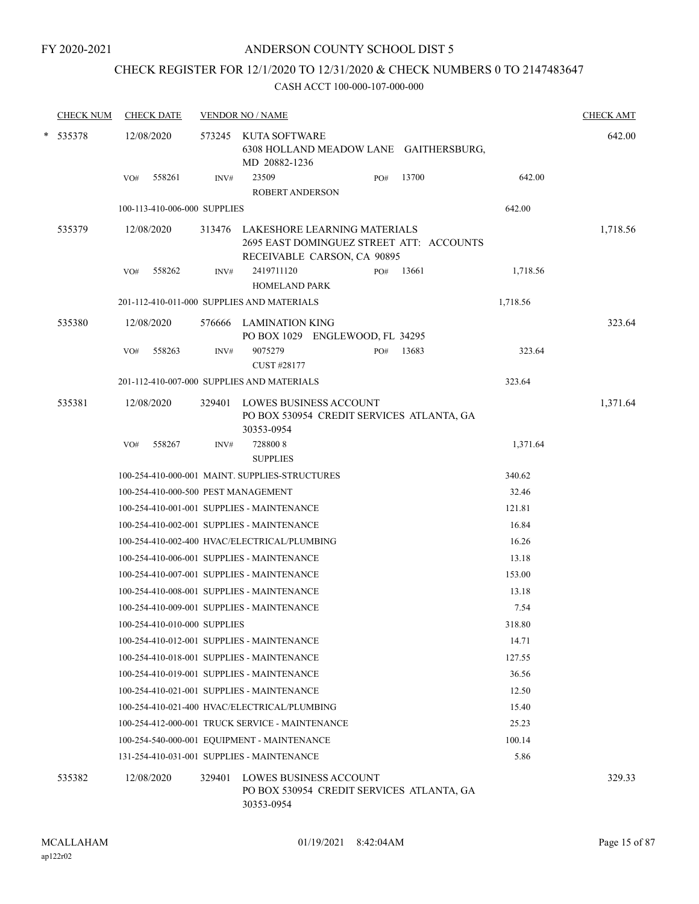FY 2020-2021

#### ANDERSON COUNTY SCHOOL DIST 5

# CHECK REGISTER FOR 12/1/2020 TO 12/31/2020 & CHECK NUMBERS 0 TO 2147483647

| <b>CHECK NUM</b> |     | <b>CHECK DATE</b>            |        | <b>VENDOR NO / NAME</b>                         |                                                                    |     |                                           |          | <b>CHECK AMT</b> |
|------------------|-----|------------------------------|--------|-------------------------------------------------|--------------------------------------------------------------------|-----|-------------------------------------------|----------|------------------|
| $*$ 535378       |     | 12/08/2020                   |        | 573245 KUTA SOFTWARE<br>MD 20882-1236           |                                                                    |     | 6308 HOLLAND MEADOW LANE GAITHERSBURG,    |          | 642.00           |
|                  | VO# | 558261                       | INV#   | 23509<br><b>ROBERT ANDERSON</b>                 |                                                                    | PO# | 13700                                     | 642.00   |                  |
|                  |     | 100-113-410-006-000 SUPPLIES |        |                                                 |                                                                    |     |                                           | 642.00   |                  |
| 535379           |     | 12/08/2020                   |        |                                                 | 313476 LAKESHORE LEARNING MATERIALS<br>RECEIVABLE CARSON, CA 90895 |     | 2695 EAST DOMINGUEZ STREET ATT: ACCOUNTS  |          | 1,718.56         |
|                  | VO# | 558262                       | INV#   | 2419711120                                      |                                                                    | PO# | 13661                                     | 1,718.56 |                  |
|                  |     |                              |        | <b>HOMELAND PARK</b>                            |                                                                    |     |                                           |          |                  |
|                  |     |                              |        | 201-112-410-011-000 SUPPLIES AND MATERIALS      |                                                                    |     |                                           | 1,718.56 |                  |
| 535380           |     | 12/08/2020                   |        | 576666 LAMINATION KING                          | PO BOX 1029 ENGLEWOOD, FL 34295                                    |     |                                           |          | 323.64           |
|                  | VO# | 558263                       | INV#   | 9075279<br>CUST #28177                          |                                                                    | PO# | 13683                                     | 323.64   |                  |
|                  |     |                              |        | 201-112-410-007-000 SUPPLIES AND MATERIALS      |                                                                    |     |                                           | 323.64   |                  |
| 535381           |     | 12/08/2020                   |        | 30353-0954                                      | 329401 LOWES BUSINESS ACCOUNT                                      |     | PO BOX 530954 CREDIT SERVICES ATLANTA, GA |          | 1,371.64         |
|                  | VO# | 558267                       | INV#   | 7288008<br><b>SUPPLIES</b>                      |                                                                    |     |                                           | 1,371.64 |                  |
|                  |     |                              |        | 100-254-410-000-001 MAINT. SUPPLIES-STRUCTURES  |                                                                    |     |                                           | 340.62   |                  |
|                  |     |                              |        | 100-254-410-000-500 PEST MANAGEMENT             |                                                                    |     |                                           | 32.46    |                  |
|                  |     |                              |        | 100-254-410-001-001 SUPPLIES - MAINTENANCE      |                                                                    |     |                                           | 121.81   |                  |
|                  |     |                              |        | 100-254-410-002-001 SUPPLIES - MAINTENANCE      |                                                                    |     |                                           | 16.84    |                  |
|                  |     |                              |        | 100-254-410-002-400 HVAC/ELECTRICAL/PLUMBING    |                                                                    |     |                                           | 16.26    |                  |
|                  |     |                              |        | 100-254-410-006-001 SUPPLIES - MAINTENANCE      |                                                                    |     |                                           | 13.18    |                  |
|                  |     |                              |        | 100-254-410-007-001 SUPPLIES - MAINTENANCE      |                                                                    |     |                                           | 153.00   |                  |
|                  |     |                              |        | 100-254-410-008-001 SUPPLIES - MAINTENANCE      |                                                                    |     |                                           | 13.18    |                  |
|                  |     |                              |        | 100-254-410-009-001 SUPPLIES - MAINTENANCE      |                                                                    |     |                                           | 7.54     |                  |
|                  |     | 100-254-410-010-000 SUPPLIES |        |                                                 |                                                                    |     |                                           | 318.80   |                  |
|                  |     |                              |        | 100-254-410-012-001 SUPPLIES - MAINTENANCE      |                                                                    |     |                                           | 14.71    |                  |
|                  |     |                              |        | 100-254-410-018-001 SUPPLIES - MAINTENANCE      |                                                                    |     |                                           | 127.55   |                  |
|                  |     |                              |        | 100-254-410-019-001 SUPPLIES - MAINTENANCE      |                                                                    |     |                                           | 36.56    |                  |
|                  |     |                              |        | 100-254-410-021-001 SUPPLIES - MAINTENANCE      |                                                                    |     |                                           | 12.50    |                  |
|                  |     |                              |        | 100-254-410-021-400 HVAC/ELECTRICAL/PLUMBING    |                                                                    |     |                                           | 15.40    |                  |
|                  |     |                              |        | 100-254-412-000-001 TRUCK SERVICE - MAINTENANCE |                                                                    |     |                                           | 25.23    |                  |
|                  |     |                              |        | 100-254-540-000-001 EQUIPMENT - MAINTENANCE     |                                                                    |     |                                           | 100.14   |                  |
|                  |     |                              |        | 131-254-410-031-001 SUPPLIES - MAINTENANCE      |                                                                    |     |                                           | 5.86     |                  |
| 535382           |     | 12/08/2020                   | 329401 | 30353-0954                                      | <b>LOWES BUSINESS ACCOUNT</b>                                      |     | PO BOX 530954 CREDIT SERVICES ATLANTA, GA |          | 329.33           |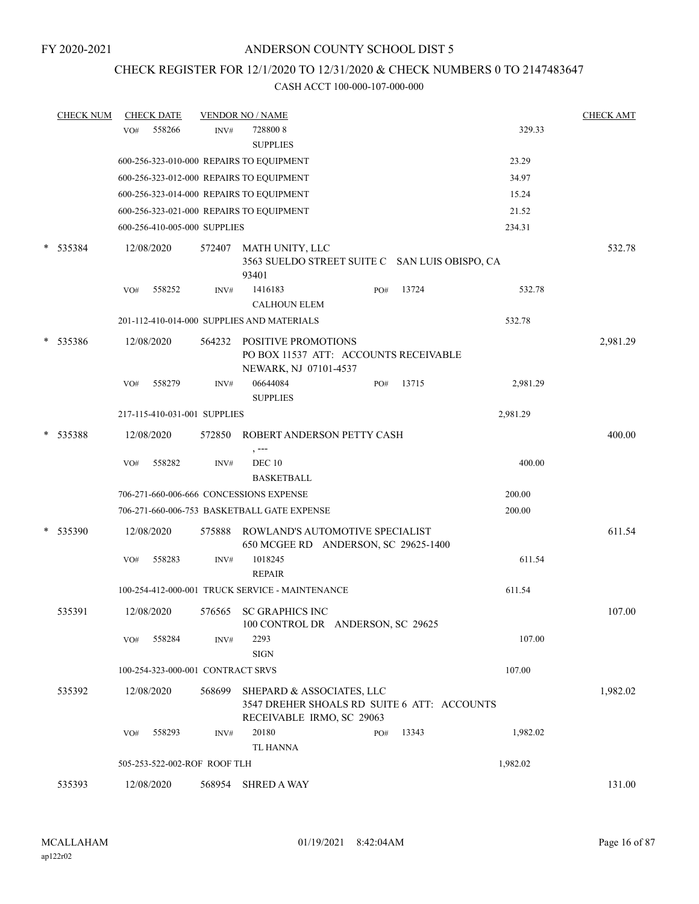### CHECK REGISTER FOR 12/1/2020 TO 12/31/2020 & CHECK NUMBERS 0 TO 2147483647

|        | <b>CHECK NUM</b> |     | <b>CHECK DATE</b>                 |        | <b>VENDOR NO / NAME</b>                                                                               |     |       |          | <b>CHECK AMT</b> |
|--------|------------------|-----|-----------------------------------|--------|-------------------------------------------------------------------------------------------------------|-----|-------|----------|------------------|
|        |                  | VO# | 558266                            | INV#   | 7288008                                                                                               |     |       | 329.33   |                  |
|        |                  |     |                                   |        | <b>SUPPLIES</b>                                                                                       |     |       |          |                  |
|        |                  |     |                                   |        | 600-256-323-010-000 REPAIRS TO EQUIPMENT                                                              |     |       | 23.29    |                  |
|        |                  |     |                                   |        | 600-256-323-012-000 REPAIRS TO EQUIPMENT                                                              |     |       | 34.97    |                  |
|        |                  |     |                                   |        | 600-256-323-014-000 REPAIRS TO EQUIPMENT                                                              |     |       | 15.24    |                  |
|        |                  |     |                                   |        | 600-256-323-021-000 REPAIRS TO EQUIPMENT                                                              |     |       | 21.52    |                  |
|        |                  |     | 600-256-410-005-000 SUPPLIES      |        |                                                                                                       |     |       | 234.31   |                  |
| $\ast$ | 535384           |     | 12/08/2020                        | 572407 | MATH UNITY, LLC<br>3563 SUELDO STREET SUITE C SAN LUIS OBISPO, CA<br>93401                            |     |       |          | 532.78           |
|        |                  | VO# | 558252                            | INV#   | 1416183                                                                                               | PO# | 13724 | 532.78   |                  |
|        |                  |     |                                   |        | <b>CALHOUN ELEM</b>                                                                                   |     |       |          |                  |
|        |                  |     |                                   |        | 201-112-410-014-000 SUPPLIES AND MATERIALS                                                            |     |       | 532.78   |                  |
|        | * 535386         |     | 12/08/2020                        | 564232 | POSITIVE PROMOTIONS<br>PO BOX 11537 ATT: ACCOUNTS RECEIVABLE<br>NEWARK, NJ 07101-4537                 |     |       |          | 2,981.29         |
|        |                  | VO# | 558279                            | INV#   | 06644084<br><b>SUPPLIES</b>                                                                           | PO# | 13715 | 2,981.29 |                  |
|        |                  |     | 217-115-410-031-001 SUPPLIES      |        |                                                                                                       |     |       | 2,981.29 |                  |
| $\ast$ | 535388           |     | 12/08/2020                        | 572850 | ROBERT ANDERSON PETTY CASH                                                                            |     |       |          | 400.00           |
|        |                  | VO# | 558282                            | INV#   | , ---<br><b>DEC 10</b><br><b>BASKETBALL</b>                                                           |     |       | 400.00   |                  |
|        |                  |     |                                   |        | 706-271-660-006-666 CONCESSIONS EXPENSE                                                               |     |       | 200.00   |                  |
|        |                  |     |                                   |        | 706-271-660-006-753 BASKETBALL GATE EXPENSE                                                           |     |       | 200.00   |                  |
| $\ast$ | 535390           |     | 12/08/2020                        | 575888 | ROWLAND'S AUTOMOTIVE SPECIALIST<br>650 MCGEE RD ANDERSON, SC 29625-1400                               |     |       |          | 611.54           |
|        |                  | VO# | 558283                            | INV#   | 1018245<br><b>REPAIR</b>                                                                              |     |       | 611.54   |                  |
|        |                  |     |                                   |        | 100-254-412-000-001 TRUCK SERVICE - MAINTENANCE                                                       |     |       | 611.54   |                  |
|        | 535391           |     | 12/08/2020                        | 576565 | SC GRAPHICS INC<br>100 CONTROL DR ANDERSON, SC 29625                                                  |     |       |          | 107.00           |
|        |                  | VO# | 558284                            | INV#   | 2293<br><b>SIGN</b>                                                                                   |     |       | 107.00   |                  |
|        |                  |     | 100-254-323-000-001 CONTRACT SRVS |        |                                                                                                       |     |       | 107.00   |                  |
|        | 535392           |     | 12/08/2020                        | 568699 | SHEPARD & ASSOCIATES, LLC<br>3547 DREHER SHOALS RD SUITE 6 ATT: ACCOUNTS<br>RECEIVABLE IRMO, SC 29063 |     |       |          | 1,982.02         |
|        |                  | VO# | 558293                            | INV#   | 20180<br><b>TL HANNA</b>                                                                              | PO# | 13343 | 1,982.02 |                  |
|        |                  |     | 505-253-522-002-ROF ROOF TLH      |        |                                                                                                       |     |       | 1,982.02 |                  |
|        | 535393           |     | 12/08/2020                        | 568954 | <b>SHRED A WAY</b>                                                                                    |     |       |          | 131.00           |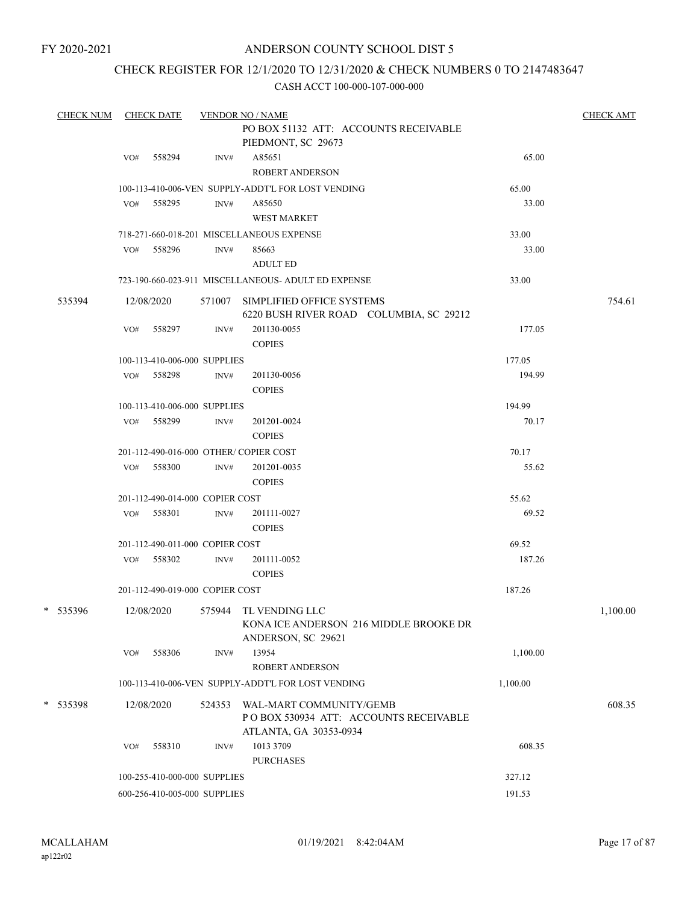### CHECK REGISTER FOR 12/1/2020 TO 12/31/2020 & CHECK NUMBERS 0 TO 2147483647

| <b>CHECK NUM</b> |     | <b>CHECK DATE</b>               |        | <b>VENDOR NO / NAME</b>                                                     |          | <b>CHECK AMT</b> |
|------------------|-----|---------------------------------|--------|-----------------------------------------------------------------------------|----------|------------------|
|                  |     |                                 |        | PO BOX 51132 ATT: ACCOUNTS RECEIVABLE                                       |          |                  |
|                  |     |                                 |        | PIEDMONT, SC 29673                                                          |          |                  |
|                  | VO# | 558294                          | INV#   | A85651                                                                      | 65.00    |                  |
|                  |     |                                 |        | <b>ROBERT ANDERSON</b>                                                      |          |                  |
|                  |     |                                 |        | 100-113-410-006-VEN SUPPLY-ADDT'L FOR LOST VENDING                          | 65.00    |                  |
|                  | VO# | 558295                          | INV#   | A85650                                                                      | 33.00    |                  |
|                  |     |                                 |        | <b>WEST MARKET</b>                                                          |          |                  |
|                  |     |                                 |        | 718-271-660-018-201 MISCELLANEOUS EXPENSE                                   | 33.00    |                  |
|                  | VO# | 558296                          | INV#   | 85663                                                                       | 33.00    |                  |
|                  |     |                                 |        | <b>ADULT ED</b>                                                             |          |                  |
|                  |     |                                 |        | 723-190-660-023-911 MISCELLANEOUS- ADULT ED EXPENSE                         | 33.00    |                  |
| 535394           |     | 12/08/2020                      |        | 571007 SIMPLIFIED OFFICE SYSTEMS<br>6220 BUSH RIVER ROAD COLUMBIA, SC 29212 |          | 754.61           |
|                  | VO# | 558297                          | INV#   | 201130-0055                                                                 | 177.05   |                  |
|                  |     |                                 |        | <b>COPIES</b>                                                               |          |                  |
|                  |     | 100-113-410-006-000 SUPPLIES    |        |                                                                             | 177.05   |                  |
|                  |     | VO# 558298                      | INV#   | 201130-0056                                                                 | 194.99   |                  |
|                  |     |                                 |        | <b>COPIES</b>                                                               |          |                  |
|                  |     | 100-113-410-006-000 SUPPLIES    |        |                                                                             | 194.99   |                  |
|                  |     | VO# 558299                      | INV#   | 201201-0024                                                                 | 70.17    |                  |
|                  |     |                                 |        | <b>COPIES</b>                                                               |          |                  |
|                  |     |                                 |        | 201-112-490-016-000 OTHER/COPIER COST                                       | 70.17    |                  |
|                  | VO# | 558300                          | INV#   | 201201-0035                                                                 | 55.62    |                  |
|                  |     |                                 |        | <b>COPIES</b>                                                               |          |                  |
|                  |     | 201-112-490-014-000 COPIER COST |        |                                                                             | 55.62    |                  |
|                  |     | VO# 558301                      | INV#   | 201111-0027                                                                 | 69.52    |                  |
|                  |     |                                 |        | <b>COPIES</b>                                                               |          |                  |
|                  |     | 201-112-490-011-000 COPIER COST |        |                                                                             | 69.52    |                  |
|                  | VO# | 558302                          | INV#   | 201111-0052                                                                 | 187.26   |                  |
|                  |     |                                 |        | <b>COPIES</b>                                                               |          |                  |
|                  |     | 201-112-490-019-000 COPIER COST |        |                                                                             | 187.26   |                  |
| * 535396         |     | 12/08/2020                      |        | 575944 TL VENDING LLC                                                       |          |                  |
|                  |     |                                 |        | KONA ICE ANDERSON 216 MIDDLE BROOKE DR<br>ANDERSON, SC 29621                |          | 1,100.00         |
|                  | VO# | 558306                          | INV#   | 13954                                                                       | 1,100.00 |                  |
|                  |     |                                 |        | ROBERT ANDERSON                                                             |          |                  |
|                  |     |                                 |        | 100-113-410-006-VEN SUPPLY-ADDT'L FOR LOST VENDING                          | 1,100.00 |                  |
| * 535398         |     | 12/08/2020                      | 524353 | WAL-MART COMMUNITY/GEMB                                                     |          | 608.35           |
|                  |     |                                 |        | PO BOX 530934 ATT: ACCOUNTS RECEIVABLE<br>ATLANTA, GA 30353-0934            |          |                  |
|                  | VO# | 558310                          | INV#   | 1013 3709                                                                   | 608.35   |                  |
|                  |     |                                 |        | <b>PURCHASES</b>                                                            |          |                  |
|                  |     | 100-255-410-000-000 SUPPLIES    |        |                                                                             | 327.12   |                  |
|                  |     | 600-256-410-005-000 SUPPLIES    |        |                                                                             | 191.53   |                  |
|                  |     |                                 |        |                                                                             |          |                  |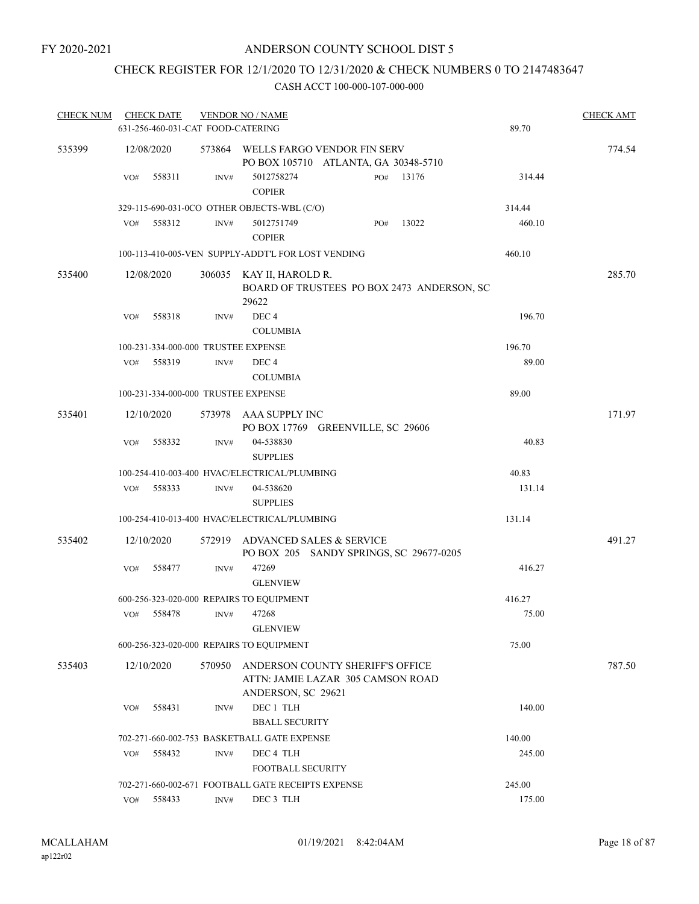### CHECK REGISTER FOR 12/1/2020 TO 12/31/2020 & CHECK NUMBERS 0 TO 2147483647

| <b>CHECK NUM</b> |     | <b>CHECK DATE</b> |                                   | <b>VENDOR NO / NAME</b>                                                                     |     |       |        | <b>CHECK AMT</b> |
|------------------|-----|-------------------|-----------------------------------|---------------------------------------------------------------------------------------------|-----|-------|--------|------------------|
|                  |     |                   | 631-256-460-031-CAT FOOD-CATERING |                                                                                             |     |       | 89.70  |                  |
| 535399           |     | 12/08/2020        |                                   | 573864 WELLS FARGO VENDOR FIN SERV<br>PO BOX 105710 ATLANTA, GA 30348-5710                  |     |       |        | 774.54           |
|                  | VO# | 558311            | INV#                              | 5012758274<br><b>COPIER</b>                                                                 | PO# | 13176 | 314.44 |                  |
|                  |     |                   |                                   | 329-115-690-031-0CO OTHER OBJECTS-WBL (C/O)                                                 |     |       | 314.44 |                  |
|                  | VO# | 558312            | $\text{INV}\#$                    | 5012751749<br><b>COPIER</b>                                                                 | PO# | 13022 | 460.10 |                  |
|                  |     |                   |                                   | 100-113-410-005-VEN SUPPLY-ADDT'L FOR LOST VENDING                                          |     |       | 460.10 |                  |
| 535400           |     | 12/08/2020        |                                   | 306035 KAY II, HAROLD R.<br>BOARD OF TRUSTEES PO BOX 2473 ANDERSON, SC<br>29622             |     |       |        | 285.70           |
|                  | VO# | 558318            | INV#                              | DEC <sub>4</sub><br><b>COLUMBIA</b>                                                         |     |       | 196.70 |                  |
|                  |     |                   |                                   | 100-231-334-000-000 TRUSTEE EXPENSE                                                         |     |       | 196.70 |                  |
|                  | VO# | 558319            | INV#                              | DEC 4<br><b>COLUMBIA</b>                                                                    |     |       | 89.00  |                  |
|                  |     |                   |                                   | 100-231-334-000-000 TRUSTEE EXPENSE                                                         |     |       | 89.00  |                  |
| 535401           |     | 12/10/2020        |                                   | 573978 AAA SUPPLY INC<br>PO BOX 17769 GREENVILLE, SC 29606                                  |     |       |        | 171.97           |
|                  | VO# | 558332            | INV#                              | 04-538830<br><b>SUPPLIES</b>                                                                |     |       | 40.83  |                  |
|                  |     |                   |                                   | 100-254-410-003-400 HVAC/ELECTRICAL/PLUMBING                                                |     |       | 40.83  |                  |
|                  | VO# | 558333            | INV#                              | 04-538620<br><b>SUPPLIES</b>                                                                |     |       | 131.14 |                  |
|                  |     |                   |                                   | 100-254-410-013-400 HVAC/ELECTRICAL/PLUMBING                                                |     |       | 131.14 |                  |
| 535402           |     | 12/10/2020        | 572919                            | ADVANCED SALES & SERVICE<br>PO BOX 205 SANDY SPRINGS, SC 29677-0205                         |     |       |        | 491.27           |
|                  | VO# | 558477            | INV#                              | 47269<br><b>GLENVIEW</b>                                                                    |     |       | 416.27 |                  |
|                  |     |                   |                                   | 600-256-323-020-000 REPAIRS TO EQUIPMENT                                                    |     |       | 416.27 |                  |
|                  | VO# | 558478            | INV#                              | 47268<br><b>GLENVIEW</b>                                                                    |     |       | 75.00  |                  |
|                  |     |                   |                                   | 600-256-323-020-000 REPAIRS TO EQUIPMENT                                                    |     |       | 75.00  |                  |
| 535403           |     | 12/10/2020        | 570950                            | ANDERSON COUNTY SHERIFF'S OFFICE<br>ATTN: JAMIE LAZAR 305 CAMSON ROAD<br>ANDERSON, SC 29621 |     |       |        | 787.50           |
|                  | VO# | 558431            | INV#                              | DEC 1 TLH<br><b>BBALL SECURITY</b>                                                          |     |       | 140.00 |                  |
|                  |     |                   |                                   | 702-271-660-002-753 BASKETBALL GATE EXPENSE                                                 |     |       | 140.00 |                  |
|                  | VO# | 558432            | INV#                              | DEC 4 TLH<br><b>FOOTBALL SECURITY</b>                                                       |     |       | 245.00 |                  |
|                  |     |                   |                                   | 702-271-660-002-671 FOOTBALL GATE RECEIPTS EXPENSE                                          |     |       | 245.00 |                  |
|                  | VO# | 558433            | INV#                              | DEC 3 TLH                                                                                   |     |       | 175.00 |                  |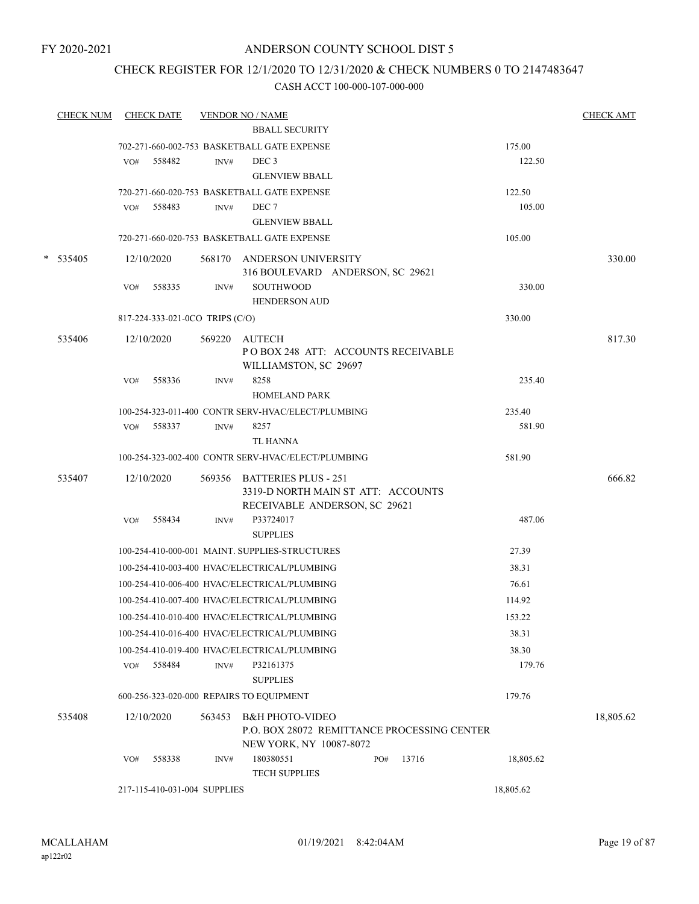### CHECK REGISTER FOR 12/1/2020 TO 12/31/2020 & CHECK NUMBERS 0 TO 2147483647

| <b>CHECK NUM</b> |     | <b>CHECK DATE</b>               |        | <b>VENDOR NO / NAME</b>                                                                            |     |       |           | <b>CHECK AMT</b> |
|------------------|-----|---------------------------------|--------|----------------------------------------------------------------------------------------------------|-----|-------|-----------|------------------|
|                  |     |                                 |        | <b>BBALL SECURITY</b>                                                                              |     |       |           |                  |
|                  |     |                                 |        | 702-271-660-002-753 BASKETBALL GATE EXPENSE                                                        |     |       | 175.00    |                  |
|                  | VO# | 558482                          | INV#   | DEC <sub>3</sub>                                                                                   |     |       | 122.50    |                  |
|                  |     |                                 |        | <b>GLENVIEW BBALL</b>                                                                              |     |       |           |                  |
|                  |     |                                 |        | 720-271-660-020-753 BASKETBALL GATE EXPENSE                                                        |     |       | 122.50    |                  |
|                  | VO# | 558483                          | INV#   | DEC 7                                                                                              |     |       | 105.00    |                  |
|                  |     |                                 |        | <b>GLENVIEW BBALL</b>                                                                              |     |       |           |                  |
|                  |     |                                 |        | 720-271-660-020-753 BASKETBALL GATE EXPENSE                                                        |     |       | 105.00    |                  |
| * 535405         |     | 12/10/2020                      |        | 568170 ANDERSON UNIVERSITY<br>316 BOULEVARD ANDERSON, SC 29621                                     |     |       |           | 330.00           |
|                  | VO# | 558335                          | INV#   | SOUTHWOOD<br><b>HENDERSON AUD</b>                                                                  |     |       | 330.00    |                  |
|                  |     | 817-224-333-021-0CO TRIPS (C/O) |        |                                                                                                    |     |       | 330.00    |                  |
| 535406           |     | 12/10/2020                      |        | 569220 AUTECH                                                                                      |     |       |           | 817.30           |
|                  |     |                                 |        | POBOX 248 ATT: ACCOUNTS RECEIVABLE<br>WILLIAMSTON, SC 29697                                        |     |       |           |                  |
|                  | VO# | 558336                          | INV#   | 8258                                                                                               |     |       | 235.40    |                  |
|                  |     |                                 |        | <b>HOMELAND PARK</b>                                                                               |     |       |           |                  |
|                  |     |                                 |        | 100-254-323-011-400 CONTR SERV-HVAC/ELECT/PLUMBING                                                 |     |       | 235.40    |                  |
|                  |     | VO# 558337                      | INV#   | 8257<br><b>TL HANNA</b>                                                                            |     |       | 581.90    |                  |
|                  |     |                                 |        | 100-254-323-002-400 CONTR SERV-HVAC/ELECT/PLUMBING                                                 |     |       | 581.90    |                  |
| 535407           |     | 12/10/2020                      |        | 569356 BATTERIES PLUS - 251<br>3319-D NORTH MAIN ST ATT: ACCOUNTS<br>RECEIVABLE ANDERSON, SC 29621 |     |       |           | 666.82           |
|                  | VO# | 558434                          | INV#   | P33724017<br><b>SUPPLIES</b>                                                                       |     |       | 487.06    |                  |
|                  |     |                                 |        | 100-254-410-000-001 MAINT, SUPPLIES-STRUCTURES                                                     |     |       | 27.39     |                  |
|                  |     |                                 |        | 100-254-410-003-400 HVAC/ELECTRICAL/PLUMBING                                                       |     |       | 38.31     |                  |
|                  |     |                                 |        | 100-254-410-006-400 HVAC/ELECTRICAL/PLUMBING                                                       |     |       | 76.61     |                  |
|                  |     |                                 |        | 100-254-410-007-400 HVAC/ELECTRICAL/PLUMBING                                                       |     |       | 114.92    |                  |
|                  |     |                                 |        | 100-254-410-010-400 HVAC/ELECTRICAL/PLUMBING                                                       |     |       | 153.22    |                  |
|                  |     |                                 |        | 100-254-410-016-400 HVAC/ELECTRICAL/PLUMBING                                                       |     |       | 38.31     |                  |
|                  |     |                                 |        | 100-254-410-019-400 HVAC/ELECTRICAL/PLUMBING                                                       |     |       | 38.30     |                  |
|                  | VO# | 558484                          | INV#   | P32161375<br><b>SUPPLIES</b>                                                                       |     |       | 179.76    |                  |
|                  |     |                                 |        | 600-256-323-020-000 REPAIRS TO EQUIPMENT                                                           |     |       | 179.76    |                  |
| 535408           |     | 12/10/2020                      | 563453 | <b>B&amp;H PHOTO-VIDEO</b><br>P.O. BOX 28072 REMITTANCE PROCESSING CENTER                          |     |       |           | 18,805.62        |
|                  | VO# | 558338                          | INV#   | NEW YORK, NY 10087-8072<br>180380551<br><b>TECH SUPPLIES</b>                                       | PO# | 13716 | 18,805.62 |                  |
|                  |     | 217-115-410-031-004 SUPPLIES    |        |                                                                                                    |     |       | 18,805.62 |                  |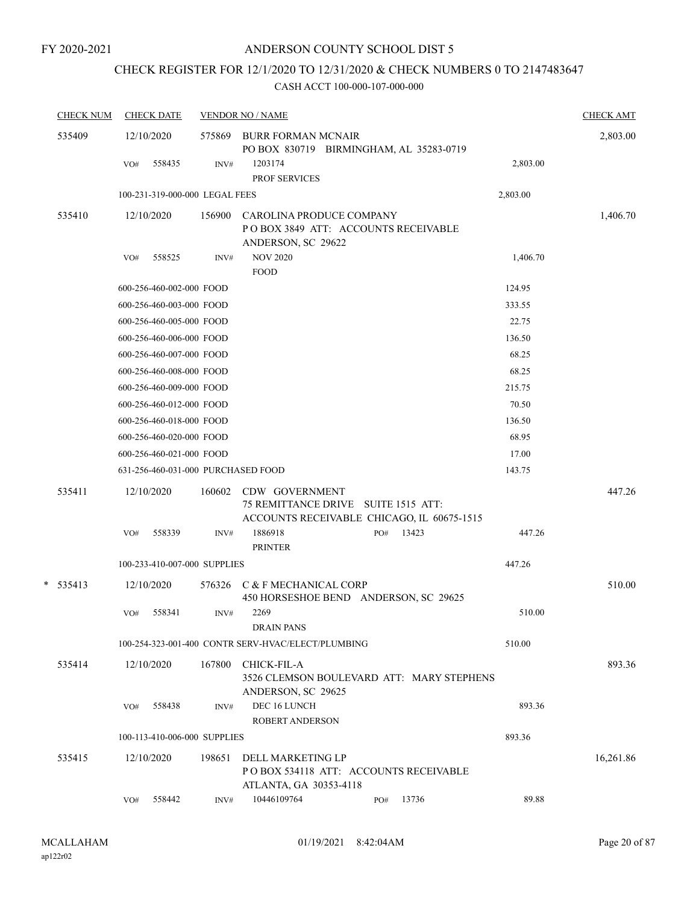# CHECK REGISTER FOR 12/1/2020 TO 12/31/2020 & CHECK NUMBERS 0 TO 2147483647

| <b>CHECK NUM</b> |     | <b>CHECK DATE</b>                  |        | <b>VENDOR NO / NAME</b>                                                                             |  |              |  |          |           |  |
|------------------|-----|------------------------------------|--------|-----------------------------------------------------------------------------------------------------|--|--------------|--|----------|-----------|--|
| 535409           |     | 12/10/2020                         | 575869 | 2,803.00                                                                                            |  |              |  |          |           |  |
|                  | VO# | 558435                             | INV#   | 1203174<br>PROF SERVICES                                                                            |  |              |  | 2,803.00 |           |  |
|                  |     | 100-231-319-000-000 LEGAL FEES     |        |                                                                                                     |  |              |  | 2,803.00 |           |  |
| 535410           |     | 12/10/2020                         | 156900 | CAROLINA PRODUCE COMPANY                                                                            |  |              |  |          | 1,406.70  |  |
|                  |     |                                    |        | POBOX 3849 ATT: ACCOUNTS RECEIVABLE                                                                 |  |              |  |          |           |  |
|                  | VO# | 558525                             | INV#   | ANDERSON, SC 29622<br><b>NOV 2020</b>                                                               |  |              |  | 1,406.70 |           |  |
|                  |     |                                    |        | <b>FOOD</b>                                                                                         |  |              |  |          |           |  |
|                  |     | 600-256-460-002-000 FOOD           |        |                                                                                                     |  |              |  | 124.95   |           |  |
|                  |     | 600-256-460-003-000 FOOD           |        |                                                                                                     |  |              |  | 333.55   |           |  |
|                  |     | 600-256-460-005-000 FOOD           |        |                                                                                                     |  |              |  | 22.75    |           |  |
|                  |     | 600-256-460-006-000 FOOD           |        |                                                                                                     |  |              |  | 136.50   |           |  |
|                  |     | 600-256-460-007-000 FOOD           |        |                                                                                                     |  |              |  | 68.25    |           |  |
|                  |     | 600-256-460-008-000 FOOD           |        |                                                                                                     |  |              |  | 68.25    |           |  |
|                  |     | 600-256-460-009-000 FOOD           |        |                                                                                                     |  |              |  | 215.75   |           |  |
|                  |     | 600-256-460-012-000 FOOD           |        |                                                                                                     |  |              |  | 70.50    |           |  |
|                  |     | 600-256-460-018-000 FOOD           |        |                                                                                                     |  |              |  | 136.50   |           |  |
|                  |     | 600-256-460-020-000 FOOD           |        |                                                                                                     |  |              |  | 68.95    |           |  |
|                  |     | 600-256-460-021-000 FOOD           |        |                                                                                                     |  |              |  | 17.00    |           |  |
|                  |     | 631-256-460-031-000 PURCHASED FOOD |        |                                                                                                     |  |              |  | 143.75   |           |  |
| 535411           |     | 12/10/2020                         | 160602 | CDW GOVERNMENT<br>75 REMITTANCE DRIVE SUITE 1515 ATT:<br>ACCOUNTS RECEIVABLE CHICAGO, IL 60675-1515 |  |              |  |          | 447.26    |  |
|                  | VO# | 558339                             | INV#   | 1886918<br><b>PRINTER</b>                                                                           |  | 13423<br>PO# |  | 447.26   |           |  |
|                  |     | 100-233-410-007-000 SUPPLIES       |        |                                                                                                     |  |              |  | 447.26   |           |  |
| $* 535413$       |     | 12/10/2020                         | 576326 | C & F MECHANICAL CORP<br>450 HORSESHOE BEND ANDERSON, SC 29625                                      |  |              |  |          | 510.00    |  |
|                  | VO# | 558341                             | INV#   | 2269<br><b>DRAIN PANS</b>                                                                           |  |              |  | 510.00   |           |  |
|                  |     |                                    |        | 100-254-323-001-400 CONTR SERV-HVAC/ELECT/PLUMBING                                                  |  |              |  | 510.00   |           |  |
| 535414           |     | 12/10/2020                         | 167800 | CHICK-FIL-A<br>3526 CLEMSON BOULEVARD ATT: MARY STEPHENS<br>ANDERSON, SC 29625                      |  |              |  |          | 893.36    |  |
|                  | VO# | 558438                             | INV#   | DEC 16 LUNCH                                                                                        |  |              |  | 893.36   |           |  |
|                  |     |                                    |        | <b>ROBERT ANDERSON</b>                                                                              |  |              |  |          |           |  |
|                  |     | 100-113-410-006-000 SUPPLIES       |        |                                                                                                     |  |              |  | 893.36   |           |  |
| 535415           |     | 12/10/2020                         | 198651 | DELL MARKETING LP<br>PO BOX 534118 ATT: ACCOUNTS RECEIVABLE<br>ATLANTA, GA 30353-4118               |  |              |  |          | 16,261.86 |  |
|                  | VO# | 558442                             | INV#   | 10446109764                                                                                         |  | 13736<br>PO# |  | 89.88    |           |  |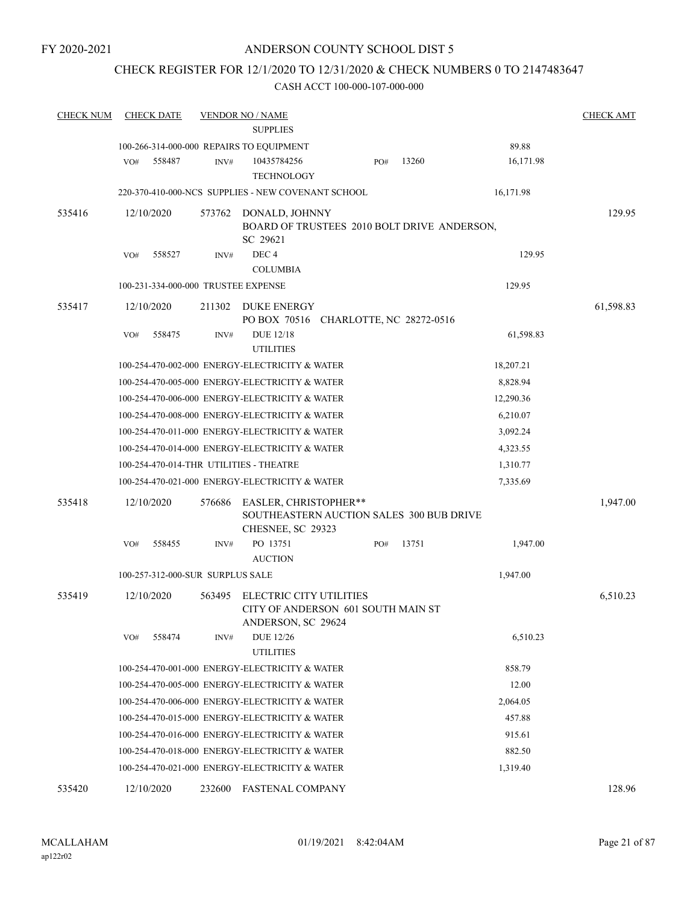### CHECK REGISTER FOR 12/1/2020 TO 12/31/2020 & CHECK NUMBERS 0 TO 2147483647

| <b>CHECK NUM</b> | <b>CHECK DATE</b>                        |        | <b>VENDOR NO / NAME</b>                              |     |       |           | <b>CHECK AMT</b> |  |  |  |  |
|------------------|------------------------------------------|--------|------------------------------------------------------|-----|-------|-----------|------------------|--|--|--|--|
|                  | <b>SUPPLIES</b>                          |        |                                                      |     |       |           |                  |  |  |  |  |
|                  | 100-266-314-000-000 REPAIRS TO EQUIPMENT |        |                                                      |     |       | 89.88     |                  |  |  |  |  |
|                  | VO#<br>558487                            | INV#   | 10435784256                                          | PO# | 13260 | 16,171.98 |                  |  |  |  |  |
|                  |                                          |        | <b>TECHNOLOGY</b>                                    |     |       |           |                  |  |  |  |  |
|                  |                                          |        | 220-370-410-000-NCS SUPPLIES - NEW COVENANT SCHOOL   |     |       | 16,171.98 |                  |  |  |  |  |
| 535416           | 12/10/2020                               | 573762 | DONALD, JOHNNY                                       |     |       |           | 129.95           |  |  |  |  |
|                  |                                          |        | BOARD OF TRUSTEES 2010 BOLT DRIVE ANDERSON,          |     |       |           |                  |  |  |  |  |
|                  | 558527                                   |        | SC 29621<br>DEC <sub>4</sub>                         |     |       | 129.95    |                  |  |  |  |  |
|                  | VO#                                      | INV#   | <b>COLUMBIA</b>                                      |     |       |           |                  |  |  |  |  |
|                  | 100-231-334-000-000 TRUSTEE EXPENSE      |        |                                                      |     |       | 129.95    |                  |  |  |  |  |
|                  |                                          |        |                                                      |     |       |           |                  |  |  |  |  |
| 535417           | 12/10/2020                               | 211302 | DUKE ENERGY<br>PO BOX 70516 CHARLOTTE, NC 28272-0516 |     |       |           | 61,598.83        |  |  |  |  |
|                  | VO#<br>558475                            | INV#   | <b>DUE 12/18</b>                                     |     |       | 61,598.83 |                  |  |  |  |  |
|                  |                                          |        | <b>UTILITIES</b>                                     |     |       |           |                  |  |  |  |  |
|                  |                                          |        | 100-254-470-002-000 ENERGY-ELECTRICITY & WATER       |     |       | 18,207.21 |                  |  |  |  |  |
|                  |                                          |        | 100-254-470-005-000 ENERGY-ELECTRICITY & WATER       |     |       | 8,828.94  |                  |  |  |  |  |
|                  |                                          |        | 100-254-470-006-000 ENERGY-ELECTRICITY & WATER       |     |       | 12,290.36 |                  |  |  |  |  |
|                  |                                          |        | 100-254-470-008-000 ENERGY-ELECTRICITY & WATER       |     |       | 6,210.07  |                  |  |  |  |  |
|                  |                                          |        | 100-254-470-011-000 ENERGY-ELECTRICITY & WATER       |     |       | 3,092.24  |                  |  |  |  |  |
|                  |                                          |        | 100-254-470-014-000 ENERGY-ELECTRICITY & WATER       |     |       | 4,323.55  |                  |  |  |  |  |
|                  | 100-254-470-014-THR UTILITIES - THEATRE  |        |                                                      |     |       | 1,310.77  |                  |  |  |  |  |
|                  |                                          |        | 100-254-470-021-000 ENERGY-ELECTRICITY & WATER       |     |       | 7,335.69  |                  |  |  |  |  |
| 535418           | 12/10/2020                               | 576686 | EASLER, CHRISTOPHER**                                |     |       |           | 1,947.00         |  |  |  |  |
|                  |                                          |        | SOUTHEASTERN AUCTION SALES 300 BUB DRIVE             |     |       |           |                  |  |  |  |  |
|                  |                                          |        | CHESNEE, SC 29323                                    |     |       |           |                  |  |  |  |  |
|                  | VO#<br>558455                            | INV#   | PO 13751                                             | PO# | 13751 | 1,947.00  |                  |  |  |  |  |
|                  |                                          |        | <b>AUCTION</b>                                       |     |       |           |                  |  |  |  |  |
|                  | 100-257-312-000-SUR SURPLUS SALE         |        |                                                      |     |       | 1,947.00  |                  |  |  |  |  |
| 535419           | 12/10/2020                               | 563495 | ELECTRIC CITY UTILITIES                              |     |       |           | 6,510.23         |  |  |  |  |
|                  |                                          |        | CITY OF ANDERSON 601 SOUTH MAIN ST                   |     |       |           |                  |  |  |  |  |
|                  | VO#<br>558474                            | INV#   | ANDERSON, SC 29624<br><b>DUE 12/26</b>               |     |       | 6,510.23  |                  |  |  |  |  |
|                  |                                          |        | <b>UTILITIES</b>                                     |     |       |           |                  |  |  |  |  |
|                  |                                          |        | 100-254-470-001-000 ENERGY-ELECTRICITY & WATER       |     |       | 858.79    |                  |  |  |  |  |
|                  |                                          |        | 100-254-470-005-000 ENERGY-ELECTRICITY & WATER       |     |       | 12.00     |                  |  |  |  |  |
|                  |                                          |        | 100-254-470-006-000 ENERGY-ELECTRICITY & WATER       |     |       | 2,064.05  |                  |  |  |  |  |
|                  |                                          |        | 100-254-470-015-000 ENERGY-ELECTRICITY & WATER       |     |       | 457.88    |                  |  |  |  |  |
|                  |                                          |        | 100-254-470-016-000 ENERGY-ELECTRICITY & WATER       |     |       | 915.61    |                  |  |  |  |  |
|                  |                                          |        | 100-254-470-018-000 ENERGY-ELECTRICITY & WATER       |     |       | 882.50    |                  |  |  |  |  |
|                  |                                          |        | 100-254-470-021-000 ENERGY-ELECTRICITY & WATER       |     |       | 1,319.40  |                  |  |  |  |  |
| 535420           | 12/10/2020                               | 232600 | <b>FASTENAL COMPANY</b>                              |     |       |           | 128.96           |  |  |  |  |
|                  |                                          |        |                                                      |     |       |           |                  |  |  |  |  |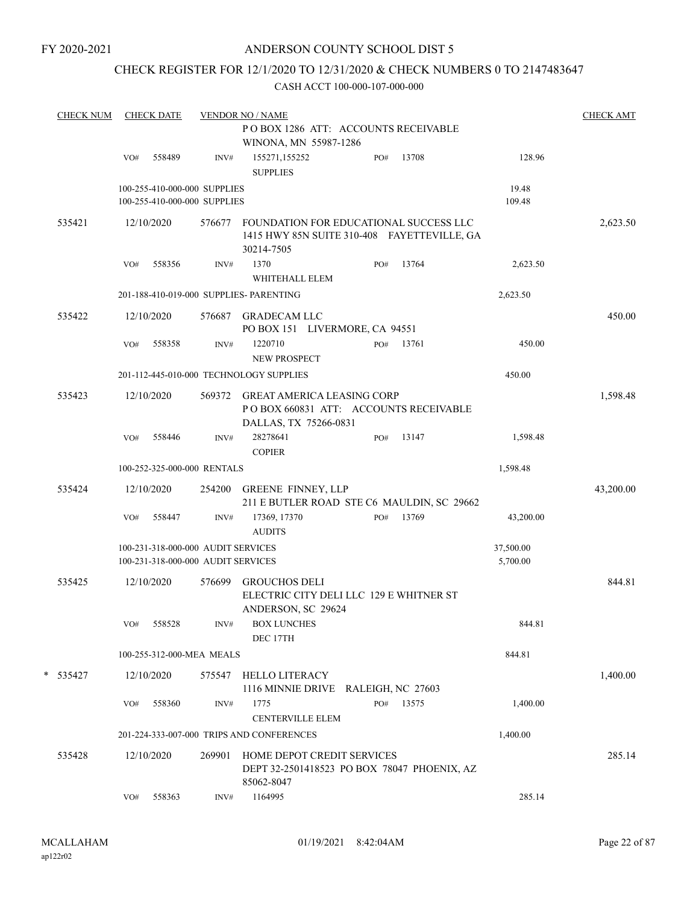### CHECK REGISTER FOR 12/1/2020 TO 12/31/2020 & CHECK NUMBERS 0 TO 2147483647

| <b>CHECK NUM</b> |                                                              | <b>CHECK DATE</b> |                                                                          | <b>VENDOR NO / NAME</b>                                                                             |  |     |       |                       | <b>CHECK AMT</b> |  |
|------------------|--------------------------------------------------------------|-------------------|--------------------------------------------------------------------------|-----------------------------------------------------------------------------------------------------|--|-----|-------|-----------------------|------------------|--|
|                  | POBOX 1286 ATT: ACCOUNTS RECEIVABLE<br>WINONA, MN 55987-1286 |                   |                                                                          |                                                                                                     |  |     |       |                       |                  |  |
|                  | VO#                                                          | 558489            | INV#                                                                     | 155271,155252<br><b>SUPPLIES</b>                                                                    |  | PO# | 13708 | 128.96                |                  |  |
|                  |                                                              |                   | 100-255-410-000-000 SUPPLIES<br>100-255-410-000-000 SUPPLIES             |                                                                                                     |  |     |       | 19.48<br>109.48       |                  |  |
| 535421           |                                                              | 12/10/2020        | 576677                                                                   | FOUNDATION FOR EDUCATIONAL SUCCESS LLC<br>1415 HWY 85N SUITE 310-408 FAYETTEVILLE, GA<br>30214-7505 |  |     |       |                       | 2,623.50         |  |
|                  | VO#                                                          | 558356            | INV#                                                                     | 1370<br>WHITEHALL ELEM                                                                              |  | PO# | 13764 | 2,623.50              |                  |  |
|                  |                                                              |                   |                                                                          | 201-188-410-019-000 SUPPLIES- PARENTING                                                             |  |     |       | 2,623.50              |                  |  |
| 535422           |                                                              | 12/10/2020        | 576687                                                                   | <b>GRADECAM LLC</b><br>PO BOX 151 LIVERMORE, CA 94551                                               |  |     |       |                       | 450.00           |  |
|                  | VO#                                                          | 558358            | INV#                                                                     | 1220710<br>NEW PROSPECT                                                                             |  | PO# | 13761 | 450.00                |                  |  |
|                  |                                                              |                   |                                                                          | 201-112-445-010-000 TECHNOLOGY SUPPLIES                                                             |  |     |       | 450.00                |                  |  |
| 535423           |                                                              | 12/10/2020        | 569372                                                                   | <b>GREAT AMERICA LEASING CORP</b><br>POBOX 660831 ATT: ACCOUNTS RECEIVABLE<br>DALLAS, TX 75266-0831 |  |     |       |                       | 1,598.48         |  |
|                  | VO#                                                          | 558446            | INV#                                                                     | 28278641<br><b>COPIER</b>                                                                           |  | PO# | 13147 | 1,598.48              |                  |  |
|                  |                                                              |                   | 100-252-325-000-000 RENTALS                                              |                                                                                                     |  |     |       | 1,598.48              |                  |  |
| 535424           |                                                              | 12/10/2020        | 254200                                                                   | <b>GREENE FINNEY, LLP</b><br>211 E BUTLER ROAD STE C6 MAULDIN, SC 29662                             |  |     |       |                       | 43,200.00        |  |
|                  | VO#                                                          | 558447            | INV#                                                                     | 17369, 17370<br><b>AUDITS</b>                                                                       |  | PO# | 13769 | 43,200.00             |                  |  |
|                  |                                                              |                   | 100-231-318-000-000 AUDIT SERVICES<br>100-231-318-000-000 AUDIT SERVICES |                                                                                                     |  |     |       | 37,500.00<br>5,700.00 |                  |  |
| 535425           |                                                              | 12/10/2020        | 576699                                                                   | <b>GROUCHOS DELI</b><br>ELECTRIC CITY DELI LLC 129 E WHITNER ST<br>ANDERSON, SC 29624               |  |     |       |                       | 844.81           |  |
|                  | VO#                                                          | 558528            | INV#                                                                     | <b>BOX LUNCHES</b><br>DEC 17TH                                                                      |  |     |       | 844.81                |                  |  |
|                  |                                                              |                   | 100-255-312-000-MEA MEALS                                                |                                                                                                     |  |     |       | 844.81                |                  |  |
| * 535427         |                                                              | 12/10/2020        | 575547                                                                   | <b>HELLO LITERACY</b><br>1116 MINNIE DRIVE RALEIGH, NC 27603                                        |  |     |       |                       | 1,400.00         |  |
|                  | VO#                                                          | 558360            | INV#                                                                     | 1775<br><b>CENTERVILLE ELEM</b>                                                                     |  | PO# | 13575 | 1,400.00              |                  |  |
|                  |                                                              |                   |                                                                          | 201-224-333-007-000 TRIPS AND CONFERENCES                                                           |  |     |       | 1,400.00              |                  |  |
| 535428           |                                                              | 12/10/2020        | 269901                                                                   | HOME DEPOT CREDIT SERVICES<br>DEPT 32-2501418523 PO BOX 78047 PHOENIX, AZ<br>85062-8047             |  |     |       |                       | 285.14           |  |
|                  | VO#                                                          | 558363            | INV#                                                                     | 1164995                                                                                             |  |     |       | 285.14                |                  |  |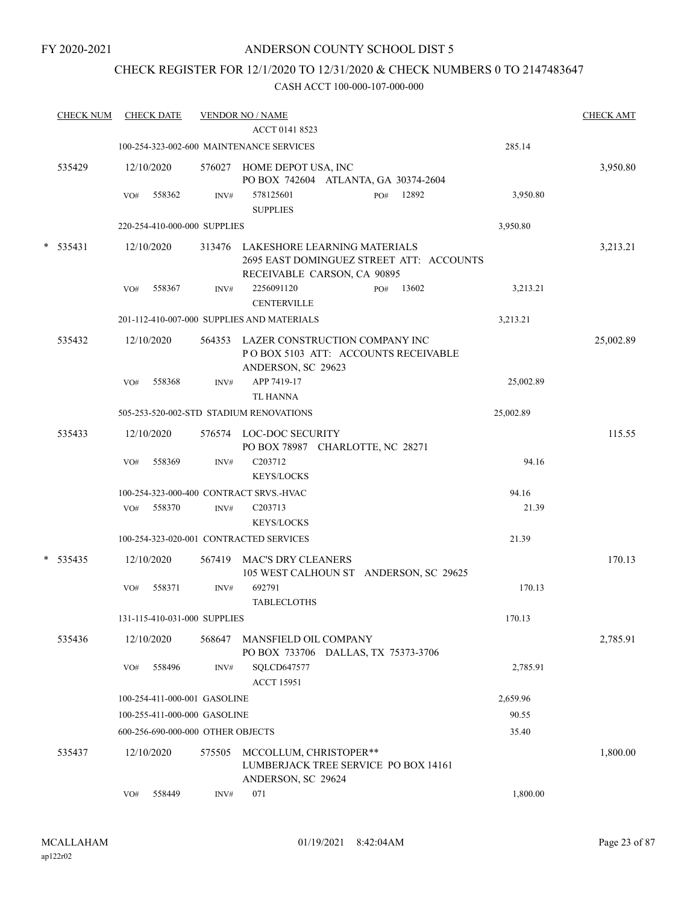### CHECK REGISTER FOR 12/1/2020 TO 12/31/2020 & CHECK NUMBERS 0 TO 2147483647

|   | <b>CHECK NUM</b> |     | <b>CHECK DATE</b> |                                   | <b>VENDOR NO / NAME</b><br>ACCT 0141 8523                                                          | <b>CHECK AMT</b> |
|---|------------------|-----|-------------------|-----------------------------------|----------------------------------------------------------------------------------------------------|------------------|
|   |                  |     |                   |                                   |                                                                                                    |                  |
|   |                  |     |                   |                                   | 285.14<br>100-254-323-002-600 MAINTENANCE SERVICES                                                 |                  |
|   | 535429           |     | 12/10/2020        | 576027                            | HOME DEPOT USA, INC<br>PO BOX 742604 ATLANTA, GA 30374-2604                                        | 3,950.80         |
|   |                  | VO# | 558362            | INV#                              | 578125601<br>12892<br>PO#<br>3,950.80<br><b>SUPPLIES</b>                                           |                  |
|   |                  |     |                   | 220-254-410-000-000 SUPPLIES      | 3,950.80                                                                                           |                  |
| * | 535431           |     | 12/10/2020        |                                   | 313476 LAKESHORE LEARNING MATERIALS                                                                | 3,213.21         |
|   |                  |     |                   |                                   | 2695 EAST DOMINGUEZ STREET ATT: ACCOUNTS<br>RECEIVABLE CARSON, CA 90895                            |                  |
|   |                  | VO# | 558367            | INV#                              | 2256091120<br>13602<br>3,213.21<br>PO#<br><b>CENTERVILLE</b>                                       |                  |
|   |                  |     |                   |                                   | 201-112-410-007-000 SUPPLIES AND MATERIALS<br>3,213.21                                             |                  |
|   | 535432           |     | 12/10/2020        |                                   | 564353 LAZER CONSTRUCTION COMPANY INC<br>POBOX 5103 ATT: ACCOUNTS RECEIVABLE<br>ANDERSON, SC 29623 | 25,002.89        |
|   |                  | VO# | 558368            | INV#                              | APP 7419-17<br>25,002.89                                                                           |                  |
|   |                  |     |                   |                                   | <b>TL HANNA</b>                                                                                    |                  |
|   |                  |     |                   |                                   | 505-253-520-002-STD STADIUM RENOVATIONS<br>25,002.89                                               |                  |
|   | 535433           |     | 12/10/2020        |                                   | 576574 LOC-DOC SECURITY<br>PO BOX 78987 CHARLOTTE, NC 28271                                        | 115.55           |
|   |                  | VO# | 558369            | INV#                              | C <sub>203712</sub><br>94.16<br><b>KEYS/LOCKS</b>                                                  |                  |
|   |                  |     |                   |                                   | 100-254-323-000-400 CONTRACT SRVS.-HVAC<br>94.16                                                   |                  |
|   |                  | VO# | 558370            | INV#                              | C203713<br>21.39<br><b>KEYS/LOCKS</b>                                                              |                  |
|   |                  |     |                   |                                   | 100-254-323-020-001 CONTRACTED SERVICES<br>21.39                                                   |                  |
| * | 535435           |     | 12/10/2020        | 567419                            | <b>MAC'S DRY CLEANERS</b>                                                                          | 170.13           |
|   |                  | VO# | 558371            | INV#                              | 105 WEST CALHOUN ST ANDERSON, SC 29625<br>692791<br>170.13                                         |                  |
|   |                  |     |                   |                                   | <b>TABLECLOTHS</b>                                                                                 |                  |
|   |                  |     |                   | 131-115-410-031-000 SUPPLIES      | 170.13                                                                                             |                  |
|   | 535436           |     | 12/10/2020        | 568647                            | <b>MANSFIELD OIL COMPANY</b><br>PO BOX 733706 DALLAS, TX 75373-3706                                | 2,785.91         |
|   |                  | VO# | 558496            | INV#                              | SQLCD647577<br>2,785.91<br><b>ACCT 15951</b>                                                       |                  |
|   |                  |     |                   | 100-254-411-000-001 GASOLINE      | 2,659.96                                                                                           |                  |
|   |                  |     |                   | 100-255-411-000-000 GASOLINE      | 90.55                                                                                              |                  |
|   |                  |     |                   | 600-256-690-000-000 OTHER OBJECTS | 35.40                                                                                              |                  |
|   | 535437           |     | 12/10/2020        | 575505                            | MCCOLLUM, CHRISTOPER**<br>LUMBERJACK TREE SERVICE PO BOX 14161<br>ANDERSON, SC 29624               | 1,800.00         |
|   |                  | VO# | 558449            | INV#                              | 071<br>1,800.00                                                                                    |                  |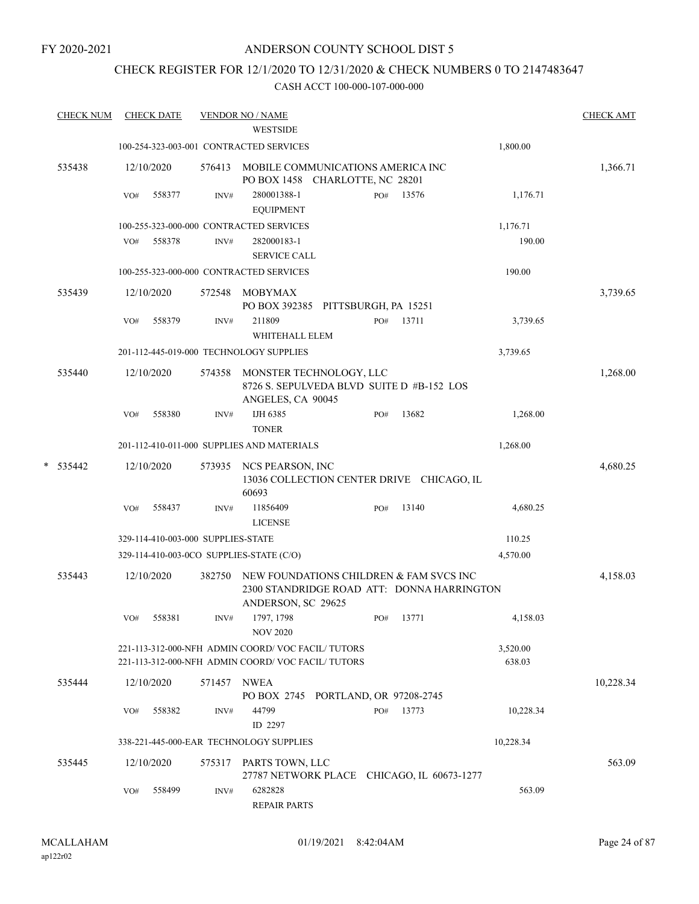FY 2020-2021

#### ANDERSON COUNTY SCHOOL DIST 5

### CHECK REGISTER FOR 12/1/2020 TO 12/31/2020 & CHECK NUMBERS 0 TO 2147483647

|   | <b>CHECK NUM</b> |     | <b>CHECK DATE</b> |                                    | <b>VENDOR NO / NAME</b><br><b>WESTSIDE</b>                                                                  |     |           |                    | <b>CHECK AMT</b> |
|---|------------------|-----|-------------------|------------------------------------|-------------------------------------------------------------------------------------------------------------|-----|-----------|--------------------|------------------|
|   |                  |     |                   |                                    | 100-254-323-003-001 CONTRACTED SERVICES                                                                     |     |           | 1,800.00           |                  |
|   | 535438           |     | 12/10/2020        | 576413                             | MOBILE COMMUNICATIONS AMERICA INC<br>PO BOX 1458 CHARLOTTE, NC 28201                                        |     |           |                    | 1,366.71         |
|   |                  | VO# | 558377            | INV#                               | 280001388-1<br><b>EQUIPMENT</b>                                                                             | PO# | 13576     | 1,176.71           |                  |
|   |                  |     |                   |                                    | 100-255-323-000-000 CONTRACTED SERVICES                                                                     |     |           | 1,176.71           |                  |
|   |                  | VO# | 558378            | INV#                               | 282000183-1                                                                                                 |     |           | 190.00             |                  |
|   |                  |     |                   |                                    | <b>SERVICE CALL</b>                                                                                         |     |           |                    |                  |
|   |                  |     |                   |                                    | 100-255-323-000-000 CONTRACTED SERVICES                                                                     |     |           | 190.00             |                  |
|   | 535439           |     | 12/10/2020        | 572548                             | MOBYMAX<br>PO BOX 392385 PITTSBURGH, PA 15251                                                               |     |           |                    | 3,739.65         |
|   |                  | VO# | 558379            | INV#                               | 211809<br>WHITEHALL ELEM                                                                                    | PO# | 13711     | 3,739.65           |                  |
|   |                  |     |                   |                                    | 201-112-445-019-000 TECHNOLOGY SUPPLIES                                                                     |     |           | 3,739.65           |                  |
|   | 535440           |     | 12/10/2020        | 574358                             | MONSTER TECHNOLOGY, LLC<br>8726 S. SEPULVEDA BLVD SUITE D #B-152 LOS<br>ANGELES, CA 90045                   |     |           |                    | 1,268.00         |
|   |                  | VO# | 558380            | INV#                               | IJH 6385<br><b>TONER</b>                                                                                    | PO# | 13682     | 1,268.00           |                  |
|   |                  |     |                   |                                    | 201-112-410-011-000 SUPPLIES AND MATERIALS                                                                  |     |           | 1,268.00           |                  |
| * | 535442           |     | 12/10/2020        | 573935                             | NCS PEARSON, INC<br>13036 COLLECTION CENTER DRIVE CHICAGO, IL<br>60693                                      |     |           |                    | 4,680.25         |
|   |                  | VO# | 558437            | INV#                               | 11856409<br><b>LICENSE</b>                                                                                  | PO# | 13140     | 4,680.25           |                  |
|   |                  |     |                   | 329-114-410-003-000 SUPPLIES-STATE |                                                                                                             |     |           | 110.25             |                  |
|   |                  |     |                   |                                    | 329-114-410-003-0CO SUPPLIES-STATE (C/O)                                                                    |     |           | 4,570.00           |                  |
|   | 535443           |     | 12/10/2020        | 382750                             | NEW FOUNDATIONS CHILDREN & FAM SVCS INC<br>2300 STANDRIDGE ROAD ATT: DONNA HARRINGTON<br>ANDERSON, SC 29625 |     |           |                    | 4,158.03         |
|   |                  | VO# | 558381            | INV#                               | 1797, 1798<br><b>NOV 2020</b>                                                                               |     | PO# 13771 | 4,158.03           |                  |
|   |                  |     |                   |                                    | 221-113-312-000-NFH ADMIN COORD/VOC FACIL/TUTORS<br>221-113-312-000-NFH ADMIN COORD/VOC FACIL/TUTORS        |     |           | 3,520.00<br>638.03 |                  |
|   | 535444           |     | 12/10/2020        | 571457 NWEA                        | PO BOX 2745 PORTLAND, OR 97208-2745                                                                         |     |           |                    | 10,228.34        |
|   |                  | VO# | 558382            | INV#                               | 44799<br>ID 2297                                                                                            | PO# | 13773     | 10,228.34          |                  |
|   |                  |     |                   |                                    | 338-221-445-000-EAR TECHNOLOGY SUPPLIES                                                                     |     |           | 10,228.34          |                  |
|   | 535445           |     | 12/10/2020        |                                    | 575317 PARTS TOWN, LLC<br>27787 NETWORK PLACE CHICAGO, IL 60673-1277                                        |     |           |                    | 563.09           |
|   |                  | VO# | 558499            | INV#                               | 6282828<br><b>REPAIR PARTS</b>                                                                              |     |           | 563.09             |                  |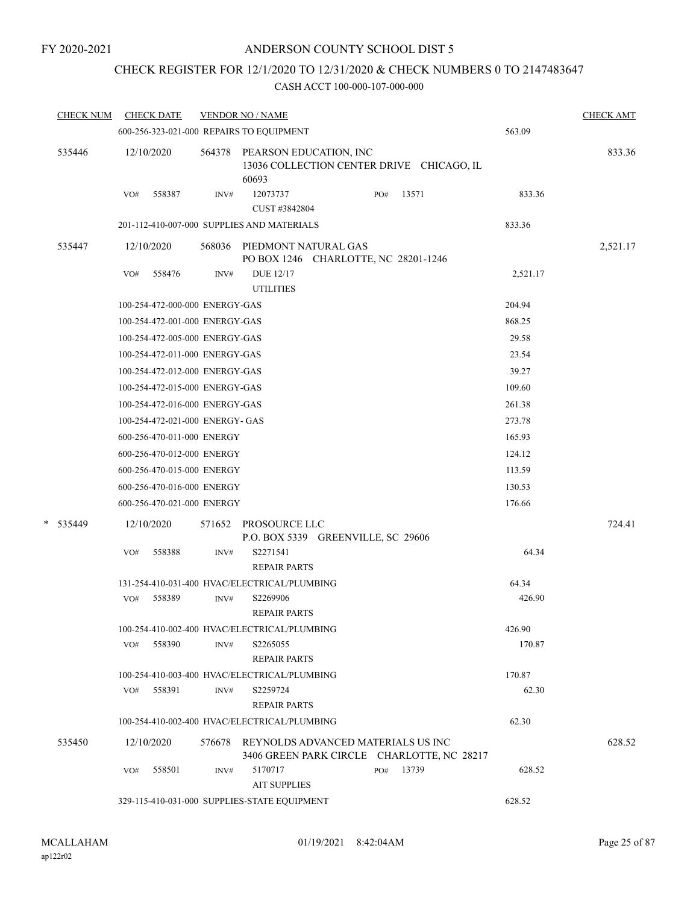### CHECK REGISTER FOR 12/1/2020 TO 12/31/2020 & CHECK NUMBERS 0 TO 2147483647

| <b>CHECK NUM</b> | <b>CHECK DATE</b>                            |        | <b>VENDOR NO / NAME</b>                                      |           |                                            |          | <b>CHECK AMT</b> |
|------------------|----------------------------------------------|--------|--------------------------------------------------------------|-----------|--------------------------------------------|----------|------------------|
|                  | 600-256-323-021-000 REPAIRS TO EQUIPMENT     |        |                                                              |           |                                            | 563.09   |                  |
| 535446           | 12/10/2020                                   |        | 564378 PEARSON EDUCATION, INC<br>60693                       |           | 13036 COLLECTION CENTER DRIVE CHICAGO, IL  |          | 833.36           |
|                  | 558387<br>VO#                                | INV#   | 12073737<br>CUST #3842804                                    | PO#       | 13571                                      | 833.36   |                  |
|                  | 201-112-410-007-000 SUPPLIES AND MATERIALS   |        |                                                              |           |                                            | 833.36   |                  |
| 535447           | 12/10/2020                                   | 568036 | PIEDMONT NATURAL GAS<br>PO BOX 1246 CHARLOTTE, NC 28201-1246 |           |                                            |          | 2,521.17         |
|                  | 558476<br>VO#                                | INV#   | <b>DUE 12/17</b><br><b>UTILITIES</b>                         |           |                                            | 2,521.17 |                  |
|                  | 100-254-472-000-000 ENERGY-GAS               |        |                                                              |           |                                            | 204.94   |                  |
|                  | 100-254-472-001-000 ENERGY-GAS               |        |                                                              |           |                                            | 868.25   |                  |
|                  | 100-254-472-005-000 ENERGY-GAS               |        |                                                              |           |                                            | 29.58    |                  |
|                  | 100-254-472-011-000 ENERGY-GAS               |        |                                                              |           |                                            | 23.54    |                  |
|                  | 100-254-472-012-000 ENERGY-GAS               |        |                                                              |           |                                            | 39.27    |                  |
|                  | 100-254-472-015-000 ENERGY-GAS               |        |                                                              |           |                                            | 109.60   |                  |
|                  | 100-254-472-016-000 ENERGY-GAS               |        |                                                              |           |                                            | 261.38   |                  |
|                  | 100-254-472-021-000 ENERGY- GAS              |        |                                                              |           |                                            | 273.78   |                  |
|                  | 600-256-470-011-000 ENERGY                   |        |                                                              |           |                                            | 165.93   |                  |
|                  | 600-256-470-012-000 ENERGY                   |        |                                                              |           |                                            | 124.12   |                  |
|                  | 600-256-470-015-000 ENERGY                   |        |                                                              |           |                                            | 113.59   |                  |
|                  | 600-256-470-016-000 ENERGY                   |        |                                                              |           |                                            | 130.53   |                  |
|                  | 600-256-470-021-000 ENERGY                   |        |                                                              |           |                                            | 176.66   |                  |
| * 535449         | 12/10/2020                                   | 571652 | PROSOURCE LLC<br>P.O. BOX 5339 GREENVILLE, SC 29606          |           |                                            |          | 724.41           |
|                  | 558388<br>VO#                                | INV#   | S2271541<br><b>REPAIR PARTS</b>                              |           |                                            | 64.34    |                  |
|                  | 131-254-410-031-400 HVAC/ELECTRICAL/PLUMBING |        |                                                              |           |                                            | 64.34    |                  |
|                  | VO#<br>558389                                | INV#   | S2269906<br><b>REPAIR PARTS</b>                              |           |                                            | 426.90   |                  |
|                  | 100-254-410-002-400 HVAC/ELECTRICAL/PLUMBING |        |                                                              |           |                                            | 426.90   |                  |
|                  | 558390<br>VO#                                | INV#   | S2265055<br><b>REPAIR PARTS</b>                              |           |                                            | 170.87   |                  |
|                  | 100-254-410-003-400 HVAC/ELECTRICAL/PLUMBING |        |                                                              |           |                                            | 170.87   |                  |
|                  | VO#<br>558391                                | INV#   | S2259724<br><b>REPAIR PARTS</b>                              |           |                                            | 62.30    |                  |
|                  | 100-254-410-002-400 HVAC/ELECTRICAL/PLUMBING |        |                                                              |           |                                            | 62.30    |                  |
| 535450           | 12/10/2020                                   |        | 576678 REYNOLDS ADVANCED MATERIALS US INC                    |           | 3406 GREEN PARK CIRCLE CHARLOTTE, NC 28217 |          | 628.52           |
|                  | 558501<br>VO#                                | INV#   | 5170717<br><b>AIT SUPPLIES</b>                               | PO# 13739 |                                            | 628.52   |                  |
|                  | 329-115-410-031-000 SUPPLIES-STATE EQUIPMENT |        |                                                              |           |                                            | 628.52   |                  |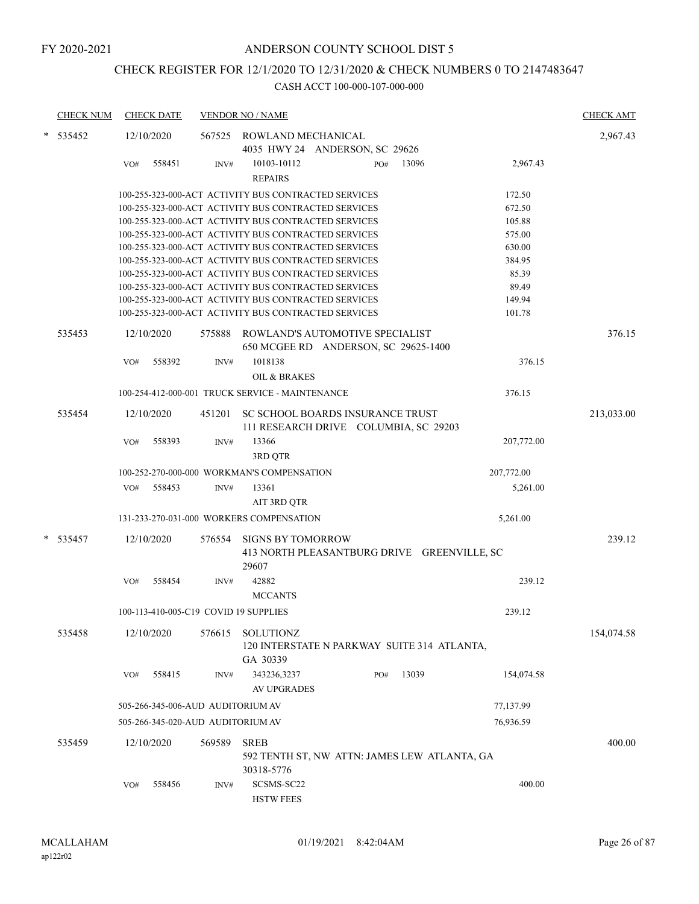# CHECK REGISTER FOR 12/1/2020 TO 12/31/2020 & CHECK NUMBERS 0 TO 2147483647

| <b>CHECK NUM</b> |     | <b>CHECK DATE</b> |                                   | <b>VENDOR NO / NAME</b>                                                          |     |       |            | <b>CHECK AMT</b> |
|------------------|-----|-------------------|-----------------------------------|----------------------------------------------------------------------------------|-----|-------|------------|------------------|
| 535452           |     | 12/10/2020        | 567525                            | ROWLAND MECHANICAL<br>4035 HWY 24 ANDERSON, SC 29626                             |     |       |            | 2,967.43         |
|                  | VO# | 558451            | INV#                              | 10103-10112<br><b>REPAIRS</b>                                                    | PO# | 13096 | 2,967.43   |                  |
|                  |     |                   |                                   | 100-255-323-000-ACT ACTIVITY BUS CONTRACTED SERVICES                             |     |       | 172.50     |                  |
|                  |     |                   |                                   | 100-255-323-000-ACT ACTIVITY BUS CONTRACTED SERVICES                             |     |       | 672.50     |                  |
|                  |     |                   |                                   | 100-255-323-000-ACT ACTIVITY BUS CONTRACTED SERVICES                             |     |       | 105.88     |                  |
|                  |     |                   |                                   | 100-255-323-000-ACT ACTIVITY BUS CONTRACTED SERVICES                             |     |       | 575.00     |                  |
|                  |     |                   |                                   | 100-255-323-000-ACT ACTIVITY BUS CONTRACTED SERVICES                             |     |       | 630.00     |                  |
|                  |     |                   |                                   | 100-255-323-000-ACT ACTIVITY BUS CONTRACTED SERVICES                             |     |       | 384.95     |                  |
|                  |     |                   |                                   | 100-255-323-000-ACT ACTIVITY BUS CONTRACTED SERVICES                             |     |       | 85.39      |                  |
|                  |     |                   |                                   | 100-255-323-000-ACT ACTIVITY BUS CONTRACTED SERVICES                             |     |       | 89.49      |                  |
|                  |     |                   |                                   | 100-255-323-000-ACT ACTIVITY BUS CONTRACTED SERVICES                             |     |       | 149.94     |                  |
|                  |     |                   |                                   | 100-255-323-000-ACT ACTIVITY BUS CONTRACTED SERVICES                             |     |       | 101.78     |                  |
| 535453           |     | 12/10/2020        | 575888                            | ROWLAND'S AUTOMOTIVE SPECIALIST<br>650 MCGEE RD ANDERSON, SC 29625-1400          |     |       |            | 376.15           |
|                  | VO# | 558392            | INV#                              | 1018138<br><b>OIL &amp; BRAKES</b>                                               |     |       | 376.15     |                  |
|                  |     |                   |                                   | 100-254-412-000-001 TRUCK SERVICE - MAINTENANCE                                  |     |       | 376.15     |                  |
|                  |     |                   |                                   |                                                                                  |     |       |            |                  |
| 535454           |     | 12/10/2020        | 451201                            | SC SCHOOL BOARDS INSURANCE TRUST<br>111 RESEARCH DRIVE COLUMBIA, SC 29203        |     |       |            | 213,033.00       |
|                  | VO# | 558393            | INV#                              | 13366<br>3RD QTR                                                                 |     |       | 207,772.00 |                  |
|                  |     |                   |                                   | 100-252-270-000-000 WORKMAN'S COMPENSATION                                       |     |       | 207,772.00 |                  |
|                  | VO# | 558453            | INV#                              | 13361                                                                            |     |       | 5,261.00   |                  |
|                  |     |                   |                                   |                                                                                  |     |       |            |                  |
|                  |     |                   |                                   | AIT 3RD QTR                                                                      |     |       |            |                  |
|                  |     |                   |                                   | 131-233-270-031-000 WORKERS COMPENSATION                                         |     |       | 5,261.00   |                  |
| 535457           |     | 12/10/2020        | 576554                            | <b>SIGNS BY TOMORROW</b><br>413 NORTH PLEASANTBURG DRIVE GREENVILLE, SC<br>29607 |     |       |            | 239.12           |
|                  | VO# | 558454            | INV#                              | 42882<br><b>MCCANTS</b>                                                          |     |       | 239.12     |                  |
|                  |     |                   |                                   | 100-113-410-005-C19 COVID 19 SUPPLIES                                            |     |       | 239.12     |                  |
| 535458           |     | 12/10/2020        | 576615                            | <b>SOLUTIONZ</b><br>120 INTERSTATE N PARKWAY SUITE 314 ATLANTA,                  |     |       |            | 154,074.58       |
|                  | VO# | 558415            | INV#                              | GA 30339<br>343236,3237                                                          | PO# | 13039 | 154,074.58 |                  |
|                  |     |                   |                                   | <b>AV UPGRADES</b>                                                               |     |       |            |                  |
|                  |     |                   | 505-266-345-006-AUD AUDITORIUM AV |                                                                                  |     |       | 77,137.99  |                  |
|                  |     |                   | 505-266-345-020-AUD AUDITORIUM AV |                                                                                  |     |       | 76,936.59  |                  |
| 535459           |     | 12/10/2020        | 569589                            | <b>SREB</b><br>592 TENTH ST, NW ATTN: JAMES LEW ATLANTA, GA<br>30318-5776        |     |       |            | 400.00           |
|                  | VO# | 558456            | INV#                              | SCSMS-SC22<br><b>HSTW FEES</b>                                                   |     |       | 400.00     |                  |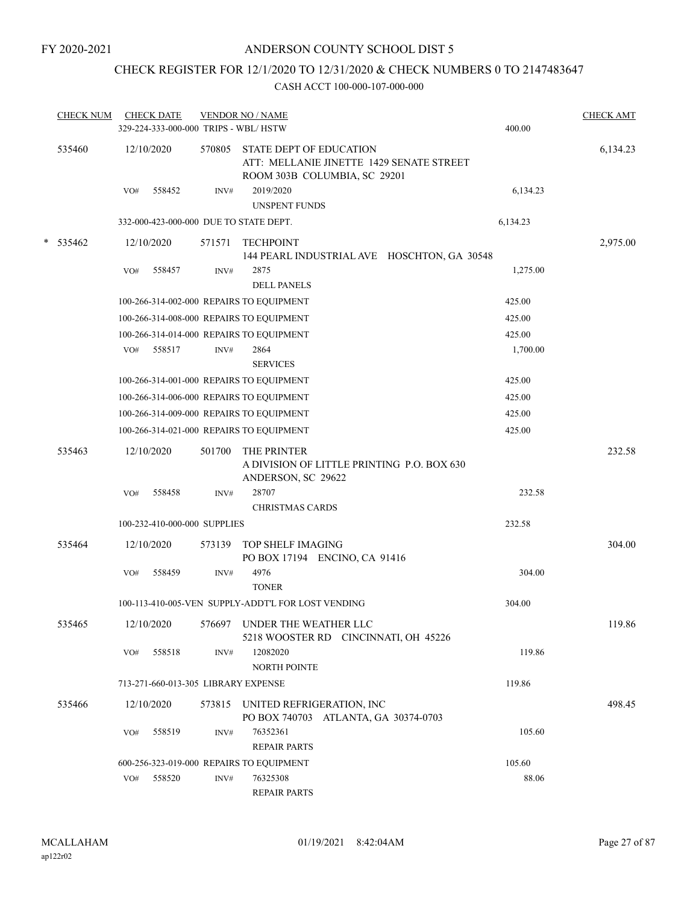# CHECK REGISTER FOR 12/1/2020 TO 12/31/2020 & CHECK NUMBERS 0 TO 2147483647

|            | <b>CHECK NUM</b> |     | <b>CHECK DATE</b><br>329-224-333-000-000 TRIPS - WBL/HSTW |        | <b>VENDOR NO / NAME</b>                                                                             | 400.00   | <b>CHECK AMT</b> |
|------------|------------------|-----|-----------------------------------------------------------|--------|-----------------------------------------------------------------------------------------------------|----------|------------------|
|            | 535460           |     | 12/10/2020                                                | 570805 | STATE DEPT OF EDUCATION<br>ATT: MELLANIE JINETTE 1429 SENATE STREET<br>ROOM 303B COLUMBIA, SC 29201 |          | 6,134.23         |
|            |                  | VO# | 558452                                                    | INV#   | 2019/2020<br>UNSPENT FUNDS                                                                          | 6,134.23 |                  |
|            |                  |     |                                                           |        | 332-000-423-000-000 DUE TO STATE DEPT.                                                              | 6,134.23 |                  |
| $* 535462$ |                  |     | 12/10/2020                                                | 571571 | <b>TECHPOINT</b><br>144 PEARL INDUSTRIAL AVE HOSCHTON, GA 30548                                     |          | 2,975.00         |
|            |                  | VO# | 558457                                                    | INV#   | 2875<br><b>DELL PANELS</b>                                                                          | 1,275.00 |                  |
|            |                  |     |                                                           |        | 100-266-314-002-000 REPAIRS TO EQUIPMENT                                                            | 425.00   |                  |
|            |                  |     |                                                           |        | 100-266-314-008-000 REPAIRS TO EQUIPMENT                                                            | 425.00   |                  |
|            |                  |     |                                                           |        | 100-266-314-014-000 REPAIRS TO EQUIPMENT                                                            | 425.00   |                  |
|            |                  | VO# | 558517                                                    | INV#   | 2864<br><b>SERVICES</b>                                                                             | 1,700.00 |                  |
|            |                  |     |                                                           |        | 100-266-314-001-000 REPAIRS TO EQUIPMENT                                                            | 425.00   |                  |
|            |                  |     |                                                           |        | 100-266-314-006-000 REPAIRS TO EQUIPMENT                                                            | 425.00   |                  |
|            |                  |     |                                                           |        | 100-266-314-009-000 REPAIRS TO EQUIPMENT                                                            | 425.00   |                  |
|            |                  |     |                                                           |        | 100-266-314-021-000 REPAIRS TO EQUIPMENT                                                            | 425.00   |                  |
|            | 535463           |     | 12/10/2020                                                | 501700 | THE PRINTER<br>A DIVISION OF LITTLE PRINTING P.O. BOX 630<br>ANDERSON, SC 29622                     |          | 232.58           |
|            |                  | VO# | 558458                                                    | INV#   | 28707<br><b>CHRISTMAS CARDS</b>                                                                     | 232.58   |                  |
|            |                  |     | 100-232-410-000-000 SUPPLIES                              |        |                                                                                                     | 232.58   |                  |
|            | 535464           |     | 12/10/2020                                                | 573139 | TOP SHELF IMAGING<br>PO BOX 17194 ENCINO, CA 91416                                                  |          | 304.00           |
|            |                  | VO# | 558459                                                    | INV#   | 4976<br><b>TONER</b>                                                                                | 304.00   |                  |
|            |                  |     |                                                           |        | 100-113-410-005-VEN SUPPLY-ADDT'L FOR LOST VENDING                                                  | 304.00   |                  |
|            | 535465           |     | 12/10/2020                                                |        | 576697 UNDER THE WEATHER LLC<br>5218 WOOSTER RD CINCINNATI, OH 45226                                |          | 119.86           |
|            |                  | VO# | 558518                                                    | INV#   | 12082020<br>NORTH POINTE                                                                            | 119.86   |                  |
|            |                  |     | 713-271-660-013-305 LIBRARY EXPENSE                       |        |                                                                                                     | 119.86   |                  |
|            | 535466           |     | 12/10/2020                                                |        | 573815 UNITED REFRIGERATION, INC<br>PO BOX 740703 ATLANTA, GA 30374-0703                            |          | 498.45           |
|            |                  | VO# | 558519                                                    | INV#   | 76352361<br><b>REPAIR PARTS</b>                                                                     | 105.60   |                  |
|            |                  |     |                                                           |        | 600-256-323-019-000 REPAIRS TO EQUIPMENT                                                            | 105.60   |                  |
|            |                  | VO# | 558520                                                    | INV#   | 76325308<br><b>REPAIR PARTS</b>                                                                     | 88.06    |                  |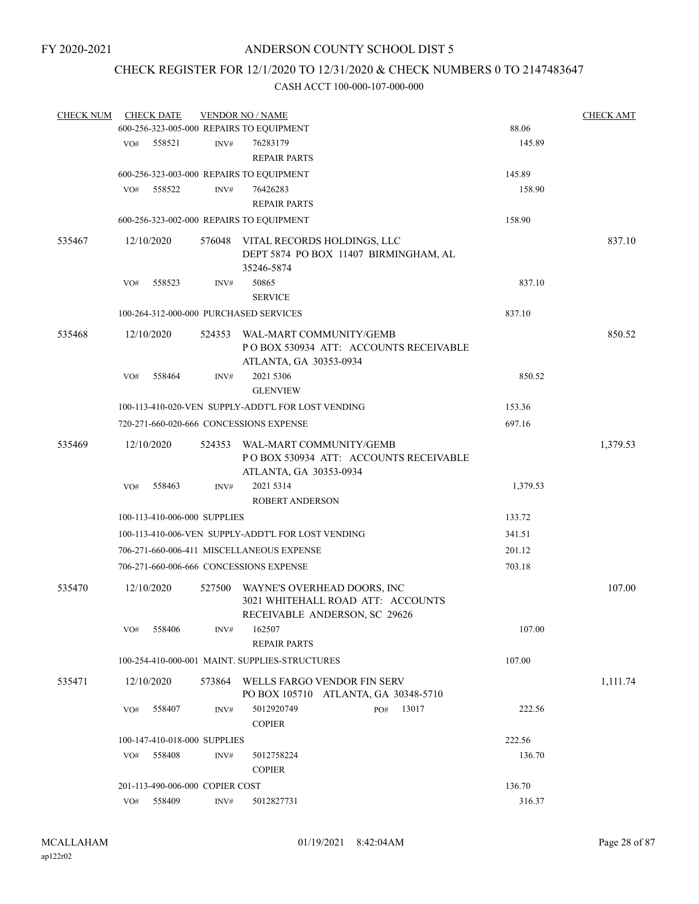# CHECK REGISTER FOR 12/1/2020 TO 12/31/2020 & CHECK NUMBERS 0 TO 2147483647

| <b>CHECK NUM</b> |     | <b>CHECK DATE</b>               |        | <b>VENDOR NO / NAME</b>                                                                            |  |     |       |        |          | <b>CHECK AMT</b> |
|------------------|-----|---------------------------------|--------|----------------------------------------------------------------------------------------------------|--|-----|-------|--------|----------|------------------|
|                  |     |                                 |        | 600-256-323-005-000 REPAIRS TO EQUIPMENT                                                           |  |     |       |        | 88.06    |                  |
|                  | VO# | 558521                          | INV#   | 76283179                                                                                           |  |     |       |        | 145.89   |                  |
|                  |     |                                 |        | <b>REPAIR PARTS</b>                                                                                |  |     |       |        |          |                  |
|                  |     |                                 |        | 600-256-323-003-000 REPAIRS TO EQUIPMENT                                                           |  |     |       | 145.89 |          |                  |
|                  | VO# | 558522                          | INV#   | 76426283                                                                                           |  |     |       |        | 158.90   |                  |
|                  |     |                                 |        | <b>REPAIR PARTS</b>                                                                                |  |     |       |        |          |                  |
|                  |     |                                 |        | 600-256-323-002-000 REPAIRS TO EQUIPMENT                                                           |  |     |       | 158.90 |          |                  |
| 535467           |     | 12/10/2020                      |        | 576048 VITAL RECORDS HOLDINGS, LLC<br>DEPT 5874 PO BOX 11407 BIRMINGHAM, AL<br>35246-5874          |  |     |       |        |          | 837.10           |
|                  | VO# | 558523                          | INV#   | 50865<br><b>SERVICE</b>                                                                            |  |     |       |        | 837.10   |                  |
|                  |     |                                 |        | 100-264-312-000-000 PURCHASED SERVICES                                                             |  |     |       | 837.10 |          |                  |
| 535468           |     | 12/10/2020                      |        | 524353 WAL-MART COMMUNITY/GEMB<br>PO BOX 530934 ATT: ACCOUNTS RECEIVABLE<br>ATLANTA, GA 30353-0934 |  |     |       |        |          | 850.52           |
|                  | VO# | 558464                          | INV#   | 2021 5306<br><b>GLENVIEW</b>                                                                       |  |     |       |        | 850.52   |                  |
|                  |     |                                 |        | 100-113-410-020-VEN SUPPLY-ADDT'L FOR LOST VENDING                                                 |  |     |       | 153.36 |          |                  |
|                  |     |                                 |        | 720-271-660-020-666 CONCESSIONS EXPENSE                                                            |  |     |       | 697.16 |          |                  |
| 535469           |     | 12/10/2020                      |        | 524353 WAL-MART COMMUNITY/GEMB<br>PO BOX 530934 ATT: ACCOUNTS RECEIVABLE<br>ATLANTA, GA 30353-0934 |  |     |       |        |          | 1,379.53         |
|                  | VO# | 558463                          | INV#   | 2021 5314                                                                                          |  |     |       |        | 1,379.53 |                  |
|                  |     |                                 |        | <b>ROBERT ANDERSON</b>                                                                             |  |     |       |        |          |                  |
|                  |     | 100-113-410-006-000 SUPPLIES    |        |                                                                                                    |  |     |       | 133.72 |          |                  |
|                  |     |                                 |        | 100-113-410-006-VEN SUPPLY-ADDT'L FOR LOST VENDING                                                 |  |     |       | 341.51 |          |                  |
|                  |     |                                 |        | 706-271-660-006-411 MISCELLANEOUS EXPENSE                                                          |  |     |       | 201.12 |          |                  |
|                  |     |                                 |        | 706-271-660-006-666 CONCESSIONS EXPENSE                                                            |  |     |       | 703.18 |          |                  |
| 535470           |     | 12/10/2020                      | 527500 | WAYNE'S OVERHEAD DOORS, INC<br>3021 WHITEHALL ROAD ATT: ACCOUNTS                                   |  |     |       |        |          | 107.00           |
|                  | VO# | 558406                          | INV#   | RECEIVABLE ANDERSON, SC 29626<br>162507<br><b>REPAIR PARTS</b>                                     |  |     |       |        | 107.00   |                  |
|                  |     |                                 |        | 100-254-410-000-001 MAINT. SUPPLIES-STRUCTURES                                                     |  |     |       | 107.00 |          |                  |
| 535471           |     | 12/10/2020                      | 573864 | WELLS FARGO VENDOR FIN SERV<br>PO BOX 105710 ATLANTA, GA 30348-5710                                |  |     |       |        |          | 1,111.74         |
|                  | VO# | 558407                          | INV#   | 5012920749<br><b>COPIER</b>                                                                        |  | PO# | 13017 |        | 222.56   |                  |
|                  |     | 100-147-410-018-000 SUPPLIES    |        |                                                                                                    |  |     |       |        | 222.56   |                  |
|                  | VO# | 558408                          | INV#   | 5012758224<br><b>COPIER</b>                                                                        |  |     |       |        | 136.70   |                  |
|                  |     | 201-113-490-006-000 COPIER COST |        |                                                                                                    |  |     |       | 136.70 |          |                  |
|                  | VO# | 558409                          | INV#   | 5012827731                                                                                         |  |     |       |        | 316.37   |                  |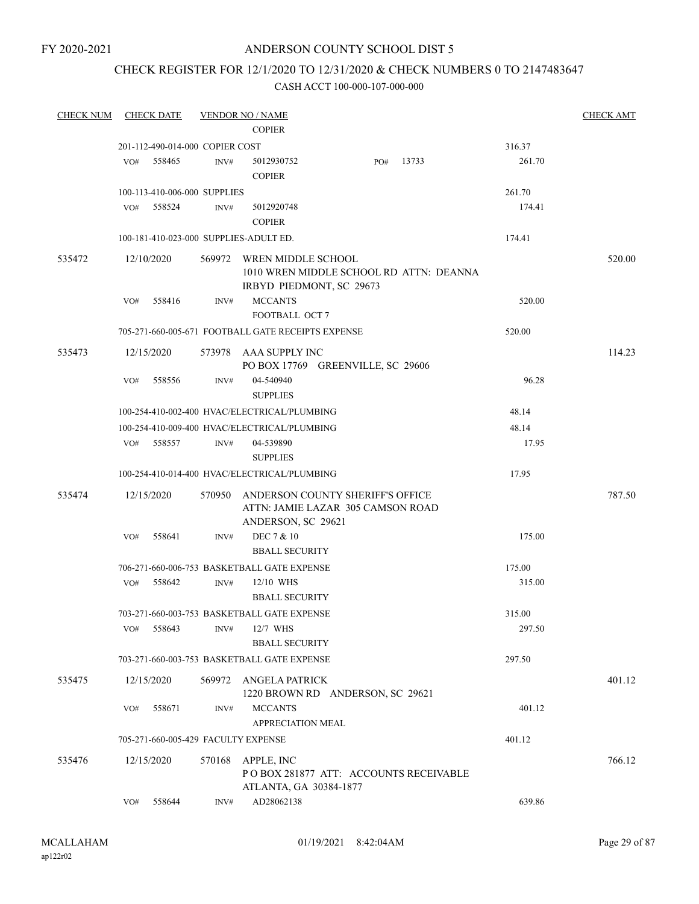FY 2020-2021

#### ANDERSON COUNTY SCHOOL DIST 5

### CHECK REGISTER FOR 12/1/2020 TO 12/31/2020 & CHECK NUMBERS 0 TO 2147483647

| <b>CHECK NUM</b> |     | <b>CHECK DATE</b>               |        | <b>VENDOR NO / NAME</b>                            |     |       |        | <b>CHECK AMT</b> |
|------------------|-----|---------------------------------|--------|----------------------------------------------------|-----|-------|--------|------------------|
|                  |     |                                 |        | <b>COPIER</b>                                      |     |       |        |                  |
|                  |     | 201-112-490-014-000 COPIER COST |        |                                                    |     |       | 316.37 |                  |
|                  | VO# | 558465                          | INV#   | 5012930752                                         | PO# | 13733 | 261.70 |                  |
|                  |     |                                 |        | <b>COPIER</b>                                      |     |       |        |                  |
|                  |     | 100-113-410-006-000 SUPPLIES    |        |                                                    |     |       | 261.70 |                  |
|                  | VO# | 558524                          | INV#   | 5012920748                                         |     |       | 174.41 |                  |
|                  |     |                                 |        | <b>COPIER</b>                                      |     |       |        |                  |
|                  |     |                                 |        | 100-181-410-023-000 SUPPLIES-ADULT ED.             |     |       | 174.41 |                  |
| 535472           |     | 12/10/2020                      | 569972 | WREN MIDDLE SCHOOL                                 |     |       |        | 520.00           |
|                  |     |                                 |        | 1010 WREN MIDDLE SCHOOL RD ATTN: DEANNA            |     |       |        |                  |
|                  | VO# | 558416                          | INV#   | IRBYD PIEDMONT, SC 29673<br><b>MCCANTS</b>         |     |       | 520.00 |                  |
|                  |     |                                 |        | FOOTBALL OCT 7                                     |     |       |        |                  |
|                  |     |                                 |        | 705-271-660-005-671 FOOTBALL GATE RECEIPTS EXPENSE |     |       | 520.00 |                  |
| 535473           |     | 12/15/2020                      | 573978 | AAA SUPPLY INC                                     |     |       |        | 114.23           |
|                  |     |                                 |        | PO BOX 17769 GREENVILLE, SC 29606                  |     |       |        |                  |
|                  | VO# | 558556                          | INV#   | 04-540940                                          |     |       | 96.28  |                  |
|                  |     |                                 |        | <b>SUPPLIES</b>                                    |     |       |        |                  |
|                  |     |                                 |        | 100-254-410-002-400 HVAC/ELECTRICAL/PLUMBING       |     |       | 48.14  |                  |
|                  |     |                                 |        | 100-254-410-009-400 HVAC/ELECTRICAL/PLUMBING       |     |       | 48.14  |                  |
|                  | VO# | 558557                          | INV#   | 04-539890                                          |     |       | 17.95  |                  |
|                  |     |                                 |        | <b>SUPPLIES</b>                                    |     |       |        |                  |
|                  |     |                                 |        | 100-254-410-014-400 HVAC/ELECTRICAL/PLUMBING       |     |       | 17.95  |                  |
| 535474           |     | 12/15/2020                      | 570950 | ANDERSON COUNTY SHERIFF'S OFFICE                   |     |       |        | 787.50           |
|                  |     |                                 |        | ATTN: JAMIE LAZAR 305 CAMSON ROAD                  |     |       |        |                  |
|                  |     |                                 |        | ANDERSON, SC 29621                                 |     |       |        |                  |
|                  | VO# | 558641                          | INV#   | DEC 7 & 10<br><b>BBALL SECURITY</b>                |     |       | 175.00 |                  |
|                  |     |                                 |        | 706-271-660-006-753 BASKETBALL GATE EXPENSE        |     |       | 175.00 |                  |
|                  | VO# | 558642                          | INV#   | 12/10 WHS                                          |     |       | 315.00 |                  |
|                  |     |                                 |        | <b>BBALL SECURITY</b>                              |     |       |        |                  |
|                  |     |                                 |        | 703-271-660-003-753 BASKETBALL GATE EXPENSE        |     |       | 315.00 |                  |
|                  | VO# | 558643                          | INV#   | 12/7 WHS                                           |     |       | 297.50 |                  |
|                  |     |                                 |        | <b>BBALL SECURITY</b>                              |     |       |        |                  |
|                  |     |                                 |        | 703-271-660-003-753 BASKETBALL GATE EXPENSE        |     |       | 297.50 |                  |
| 535475           |     | 12/15/2020                      | 569972 | ANGELA PATRICK                                     |     |       |        | 401.12           |
|                  |     |                                 |        | 1220 BROWN RD ANDERSON, SC 29621                   |     |       |        |                  |
|                  | VO# | 558671                          | INV#   | <b>MCCANTS</b>                                     |     |       | 401.12 |                  |
|                  |     |                                 |        | APPRECIATION MEAL                                  |     |       |        |                  |
|                  |     |                                 |        | 705-271-660-005-429 FACULTY EXPENSE                |     |       | 401.12 |                  |
| 535476           |     | 12/15/2020                      | 570168 | APPLE, INC                                         |     |       |        | 766.12           |
|                  |     |                                 |        | PO BOX 281877 ATT: ACCOUNTS RECEIVABLE             |     |       |        |                  |
|                  | VO# | 558644                          | INV#   | ATLANTA, GA 30384-1877<br>AD28062138               |     |       | 639.86 |                  |
|                  |     |                                 |        |                                                    |     |       |        |                  |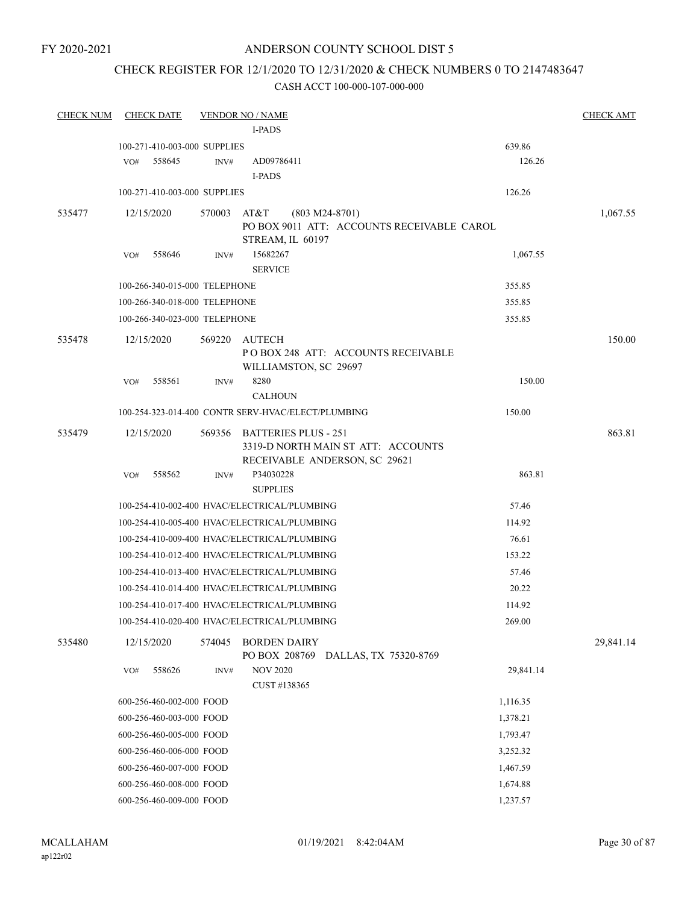### CHECK REGISTER FOR 12/1/2020 TO 12/31/2020 & CHECK NUMBERS 0 TO 2147483647

| <b>CHECK NUM</b> | <b>CHECK DATE</b>             |        | <b>VENDOR NO / NAME</b>                                     |           | <b>CHECK AMT</b> |
|------------------|-------------------------------|--------|-------------------------------------------------------------|-----------|------------------|
|                  |                               |        | I-PADS                                                      |           |                  |
|                  | 100-271-410-003-000 SUPPLIES  |        |                                                             | 639.86    |                  |
|                  | VO#<br>558645                 | INV#   | AD09786411                                                  | 126.26    |                  |
|                  |                               |        | <b>I-PADS</b>                                               |           |                  |
|                  | 100-271-410-003-000 SUPPLIES  |        |                                                             | 126.26    |                  |
| 535477           | 12/15/2020                    |        | 570003 AT&T<br>$(803 M24-8701)$                             |           | 1,067.55         |
|                  |                               |        | PO BOX 9011 ATT: ACCOUNTS RECEIVABLE CAROL                  |           |                  |
|                  |                               |        | STREAM, IL 60197                                            |           |                  |
|                  | 558646<br>VO#                 | INV#   | 15682267<br><b>SERVICE</b>                                  | 1,067.55  |                  |
|                  | 100-266-340-015-000 TELEPHONE |        |                                                             | 355.85    |                  |
|                  | 100-266-340-018-000 TELEPHONE |        |                                                             | 355.85    |                  |
|                  | 100-266-340-023-000 TELEPHONE |        |                                                             | 355.85    |                  |
|                  |                               |        |                                                             |           |                  |
| 535478           | 12/15/2020                    | 569220 | AUTECH                                                      |           | 150.00           |
|                  |                               |        | POBOX 248 ATT: ACCOUNTS RECEIVABLE<br>WILLIAMSTON, SC 29697 |           |                  |
|                  | 558561<br>VO#                 | INV#   | 8280                                                        | 150.00    |                  |
|                  |                               |        | <b>CALHOUN</b>                                              |           |                  |
|                  |                               |        | 100-254-323-014-400 CONTR SERV-HVAC/ELECT/PLUMBING          | 150.00    |                  |
| 535479           | 12/15/2020                    |        | 569356 BATTERIES PLUS - 251                                 |           | 863.81           |
|                  |                               |        | 3319-D NORTH MAIN ST ATT: ACCOUNTS                          |           |                  |
|                  |                               |        | RECEIVABLE ANDERSON, SC 29621                               |           |                  |
|                  | 558562<br>VO#                 | INV#   | P34030228<br><b>SUPPLIES</b>                                | 863.81    |                  |
|                  |                               |        | 100-254-410-002-400 HVAC/ELECTRICAL/PLUMBING                | 57.46     |                  |
|                  |                               |        | 100-254-410-005-400 HVAC/ELECTRICAL/PLUMBING                | 114.92    |                  |
|                  |                               |        | 100-254-410-009-400 HVAC/ELECTRICAL/PLUMBING                | 76.61     |                  |
|                  |                               |        | 100-254-410-012-400 HVAC/ELECTRICAL/PLUMBING                | 153.22    |                  |
|                  |                               |        | 100-254-410-013-400 HVAC/ELECTRICAL/PLUMBING                | 57.46     |                  |
|                  |                               |        | 100-254-410-014-400 HVAC/ELECTRICAL/PLUMBING                | 20.22     |                  |
|                  |                               |        | 100-254-410-017-400 HVAC/ELECTRICAL/PLUMBING                | 114.92    |                  |
|                  |                               |        | 100-254-410-020-400 HVAC/ELECTRICAL/PLUMBING                | 269.00    |                  |
| 535480           | 12/15/2020                    | 574045 | <b>BORDEN DAIRY</b>                                         |           | 29,841.14        |
|                  |                               |        | PO BOX 208769<br>DALLAS, TX 75320-8769                      |           |                  |
|                  | 558626<br>VO#                 | INV#   | <b>NOV 2020</b>                                             | 29,841.14 |                  |
|                  |                               |        | CUST #138365                                                |           |                  |
|                  | 600-256-460-002-000 FOOD      |        |                                                             | 1,116.35  |                  |
|                  | 600-256-460-003-000 FOOD      |        |                                                             | 1,378.21  |                  |
|                  | 600-256-460-005-000 FOOD      |        |                                                             | 1,793.47  |                  |
|                  | 600-256-460-006-000 FOOD      |        |                                                             | 3,252.32  |                  |
|                  | 600-256-460-007-000 FOOD      |        |                                                             | 1,467.59  |                  |
|                  | 600-256-460-008-000 FOOD      |        |                                                             | 1,674.88  |                  |
|                  | 600-256-460-009-000 FOOD      |        |                                                             | 1,237.57  |                  |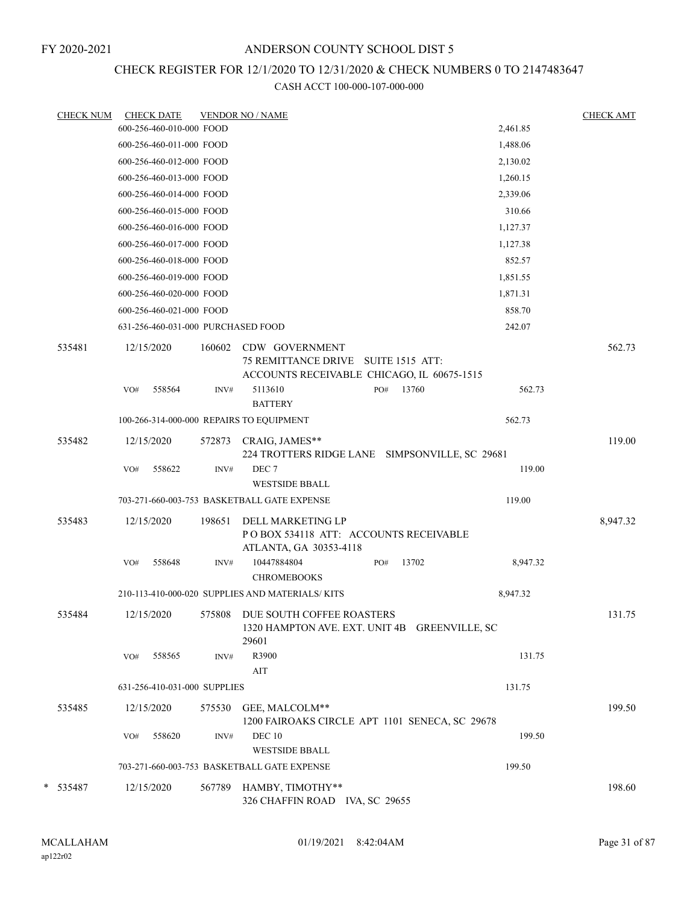### CHECK REGISTER FOR 12/1/2020 TO 12/31/2020 & CHECK NUMBERS 0 TO 2147483647

| <b>CHECK NUM</b> |     | <b>CHECK DATE</b>                  |        | <b>VENDOR NO / NAME</b>                                                                             |          | <b>CHECK AMT</b> |
|------------------|-----|------------------------------------|--------|-----------------------------------------------------------------------------------------------------|----------|------------------|
|                  |     | 600-256-460-010-000 FOOD           |        |                                                                                                     | 2,461.85 |                  |
|                  |     | 600-256-460-011-000 FOOD           |        |                                                                                                     | 1,488.06 |                  |
|                  |     | 600-256-460-012-000 FOOD           |        |                                                                                                     | 2,130.02 |                  |
|                  |     | 600-256-460-013-000 FOOD           |        |                                                                                                     | 1,260.15 |                  |
|                  |     | 600-256-460-014-000 FOOD           |        |                                                                                                     | 2,339.06 |                  |
|                  |     | 600-256-460-015-000 FOOD           |        |                                                                                                     | 310.66   |                  |
|                  |     | 600-256-460-016-000 FOOD           |        |                                                                                                     | 1,127.37 |                  |
|                  |     | 600-256-460-017-000 FOOD           |        |                                                                                                     | 1,127.38 |                  |
|                  |     | 600-256-460-018-000 FOOD           |        |                                                                                                     | 852.57   |                  |
|                  |     | 600-256-460-019-000 FOOD           |        |                                                                                                     | 1,851.55 |                  |
|                  |     | 600-256-460-020-000 FOOD           |        |                                                                                                     | 1,871.31 |                  |
|                  |     | 600-256-460-021-000 FOOD           |        |                                                                                                     | 858.70   |                  |
|                  |     | 631-256-460-031-000 PURCHASED FOOD |        |                                                                                                     | 242.07   |                  |
| 535481           |     | 12/15/2020                         | 160602 | CDW GOVERNMENT<br>75 REMITTANCE DRIVE SUITE 1515 ATT:<br>ACCOUNTS RECEIVABLE CHICAGO, IL 60675-1515 |          | 562.73           |
|                  | VO# | 558564                             | INV#   | 5113610<br>13760<br>PO#                                                                             | 562.73   |                  |
|                  |     |                                    |        | <b>BATTERY</b>                                                                                      |          |                  |
|                  |     |                                    |        | 100-266-314-000-000 REPAIRS TO EQUIPMENT                                                            | 562.73   |                  |
| 535482           |     | 12/15/2020                         | 572873 | CRAIG, JAMES**<br>224 TROTTERS RIDGE LANE SIMPSONVILLE, SC 29681                                    |          | 119.00           |
|                  | VO# | 558622                             | INV#   | DEC <sub>7</sub><br><b>WESTSIDE BBALL</b>                                                           | 119.00   |                  |
|                  |     |                                    |        | 703-271-660-003-753 BASKETBALL GATE EXPENSE                                                         | 119.00   |                  |
| 535483           |     | 12/15/2020                         | 198651 | DELL MARKETING LP<br>PO BOX 534118 ATT: ACCOUNTS RECEIVABLE<br>ATLANTA, GA 30353-4118               |          | 8,947.32         |
|                  | VO# | 558648                             | INV#   | 10447884804<br>13702<br>PO#<br><b>CHROMEBOOKS</b>                                                   | 8,947.32 |                  |
|                  |     |                                    |        | 210-113-410-000-020 SUPPLIES AND MATERIALS/KITS                                                     | 8,947.32 |                  |
| 535484           |     | 12/15/2020                         | 575808 | DUE SOUTH COFFEE ROASTERS<br>1320 HAMPTON AVE. EXT. UNIT 4B GREENVILLE, SC<br>29601                 |          | 131.75           |
|                  | VO# | 558565                             | INV#   | R3900<br>AIT                                                                                        | 131.75   |                  |
|                  |     | 631-256-410-031-000 SUPPLIES       |        |                                                                                                     | 131.75   |                  |
| 535485           |     | 12/15/2020                         | 575530 | GEE, MALCOLM**<br>1200 FAIROAKS CIRCLE APT 1101 SENECA, SC 29678                                    |          | 199.50           |
|                  | VO# | 558620                             | INV#   | <b>DEC 10</b><br><b>WESTSIDE BBALL</b>                                                              | 199.50   |                  |
|                  |     |                                    |        | 703-271-660-003-753 BASKETBALL GATE EXPENSE                                                         | 199.50   |                  |
|                  |     |                                    |        |                                                                                                     |          |                  |
| * 535487         |     | 12/15/2020                         | 567789 | HAMBY, TIMOTHY**<br>326 CHAFFIN ROAD IVA, SC 29655                                                  |          | 198.60           |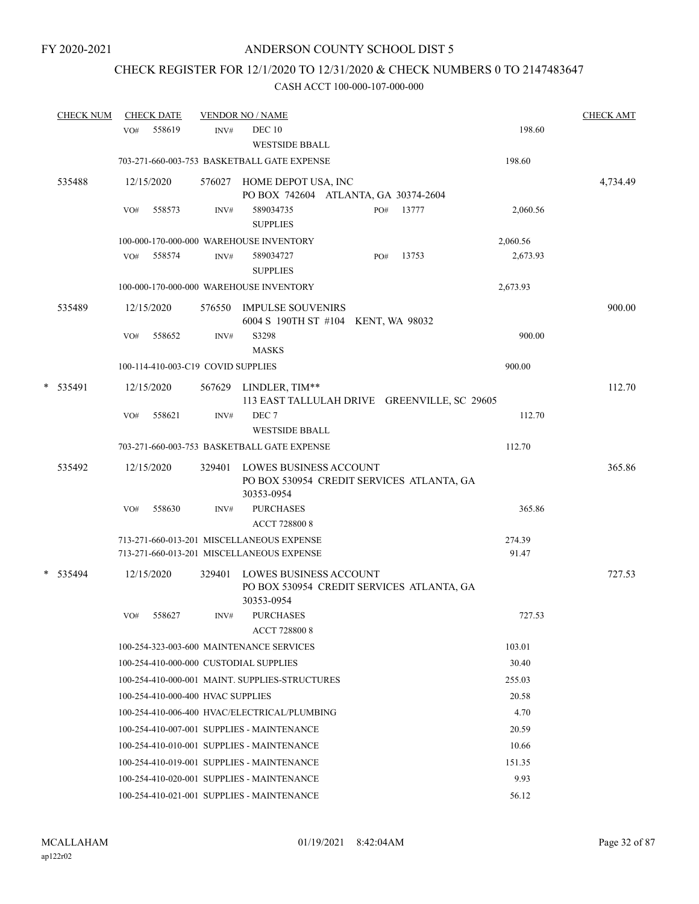# CHECK REGISTER FOR 12/1/2020 TO 12/31/2020 & CHECK NUMBERS 0 TO 2147483647

|   | <b>CHECK NUM</b> |     | <b>CHECK DATE</b>                  |        | <b>VENDOR NO / NAME</b>                                                                  |     |       |                 | <b>CHECK AMT</b> |
|---|------------------|-----|------------------------------------|--------|------------------------------------------------------------------------------------------|-----|-------|-----------------|------------------|
|   |                  | VO# | 558619                             | INV#   | <b>DEC 10</b><br><b>WESTSIDE BBALL</b>                                                   |     |       | 198.60          |                  |
|   |                  |     |                                    |        | 703-271-660-003-753 BASKETBALL GATE EXPENSE                                              |     |       | 198.60          |                  |
|   | 535488           |     | 12/15/2020                         | 576027 | HOME DEPOT USA, INC<br>PO BOX 742604 ATLANTA, GA 30374-2604                              |     |       |                 | 4,734.49         |
|   |                  | VO# | 558573                             | INV#   | 589034735<br><b>SUPPLIES</b>                                                             | PO# | 13777 | 2,060.56        |                  |
|   |                  |     |                                    |        | 100-000-170-000-000 WAREHOUSE INVENTORY                                                  |     |       | 2,060.56        |                  |
|   |                  | VO# | 558574                             | INV#   | 589034727<br><b>SUPPLIES</b>                                                             | PO# | 13753 | 2,673.93        |                  |
|   |                  |     |                                    |        | 100-000-170-000-000 WAREHOUSE INVENTORY                                                  |     |       | 2,673.93        |                  |
|   | 535489           |     | 12/15/2020                         | 576550 | <b>IMPULSE SOUVENIRS</b><br>6004 S 190TH ST #104 KENT, WA 98032                          |     |       |                 | 900.00           |
|   |                  | VO# | 558652                             | INV#   | S3298<br><b>MASKS</b>                                                                    |     |       | 900.00          |                  |
|   |                  |     | 100-114-410-003-C19 COVID SUPPLIES |        |                                                                                          |     |       | 900.00          |                  |
| * | 535491           |     | 12/15/2020                         |        | 567629 LINDLER, TIM**<br>113 EAST TALLULAH DRIVE GREENVILLE, SC 29605                    |     |       |                 | 112.70           |
|   |                  | VO# | 558621                             | INV#   | DEC <sub>7</sub><br><b>WESTSIDE BBALL</b>                                                |     |       | 112.70          |                  |
|   |                  |     |                                    |        | 703-271-660-003-753 BASKETBALL GATE EXPENSE                                              |     |       | 112.70          |                  |
|   | 535492           |     | 12/15/2020                         | 329401 | <b>LOWES BUSINESS ACCOUNT</b><br>PO BOX 530954 CREDIT SERVICES ATLANTA, GA<br>30353-0954 |     |       |                 | 365.86           |
|   |                  | VO# | 558630                             | INV#   | <b>PURCHASES</b><br><b>ACCT 728800 8</b>                                                 |     |       | 365.86          |                  |
|   |                  |     |                                    |        | 713-271-660-013-201 MISCELLANEOUS EXPENSE<br>713-271-660-013-201 MISCELLANEOUS EXPENSE   |     |       | 274.39<br>91.47 |                  |
| * | 535494           |     | 12/15/2020                         | 329401 | LOWES BUSINESS ACCOUNT<br>PO BOX 530954 CREDIT SERVICES ATLANTA, GA<br>30353-0954        |     |       |                 | 727.53           |
|   |                  | VO# | 558627                             | INV#   | <b>PURCHASES</b><br><b>ACCT 7288008</b>                                                  |     |       | 727.53          |                  |
|   |                  |     |                                    |        | 100-254-323-003-600 MAINTENANCE SERVICES                                                 |     |       | 103.01          |                  |
|   |                  |     |                                    |        | 100-254-410-000-000 CUSTODIAL SUPPLIES                                                   |     |       | 30.40           |                  |
|   |                  |     |                                    |        | 100-254-410-000-001 MAINT. SUPPLIES-STRUCTURES                                           |     |       | 255.03          |                  |
|   |                  |     | 100-254-410-000-400 HVAC SUPPLIES  |        |                                                                                          |     |       | 20.58           |                  |
|   |                  |     |                                    |        | 100-254-410-006-400 HVAC/ELECTRICAL/PLUMBING                                             |     |       | 4.70            |                  |
|   |                  |     |                                    |        | 100-254-410-007-001 SUPPLIES - MAINTENANCE                                               |     |       | 20.59           |                  |
|   |                  |     |                                    |        | 100-254-410-010-001 SUPPLIES - MAINTENANCE                                               |     |       | 10.66           |                  |
|   |                  |     |                                    |        | 100-254-410-019-001 SUPPLIES - MAINTENANCE                                               |     |       | 151.35          |                  |
|   |                  |     |                                    |        | 100-254-410-020-001 SUPPLIES - MAINTENANCE                                               |     |       | 9.93            |                  |
|   |                  |     |                                    |        | 100-254-410-021-001 SUPPLIES - MAINTENANCE                                               |     |       | 56.12           |                  |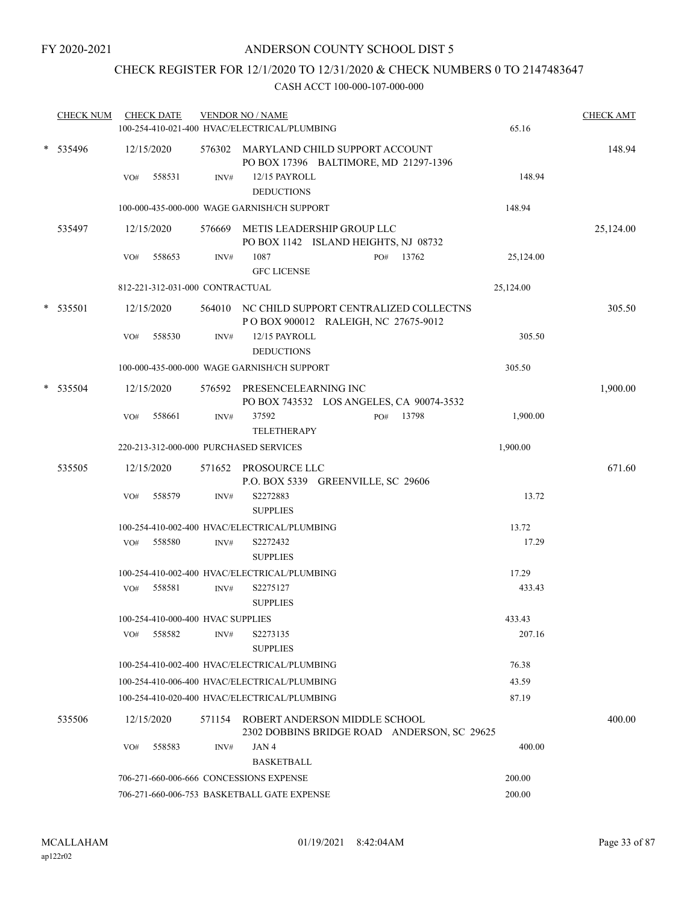# CHECK REGISTER FOR 12/1/2020 TO 12/31/2020 & CHECK NUMBERS 0 TO 2147483647

| <b>CHECK NUM</b> |     | <b>CHECK DATE</b>                       |      | <b>VENDOR NO / NAME</b><br>100-254-410-021-400 HVAC/ELECTRICAL/PLUMBING              | 65.16     | <b>CHECK AMT</b> |
|------------------|-----|-----------------------------------------|------|--------------------------------------------------------------------------------------|-----------|------------------|
| * 535496         |     | 12/15/2020                              |      | 576302 MARYLAND CHILD SUPPORT ACCOUNT<br>PO BOX 17396 BALTIMORE, MD 21297-1396       |           | 148.94           |
|                  | VO# | 558531                                  | INV# | 12/15 PAYROLL<br><b>DEDUCTIONS</b>                                                   | 148.94    |                  |
|                  |     |                                         |      | 100-000-435-000-000 WAGE GARNISH/CH SUPPORT                                          | 148.94    |                  |
| 535497           |     | 12/15/2020                              |      | 576669 METIS LEADERSHIP GROUP LLC<br>PO BOX 1142 ISLAND HEIGHTS, NJ 08732            |           | 25,124.00        |
|                  | VO# | 558653                                  | INV# | 1087<br>PO# 13762<br><b>GFC LICENSE</b>                                              | 25,124.00 |                  |
|                  |     | 812-221-312-031-000 CONTRACTUAL         |      |                                                                                      | 25,124.00 |                  |
| * 535501         |     | 12/15/2020                              |      | 564010 NC CHILD SUPPORT CENTRALIZED COLLECTNS<br>POBOX 900012 RALEIGH, NC 27675-9012 |           | 305.50           |
|                  | VO# | 558530                                  | INV# | 12/15 PAYROLL<br><b>DEDUCTIONS</b>                                                   | 305.50    |                  |
|                  |     |                                         |      | 100-000-435-000-000 WAGE GARNISH/CH SUPPORT                                          | 305.50    |                  |
| $*$ 535504       |     | 12/15/2020                              |      | 576592 PRESENCELEARNING INC<br>PO BOX 743532 LOS ANGELES, CA 90074-3532              |           | 1,900.00         |
|                  | VO# | 558661                                  | INV# | 37592<br>13798<br>PO#<br><b>TELETHERAPY</b>                                          | 1,900.00  |                  |
|                  |     |                                         |      | 220-213-312-000-000 PURCHASED SERVICES                                               | 1,900.00  |                  |
| 535505           |     | 12/15/2020                              |      | 571652 PROSOURCE LLC<br>P.O. BOX 5339 GREENVILLE, SC 29606                           |           | 671.60           |
|                  | VO# | 558579                                  | INV# | S2272883<br><b>SUPPLIES</b>                                                          | 13.72     |                  |
|                  |     |                                         |      | 100-254-410-002-400 HVAC/ELECTRICAL/PLUMBING                                         | 13.72     |                  |
|                  | VO# | 558580                                  | INV# | S2272432<br><b>SUPPLIES</b>                                                          | 17.29     |                  |
|                  |     |                                         |      | 100-254-410-002-400 HVAC/ELECTRICAL/PLUMBING                                         | 17.29     |                  |
|                  | VO# | 558581                                  | INV# | S2275127<br><b>SUPPLIES</b>                                                          | 433.43    |                  |
|                  |     | 100-254-410-000-400 HVAC SUPPLIES       |      |                                                                                      | 433.43    |                  |
|                  | VO# | 558582                                  | INV# | S2273135<br><b>SUPPLIES</b>                                                          | 207.16    |                  |
|                  |     |                                         |      | 100-254-410-002-400 HVAC/ELECTRICAL/PLUMBING                                         | 76.38     |                  |
|                  |     |                                         |      | 100-254-410-006-400 HVAC/ELECTRICAL/PLUMBING                                         | 43.59     |                  |
|                  |     |                                         |      | 100-254-410-020-400 HVAC/ELECTRICAL/PLUMBING                                         | 87.19     |                  |
| 535506           |     | 12/15/2020                              |      | 571154 ROBERT ANDERSON MIDDLE SCHOOL<br>2302 DOBBINS BRIDGE ROAD ANDERSON, SC 29625  |           | 400.00           |
|                  | VO# | 558583                                  | INV# | JAN 4<br><b>BASKETBALL</b>                                                           | 400.00    |                  |
|                  |     | 706-271-660-006-666 CONCESSIONS EXPENSE |      | 200.00                                                                               |           |                  |
|                  |     |                                         |      | 706-271-660-006-753 BASKETBALL GATE EXPENSE                                          | 200.00    |                  |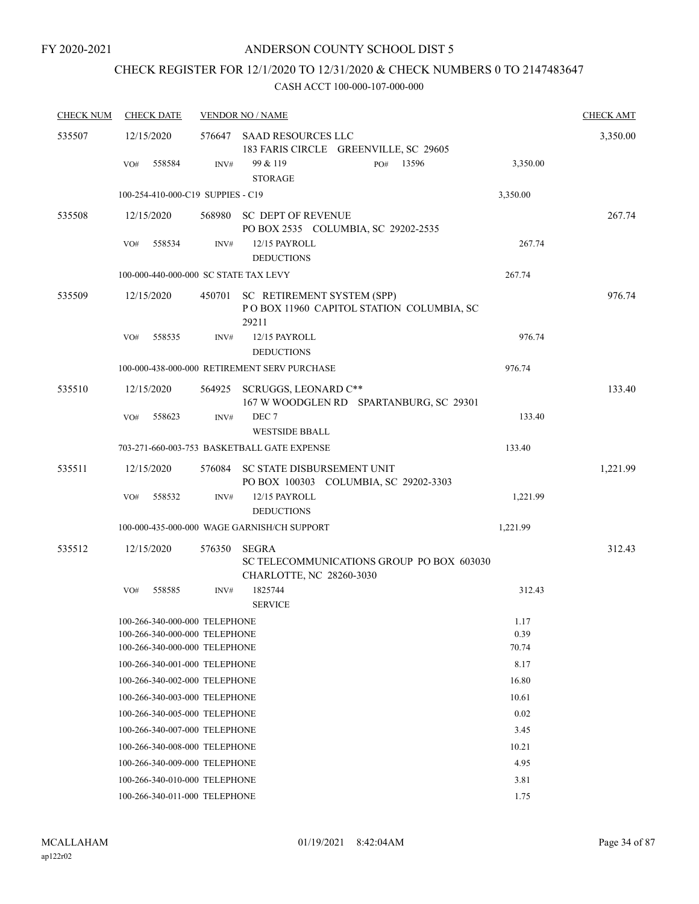# CHECK REGISTER FOR 12/1/2020 TO 12/31/2020 & CHECK NUMBERS 0 TO 2147483647

| <b>CHECK NUM</b> | <b>CHECK DATE</b>                     |        | <b>VENDOR NO / NAME</b>                                                               |          | <b>CHECK AMT</b> |
|------------------|---------------------------------------|--------|---------------------------------------------------------------------------------------|----------|------------------|
| 535507           | 12/15/2020                            |        | 576647 SAAD RESOURCES LLC<br>183 FARIS CIRCLE GREENVILLE, SC 29605                    |          | 3,350.00         |
|                  | 558584<br>VO#                         | INV#   | 99 & 119<br>13596<br>PO#<br><b>STORAGE</b>                                            | 3,350.00 |                  |
|                  | 100-254-410-000-C19 SUPPIES - C19     |        |                                                                                       | 3,350.00 |                  |
| 535508           | 12/15/2020                            | 568980 | SC DEPT OF REVENUE<br>PO BOX 2535 COLUMBIA, SC 29202-2535                             |          | 267.74           |
|                  | 558534<br>VO#                         | INV#   | 12/15 PAYROLL<br><b>DEDUCTIONS</b>                                                    | 267.74   |                  |
|                  | 100-000-440-000-000 SC STATE TAX LEVY |        |                                                                                       | 267.74   |                  |
| 535509           | 12/15/2020                            | 450701 | SC RETIREMENT SYSTEM (SPP)<br>POBOX 11960 CAPITOL STATION COLUMBIA, SC<br>29211       |          | 976.74           |
|                  | VO#<br>558535                         | INV#   | 12/15 PAYROLL<br><b>DEDUCTIONS</b>                                                    | 976.74   |                  |
|                  |                                       |        | 100-000-438-000-000 RETIREMENT SERV PURCHASE                                          | 976.74   |                  |
| 535510           | 12/15/2020                            | 564925 | SCRUGGS, LEONARD C**<br>167 W WOODGLEN RD SPARTANBURG, SC 29301                       |          | 133.40           |
|                  | 558623<br>VO#                         | INV#   | DEC <sub>7</sub><br><b>WESTSIDE BBALL</b>                                             | 133.40   |                  |
|                  |                                       |        | 703-271-660-003-753 BASKETBALL GATE EXPENSE                                           | 133.40   |                  |
| 535511           | 12/15/2020                            |        | 576084 SC STATE DISBURSEMENT UNIT<br>PO BOX 100303 COLUMBIA, SC 29202-3303            |          | 1,221.99         |
|                  | 558532<br>VO#                         | INV#   | 12/15 PAYROLL<br><b>DEDUCTIONS</b>                                                    | 1,221.99 |                  |
|                  |                                       |        | 100-000-435-000-000 WAGE GARNISH/CH SUPPORT                                           | 1,221.99 |                  |
| 535512           | 12/15/2020                            | 576350 | <b>SEGRA</b><br>SC TELECOMMUNICATIONS GROUP PO BOX 603030<br>CHARLOTTE, NC 28260-3030 |          | 312.43           |
|                  | 558585<br>VO#                         | INV#   | 1825744<br><b>SERVICE</b>                                                             | 312.43   |                  |
|                  | 100-266-340-000-000 TELEPHONE         |        |                                                                                       | 1.17     |                  |
|                  | 100-266-340-000-000 TELEPHONE         |        |                                                                                       | 0.39     |                  |
|                  | 100-266-340-000-000 TELEPHONE         |        |                                                                                       | 70.74    |                  |
|                  | 100-266-340-001-000 TELEPHONE         |        |                                                                                       | 8.17     |                  |
|                  | 100-266-340-002-000 TELEPHONE         |        |                                                                                       | 16.80    |                  |
|                  | 100-266-340-003-000 TELEPHONE         |        |                                                                                       | 10.61    |                  |
|                  | 100-266-340-005-000 TELEPHONE         |        |                                                                                       | 0.02     |                  |
|                  | 100-266-340-007-000 TELEPHONE         |        |                                                                                       | 3.45     |                  |
|                  | 100-266-340-008-000 TELEPHONE         |        |                                                                                       | 10.21    |                  |
|                  | 100-266-340-009-000 TELEPHONE         |        |                                                                                       | 4.95     |                  |
|                  | 100-266-340-010-000 TELEPHONE         |        |                                                                                       | 3.81     |                  |
|                  | 100-266-340-011-000 TELEPHONE         |        |                                                                                       | 1.75     |                  |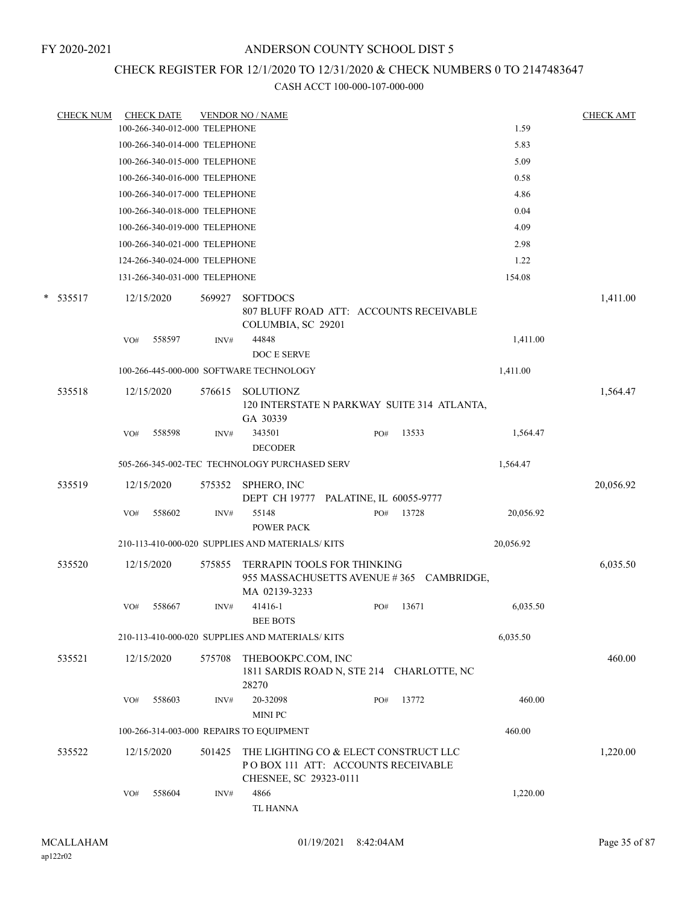### CHECK REGISTER FOR 12/1/2020 TO 12/31/2020 & CHECK NUMBERS 0 TO 2147483647

| <b>CHECK NUM</b> |            | <b>CHECK DATE</b>             |        | <b>VENDOR NO / NAME</b>                                                                               |     |       |           | <b>CHECK AMT</b> |
|------------------|------------|-------------------------------|--------|-------------------------------------------------------------------------------------------------------|-----|-------|-----------|------------------|
|                  |            | 100-266-340-012-000 TELEPHONE |        |                                                                                                       |     |       | 1.59      |                  |
|                  |            | 100-266-340-014-000 TELEPHONE |        |                                                                                                       |     |       | 5.83      |                  |
|                  |            | 100-266-340-015-000 TELEPHONE |        |                                                                                                       |     |       | 5.09      |                  |
|                  |            | 100-266-340-016-000 TELEPHONE |        |                                                                                                       |     |       | 0.58      |                  |
|                  |            | 100-266-340-017-000 TELEPHONE |        |                                                                                                       |     |       | 4.86      |                  |
|                  |            | 100-266-340-018-000 TELEPHONE |        |                                                                                                       |     |       | 0.04      |                  |
|                  |            | 100-266-340-019-000 TELEPHONE |        |                                                                                                       |     |       | 4.09      |                  |
|                  |            | 100-266-340-021-000 TELEPHONE |        |                                                                                                       |     |       | 2.98      |                  |
|                  |            | 124-266-340-024-000 TELEPHONE |        |                                                                                                       |     |       | 1.22      |                  |
|                  |            | 131-266-340-031-000 TELEPHONE |        |                                                                                                       |     |       | 154.08    |                  |
| $* 535517$       | 12/15/2020 |                               | 569927 | <b>SOFTDOCS</b><br>807 BLUFF ROAD ATT: ACCOUNTS RECEIVABLE<br>COLUMBIA, SC 29201                      |     |       |           | 1,411.00         |
|                  | VO#        | 558597                        | INV#   | 44848<br>DOC E SERVE                                                                                  |     |       | 1,411.00  |                  |
|                  |            |                               |        | 100-266-445-000-000 SOFTWARE TECHNOLOGY                                                               |     |       | 1,411.00  |                  |
| 535518           | 12/15/2020 |                               | 576615 | SOLUTIONZ<br>120 INTERSTATE N PARKWAY SUITE 314 ATLANTA,<br>GA 30339                                  |     |       |           | 1,564.47         |
|                  | VO#        | 558598                        | INV#   | 343501<br><b>DECODER</b>                                                                              | PO# | 13533 | 1,564.47  |                  |
|                  |            |                               |        | 505-266-345-002-TEC TECHNOLOGY PURCHASED SERV                                                         |     |       | 1,564.47  |                  |
| 535519           | 12/15/2020 |                               | 575352 | SPHERO, INC<br>DEPT CH 19777 PALATINE, IL 60055-9777                                                  |     |       |           | 20,056.92        |
|                  | VO#        | 558602                        | INV#   | 55148<br>POWER PACK                                                                                   | PO# | 13728 | 20,056.92 |                  |
|                  |            |                               |        | 210-113-410-000-020 SUPPLIES AND MATERIALS/KITS                                                       |     |       | 20,056.92 |                  |
| 535520           | 12/15/2020 |                               | 575855 | <b>TERRAPIN TOOLS FOR THINKING</b><br>955 MASSACHUSETTS AVENUE #365 CAMBRIDGE,                        |     |       |           | 6,035.50         |
|                  |            |                               |        | MA 02139-3233                                                                                         |     |       |           |                  |
|                  | VO#        | 558667                        | INV#   | 41416-1<br><b>BEE BOTS</b>                                                                            | PO# | 13671 | 6,035.50  |                  |
|                  |            |                               |        | 210-113-410-000-020 SUPPLIES AND MATERIALS/KITS                                                       |     |       | 6,035.50  |                  |
| 535521           | 12/15/2020 |                               | 575708 | THEBOOKPC.COM, INC<br>1811 SARDIS ROAD N, STE 214 CHARLOTTE, NC<br>28270                              |     |       |           | 460.00           |
|                  | VO#        | 558603                        | INV#   | 20-32098<br>MINI PC                                                                                   | PO# | 13772 | 460.00    |                  |
|                  |            |                               |        | 100-266-314-003-000 REPAIRS TO EQUIPMENT                                                              |     |       | 460.00    |                  |
| 535522           | 12/15/2020 |                               | 501425 | THE LIGHTING CO & ELECT CONSTRUCT LLC<br>POBOX 111 ATT: ACCOUNTS RECEIVABLE<br>CHESNEE, SC 29323-0111 |     |       |           | 1,220.00         |
|                  | VO#        | 558604                        | INV#   | 4866<br><b>TL HANNA</b>                                                                               |     |       | 1,220.00  |                  |
|                  |            |                               |        |                                                                                                       |     |       |           |                  |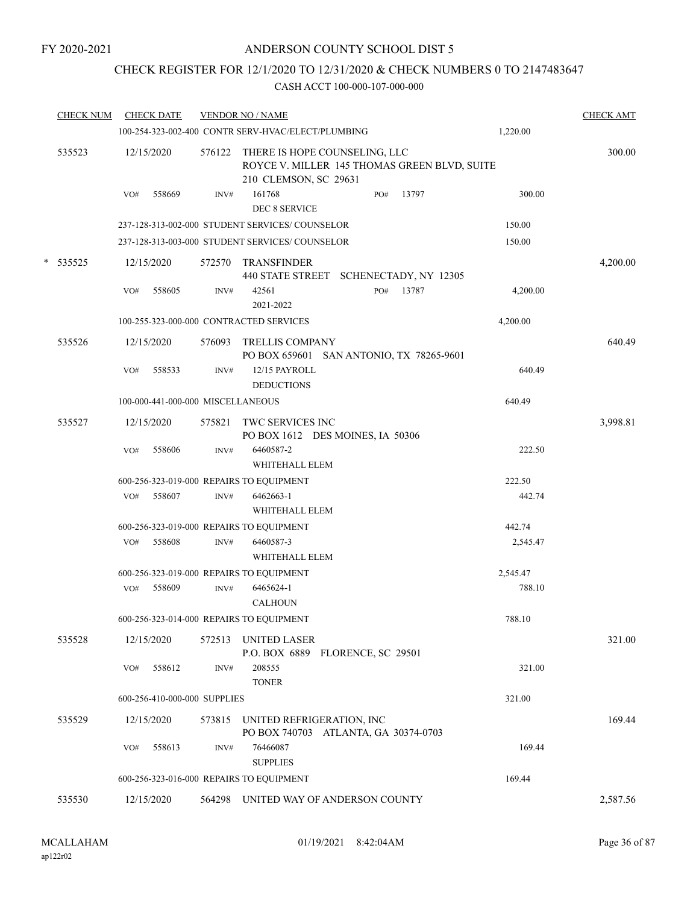### CHECK REGISTER FOR 12/1/2020 TO 12/31/2020 & CHECK NUMBERS 0 TO 2147483647

|   | <b>CHECK NUM</b> | <b>CHECK DATE</b>                        |        | <b>VENDOR NO / NAME</b>                                                                                |          | <b>CHECK AMT</b> |
|---|------------------|------------------------------------------|--------|--------------------------------------------------------------------------------------------------------|----------|------------------|
|   |                  |                                          |        | 100-254-323-002-400 CONTR SERV-HVAC/ELECT/PLUMBING                                                     | 1,220.00 |                  |
|   | 535523           | 12/15/2020                               | 576122 | THERE IS HOPE COUNSELING, LLC<br>ROYCE V. MILLER 145 THOMAS GREEN BLVD, SUITE<br>210 CLEMSON, SC 29631 |          | 300.00           |
|   |                  | VO#<br>558669                            | INV#   | 161768<br>PO#<br>13797<br>DEC 8 SERVICE                                                                | 300.00   |                  |
|   |                  |                                          |        | 237-128-313-002-000 STUDENT SERVICES/COUNSELOR                                                         | 150.00   |                  |
|   |                  |                                          |        | 237-128-313-003-000 STUDENT SERVICES/ COUNSELOR                                                        | 150.00   |                  |
| * | 535525           | 12/15/2020                               | 572570 | <b>TRANSFINDER</b><br>440 STATE STREET SCHENECTADY, NY 12305                                           |          | 4,200.00         |
|   |                  | 558605<br>VO#                            | INV#   | 42561<br>13787<br>PO#<br>2021-2022                                                                     | 4,200.00 |                  |
|   |                  | 100-255-323-000-000 CONTRACTED SERVICES  |        |                                                                                                        | 4,200.00 |                  |
|   | 535526           | 12/15/2020                               | 576093 | TRELLIS COMPANY<br>PO BOX 659601 SAN ANTONIO, TX 78265-9601                                            |          | 640.49           |
|   |                  | 558533<br>VO#                            | INV#   | 12/15 PAYROLL<br><b>DEDUCTIONS</b>                                                                     | 640.49   |                  |
|   |                  | 100-000-441-000-000 MISCELLANEOUS        |        |                                                                                                        | 640.49   |                  |
|   | 535527           | 12/15/2020                               | 575821 | TWC SERVICES INC<br>PO BOX 1612 DES MOINES, IA 50306                                                   |          | 3,998.81         |
|   |                  | 558606<br>VO#                            | INV#   | 6460587-2<br>WHITEHALL ELEM                                                                            | 222.50   |                  |
|   |                  | 600-256-323-019-000 REPAIRS TO EQUIPMENT |        |                                                                                                        | 222.50   |                  |
|   |                  | 558607<br>VO#                            | INV#   | 6462663-1<br>WHITEHALL ELEM                                                                            | 442.74   |                  |
|   |                  | 600-256-323-019-000 REPAIRS TO EQUIPMENT |        |                                                                                                        | 442.74   |                  |
|   |                  | 558608<br>VO#                            | INV#   | 6460587-3<br>WHITEHALL ELEM                                                                            | 2,545.47 |                  |
|   |                  | 600-256-323-019-000 REPAIRS TO EQUIPMENT |        |                                                                                                        | 2,545.47 |                  |
|   |                  | VO#<br>558609                            | INV#   | 6465624-1<br><b>CALHOUN</b>                                                                            | 788.10   |                  |
|   |                  | 600-256-323-014-000 REPAIRS TO EQUIPMENT |        |                                                                                                        | 788.10   |                  |
|   | 535528           | 12/15/2020                               | 572513 | UNITED LASER<br>P.O. BOX 6889 FLORENCE, SC 29501                                                       |          | 321.00           |
|   |                  | 558612<br>VO#                            | INV#   | 208555<br><b>TONER</b>                                                                                 | 321.00   |                  |
|   |                  | 600-256-410-000-000 SUPPLIES             |        |                                                                                                        | 321.00   |                  |
|   | 535529           | 12/15/2020                               | 573815 | UNITED REFRIGERATION, INC<br>PO BOX 740703 ATLANTA, GA 30374-0703                                      |          | 169.44           |
|   |                  | 558613<br>VO#                            | INV#   | 76466087<br><b>SUPPLIES</b>                                                                            | 169.44   |                  |
|   |                  | 600-256-323-016-000 REPAIRS TO EQUIPMENT |        |                                                                                                        | 169.44   |                  |
|   | 535530           | 12/15/2020                               |        | 564298 UNITED WAY OF ANDERSON COUNTY                                                                   |          | 2,587.56         |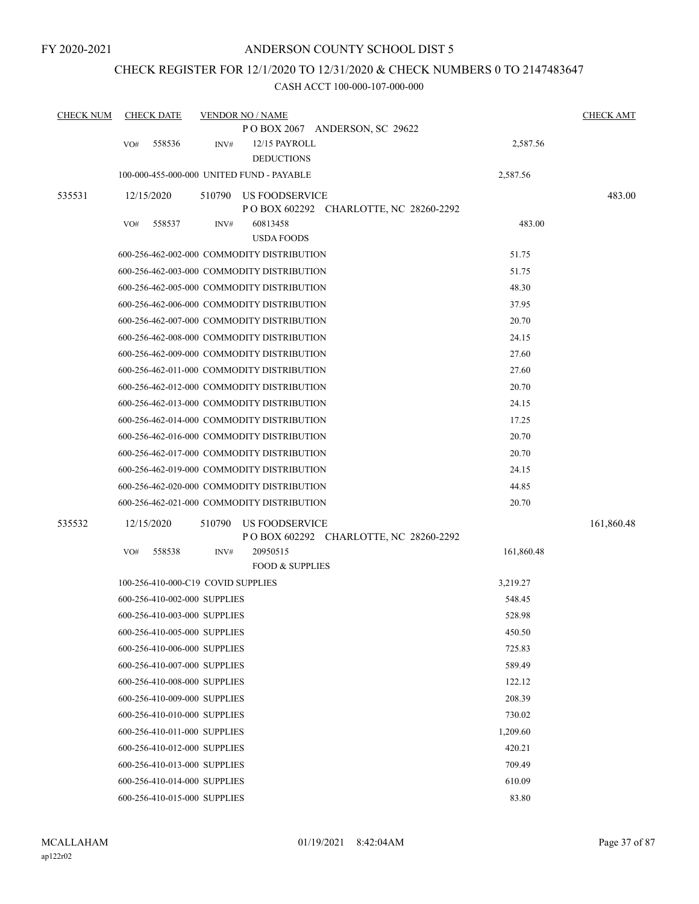# CHECK REGISTER FOR 12/1/2020 TO 12/31/2020 & CHECK NUMBERS 0 TO 2147483647

| <b>CHECK NUM</b> | <b>CHECK DATE</b> |                                    |        | <b>VENDOR NO / NAME</b>                                   |            | <b>CHECK AMT</b> |
|------------------|-------------------|------------------------------------|--------|-----------------------------------------------------------|------------|------------------|
|                  |                   |                                    |        | POBOX 2067 ANDERSON, SC 29622                             |            |                  |
|                  | VO#               | 558536                             | INV#   | 12/15 PAYROLL                                             | 2,587.56   |                  |
|                  |                   |                                    |        | <b>DEDUCTIONS</b>                                         |            |                  |
|                  |                   |                                    |        | 100-000-455-000-000 UNITED FUND - PAYABLE                 | 2,587.56   |                  |
| 535531           | 12/15/2020        |                                    | 510790 | US FOODSERVICE                                            |            | 483.00           |
|                  |                   |                                    |        | P O BOX 602292 CHARLOTTE, NC 28260-2292                   |            |                  |
|                  | VO#               | 558537                             | INV#   | 60813458<br><b>USDA FOODS</b>                             | 483.00     |                  |
|                  |                   |                                    |        | 600-256-462-002-000 COMMODITY DISTRIBUTION                | 51.75      |                  |
|                  |                   |                                    |        | 600-256-462-003-000 COMMODITY DISTRIBUTION                | 51.75      |                  |
|                  |                   |                                    |        | 600-256-462-005-000 COMMODITY DISTRIBUTION                | 48.30      |                  |
|                  |                   |                                    |        |                                                           | 37.95      |                  |
|                  |                   |                                    |        | 600-256-462-006-000 COMMODITY DISTRIBUTION                |            |                  |
|                  |                   |                                    |        | 600-256-462-007-000 COMMODITY DISTRIBUTION                | 20.70      |                  |
|                  |                   |                                    |        | 600-256-462-008-000 COMMODITY DISTRIBUTION                | 24.15      |                  |
|                  |                   |                                    |        | 600-256-462-009-000 COMMODITY DISTRIBUTION                | 27.60      |                  |
|                  |                   |                                    |        | 600-256-462-011-000 COMMODITY DISTRIBUTION                | 27.60      |                  |
|                  |                   |                                    |        | 600-256-462-012-000 COMMODITY DISTRIBUTION                | 20.70      |                  |
|                  |                   |                                    |        | 600-256-462-013-000 COMMODITY DISTRIBUTION                | 24.15      |                  |
|                  |                   |                                    |        | 600-256-462-014-000 COMMODITY DISTRIBUTION                | 17.25      |                  |
|                  |                   |                                    |        | 600-256-462-016-000 COMMODITY DISTRIBUTION                | 20.70      |                  |
|                  |                   |                                    |        | 600-256-462-017-000 COMMODITY DISTRIBUTION                | 20.70      |                  |
|                  |                   |                                    |        | 600-256-462-019-000 COMMODITY DISTRIBUTION                | 24.15      |                  |
|                  |                   |                                    |        | 600-256-462-020-000 COMMODITY DISTRIBUTION                | 44.85      |                  |
|                  |                   |                                    |        | 600-256-462-021-000 COMMODITY DISTRIBUTION                | 20.70      |                  |
| 535532           | 12/15/2020        |                                    | 510790 | US FOODSERVICE<br>P O BOX 602292 CHARLOTTE, NC 28260-2292 |            | 161,860.48       |
|                  | VO#               | 558538                             | INV#   | 20950515                                                  | 161,860.48 |                  |
|                  |                   |                                    |        | <b>FOOD &amp; SUPPLIES</b>                                |            |                  |
|                  |                   | 100-256-410-000-C19 COVID SUPPLIES |        |                                                           | 3,219.27   |                  |
|                  |                   | 600-256-410-002-000 SUPPLIES       |        |                                                           | 548.45     |                  |
|                  |                   | 600-256-410-003-000 SUPPLIES       |        |                                                           | 528.98     |                  |
|                  |                   | 600-256-410-005-000 SUPPLIES       |        |                                                           | 450.50     |                  |
|                  |                   | 600-256-410-006-000 SUPPLIES       |        |                                                           | 725.83     |                  |
|                  |                   | 600-256-410-007-000 SUPPLIES       |        |                                                           | 589.49     |                  |
|                  |                   | 600-256-410-008-000 SUPPLIES       |        |                                                           | 122.12     |                  |
|                  |                   | 600-256-410-009-000 SUPPLIES       |        |                                                           | 208.39     |                  |
|                  |                   | 600-256-410-010-000 SUPPLIES       |        |                                                           | 730.02     |                  |
|                  |                   | 600-256-410-011-000 SUPPLIES       |        |                                                           | 1,209.60   |                  |
|                  |                   | 600-256-410-012-000 SUPPLIES       |        |                                                           | 420.21     |                  |
|                  |                   | 600-256-410-013-000 SUPPLIES       |        |                                                           | 709.49     |                  |
|                  |                   | 600-256-410-014-000 SUPPLIES       |        |                                                           | 610.09     |                  |
|                  |                   | 600-256-410-015-000 SUPPLIES       |        |                                                           | 83.80      |                  |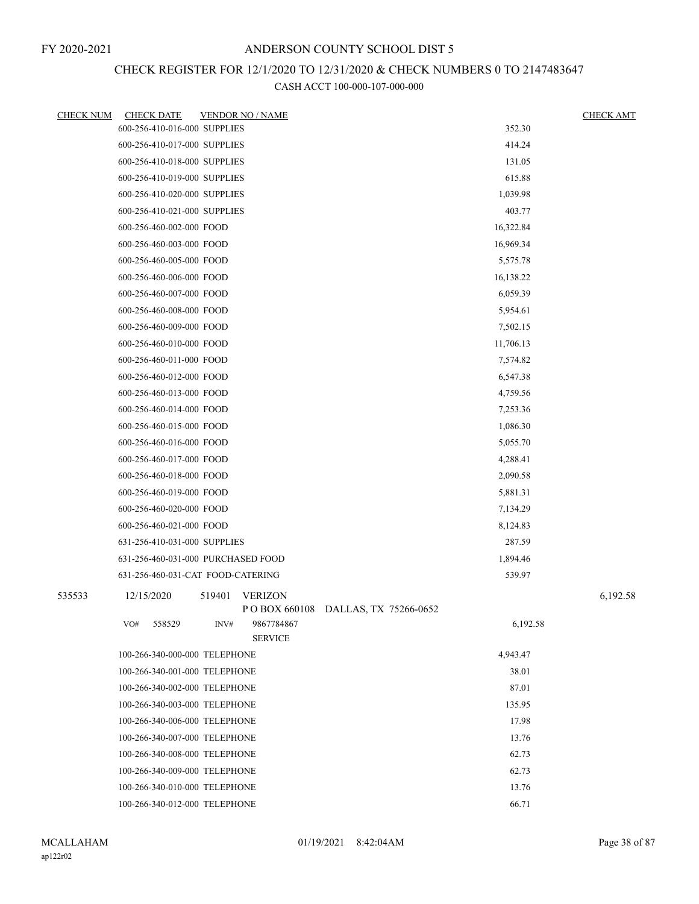# CHECK REGISTER FOR 12/1/2020 TO 12/31/2020 & CHECK NUMBERS 0 TO 2147483647

| <b>CHECK NUM</b> | <b>CHECK DATE</b>                  |        | <b>VENDOR NO / NAME</b>      |                                    |           | <b>CHECK AMT</b> |
|------------------|------------------------------------|--------|------------------------------|------------------------------------|-----------|------------------|
|                  | 600-256-410-016-000 SUPPLIES       |        |                              |                                    | 352.30    |                  |
|                  | 600-256-410-017-000 SUPPLIES       |        |                              |                                    | 414.24    |                  |
|                  | 600-256-410-018-000 SUPPLIES       |        |                              |                                    | 131.05    |                  |
|                  | 600-256-410-019-000 SUPPLIES       |        |                              |                                    | 615.88    |                  |
|                  | 600-256-410-020-000 SUPPLIES       |        |                              |                                    | 1,039.98  |                  |
|                  | 600-256-410-021-000 SUPPLIES       |        |                              |                                    | 403.77    |                  |
|                  | 600-256-460-002-000 FOOD           |        |                              |                                    | 16,322.84 |                  |
|                  | 600-256-460-003-000 FOOD           |        |                              |                                    | 16,969.34 |                  |
|                  | 600-256-460-005-000 FOOD           |        |                              |                                    | 5,575.78  |                  |
|                  | 600-256-460-006-000 FOOD           |        |                              |                                    | 16,138.22 |                  |
|                  | 600-256-460-007-000 FOOD           |        |                              |                                    | 6,059.39  |                  |
|                  | 600-256-460-008-000 FOOD           |        |                              |                                    | 5,954.61  |                  |
|                  | 600-256-460-009-000 FOOD           |        |                              |                                    | 7,502.15  |                  |
|                  | 600-256-460-010-000 FOOD           |        |                              |                                    | 11,706.13 |                  |
|                  | 600-256-460-011-000 FOOD           |        |                              |                                    | 7,574.82  |                  |
|                  | 600-256-460-012-000 FOOD           |        |                              |                                    | 6,547.38  |                  |
|                  | 600-256-460-013-000 FOOD           |        |                              |                                    | 4,759.56  |                  |
|                  | 600-256-460-014-000 FOOD           |        |                              |                                    | 7,253.36  |                  |
|                  | 600-256-460-015-000 FOOD           |        |                              |                                    | 1,086.30  |                  |
|                  | 600-256-460-016-000 FOOD           |        |                              |                                    | 5,055.70  |                  |
|                  | 600-256-460-017-000 FOOD           |        |                              |                                    | 4,288.41  |                  |
|                  | 600-256-460-018-000 FOOD           |        |                              |                                    | 2,090.58  |                  |
|                  | 600-256-460-019-000 FOOD           |        |                              |                                    | 5,881.31  |                  |
|                  | 600-256-460-020-000 FOOD           |        |                              |                                    | 7,134.29  |                  |
|                  | 600-256-460-021-000 FOOD           |        |                              |                                    | 8,124.83  |                  |
|                  | 631-256-410-031-000 SUPPLIES       |        |                              |                                    | 287.59    |                  |
|                  | 631-256-460-031-000 PURCHASED FOOD |        |                              |                                    | 1,894.46  |                  |
|                  | 631-256-460-031-CAT FOOD-CATERING  |        |                              |                                    | 539.97    |                  |
| 535533           | 12/15/2020                         | 519401 | <b>VERIZON</b>               | POBOX 660108 DALLAS, TX 75266-0652 |           | 6,192.58         |
|                  | 558529<br>VO#                      | INV#   | 9867784867<br><b>SERVICE</b> |                                    | 6,192.58  |                  |
|                  | 100-266-340-000-000 TELEPHONE      |        |                              |                                    | 4,943.47  |                  |
|                  | 100-266-340-001-000 TELEPHONE      |        |                              |                                    | 38.01     |                  |
|                  | 100-266-340-002-000 TELEPHONE      |        |                              |                                    | 87.01     |                  |
|                  | 100-266-340-003-000 TELEPHONE      |        | 135.95                       |                                    |           |                  |
|                  | 100-266-340-006-000 TELEPHONE      |        |                              |                                    | 17.98     |                  |
|                  | 100-266-340-007-000 TELEPHONE      |        |                              |                                    | 13.76     |                  |
|                  | 100-266-340-008-000 TELEPHONE      |        |                              |                                    | 62.73     |                  |
|                  | 100-266-340-009-000 TELEPHONE      |        |                              |                                    | 62.73     |                  |
|                  | 100-266-340-010-000 TELEPHONE      |        |                              |                                    | 13.76     |                  |
|                  | 100-266-340-012-000 TELEPHONE      |        |                              |                                    | 66.71     |                  |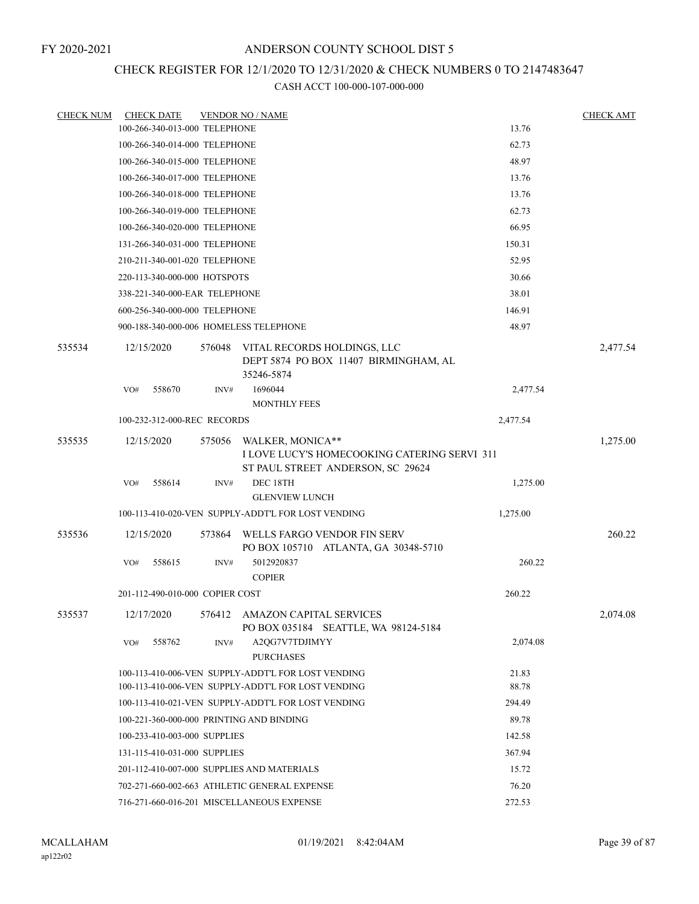### CHECK REGISTER FOR 12/1/2020 TO 12/31/2020 & CHECK NUMBERS 0 TO 2147483647

| <b>CHECK NUM</b> |                                        | <b>CHECK DATE</b> |                                 | <b>VENDOR NO / NAME</b>                                                                                  |                | <b>CHECK AMT</b> |  |
|------------------|----------------------------------------|-------------------|---------------------------------|----------------------------------------------------------------------------------------------------------|----------------|------------------|--|
|                  |                                        |                   | 100-266-340-013-000 TELEPHONE   |                                                                                                          | 13.76          |                  |  |
|                  |                                        |                   | 100-266-340-014-000 TELEPHONE   |                                                                                                          | 62.73          |                  |  |
|                  |                                        |                   | 100-266-340-015-000 TELEPHONE   |                                                                                                          | 48.97          |                  |  |
|                  |                                        |                   | 100-266-340-017-000 TELEPHONE   |                                                                                                          | 13.76          |                  |  |
|                  |                                        |                   | 100-266-340-018-000 TELEPHONE   |                                                                                                          | 13.76          |                  |  |
|                  |                                        |                   | 100-266-340-019-000 TELEPHONE   |                                                                                                          | 62.73          |                  |  |
|                  |                                        |                   | 100-266-340-020-000 TELEPHONE   |                                                                                                          | 66.95          |                  |  |
|                  |                                        |                   | 131-266-340-031-000 TELEPHONE   |                                                                                                          | 150.31         |                  |  |
|                  |                                        |                   | 210-211-340-001-020 TELEPHONE   |                                                                                                          | 52.95          |                  |  |
|                  |                                        |                   | 220-113-340-000-000 HOTSPOTS    |                                                                                                          | 30.66          |                  |  |
|                  |                                        |                   | 338-221-340-000-EAR TELEPHONE   |                                                                                                          | 38.01          |                  |  |
|                  |                                        |                   | 600-256-340-000-000 TELEPHONE   |                                                                                                          | 146.91         |                  |  |
|                  |                                        |                   |                                 | 900-188-340-000-006 HOMELESS TELEPHONE                                                                   | 48.97          |                  |  |
| 535534           | 12/15/2020                             |                   | 576048                          | VITAL RECORDS HOLDINGS, LLC<br>DEPT 5874 PO BOX 11407 BIRMINGHAM, AL<br>35246-5874                       |                | 2,477.54         |  |
|                  | VO#                                    | 558670            | INV#                            | 1696044<br><b>MONTHLY FEES</b>                                                                           | 2,477.54       |                  |  |
|                  |                                        |                   | 100-232-312-000-REC RECORDS     |                                                                                                          | 2,477.54       |                  |  |
| 535535           |                                        |                   |                                 |                                                                                                          |                |                  |  |
|                  | 12/15/2020                             |                   | 575056                          | WALKER, MONICA**<br>I LOVE LUCY'S HOMECOOKING CATERING SERVI 311<br>ST PAUL STREET ANDERSON, SC 29624    |                | 1,275.00         |  |
|                  | VO#                                    | 558614            | INV#                            | DEC 18TH<br><b>GLENVIEW LUNCH</b>                                                                        | 1,275.00       |                  |  |
|                  |                                        |                   |                                 | 100-113-410-020-VEN SUPPLY-ADDT'L FOR LOST VENDING                                                       | 1,275.00       |                  |  |
| 535536           | 12/15/2020                             |                   | 573864                          | WELLS FARGO VENDOR FIN SERV<br>PO BOX 105710 ATLANTA, GA 30348-5710                                      |                | 260.22           |  |
|                  | VO#                                    | 558615            | INV#                            | 5012920837<br><b>COPIER</b>                                                                              | 260.22         |                  |  |
|                  |                                        |                   | 201-112-490-010-000 COPIER COST |                                                                                                          | 260.22         |                  |  |
|                  |                                        |                   |                                 |                                                                                                          |                |                  |  |
| 535537           | 12/17/2020                             |                   | 576412                          | AMAZON CAPITAL SERVICES<br>PO BOX 035184 SEATTLE, WA 98124-5184                                          |                | 2.074.08         |  |
|                  | VO#                                    | 558762            | INV#                            | A2QG7V7TDJIMYY<br><b>PURCHASES</b>                                                                       | 2,074.08       |                  |  |
|                  |                                        |                   |                                 | 100-113-410-006-VEN SUPPLY-ADDT'L FOR LOST VENDING<br>100-113-410-006-VEN SUPPLY-ADDT'L FOR LOST VENDING | 21.83<br>88.78 |                  |  |
|                  |                                        |                   |                                 | 100-113-410-021-VEN SUPPLY-ADDT'L FOR LOST VENDING                                                       | 294.49         |                  |  |
|                  |                                        |                   |                                 | 100-221-360-000-000 PRINTING AND BINDING                                                                 | 89.78          |                  |  |
|                  |                                        |                   | 100-233-410-003-000 SUPPLIES    |                                                                                                          | 142.58         |                  |  |
|                  | 131-115-410-031-000 SUPPLIES<br>367.94 |                   |                                 |                                                                                                          |                |                  |  |
|                  |                                        |                   |                                 | 201-112-410-007-000 SUPPLIES AND MATERIALS                                                               | 15.72          |                  |  |
|                  |                                        |                   |                                 | 702-271-660-002-663 ATHLETIC GENERAL EXPENSE                                                             | 76.20          |                  |  |
|                  |                                        |                   |                                 | 716-271-660-016-201 MISCELLANEOUS EXPENSE                                                                | 272.53         |                  |  |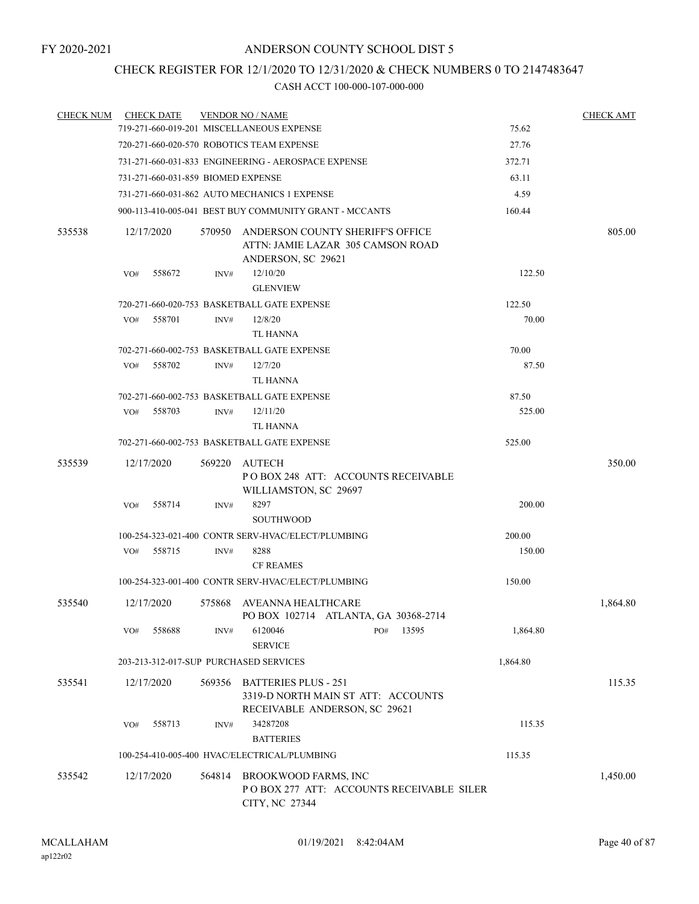### CHECK REGISTER FOR 12/1/2020 TO 12/31/2020 & CHECK NUMBERS 0 TO 2147483647

| <b>CHECK NUM</b> |            | <b>CHECK DATE</b> |        | <b>VENDOR NO / NAME</b>                                                                            |          | <b>CHECK AMT</b> |
|------------------|------------|-------------------|--------|----------------------------------------------------------------------------------------------------|----------|------------------|
|                  |            |                   |        | 719-271-660-019-201 MISCELLANEOUS EXPENSE                                                          | 75.62    |                  |
|                  |            |                   |        | 720-271-660-020-570 ROBOTICS TEAM EXPENSE                                                          | 27.76    |                  |
|                  |            |                   |        | 731-271-660-031-833 ENGINEERING - AEROSPACE EXPENSE                                                | 372.71   |                  |
|                  |            |                   |        | 731-271-660-031-859 BIOMED EXPENSE                                                                 | 63.11    |                  |
|                  |            |                   |        | 731-271-660-031-862 AUTO MECHANICS 1 EXPENSE                                                       | 4.59     |                  |
|                  |            |                   |        | 900-113-410-005-041 BEST BUY COMMUNITY GRANT - MCCANTS                                             | 160.44   |                  |
| 535538           |            | 12/17/2020        | 570950 | ANDERSON COUNTY SHERIFF'S OFFICE<br>ATTN: JAMIE LAZAR 305 CAMSON ROAD<br>ANDERSON, SC 29621        |          | 805.00           |
|                  | VO#        | 558672            | INV#   | 12/10/20<br><b>GLENVIEW</b>                                                                        | 122.50   |                  |
|                  |            |                   |        | 720-271-660-020-753 BASKETBALL GATE EXPENSE                                                        | 122.50   |                  |
|                  | VO#        | 558701            | INV#   | 12/8/20                                                                                            | 70.00    |                  |
|                  |            |                   |        | <b>TL HANNA</b>                                                                                    |          |                  |
|                  |            |                   |        | 702-271-660-002-753 BASKETBALL GATE EXPENSE                                                        | 70.00    |                  |
|                  | VO#        | 558702            | INV#   | 12/7/20                                                                                            | 87.50    |                  |
|                  |            |                   |        | TL HANNA                                                                                           |          |                  |
|                  |            |                   |        | 702-271-660-002-753 BASKETBALL GATE EXPENSE                                                        | 87.50    |                  |
|                  | VO#        | 558703            | INV#   | 12/11/20                                                                                           | 525.00   |                  |
|                  |            |                   |        | TL HANNA                                                                                           |          |                  |
|                  |            |                   |        | 702-271-660-002-753 BASKETBALL GATE EXPENSE                                                        | 525.00   |                  |
| 535539           | 12/17/2020 |                   | 569220 | AUTECH<br>POBOX 248 ATT: ACCOUNTS RECEIVABLE<br>WILLIAMSTON, SC 29697                              |          | 350.00           |
|                  | VO#        | 558714            | INV#   | 8297<br><b>SOUTHWOOD</b>                                                                           | 200.00   |                  |
|                  |            |                   |        | 100-254-323-021-400 CONTR SERV-HVAC/ELECT/PLUMBING                                                 | 200.00   |                  |
|                  | VO#        | 558715            | INV#   | 8288                                                                                               | 150.00   |                  |
|                  |            |                   |        | <b>CF REAMES</b>                                                                                   |          |                  |
|                  |            |                   |        | 100-254-323-001-400 CONTR SERV-HVAC/ELECT/PLUMBING                                                 | 150.00   |                  |
| 535540           | 12/17/2020 |                   | 575868 | AVEANNA HEALTHCARE<br>PO BOX 102714 ATLANTA, GA 30368-2714                                         |          | 1,864.80         |
|                  | VO#        | 558688            | INV#   | 6120046<br>13595<br>PO#<br><b>SERVICE</b>                                                          | 1,864.80 |                  |
|                  |            |                   |        | 203-213-312-017-SUP PURCHASED SERVICES                                                             | 1,864.80 |                  |
| 535541           | 12/17/2020 |                   | 569356 | <b>BATTERIES PLUS - 251</b><br>3319-D NORTH MAIN ST ATT: ACCOUNTS<br>RECEIVABLE ANDERSON, SC 29621 |          | 115.35           |
|                  | VO#        | 558713            | INV#   | 34287208<br><b>BATTERIES</b>                                                                       | 115.35   |                  |
|                  |            |                   |        | 100-254-410-005-400 HVAC/ELECTRICAL/PLUMBING                                                       | 115.35   |                  |
| 535542           | 12/17/2020 |                   |        | 564814 BROOKWOOD FARMS, INC<br>POBOX 277 ATT: ACCOUNTS RECEIVABLE SILER<br>CITY, NC 27344          |          | 1,450.00         |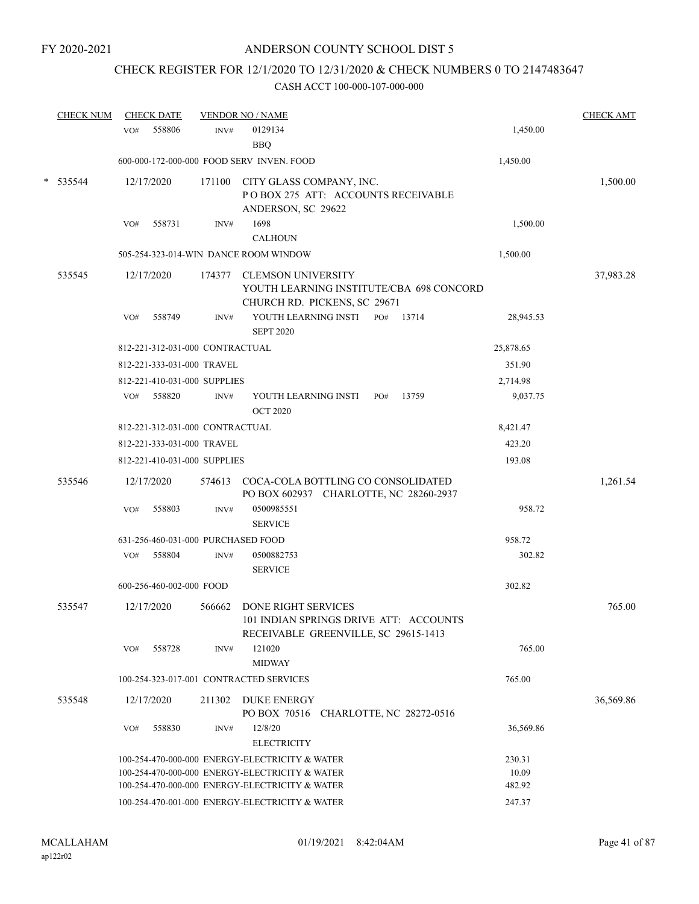# CHECK REGISTER FOR 12/1/2020 TO 12/31/2020 & CHECK NUMBERS 0 TO 2147483647

|   | <b>CHECK NUM</b> | <b>CHECK DATE</b>                       |        | <b>VENDOR NO / NAME</b>                                                                               |           | <b>CHECK AMT</b> |
|---|------------------|-----------------------------------------|--------|-------------------------------------------------------------------------------------------------------|-----------|------------------|
|   |                  | 558806<br>VO#                           | INV#   | 0129134<br><b>BBQ</b>                                                                                 | 1,450.00  |                  |
|   |                  |                                         |        | 600-000-172-000-000 FOOD SERV INVEN. FOOD                                                             | 1,450.00  |                  |
| * | 535544           | 12/17/2020                              | 171100 | CITY GLASS COMPANY, INC.<br>POBOX 275 ATT: ACCOUNTS RECEIVABLE<br>ANDERSON, SC 29622                  |           | 1,500.00         |
|   |                  | 558731<br>VO#                           | INV#   | 1698                                                                                                  | 1,500.00  |                  |
|   |                  |                                         |        | <b>CALHOUN</b>                                                                                        |           |                  |
|   |                  |                                         |        | 505-254-323-014-WIN DANCE ROOM WINDOW                                                                 | 1,500.00  |                  |
|   | 535545           | 12/17/2020                              | 174377 | <b>CLEMSON UNIVERSITY</b><br>YOUTH LEARNING INSTITUTE/CBA 698 CONCORD<br>CHURCH RD. PICKENS, SC 29671 |           | 37,983.28        |
|   |                  | 558749<br>VO#                           | INV#   | YOUTH LEARNING INSTI<br>13714<br>PO#<br><b>SEPT 2020</b>                                              | 28,945.53 |                  |
|   |                  | 812-221-312-031-000 CONTRACTUAL         |        |                                                                                                       | 25,878.65 |                  |
|   |                  | 812-221-333-031-000 TRAVEL              |        |                                                                                                       | 351.90    |                  |
|   |                  | 812-221-410-031-000 SUPPLIES            |        |                                                                                                       | 2,714.98  |                  |
|   |                  | 558820<br>VO#                           | INV#   | YOUTH LEARNING INSTI<br>13759<br>PO#<br><b>OCT 2020</b>                                               | 9,037.75  |                  |
|   |                  | 812-221-312-031-000 CONTRACTUAL         |        |                                                                                                       | 8,421.47  |                  |
|   |                  | 812-221-333-031-000 TRAVEL              |        |                                                                                                       | 423.20    |                  |
|   |                  | 812-221-410-031-000 SUPPLIES            |        |                                                                                                       | 193.08    |                  |
|   | 535546           | 12/17/2020                              | 574613 | COCA-COLA BOTTLING CO CONSOLIDATED<br>PO BOX 602937 CHARLOTTE, NC 28260-2937                          |           | 1,261.54         |
|   |                  | 558803<br>VO#                           | INV#   | 0500985551<br><b>SERVICE</b>                                                                          | 958.72    |                  |
|   |                  | 631-256-460-031-000 PURCHASED FOOD      |        |                                                                                                       | 958.72    |                  |
|   |                  | 558804<br>VO#                           | INV#   | 0500882753<br><b>SERVICE</b>                                                                          | 302.82    |                  |
|   |                  | 600-256-460-002-000 FOOD                |        |                                                                                                       | 302.82    |                  |
|   | 535547           | 12/17/2020                              | 566662 | DONE RIGHT SERVICES<br>101 INDIAN SPRINGS DRIVE ATT: ACCOUNTS<br>RECEIVABLE GREENVILLE, SC 29615-1413 |           | 765.00           |
|   |                  | 558728<br>VO#                           | INV#   | 121020<br><b>MIDWAY</b>                                                                               | 765.00    |                  |
|   |                  | 100-254-323-017-001 CONTRACTED SERVICES |        |                                                                                                       | 765.00    |                  |
|   | 535548           | 12/17/2020                              | 211302 | <b>DUKE ENERGY</b><br>PO BOX 70516 CHARLOTTE, NC 28272-0516                                           |           | 36,569.86        |
|   |                  | 558830<br>VO#                           | INV#   | 12/8/20<br><b>ELECTRICITY</b>                                                                         | 36,569.86 |                  |
|   |                  |                                         |        | 100-254-470-000-000 ENERGY-ELECTRICITY & WATER                                                        | 230.31    |                  |
|   |                  |                                         |        | 100-254-470-000-000 ENERGY-ELECTRICITY & WATER                                                        | 10.09     |                  |
|   |                  |                                         |        | 100-254-470-000-000 ENERGY-ELECTRICITY & WATER                                                        | 482.92    |                  |
|   |                  |                                         |        | 100-254-470-001-000 ENERGY-ELECTRICITY & WATER                                                        | 247.37    |                  |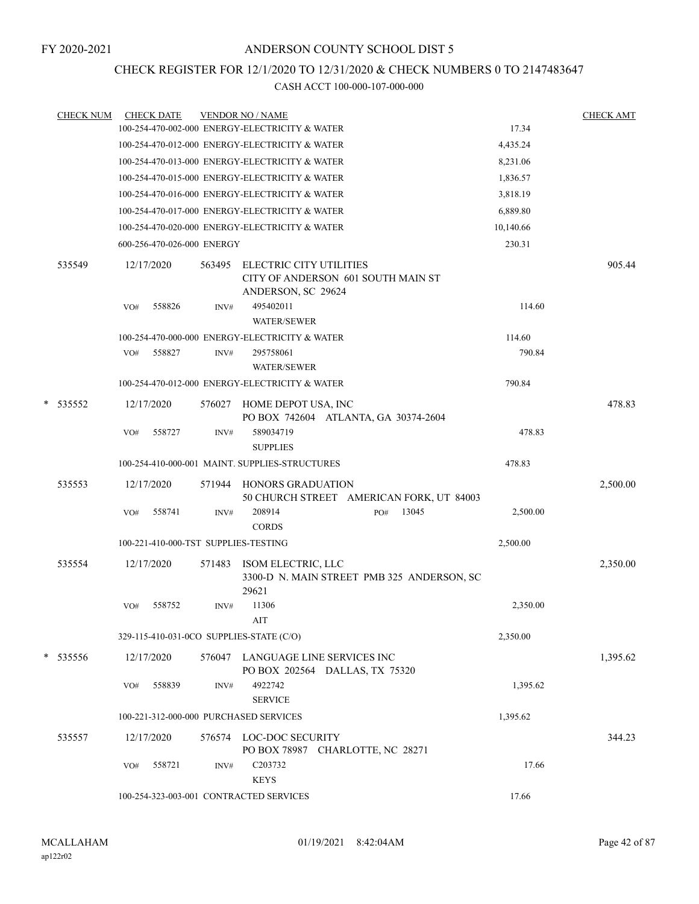### CHECK REGISTER FOR 12/1/2020 TO 12/31/2020 & CHECK NUMBERS 0 TO 2147483647

| <b>CHECK NUM</b> |     | <b>CHECK DATE</b>                    |        | <b>VENDOR NO / NAME</b>                                                                    |           | <b>CHECK AMT</b> |
|------------------|-----|--------------------------------------|--------|--------------------------------------------------------------------------------------------|-----------|------------------|
|                  |     |                                      |        | 100-254-470-002-000 ENERGY-ELECTRICITY & WATER                                             | 17.34     |                  |
|                  |     |                                      |        | 100-254-470-012-000 ENERGY-ELECTRICITY & WATER                                             | 4,435.24  |                  |
|                  |     |                                      |        | 100-254-470-013-000 ENERGY-ELECTRICITY & WATER                                             | 8,231.06  |                  |
|                  |     |                                      |        | 100-254-470-015-000 ENERGY-ELECTRICITY & WATER                                             | 1,836.57  |                  |
|                  |     |                                      |        | 100-254-470-016-000 ENERGY-ELECTRICITY & WATER                                             | 3,818.19  |                  |
|                  |     |                                      |        | 100-254-470-017-000 ENERGY-ELECTRICITY & WATER                                             | 6,889.80  |                  |
|                  |     |                                      |        | 100-254-470-020-000 ENERGY-ELECTRICITY & WATER                                             | 10,140.66 |                  |
|                  |     | 600-256-470-026-000 ENERGY           |        |                                                                                            | 230.31    |                  |
| 535549           |     | 12/17/2020                           | 563495 | <b>ELECTRIC CITY UTILITIES</b><br>CITY OF ANDERSON 601 SOUTH MAIN ST<br>ANDERSON, SC 29624 |           | 905.44           |
|                  | VO# | 558826                               | INV#   | 495402011<br><b>WATER/SEWER</b>                                                            | 114.60    |                  |
|                  |     |                                      |        | 100-254-470-000-000 ENERGY-ELECTRICITY & WATER                                             | 114.60    |                  |
|                  | VO# | 558827                               | INV#   | 295758061<br><b>WATER/SEWER</b>                                                            | 790.84    |                  |
|                  |     |                                      |        | 100-254-470-012-000 ENERGY-ELECTRICITY & WATER                                             | 790.84    |                  |
| * 535552         |     | 12/17/2020                           | 576027 | HOME DEPOT USA, INC<br>PO BOX 742604 ATLANTA, GA 30374-2604                                |           | 478.83           |
|                  | VO# | 558727                               | INV#   | 589034719<br><b>SUPPLIES</b>                                                               | 478.83    |                  |
|                  |     |                                      |        | 100-254-410-000-001 MAINT. SUPPLIES-STRUCTURES                                             | 478.83    |                  |
| 535553           |     | 12/17/2020                           | 571944 | HONORS GRADUATION<br>50 CHURCH STREET AMERICAN FORK, UT 84003                              |           | 2,500.00         |
|                  | VO# | 558741                               | INV#   | 208914<br>13045<br>PO#<br><b>CORDS</b>                                                     | 2,500.00  |                  |
|                  |     | 100-221-410-000-TST SUPPLIES-TESTING |        |                                                                                            | 2,500.00  |                  |
| 535554           |     | 12/17/2020                           | 571483 | ISOM ELECTRIC, LLC<br>3300-D N. MAIN STREET PMB 325 ANDERSON, SC<br>29621                  |           | 2,350.00         |
|                  | VO# | 558752                               | INV#   | 11306<br>AIT                                                                               | 2,350.00  |                  |
|                  |     |                                      |        | 329-115-410-031-0CO SUPPLIES-STATE (C/O)                                                   | 2,350.00  |                  |
| * 535556         |     | 12/17/2020                           |        | 576047 LANGUAGE LINE SERVICES INC<br>PO BOX 202564 DALLAS, TX 75320                        |           | 1,395.62         |
|                  | VO# | 558839                               | INV#   | 4922742<br><b>SERVICE</b>                                                                  | 1,395.62  |                  |
|                  |     |                                      |        | 100-221-312-000-000 PURCHASED SERVICES                                                     | 1,395.62  |                  |
| 535557           |     | 12/17/2020                           |        | 576574 LOC-DOC SECURITY<br>PO BOX 78987 CHARLOTTE, NC 28271                                |           | 344.23           |
|                  | VO# | 558721                               | INV#   | C203732<br><b>KEYS</b>                                                                     | 17.66     |                  |
|                  |     |                                      |        | 100-254-323-003-001 CONTRACTED SERVICES                                                    | 17.66     |                  |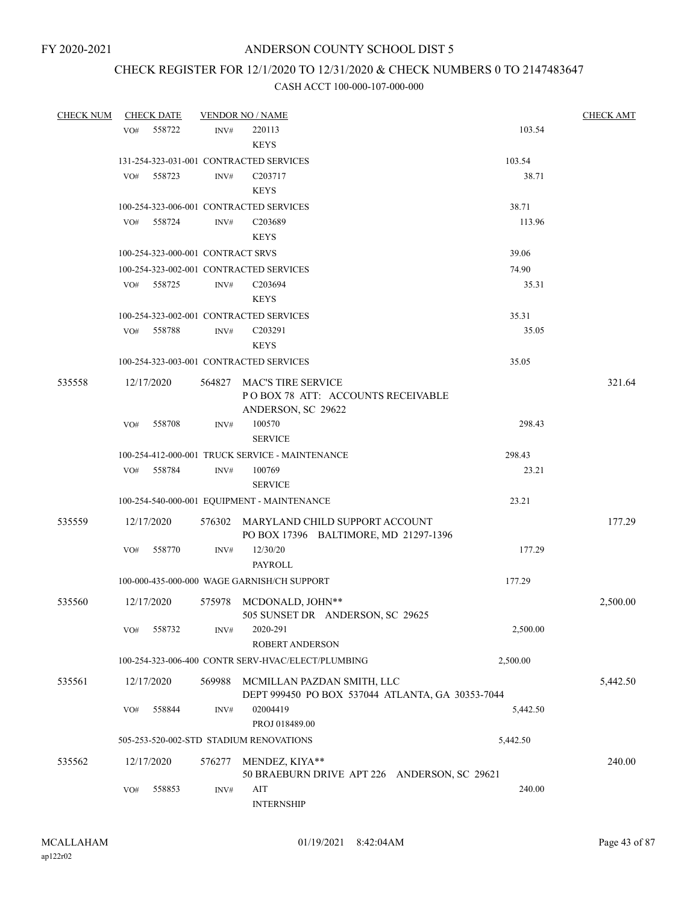# CHECK REGISTER FOR 12/1/2020 TO 12/31/2020 & CHECK NUMBERS 0 TO 2147483647

| <b>CHECK NUM</b> |     | <b>CHECK DATE</b>                 |        | <b>VENDOR NO / NAME</b>                                                        |          | <b>CHECK AMT</b> |
|------------------|-----|-----------------------------------|--------|--------------------------------------------------------------------------------|----------|------------------|
|                  | VO# | 558722                            | INV#   | 220113                                                                         | 103.54   |                  |
|                  |     |                                   |        | <b>KEYS</b>                                                                    |          |                  |
|                  |     |                                   |        | 131-254-323-031-001 CONTRACTED SERVICES                                        | 103.54   |                  |
|                  | VO# | 558723                            | INV#   | C <sub>203717</sub>                                                            | 38.71    |                  |
|                  |     |                                   |        | <b>KEYS</b>                                                                    |          |                  |
|                  |     |                                   |        | 100-254-323-006-001 CONTRACTED SERVICES                                        | 38.71    |                  |
|                  |     | VO# 558724                        | INV#   | C203689                                                                        | 113.96   |                  |
|                  |     |                                   |        | <b>KEYS</b>                                                                    |          |                  |
|                  |     | 100-254-323-000-001 CONTRACT SRVS |        |                                                                                | 39.06    |                  |
|                  |     |                                   |        | 100-254-323-002-001 CONTRACTED SERVICES                                        | 74.90    |                  |
|                  | VO# | 558725                            | INV#   | C <sub>203694</sub>                                                            | 35.31    |                  |
|                  |     |                                   |        | <b>KEYS</b>                                                                    |          |                  |
|                  |     |                                   |        | 100-254-323-002-001 CONTRACTED SERVICES                                        | 35.31    |                  |
|                  | VO# | 558788                            | INV#   | C203291                                                                        | 35.05    |                  |
|                  |     |                                   |        | <b>KEYS</b>                                                                    |          |                  |
|                  |     |                                   |        | 100-254-323-003-001 CONTRACTED SERVICES                                        | 35.05    |                  |
| 535558           |     | 12/17/2020                        | 564827 | MAC'S TIRE SERVICE                                                             |          | 321.64           |
|                  |     |                                   |        | POBOX 78 ATT: ACCOUNTS RECEIVABLE                                              |          |                  |
|                  |     |                                   |        | ANDERSON, SC 29622                                                             |          |                  |
|                  | VO# | 558708                            | INV#   | 100570                                                                         | 298.43   |                  |
|                  |     |                                   |        | <b>SERVICE</b>                                                                 |          |                  |
|                  |     |                                   |        | 100-254-412-000-001 TRUCK SERVICE - MAINTENANCE                                | 298.43   |                  |
|                  | VO# | 558784                            | INV#   | 100769                                                                         | 23.21    |                  |
|                  |     |                                   |        | <b>SERVICE</b>                                                                 |          |                  |
|                  |     |                                   |        | 100-254-540-000-001 EQUIPMENT - MAINTENANCE                                    | 23.21    |                  |
| 535559           |     | 12/17/2020                        |        | 576302 MARYLAND CHILD SUPPORT ACCOUNT                                          |          | 177.29           |
|                  |     |                                   |        | PO BOX 17396 BALTIMORE, MD 21297-1396                                          |          |                  |
|                  | VO# | 558770                            | INV#   | 12/30/20                                                                       | 177.29   |                  |
|                  |     |                                   |        | <b>PAYROLL</b>                                                                 |          |                  |
|                  |     |                                   |        | 100-000-435-000-000 WAGE GARNISH/CH SUPPORT                                    | 177.29   |                  |
| 535560           |     | 12/17/2020                        | 575978 | MCDONALD, JOHN**                                                               |          | 2,500.00         |
|                  |     |                                   |        | 505 SUNSET DR ANDERSON, SC 29625                                               |          |                  |
|                  | VO# | 558732                            | INV#   | 2020-291                                                                       | 2,500.00 |                  |
|                  |     |                                   |        | ROBERT ANDERSON                                                                |          |                  |
|                  |     |                                   |        | 100-254-323-006-400 CONTR SERV-HVAC/ELECT/PLUMBING                             | 2,500.00 |                  |
|                  |     |                                   | 569988 |                                                                                |          |                  |
| 535561           |     | 12/17/2020                        |        | MCMILLAN PAZDAN SMITH, LLC<br>DEPT 999450 PO BOX 537044 ATLANTA, GA 30353-7044 |          | 5,442.50         |
|                  | VO# | 558844                            | INV#   | 02004419                                                                       | 5,442.50 |                  |
|                  |     |                                   |        | PROJ 018489.00                                                                 |          |                  |
|                  |     |                                   |        | 505-253-520-002-STD STADIUM RENOVATIONS                                        | 5,442.50 |                  |
|                  |     |                                   |        |                                                                                |          |                  |
| 535562           |     | 12/17/2020                        | 576277 | MENDEZ, KIYA**                                                                 |          | 240.00           |
|                  | VO# | 558853                            |        | 50 BRAEBURN DRIVE APT 226 ANDERSON, SC 29621<br>AIT                            | 240.00   |                  |
|                  |     |                                   | INV#   | <b>INTERNSHIP</b>                                                              |          |                  |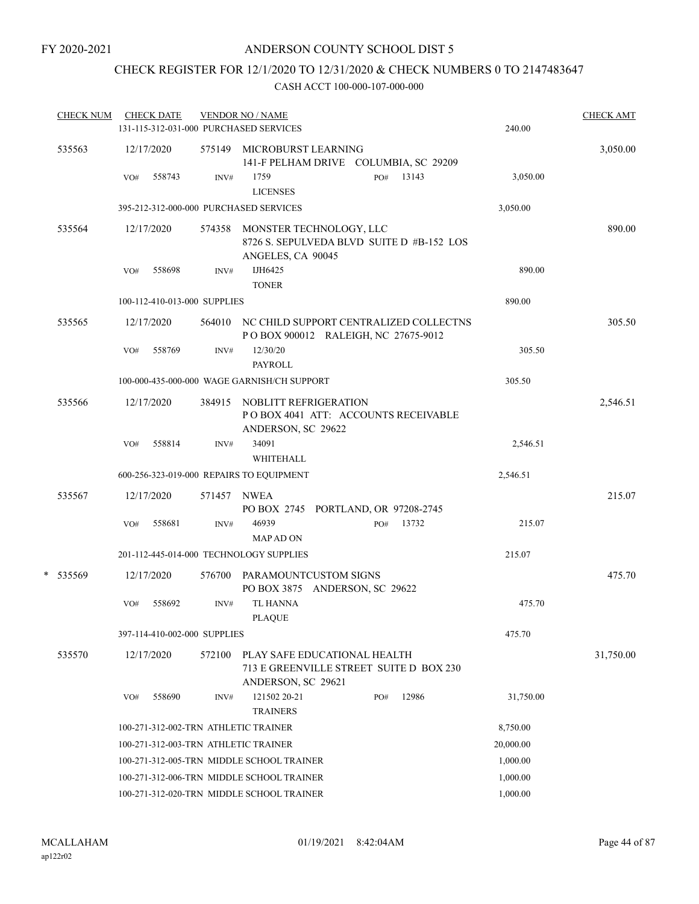# CHECK REGISTER FOR 12/1/2020 TO 12/31/2020 & CHECK NUMBERS 0 TO 2147483647

| <b>CHECK NUM</b> |     | <b>CHECK DATE</b> |                              | <b>VENDOR NO / NAME</b>                                                                          |     |       |           | <b>CHECK AMT</b> |
|------------------|-----|-------------------|------------------------------|--------------------------------------------------------------------------------------------------|-----|-------|-----------|------------------|
|                  |     |                   |                              | 131-115-312-031-000 PURCHASED SERVICES                                                           |     |       | 240.00    |                  |
| 535563           |     | 12/17/2020        |                              | 575149 MICROBURST LEARNING<br>141-F PELHAM DRIVE COLUMBIA, SC 29209                              |     |       |           | 3,050.00         |
|                  | VO# | 558743            | INV#                         | 1759<br><b>LICENSES</b>                                                                          | PO# | 13143 | 3,050.00  |                  |
|                  |     |                   |                              | 395-212-312-000-000 PURCHASED SERVICES                                                           |     |       | 3,050.00  |                  |
| 535564           |     | 12/17/2020        |                              | 574358 MONSTER TECHNOLOGY, LLC<br>8726 S. SEPULVEDA BLVD SUITE D #B-152 LOS<br>ANGELES, CA 90045 |     |       |           | 890.00           |
|                  | VO# | 558698            | INV#                         | IJH6425<br><b>TONER</b>                                                                          |     |       | 890.00    |                  |
|                  |     |                   | 100-112-410-013-000 SUPPLIES |                                                                                                  |     |       | 890.00    |                  |
| 535565           |     | 12/17/2020        |                              | 564010 NC CHILD SUPPORT CENTRALIZED COLLECTNS<br>POBOX 900012 RALEIGH, NC 27675-9012             |     |       |           | 305.50           |
|                  | VO# | 558769            | INV#                         | 12/30/20<br><b>PAYROLL</b>                                                                       |     |       | 305.50    |                  |
|                  |     |                   |                              | 100-000-435-000-000 WAGE GARNISH/CH SUPPORT                                                      |     |       | 305.50    |                  |
| 535566           |     | 12/17/2020        |                              | 384915 NOBLITT REFRIGERATION<br>POBOX 4041 ATT: ACCOUNTS RECEIVABLE<br>ANDERSON, SC 29622        |     |       |           | 2,546.51         |
|                  | VO# | 558814            | INV#                         | 34091<br>WHITEHALL                                                                               |     |       | 2,546.51  |                  |
|                  |     |                   |                              | 600-256-323-019-000 REPAIRS TO EQUIPMENT                                                         |     |       | 2,546.51  |                  |
| 535567           |     | 12/17/2020        | 571457                       | <b>NWEA</b><br>PO BOX 2745 PORTLAND, OR 97208-2745                                               |     |       |           | 215.07           |
|                  | VO# | 558681            | INV#                         | 46939<br><b>MAPADON</b>                                                                          | PO# | 13732 | 215.07    |                  |
|                  |     |                   |                              | 201-112-445-014-000 TECHNOLOGY SUPPLIES                                                          |     |       | 215.07    |                  |
| *<br>535569      |     | 12/17/2020        |                              | 576700 PARAMOUNTCUSTOM SIGNS<br>PO BOX 3875 ANDERSON, SC 29622                                   |     |       |           | 475.70           |
|                  | VO# | 558692            | INV#                         | <b>TL HANNA</b><br><b>PLAOUE</b>                                                                 |     |       | 475.70    |                  |
|                  |     |                   | 397-114-410-002-000 SUPPLIES |                                                                                                  |     |       | 475.70    |                  |
| 535570           |     | 12/17/2020        | 572100                       | PLAY SAFE EDUCATIONAL HEALTH<br>713 E GREENVILLE STREET SUITE D BOX 230<br>ANDERSON, SC 29621    |     |       |           | 31,750.00        |
|                  | VO# | 558690            | INV#                         | 121502 20-21<br><b>TRAINERS</b>                                                                  | PO# | 12986 | 31,750.00 |                  |
|                  |     |                   |                              | 100-271-312-002-TRN ATHLETIC TRAINER                                                             |     |       | 8,750.00  |                  |
|                  |     |                   |                              | 100-271-312-003-TRN ATHLETIC TRAINER                                                             |     |       | 20,000.00 |                  |
|                  |     |                   |                              | 100-271-312-005-TRN MIDDLE SCHOOL TRAINER                                                        |     |       | 1,000.00  |                  |
|                  |     |                   |                              | 100-271-312-006-TRN MIDDLE SCHOOL TRAINER                                                        |     |       | 1,000.00  |                  |
|                  |     |                   |                              | 100-271-312-020-TRN MIDDLE SCHOOL TRAINER                                                        |     |       | 1,000.00  |                  |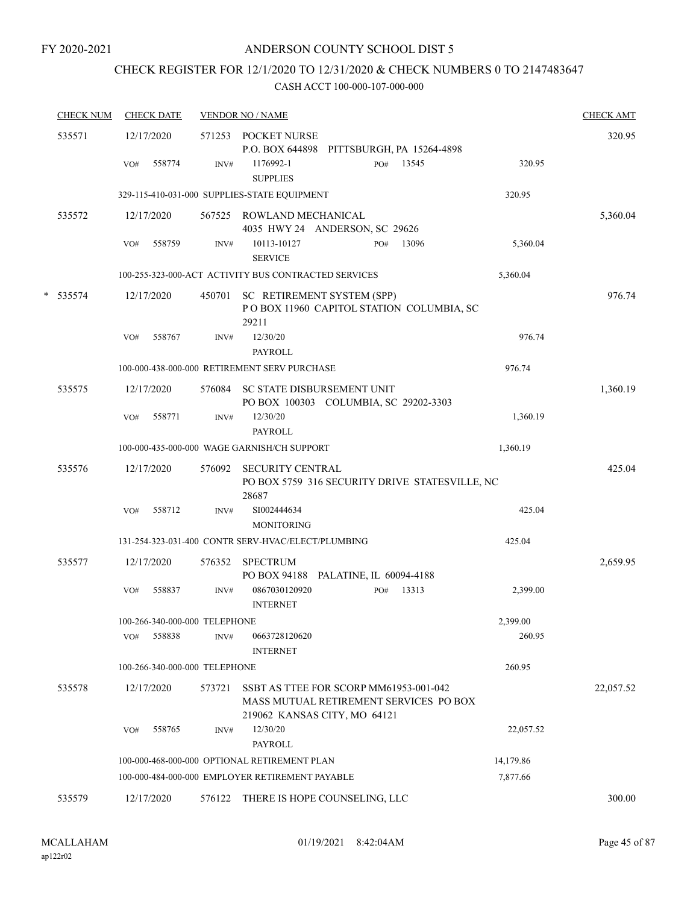# CHECK REGISTER FOR 12/1/2020 TO 12/31/2020 & CHECK NUMBERS 0 TO 2147483647

| <b>CHECK NUM</b> | <b>CHECK DATE</b>             |        | <b>VENDOR NO / NAME</b>                                                                                          |           | <b>CHECK AMT</b> |
|------------------|-------------------------------|--------|------------------------------------------------------------------------------------------------------------------|-----------|------------------|
| 535571           | 12/17/2020                    |        | 571253 POCKET NURSE<br>P.O. BOX 644898 PITTSBURGH, PA 15264-4898                                                 |           | 320.95           |
|                  | 558774<br>VO#                 | INV#   | 13545<br>1176992-1<br>PO#<br><b>SUPPLIES</b>                                                                     | 320.95    |                  |
|                  |                               |        | 329-115-410-031-000 SUPPLIES-STATE EQUIPMENT                                                                     | 320.95    |                  |
| 535572           | 12/17/2020                    |        | 567525 ROWLAND MECHANICAL<br>4035 HWY 24 ANDERSON, SC 29626                                                      |           | 5,360.04         |
|                  | 558759<br>VO#                 | INV#   | 10113-10127<br>13096<br>PO#<br><b>SERVICE</b>                                                                    | 5,360.04  |                  |
|                  |                               |        | 100-255-323-000-ACT ACTIVITY BUS CONTRACTED SERVICES                                                             | 5,360.04  |                  |
| * 535574         | 12/17/2020                    | 450701 | SC RETIREMENT SYSTEM (SPP)<br>POBOX 11960 CAPITOL STATION COLUMBIA, SC<br>29211                                  |           | 976.74           |
|                  | 558767<br>VO#                 | INV#   | 12/30/20<br><b>PAYROLL</b>                                                                                       | 976.74    |                  |
|                  |                               |        | 100-000-438-000-000 RETIREMENT SERV PURCHASE                                                                     | 976.74    |                  |
| 535575           | 12/17/2020                    | 576084 | SC STATE DISBURSEMENT UNIT<br>PO BOX 100303 COLUMBIA, SC 29202-3303                                              |           | 1,360.19         |
|                  | 558771<br>VO#                 | INV#   | 12/30/20<br><b>PAYROLL</b>                                                                                       | 1,360.19  |                  |
|                  |                               |        | 100-000-435-000-000 WAGE GARNISH/CH SUPPORT                                                                      | 1,360.19  |                  |
| 535576           | 12/17/2020                    | 576092 | <b>SECURITY CENTRAL</b><br>PO BOX 5759 316 SECURITY DRIVE STATESVILLE, NC<br>28687                               |           | 425.04           |
|                  | 558712<br>VO#                 | INV#   | SI002444634<br><b>MONITORING</b>                                                                                 | 425.04    |                  |
|                  |                               |        | 131-254-323-031-400 CONTR SERV-HVAC/ELECT/PLUMBING                                                               | 425.04    |                  |
| 535577           | 12/17/2020                    | 576352 | <b>SPECTRUM</b><br>PO BOX 94188 PALATINE, IL 60094-4188                                                          |           | 2,659.95         |
|                  | 558837<br>VO#                 | INV#   | 0867030120920<br>13313<br>PO#<br><b>INTERNET</b>                                                                 | 2,399.00  |                  |
|                  | 100-266-340-000-000 TELEPHONE |        |                                                                                                                  | 2,399.00  |                  |
|                  | 558838<br>VO#                 | INV#   | 0663728120620<br><b>INTERNET</b>                                                                                 | 260.95    |                  |
|                  | 100-266-340-000-000 TELEPHONE |        |                                                                                                                  | 260.95    |                  |
| 535578           | 12/17/2020                    | 573721 | SSBT AS TTEE FOR SCORP MM61953-001-042<br>MASS MUTUAL RETIREMENT SERVICES PO BOX<br>219062 KANSAS CITY, MO 64121 |           | 22,057.52        |
|                  | 558765<br>VO#                 | INV#   | 12/30/20<br>PAYROLL                                                                                              | 22,057.52 |                  |
|                  |                               |        | 100-000-468-000-000 OPTIONAL RETIREMENT PLAN                                                                     | 14,179.86 |                  |
|                  |                               |        | 100-000-484-000-000 EMPLOYER RETIREMENT PAYABLE                                                                  | 7,877.66  |                  |
| 535579           | 12/17/2020                    |        | 576122 THERE IS HOPE COUNSELING, LLC                                                                             |           | 300.00           |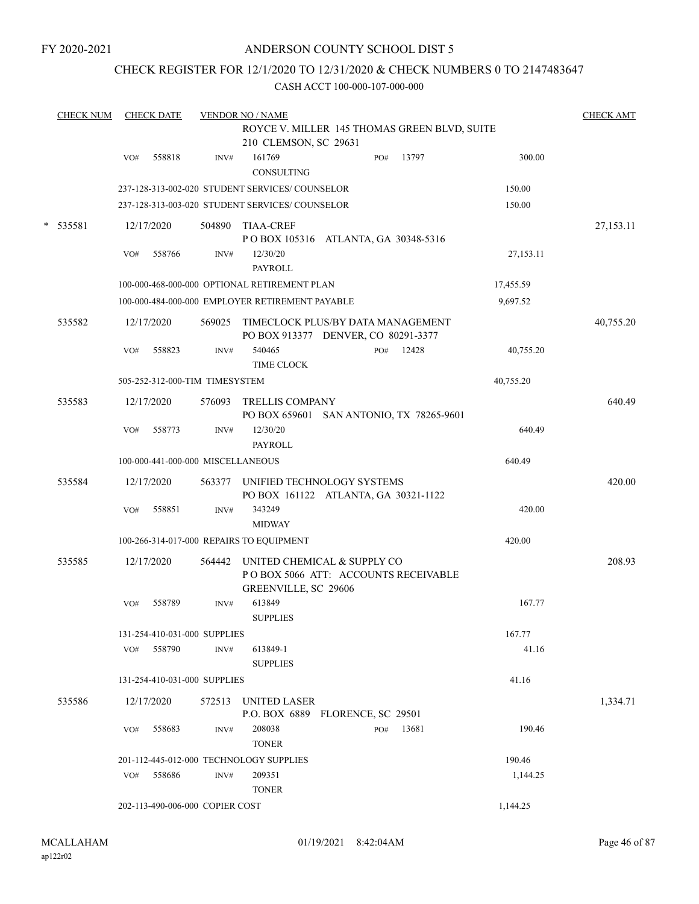FY 2020-2021

#### ANDERSON COUNTY SCHOOL DIST 5

### CHECK REGISTER FOR 12/1/2020 TO 12/31/2020 & CHECK NUMBERS 0 TO 2147483647

| <b>CHECK NUM</b> |     | <b>CHECK DATE</b> |                                   | <b>VENDOR NO / NAME</b>                                                                    |     |       |           | <b>CHECK AMT</b> |
|------------------|-----|-------------------|-----------------------------------|--------------------------------------------------------------------------------------------|-----|-------|-----------|------------------|
|                  |     |                   |                                   | ROYCE V. MILLER 145 THOMAS GREEN BLVD, SUITE<br>210 CLEMSON, SC 29631                      |     |       |           |                  |
|                  | VO# | 558818            | INV#                              | 161769<br><b>CONSULTING</b>                                                                | PO# | 13797 | 300.00    |                  |
|                  |     |                   |                                   | 237-128-313-002-020 STUDENT SERVICES/ COUNSELOR                                            |     |       | 150.00    |                  |
|                  |     |                   |                                   | 237-128-313-003-020 STUDENT SERVICES/ COUNSELOR                                            |     |       | 150.00    |                  |
| * 535581         |     | 12/17/2020        |                                   | 504890 TIAA-CREF<br>POBOX 105316 ATLANTA, GA 30348-5316                                    |     |       |           | 27,153.11        |
|                  | VO# | 558766            | INV#                              | 12/30/20<br><b>PAYROLL</b>                                                                 |     |       | 27,153.11 |                  |
|                  |     |                   |                                   | 100-000-468-000-000 OPTIONAL RETIREMENT PLAN                                               |     |       | 17,455.59 |                  |
|                  |     |                   |                                   | 100-000-484-000-000 EMPLOYER RETIREMENT PAYABLE                                            |     |       | 9,697.52  |                  |
| 535582           |     | 12/17/2020        | 569025                            | TIMECLOCK PLUS/BY DATA MANAGEMENT<br>PO BOX 913377 DENVER, CO 80291-3377                   |     |       |           | 40,755.20        |
|                  | VO# | 558823            | INV#                              | 540465<br>TIME CLOCK                                                                       | PO# | 12428 | 40,755.20 |                  |
|                  |     |                   | 505-252-312-000-TIM TIMESYSTEM    |                                                                                            |     |       | 40,755.20 |                  |
| 535583           |     | 12/17/2020        | 576093                            | <b>TRELLIS COMPANY</b><br>PO BOX 659601 SAN ANTONIO, TX 78265-9601                         |     |       |           | 640.49           |
|                  | VO# | 558773            | INV#                              | 12/30/20<br><b>PAYROLL</b>                                                                 |     |       | 640.49    |                  |
|                  |     |                   | 100-000-441-000-000 MISCELLANEOUS |                                                                                            |     |       | 640.49    |                  |
| 535584           |     | 12/17/2020        |                                   | 563377 UNIFIED TECHNOLOGY SYSTEMS<br>PO BOX 161122 ATLANTA, GA 30321-1122                  |     |       |           | 420.00           |
|                  | VO# | 558851            | INV#                              | 343249<br><b>MIDWAY</b>                                                                    |     |       | 420.00    |                  |
|                  |     |                   |                                   | 100-266-314-017-000 REPAIRS TO EQUIPMENT                                                   |     |       | 420.00    |                  |
| 535585           |     | 12/17/2020        | 564442                            | UNITED CHEMICAL & SUPPLY CO<br>POBOX 5066 ATT: ACCOUNTS RECEIVABLE<br>GREENVILLE, SC 29606 |     |       |           | 208.93           |
|                  | VO# | 558789            | INV#                              | 613849<br><b>SUPPLIES</b>                                                                  |     |       | 167.77    |                  |
|                  |     |                   | 131-254-410-031-000 SUPPLIES      |                                                                                            |     |       | 167.77    |                  |
|                  |     | VO# 558790        | INV#                              | 613849-1<br><b>SUPPLIES</b>                                                                |     |       | 41.16     |                  |
|                  |     |                   | 131-254-410-031-000 SUPPLIES      |                                                                                            |     |       | 41.16     |                  |
| 535586           |     | 12/17/2020        | 572513                            | <b>UNITED LASER</b><br>P.O. BOX 6889 FLORENCE, SC 29501                                    |     |       |           | 1,334.71         |
|                  | VO# | 558683            | INV#                              | 208038<br><b>TONER</b>                                                                     | PO# | 13681 | 190.46    |                  |
|                  |     |                   |                                   | 201-112-445-012-000 TECHNOLOGY SUPPLIES                                                    |     |       | 190.46    |                  |
|                  | VO# | 558686            | INV#                              | 209351<br><b>TONER</b>                                                                     |     |       | 1,144.25  |                  |
|                  |     |                   | 202-113-490-006-000 COPIER COST   |                                                                                            |     |       | 1,144.25  |                  |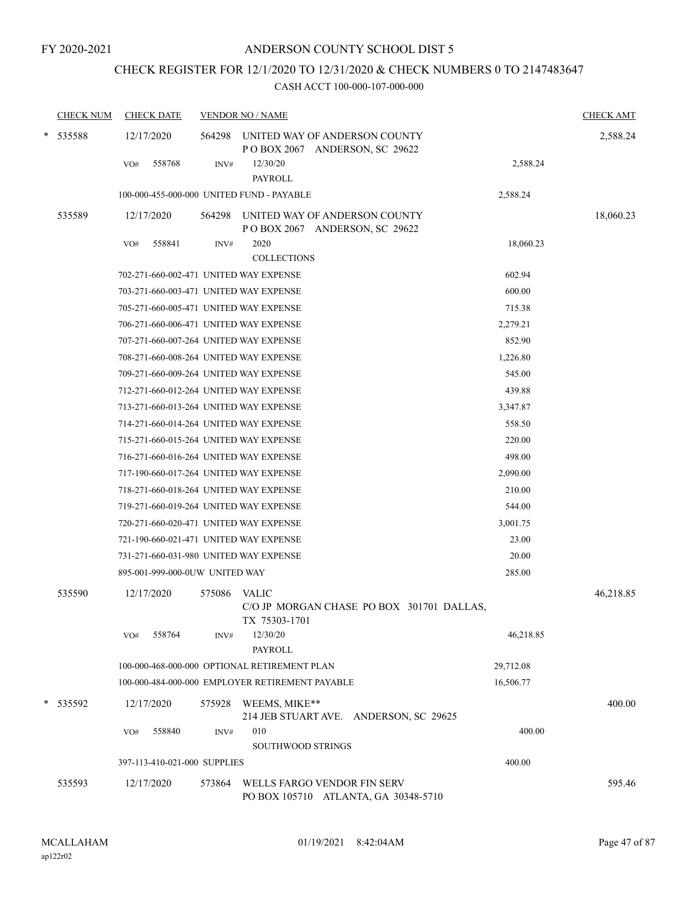# CHECK REGISTER FOR 12/1/2020 TO 12/31/2020 & CHECK NUMBERS 0 TO 2147483647

|   | <b>CHECK NUM</b> | <b>CHECK DATE</b>                         |        | <b>VENDOR NO / NAME</b>                                             |           | <b>CHECK AMT</b> |
|---|------------------|-------------------------------------------|--------|---------------------------------------------------------------------|-----------|------------------|
| * | 535588           | 12/17/2020                                | 564298 | UNITED WAY OF ANDERSON COUNTY<br>POBOX 2067 ANDERSON, SC 29622      |           | 2,588.24         |
|   |                  | 558768<br>VO#                             | INV#   | 12/30/20<br><b>PAYROLL</b>                                          | 2,588.24  |                  |
|   |                  | 100-000-455-000-000 UNITED FUND - PAYABLE |        |                                                                     | 2,588.24  |                  |
|   | 535589           | 12/17/2020                                | 564298 | UNITED WAY OF ANDERSON COUNTY<br>POBOX 2067 ANDERSON, SC 29622      |           | 18,060.23        |
|   |                  | 558841<br>VO#                             | INV#   | 2020<br><b>COLLECTIONS</b>                                          | 18,060.23 |                  |
|   |                  | 702-271-660-002-471 UNITED WAY EXPENSE    |        |                                                                     | 602.94    |                  |
|   |                  | 703-271-660-003-471 UNITED WAY EXPENSE    |        |                                                                     | 600.00    |                  |
|   |                  | 705-271-660-005-471 UNITED WAY EXPENSE    |        |                                                                     | 715.38    |                  |
|   |                  | 706-271-660-006-471 UNITED WAY EXPENSE    |        |                                                                     | 2,279.21  |                  |
|   |                  | 707-271-660-007-264 UNITED WAY EXPENSE    |        |                                                                     | 852.90    |                  |
|   |                  | 708-271-660-008-264 UNITED WAY EXPENSE    |        |                                                                     | 1,226.80  |                  |
|   |                  | 709-271-660-009-264 UNITED WAY EXPENSE    |        |                                                                     | 545.00    |                  |
|   |                  | 712-271-660-012-264 UNITED WAY EXPENSE    |        |                                                                     | 439.88    |                  |
|   |                  | 713-271-660-013-264 UNITED WAY EXPENSE    |        |                                                                     | 3,347.87  |                  |
|   |                  | 714-271-660-014-264 UNITED WAY EXPENSE    |        |                                                                     | 558.50    |                  |
|   |                  | 715-271-660-015-264 UNITED WAY EXPENSE    |        |                                                                     | 220.00    |                  |
|   |                  | 716-271-660-016-264 UNITED WAY EXPENSE    |        |                                                                     | 498.00    |                  |
|   |                  | 717-190-660-017-264 UNITED WAY EXPENSE    |        |                                                                     | 2,090.00  |                  |
|   |                  | 718-271-660-018-264 UNITED WAY EXPENSE    |        |                                                                     | 210.00    |                  |
|   |                  | 719-271-660-019-264 UNITED WAY EXPENSE    |        |                                                                     | 544.00    |                  |
|   |                  | 720-271-660-020-471 UNITED WAY EXPENSE    |        |                                                                     | 3,001.75  |                  |
|   |                  | 721-190-660-021-471 UNITED WAY EXPENSE    |        |                                                                     | 23.00     |                  |
|   |                  | 731-271-660-031-980 UNITED WAY EXPENSE    |        |                                                                     | 20.00     |                  |
|   |                  | 895-001-999-000-0UW UNITED WAY            |        |                                                                     | 285.00    |                  |
|   | 535590           | 12/17/2020                                | 575086 | VALIC<br>C/O JP MORGAN CHASE PO BOX 301701 DALLAS,<br>TX 75303-1701 |           | 46,218.85        |
|   |                  | 558764<br>VO#                             | INV#   | 12/30/20<br><b>PAYROLL</b>                                          | 46,218.85 |                  |
|   |                  |                                           |        | 100-000-468-000-000 OPTIONAL RETIREMENT PLAN                        | 29,712.08 |                  |
|   |                  |                                           |        | 100-000-484-000-000 EMPLOYER RETIREMENT PAYABLE                     | 16,506.77 |                  |
|   | * 535592         | 12/17/2020                                | 575928 | WEEMS, MIKE**<br>214 JEB STUART AVE. ANDERSON, SC 29625             |           | 400.00           |
|   |                  | 558840<br>VO#                             | INV#   | 010                                                                 | 400.00    |                  |
|   |                  |                                           |        | <b>SOUTHWOOD STRINGS</b>                                            |           |                  |
|   |                  | 397-113-410-021-000 SUPPLIES              |        |                                                                     | 400.00    |                  |
|   | 535593           | 12/17/2020                                | 573864 | WELLS FARGO VENDOR FIN SERV<br>PO BOX 105710 ATLANTA, GA 30348-5710 |           | 595.46           |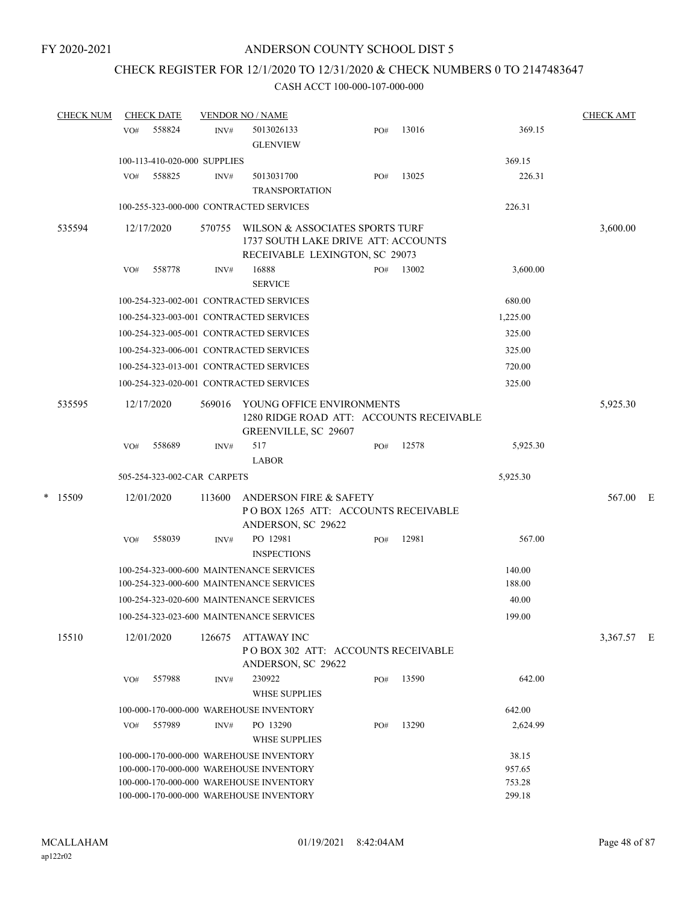## CHECK REGISTER FOR 12/1/2020 TO 12/31/2020 & CHECK NUMBERS 0 TO 2147483647

| <b>CHECK NUM</b> |                                         | <b>CHECK DATE</b>            | <b>VENDOR NO / NAME</b> | <b>CHECK AMT</b>                                                                                         |     |       |                  |            |  |
|------------------|-----------------------------------------|------------------------------|-------------------------|----------------------------------------------------------------------------------------------------------|-----|-------|------------------|------------|--|
|                  | VO#                                     | 558824                       | INV#                    | 5013026133<br><b>GLENVIEW</b>                                                                            | PO# | 13016 | 369.15           |            |  |
|                  |                                         | 100-113-410-020-000 SUPPLIES |                         |                                                                                                          |     |       | 369.15           |            |  |
|                  | VO#                                     | 558825                       | INV#                    | 5013031700<br><b>TRANSPORTATION</b>                                                                      | PO# | 13025 | 226.31           |            |  |
|                  |                                         |                              |                         | 100-255-323-000-000 CONTRACTED SERVICES                                                                  |     |       | 226.31           |            |  |
| 535594           |                                         | 12/17/2020                   | 570755                  | WILSON & ASSOCIATES SPORTS TURF<br>1737 SOUTH LAKE DRIVE ATT: ACCOUNTS<br>RECEIVABLE LEXINGTON, SC 29073 |     |       |                  | 3,600.00   |  |
|                  | VO#                                     | 558778                       | INV#                    | 16888<br><b>SERVICE</b>                                                                                  | PO# | 13002 | 3,600.00         |            |  |
|                  | 100-254-323-002-001 CONTRACTED SERVICES |                              |                         |                                                                                                          |     |       |                  |            |  |
|                  | 100-254-323-003-001 CONTRACTED SERVICES |                              |                         |                                                                                                          |     |       |                  |            |  |
|                  |                                         |                              |                         | 100-254-323-005-001 CONTRACTED SERVICES                                                                  |     |       | 325.00           |            |  |
|                  |                                         |                              |                         | 100-254-323-006-001 CONTRACTED SERVICES                                                                  |     |       | 325.00           |            |  |
|                  |                                         |                              |                         | 100-254-323-013-001 CONTRACTED SERVICES                                                                  |     |       | 720.00           |            |  |
|                  |                                         |                              |                         | 100-254-323-020-001 CONTRACTED SERVICES                                                                  |     |       | 325.00           |            |  |
| 535595           |                                         | 12/17/2020                   | 569016                  | YOUNG OFFICE ENVIRONMENTS<br>1280 RIDGE ROAD ATT: ACCOUNTS RECEIVABLE<br>GREENVILLE, SC 29607            |     |       |                  | 5,925.30   |  |
|                  | VO#                                     | 558689                       | INV#                    | 517<br><b>LABOR</b>                                                                                      | PO# | 12578 | 5,925.30         |            |  |
|                  |                                         | 505-254-323-002-CAR CARPETS  |                         |                                                                                                          |     |       | 5,925.30         |            |  |
| * 15509          |                                         | 12/01/2020                   | 113600                  | <b>ANDERSON FIRE &amp; SAFETY</b><br>POBOX 1265 ATT: ACCOUNTS RECEIVABLE<br>ANDERSON, SC 29622           |     |       |                  | 567.00 E   |  |
|                  | VO#                                     | 558039                       | INV#                    | PO 12981<br><b>INSPECTIONS</b>                                                                           | PO# | 12981 | 567.00           |            |  |
|                  |                                         |                              |                         | 100-254-323-000-600 MAINTENANCE SERVICES<br>100-254-323-000-600 MAINTENANCE SERVICES                     |     |       | 140.00<br>188.00 |            |  |
|                  |                                         |                              |                         | 100-254-323-020-600 MAINTENANCE SERVICES                                                                 |     |       | 40.00            |            |  |
|                  |                                         |                              |                         | 100-254-323-023-600 MAINTENANCE SERVICES                                                                 |     |       | 199.00           |            |  |
| 15510            |                                         | 12/01/2020                   | 126675                  | <b>ATTAWAY INC</b><br>PO BOX 302 ATT: ACCOUNTS RECEIVABLE<br>ANDERSON, SC 29622                          |     |       |                  | 3,367.57 E |  |
|                  | VO#                                     | 557988                       | INV#                    | 230922<br><b>WHSE SUPPLIES</b>                                                                           | PO# | 13590 | 642.00           |            |  |
|                  |                                         |                              |                         | 100-000-170-000-000 WAREHOUSE INVENTORY                                                                  |     |       | 642.00           |            |  |
|                  | VO#                                     | 557989                       | INV#                    | PO 13290<br><b>WHSE SUPPLIES</b>                                                                         | PO# | 13290 | 2,624.99         |            |  |
|                  |                                         |                              |                         | 100-000-170-000-000 WAREHOUSE INVENTORY                                                                  |     |       | 38.15            |            |  |
|                  |                                         |                              |                         | 100-000-170-000-000 WAREHOUSE INVENTORY                                                                  |     |       | 957.65           |            |  |
|                  |                                         |                              |                         | 100-000-170-000-000 WAREHOUSE INVENTORY                                                                  |     |       | 753.28           |            |  |
|                  |                                         |                              |                         | 100-000-170-000-000 WAREHOUSE INVENTORY                                                                  |     |       | 299.18           |            |  |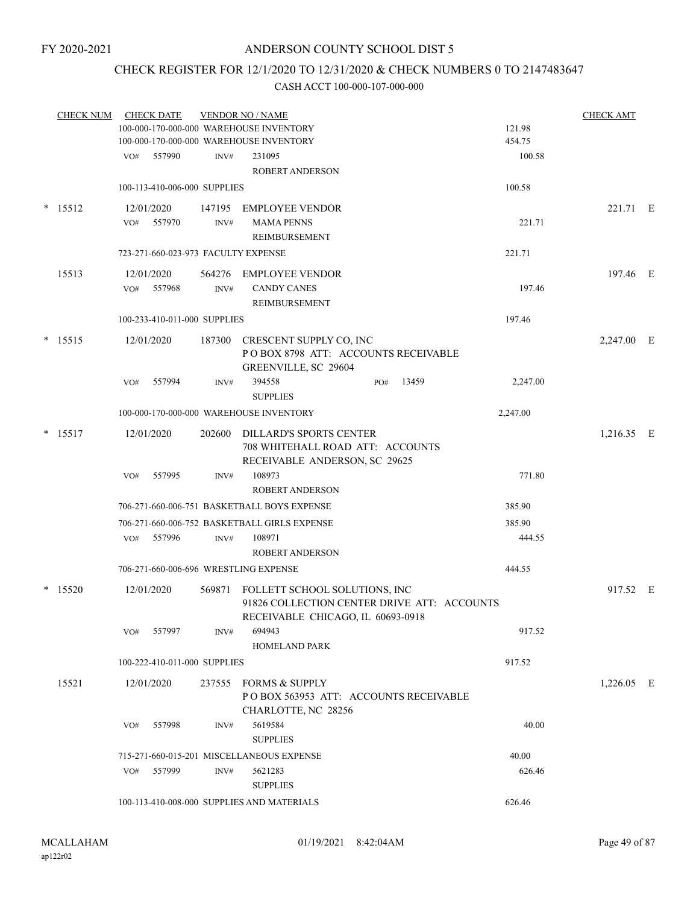### CHECK REGISTER FOR 12/1/2020 TO 12/31/2020 & CHECK NUMBERS 0 TO 2147483647

|        | <b>CHECK NUM</b> |     | <b>CHECK DATE</b>                   |                                         | <b>VENDOR NO / NAME</b>                      |              |          | <b>CHECK AMT</b> |  |
|--------|------------------|-----|-------------------------------------|-----------------------------------------|----------------------------------------------|--------------|----------|------------------|--|
|        |                  |     |                                     | 100-000-170-000-000 WAREHOUSE INVENTORY |                                              | 121.98       |          |                  |  |
|        |                  |     |                                     |                                         | 100-000-170-000-000 WAREHOUSE INVENTORY      |              | 454.75   |                  |  |
|        |                  | VO# | 557990                              | INV#                                    | 231095                                       |              | 100.58   |                  |  |
|        |                  |     |                                     |                                         | <b>ROBERT ANDERSON</b>                       |              |          |                  |  |
|        |                  |     | 100-113-410-006-000 SUPPLIES        |                                         |                                              |              | 100.58   |                  |  |
| $\ast$ | 15512            |     | 12/01/2020                          |                                         | 147195 EMPLOYEE VENDOR                       |              |          | 221.71 E         |  |
|        |                  | VO# | 557970                              | INV#                                    | <b>MAMA PENNS</b>                            |              | 221.71   |                  |  |
|        |                  |     |                                     |                                         | REIMBURSEMENT                                |              |          |                  |  |
|        |                  |     | 723-271-660-023-973 FACULTY EXPENSE |                                         |                                              |              | 221.71   |                  |  |
|        | 15513            |     | 12/01/2020                          |                                         | 564276 EMPLOYEE VENDOR                       |              |          | 197.46 E         |  |
|        |                  | VO# | 557968                              | INV#                                    | <b>CANDY CANES</b>                           |              | 197.46   |                  |  |
|        |                  |     |                                     |                                         | REIMBURSEMENT                                |              |          |                  |  |
|        |                  |     | 100-233-410-011-000 SUPPLIES        |                                         |                                              |              | 197.46   |                  |  |
|        | $*$ 15515        |     | 12/01/2020                          | 187300                                  | CRESCENT SUPPLY CO, INC                      |              |          | 2,247.00 E       |  |
|        |                  |     |                                     |                                         | POBOX 8798 ATT: ACCOUNTS RECEIVABLE          |              |          |                  |  |
|        |                  |     |                                     |                                         | GREENVILLE, SC 29604                         |              |          |                  |  |
|        |                  | VO# | 557994                              | INV#                                    | 394558                                       | 13459<br>PO# | 2,247.00 |                  |  |
|        |                  |     |                                     |                                         | <b>SUPPLIES</b>                              |              |          |                  |  |
|        |                  |     |                                     |                                         | 100-000-170-000-000 WAREHOUSE INVENTORY      |              | 2,247.00 |                  |  |
|        | $*$ 15517        |     | 12/01/2020                          | 202600                                  | <b>DILLARD'S SPORTS CENTER</b>               |              |          | 1,216.35 E       |  |
|        |                  |     |                                     |                                         | 708 WHITEHALL ROAD ATT: ACCOUNTS             |              |          |                  |  |
|        |                  |     |                                     |                                         | RECEIVABLE ANDERSON, SC 29625                |              |          |                  |  |
|        |                  | VO# | 557995                              | INV#                                    | 108973                                       |              | 771.80   |                  |  |
|        |                  |     |                                     |                                         | <b>ROBERT ANDERSON</b>                       |              |          |                  |  |
|        |                  |     |                                     |                                         | 706-271-660-006-751 BASKETBALL BOYS EXPENSE  |              | 385.90   |                  |  |
|        |                  |     |                                     |                                         | 706-271-660-006-752 BASKETBALL GIRLS EXPENSE |              | 385.90   |                  |  |
|        |                  | VO# | 557996                              | INV#                                    | 108971                                       |              | 444.55   |                  |  |
|        |                  |     |                                     |                                         | <b>ROBERT ANDERSON</b>                       |              |          |                  |  |
|        |                  |     |                                     |                                         | 706-271-660-006-696 WRESTLING EXPENSE        |              | 444.55   |                  |  |
|        | $*$ 15520        |     | 12/01/2020                          | 569871                                  | FOLLETT SCHOOL SOLUTIONS, INC                |              |          | 917.52 E         |  |
|        |                  |     |                                     |                                         | 91826 COLLECTION CENTER DRIVE ATT: ACCOUNTS  |              |          |                  |  |
|        |                  |     |                                     |                                         | RECEIVABLE CHICAGO, IL 60693-0918            |              |          |                  |  |
|        |                  | VO# | 557997                              | INV#                                    | 694943                                       |              | 917.52   |                  |  |
|        |                  |     |                                     |                                         | <b>HOMELAND PARK</b>                         |              |          |                  |  |
|        |                  |     | 100-222-410-011-000 SUPPLIES        |                                         |                                              |              | 917.52   |                  |  |
|        | 15521            |     | 12/01/2020                          |                                         | 237555 FORMS & SUPPLY                        |              |          | $1,226.05$ E     |  |
|        |                  |     |                                     |                                         | POBOX 563953 ATT: ACCOUNTS RECEIVABLE        |              |          |                  |  |
|        |                  |     |                                     |                                         | CHARLOTTE, NC 28256                          |              |          |                  |  |
|        |                  | VO# | 557998                              | INV#                                    | 5619584                                      |              | 40.00    |                  |  |
|        |                  |     |                                     |                                         | <b>SUPPLIES</b>                              |              |          |                  |  |
|        |                  |     |                                     |                                         | 715-271-660-015-201 MISCELLANEOUS EXPENSE    |              | 40.00    |                  |  |
|        |                  | VO# | 557999                              | INV#                                    | 5621283                                      |              | 626.46   |                  |  |
|        |                  |     |                                     |                                         | <b>SUPPLIES</b>                              |              |          |                  |  |
|        |                  |     |                                     |                                         | 100-113-410-008-000 SUPPLIES AND MATERIALS   |              | 626.46   |                  |  |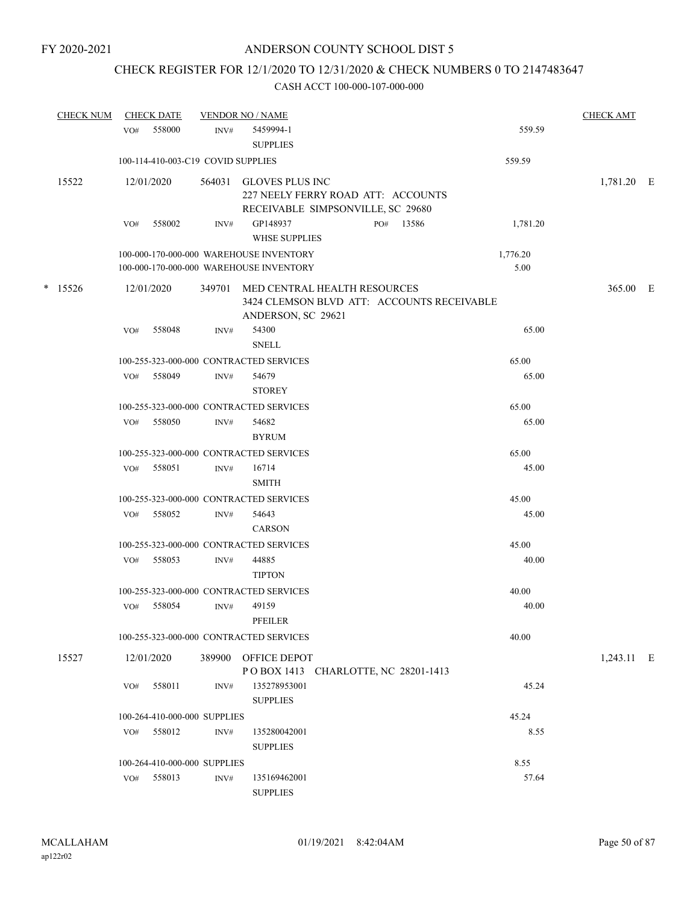# CHECK REGISTER FOR 12/1/2020 TO 12/31/2020 & CHECK NUMBERS 0 TO 2147483647

| <b>CHECK NUM</b> |     | <b>CHECK DATE</b>                  |      | <b>VENDOR NO / NAME</b>                                                                                 |  |           |                  | <b>CHECK AMT</b> |  |
|------------------|-----|------------------------------------|------|---------------------------------------------------------------------------------------------------------|--|-----------|------------------|------------------|--|
| 15522            | VO# | 558000                             | INV# | 5459994-1<br><b>SUPPLIES</b>                                                                            |  |           | 559.59           |                  |  |
|                  |     | 100-114-410-003-C19 COVID SUPPLIES |      |                                                                                                         |  |           | 559.59           |                  |  |
|                  |     | 12/01/2020                         |      | 564031 GLOVES PLUS INC<br>227 NEELY FERRY ROAD ATT: ACCOUNTS<br>RECEIVABLE SIMPSONVILLE, SC 29680       |  |           |                  | 1,781.20 E       |  |
|                  | VO# | 558002                             | INV# | GP148937<br>WHSE SUPPLIES                                                                               |  | PO# 13586 | 1,781.20         |                  |  |
|                  |     |                                    |      | 100-000-170-000-000 WAREHOUSE INVENTORY<br>100-000-170-000-000 WAREHOUSE INVENTORY                      |  |           | 1,776.20<br>5.00 |                  |  |
| $*$ 15526        |     | 12/01/2020                         |      | 349701 MED CENTRAL HEALTH RESOURCES<br>3424 CLEMSON BLVD ATT: ACCOUNTS RECEIVABLE<br>ANDERSON, SC 29621 |  |           |                  | 365.00 E         |  |
|                  | VO# | 558048                             | INV# | 54300<br><b>SNELL</b>                                                                                   |  |           | 65.00            |                  |  |
|                  |     |                                    |      | 100-255-323-000-000 CONTRACTED SERVICES                                                                 |  |           | 65.00            |                  |  |
|                  | VO# | 558049                             | INV# | 54679<br><b>STOREY</b>                                                                                  |  |           | 65.00            |                  |  |
|                  |     |                                    |      | 100-255-323-000-000 CONTRACTED SERVICES                                                                 |  |           | 65.00            |                  |  |
|                  | VO# | 558050                             | INV# | 54682<br><b>BYRUM</b>                                                                                   |  |           | 65.00            |                  |  |
|                  |     |                                    |      | 100-255-323-000-000 CONTRACTED SERVICES                                                                 |  |           | 65.00            |                  |  |
|                  | VO# | 558051                             | INV# | 16714<br><b>SMITH</b>                                                                                   |  |           | 45.00            |                  |  |
|                  |     |                                    |      | 100-255-323-000-000 CONTRACTED SERVICES                                                                 |  |           | 45.00            |                  |  |
|                  | VO# | 558052                             | INV# | 54643<br>CARSON                                                                                         |  |           | 45.00            |                  |  |
|                  |     |                                    |      | 100-255-323-000-000 CONTRACTED SERVICES                                                                 |  |           | 45.00            |                  |  |
|                  | VO# | 558053                             | INV# | 44885<br><b>TIPTON</b>                                                                                  |  |           | 40.00            |                  |  |
|                  |     |                                    |      | 100-255-323-000-000 CONTRACTED SERVICES                                                                 |  |           | 40.00            |                  |  |
|                  | VO# | 558054                             | INV# | 49159<br>PFEILER                                                                                        |  |           | 40.00            |                  |  |
|                  |     |                                    |      | 100-255-323-000-000 CONTRACTED SERVICES                                                                 |  |           | 40.00            |                  |  |
| 15527            |     | 12/01/2020                         |      | 389900 OFFICE DEPOT<br>POBOX 1413 CHARLOTTE, NC 28201-1413                                              |  |           |                  | 1,243.11 E       |  |
|                  | VO# | 558011                             | INV# | 135278953001<br><b>SUPPLIES</b>                                                                         |  |           | 45.24            |                  |  |
|                  |     | 100-264-410-000-000 SUPPLIES       |      |                                                                                                         |  |           | 45.24            |                  |  |
|                  | VO# | 558012                             | INV# | 135280042001<br><b>SUPPLIES</b>                                                                         |  |           | 8.55             |                  |  |
|                  |     | 100-264-410-000-000 SUPPLIES       |      |                                                                                                         |  |           | 8.55             |                  |  |
|                  |     | VO# 558013                         | INV# | 135169462001<br><b>SUPPLIES</b>                                                                         |  |           | 57.64            |                  |  |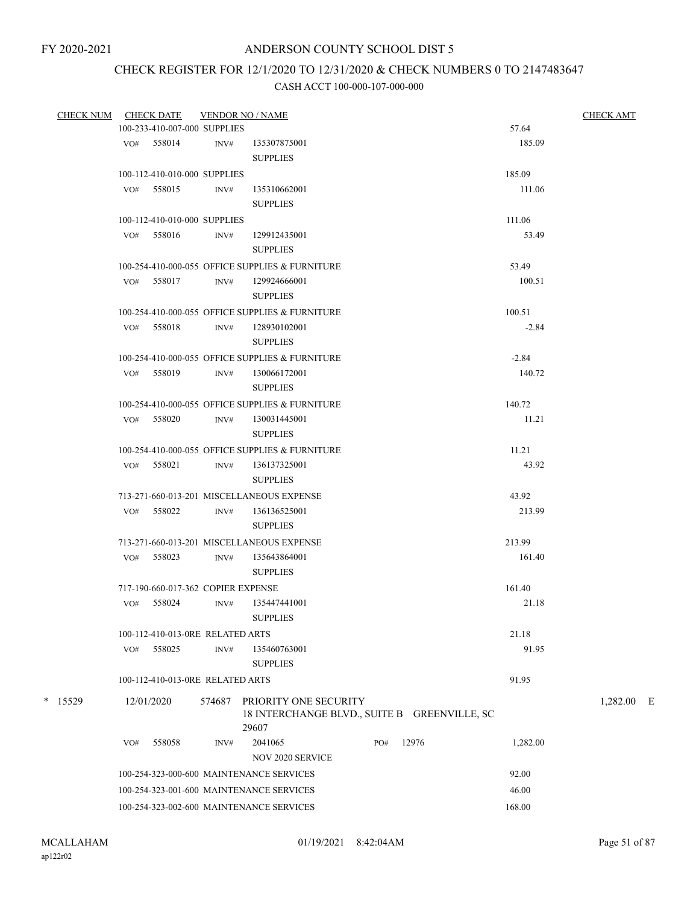# CHECK REGISTER FOR 12/1/2020 TO 12/31/2020 & CHECK NUMBERS 0 TO 2147483647

| <b>CHECK NUM</b> |     | <b>CHECK DATE</b>                  |        | <b>VENDOR NO / NAME</b>                                                        |     |       |          | <b>CHECK AMT</b> |
|------------------|-----|------------------------------------|--------|--------------------------------------------------------------------------------|-----|-------|----------|------------------|
|                  |     | 100-233-410-007-000 SUPPLIES       |        |                                                                                |     |       | 57.64    |                  |
|                  |     | VO# 558014                         | INV#   | 135307875001                                                                   |     |       | 185.09   |                  |
|                  |     |                                    |        | <b>SUPPLIES</b>                                                                |     |       |          |                  |
|                  |     | 100-112-410-010-000 SUPPLIES       |        |                                                                                |     |       | 185.09   |                  |
|                  |     | VO# 558015                         | INV#   | 135310662001                                                                   |     |       | 111.06   |                  |
|                  |     |                                    |        | <b>SUPPLIES</b>                                                                |     |       |          |                  |
|                  |     | 100-112-410-010-000 SUPPLIES       |        |                                                                                |     |       | 111.06   |                  |
|                  |     | VO# 558016                         | INV#   | 129912435001<br><b>SUPPLIES</b>                                                |     |       | 53.49    |                  |
|                  |     |                                    |        | 100-254-410-000-055 OFFICE SUPPLIES & FURNITURE                                |     |       | 53.49    |                  |
|                  |     | VO# 558017                         | INV#   | 129924666001                                                                   |     |       | 100.51   |                  |
|                  |     |                                    |        | <b>SUPPLIES</b>                                                                |     |       |          |                  |
|                  |     |                                    |        | 100-254-410-000-055 OFFICE SUPPLIES & FURNITURE                                |     |       | 100.51   |                  |
|                  |     | VO# 558018                         | INV#   | 128930102001<br><b>SUPPLIES</b>                                                |     |       | $-2.84$  |                  |
|                  |     |                                    |        | 100-254-410-000-055 OFFICE SUPPLIES & FURNITURE                                |     |       | $-2.84$  |                  |
|                  |     | $VO#$ 558019                       | INV#   | 130066172001<br><b>SUPPLIES</b>                                                |     |       | 140.72   |                  |
|                  |     |                                    |        | 100-254-410-000-055 OFFICE SUPPLIES & FURNITURE                                |     |       | 140.72   |                  |
|                  |     | VO# 558020                         | INV#   | 130031445001                                                                   |     |       | 11.21    |                  |
|                  |     |                                    |        | <b>SUPPLIES</b>                                                                |     |       |          |                  |
|                  |     |                                    |        | 100-254-410-000-055 OFFICE SUPPLIES & FURNITURE                                |     |       | 11.21    |                  |
|                  |     | VO# 558021                         | INV#   | 136137325001                                                                   |     |       | 43.92    |                  |
|                  |     |                                    |        | <b>SUPPLIES</b>                                                                |     |       |          |                  |
|                  |     |                                    |        | 713-271-660-013-201 MISCELLANEOUS EXPENSE                                      |     |       | 43.92    |                  |
|                  |     | VO# 558022                         | INV#   | 136136525001                                                                   |     |       | 213.99   |                  |
|                  |     |                                    |        | <b>SUPPLIES</b>                                                                |     |       |          |                  |
|                  |     |                                    |        | 713-271-660-013-201 MISCELLANEOUS EXPENSE                                      |     |       | 213.99   |                  |
|                  |     | VO# 558023                         | INV#   | 135643864001<br><b>SUPPLIES</b>                                                |     |       | 161.40   |                  |
|                  |     | 717-190-660-017-362 COPIER EXPENSE |        |                                                                                |     |       | 161.40   |                  |
|                  | VO# | 558024                             | INV#   | 135447441001                                                                   |     |       | 21.18    |                  |
|                  |     |                                    |        | <b>SUPPLIES</b>                                                                |     |       |          |                  |
|                  |     | 100-112-410-013-0RE RELATED ARTS   |        |                                                                                |     |       | 21.18    |                  |
|                  | VO# | 558025                             | INV#   | 135460763001                                                                   |     |       | 91.95    |                  |
|                  |     | 100-112-410-013-0RE RELATED ARTS   |        | <b>SUPPLIES</b>                                                                |     |       | 91.95    |                  |
| $*$ 15529        |     | 12/01/2020                         | 574687 | PRIORITY ONE SECURITY<br>18 INTERCHANGE BLVD., SUITE B GREENVILLE, SC<br>29607 |     |       |          | $1,282.00$ E     |
|                  | VO# | 558058                             | INV#   | 2041065                                                                        | PO# | 12976 | 1,282.00 |                  |
|                  |     |                                    |        | NOV 2020 SERVICE                                                               |     |       |          |                  |
|                  |     |                                    |        | 100-254-323-000-600 MAINTENANCE SERVICES                                       |     |       | 92.00    |                  |
|                  |     |                                    |        | 100-254-323-001-600 MAINTENANCE SERVICES                                       |     |       | 46.00    |                  |
|                  |     |                                    |        | 100-254-323-002-600 MAINTENANCE SERVICES                                       |     |       | 168.00   |                  |
|                  |     |                                    |        |                                                                                |     |       |          |                  |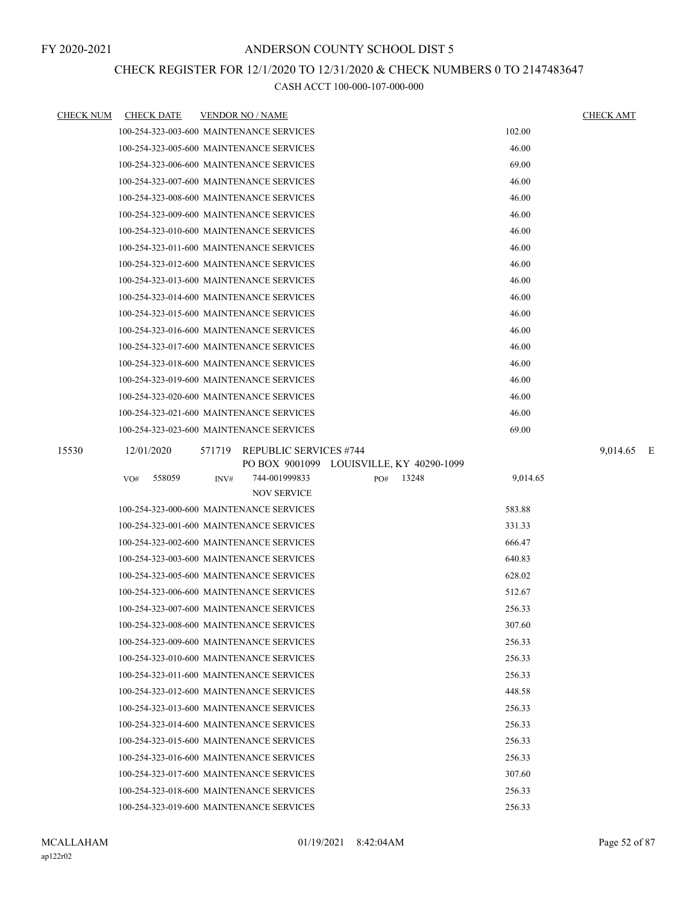### CHECK REGISTER FOR 12/1/2020 TO 12/31/2020 & CHECK NUMBERS 0 TO 2147483647

| <u>CHECK NUM</u> | <b>CHECK DATE</b> | <b>VENDOR NO / NAME</b>                            | <b>CHECK AMT</b> |
|------------------|-------------------|----------------------------------------------------|------------------|
|                  |                   | 102.00<br>100-254-323-003-600 MAINTENANCE SERVICES |                  |
|                  |                   | 100-254-323-005-600 MAINTENANCE SERVICES<br>46.00  |                  |
|                  |                   | 69.00<br>100-254-323-006-600 MAINTENANCE SERVICES  |                  |
|                  |                   | 46.00<br>100-254-323-007-600 MAINTENANCE SERVICES  |                  |
|                  |                   | 100-254-323-008-600 MAINTENANCE SERVICES<br>46.00  |                  |
|                  |                   | 46.00<br>100-254-323-009-600 MAINTENANCE SERVICES  |                  |
|                  |                   | 46.00<br>100-254-323-010-600 MAINTENANCE SERVICES  |                  |
|                  |                   | 100-254-323-011-600 MAINTENANCE SERVICES<br>46.00  |                  |
|                  |                   | 46.00<br>100-254-323-012-600 MAINTENANCE SERVICES  |                  |
|                  |                   | 46.00<br>100-254-323-013-600 MAINTENANCE SERVICES  |                  |
|                  |                   | 46.00<br>100-254-323-014-600 MAINTENANCE SERVICES  |                  |
|                  |                   | 46.00<br>100-254-323-015-600 MAINTENANCE SERVICES  |                  |
|                  |                   | 46.00<br>100-254-323-016-600 MAINTENANCE SERVICES  |                  |
|                  |                   | 100-254-323-017-600 MAINTENANCE SERVICES<br>46.00  |                  |
|                  |                   | 46.00<br>100-254-323-018-600 MAINTENANCE SERVICES  |                  |
|                  |                   | 46.00<br>100-254-323-019-600 MAINTENANCE SERVICES  |                  |
|                  |                   | 100-254-323-020-600 MAINTENANCE SERVICES<br>46.00  |                  |
|                  |                   | 46.00<br>100-254-323-021-600 MAINTENANCE SERVICES  |                  |
|                  |                   | 100-254-323-023-600 MAINTENANCE SERVICES<br>69.00  |                  |
| 15530            | 12/01/2020        | <b>REPUBLIC SERVICES #744</b><br>571719            | 9,014.65 E       |
|                  |                   | PO BOX 9001099 LOUISVILLE, KY 40290-1099           |                  |
|                  | 558059<br>VO#     | 744-001999833<br>9,014.65<br>INV#<br>PO#<br>13248  |                  |
|                  |                   | <b>NOV SERVICE</b>                                 |                  |
|                  |                   | 100-254-323-000-600 MAINTENANCE SERVICES<br>583.88 |                  |
|                  |                   | 100-254-323-001-600 MAINTENANCE SERVICES<br>331.33 |                  |
|                  |                   | 100-254-323-002-600 MAINTENANCE SERVICES<br>666.47 |                  |
|                  |                   | 100-254-323-003-600 MAINTENANCE SERVICES<br>640.83 |                  |
|                  |                   | 100-254-323-005-600 MAINTENANCE SERVICES<br>628.02 |                  |
|                  |                   | 100-254-323-006-600 MAINTENANCE SERVICES<br>512.67 |                  |
|                  |                   | 100-254-323-007-600 MAINTENANCE SERVICES<br>256.33 |                  |
|                  |                   | 307.60<br>100-254-323-008-600 MAINTENANCE SERVICES |                  |
|                  |                   | 100-254-323-009-600 MAINTENANCE SERVICES<br>256.33 |                  |
|                  |                   | 100-254-323-010-600 MAINTENANCE SERVICES<br>256.33 |                  |
|                  |                   | 100-254-323-011-600 MAINTENANCE SERVICES<br>256.33 |                  |
|                  |                   | 448.58<br>100-254-323-012-600 MAINTENANCE SERVICES |                  |
|                  |                   | 100-254-323-013-600 MAINTENANCE SERVICES<br>256.33 |                  |
|                  |                   | 100-254-323-014-600 MAINTENANCE SERVICES<br>256.33 |                  |
|                  |                   | 100-254-323-015-600 MAINTENANCE SERVICES<br>256.33 |                  |
|                  |                   | 256.33<br>100-254-323-016-600 MAINTENANCE SERVICES |                  |
|                  |                   | 307.60<br>100-254-323-017-600 MAINTENANCE SERVICES |                  |
|                  |                   | 100-254-323-018-600 MAINTENANCE SERVICES<br>256.33 |                  |
|                  |                   | 100-254-323-019-600 MAINTENANCE SERVICES<br>256.33 |                  |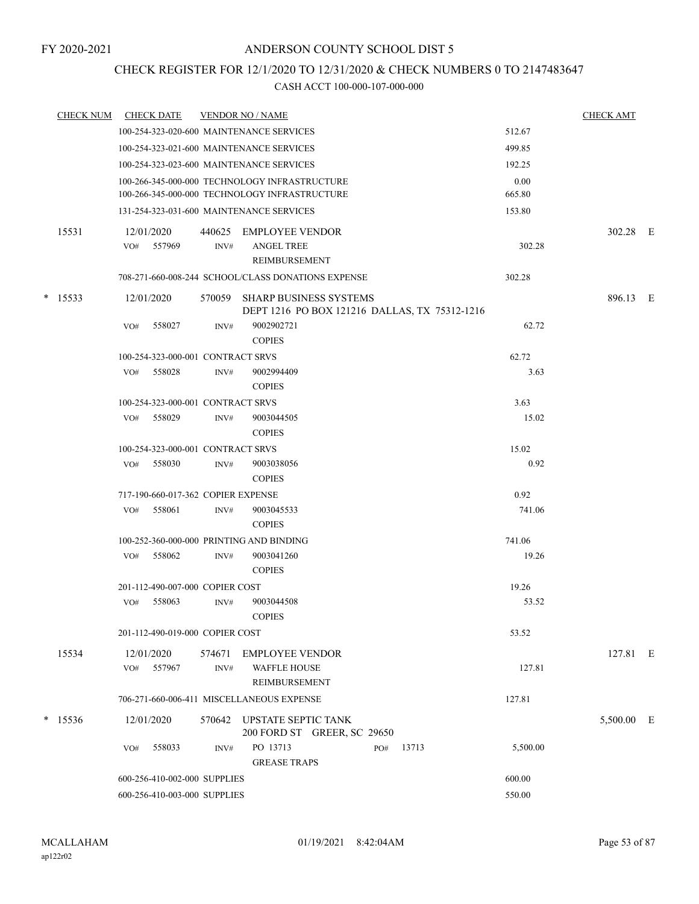### CHECK REGISTER FOR 12/1/2020 TO 12/31/2020 & CHECK NUMBERS 0 TO 2147483647

| <b>CHECK NUM</b> | <b>CHECK DATE</b>                        |                | <b>VENDOR NO / NAME</b>                                                        |       |          | <b>CHECK AMT</b> |  |
|------------------|------------------------------------------|----------------|--------------------------------------------------------------------------------|-------|----------|------------------|--|
|                  | 100-254-323-020-600 MAINTENANCE SERVICES |                |                                                                                |       | 512.67   |                  |  |
|                  | 100-254-323-021-600 MAINTENANCE SERVICES |                |                                                                                |       | 499.85   |                  |  |
|                  | 100-254-323-023-600 MAINTENANCE SERVICES |                |                                                                                |       | 192.25   |                  |  |
|                  |                                          |                | 100-266-345-000-000 TECHNOLOGY INFRASTRUCTURE                                  |       | 0.00     |                  |  |
|                  |                                          |                | 100-266-345-000-000 TECHNOLOGY INFRASTRUCTURE                                  |       | 665.80   |                  |  |
|                  | 131-254-323-031-600 MAINTENANCE SERVICES |                |                                                                                |       | 153.80   |                  |  |
| 15531            | 12/01/2020<br>557969<br>VO#              | 440625<br>INV# | EMPLOYEE VENDOR<br><b>ANGEL TREE</b><br>REIMBURSEMENT                          |       | 302.28   | 302.28 E         |  |
|                  |                                          |                | 708-271-660-008-244 SCHOOL/CLASS DONATIONS EXPENSE                             |       | 302.28   |                  |  |
| $*$ 15533        | 12/01/2020                               | 570059         | <b>SHARP BUSINESS SYSTEMS</b><br>DEPT 1216 PO BOX 121216 DALLAS, TX 75312-1216 |       |          | 896.13 E         |  |
|                  | 558027<br>VO#                            | INV#           | 9002902721<br><b>COPIES</b>                                                    |       | 62.72    |                  |  |
|                  | 100-254-323-000-001 CONTRACT SRVS        |                |                                                                                |       | 62.72    |                  |  |
|                  | VO# 558028                               | INV#           | 9002994409<br><b>COPIES</b>                                                    |       | 3.63     |                  |  |
|                  | 100-254-323-000-001 CONTRACT SRVS        |                |                                                                                |       | 3.63     |                  |  |
|                  | 558029<br>VO#                            | INV#           | 9003044505<br><b>COPIES</b>                                                    |       | 15.02    |                  |  |
|                  | 100-254-323-000-001 CONTRACT SRVS        |                |                                                                                |       | 15.02    |                  |  |
|                  | 558030<br>VO#                            | INV#           | 9003038056<br><b>COPIES</b>                                                    |       | 0.92     |                  |  |
|                  | 717-190-660-017-362 COPIER EXPENSE       |                |                                                                                |       | 0.92     |                  |  |
|                  | 558061<br>VO#                            | INV#           | 9003045533<br><b>COPIES</b>                                                    |       | 741.06   |                  |  |
|                  | 100-252-360-000-000 PRINTING AND BINDING |                |                                                                                |       | 741.06   |                  |  |
|                  | 558062<br>VO#                            | INV#           | 9003041260<br><b>COPIES</b>                                                    |       | 19.26    |                  |  |
|                  | 201-112-490-007-000 COPIER COST          |                |                                                                                |       | 19.26    |                  |  |
|                  | 558063<br>VO#                            | INV#           | 9003044508<br><b>COPIES</b>                                                    |       | 53.52    |                  |  |
|                  | 201-112-490-019-000 COPIER COST          |                |                                                                                |       | 53.52    |                  |  |
| 15534            | 12/01/2020<br>557967<br>VO#              | INV#           | 574671 EMPLOYEE VENDOR<br><b>WAFFLE HOUSE</b>                                  |       | 127.81   | 127.81 E         |  |
|                  |                                          |                | REIMBURSEMENT                                                                  |       |          |                  |  |
|                  |                                          |                | 706-271-660-006-411 MISCELLANEOUS EXPENSE                                      |       | 127.81   |                  |  |
| $*$ 15536        | 12/01/2020                               |                | 570642 UPSTATE SEPTIC TANK<br>200 FORD ST GREER, SC 29650                      |       |          | 5,500.00 E       |  |
|                  | 558033<br>VO#                            | INV#           | PO 13713<br>PO#<br><b>GREASE TRAPS</b>                                         | 13713 | 5,500.00 |                  |  |
|                  | 600-256-410-002-000 SUPPLIES             |                |                                                                                |       | 600.00   |                  |  |
|                  | 600-256-410-003-000 SUPPLIES             |                |                                                                                |       | 550.00   |                  |  |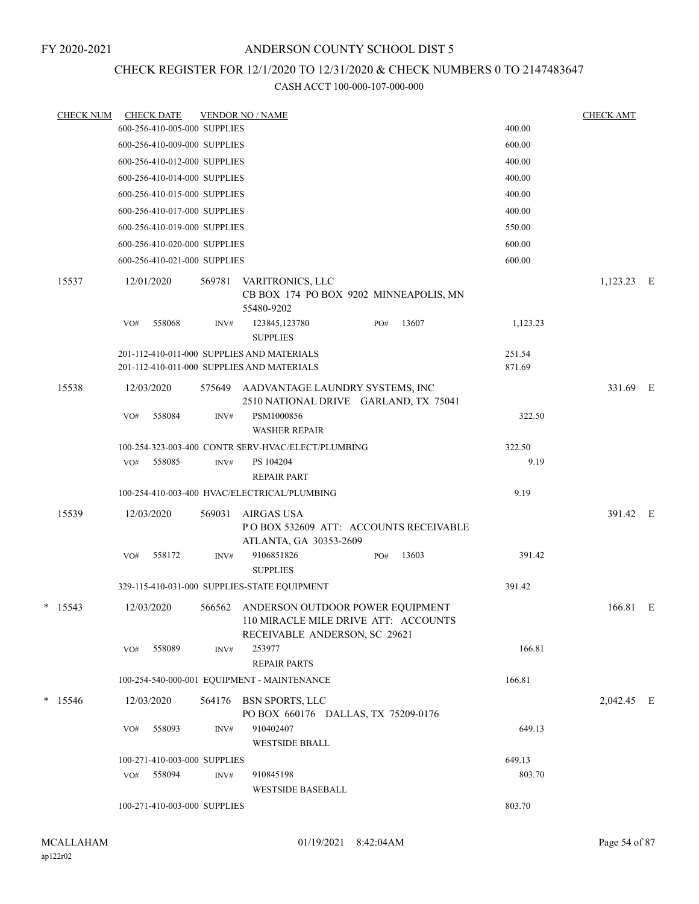## CHECK REGISTER FOR 12/1/2020 TO 12/31/2020 & CHECK NUMBERS 0 TO 2147483647

| <b>CHECK NUM</b> |            | <b>CHECK DATE</b>            |        | <b>VENDOR NO / NAME</b>                                                                                          |     |       |                  | <b>CHECK AMT</b> |  |
|------------------|------------|------------------------------|--------|------------------------------------------------------------------------------------------------------------------|-----|-------|------------------|------------------|--|
|                  |            | 600-256-410-005-000 SUPPLIES |        |                                                                                                                  |     |       | 400.00           |                  |  |
|                  |            | 600-256-410-009-000 SUPPLIES |        |                                                                                                                  |     |       | 600.00           |                  |  |
|                  |            | 600-256-410-012-000 SUPPLIES |        |                                                                                                                  |     |       | 400.00           |                  |  |
|                  |            | 600-256-410-014-000 SUPPLIES |        |                                                                                                                  |     |       | 400.00           |                  |  |
|                  |            | 600-256-410-015-000 SUPPLIES |        |                                                                                                                  |     |       | 400.00           |                  |  |
|                  |            | 600-256-410-017-000 SUPPLIES |        |                                                                                                                  |     |       | 400.00           |                  |  |
|                  |            | 600-256-410-019-000 SUPPLIES |        |                                                                                                                  |     |       | 550.00           |                  |  |
|                  |            | 600-256-410-020-000 SUPPLIES |        |                                                                                                                  |     |       | 600.00           |                  |  |
|                  |            | 600-256-410-021-000 SUPPLIES |        |                                                                                                                  |     |       | 600.00           |                  |  |
| 15537            | 12/01/2020 |                              | 569781 | VARITRONICS, LLC<br>CB BOX 174 PO BOX 9202 MINNEAPOLIS, MN<br>55480-9202                                         |     |       |                  | 1,123.23 E       |  |
|                  | VO#        | 558068                       | INV#   | 123845,123780<br><b>SUPPLIES</b>                                                                                 | PO# | 13607 | 1,123.23         |                  |  |
|                  |            |                              |        | 201-112-410-011-000 SUPPLIES AND MATERIALS<br>201-112-410-011-000 SUPPLIES AND MATERIALS                         |     |       | 251.54<br>871.69 |                  |  |
| 15538            | 12/03/2020 |                              | 575649 | AADVANTAGE LAUNDRY SYSTEMS, INC<br>2510 NATIONAL DRIVE GARLAND, TX 75041                                         |     |       |                  | 331.69 E         |  |
|                  | VO#        | 558084                       | INV#   | PSM1000856<br><b>WASHER REPAIR</b>                                                                               |     |       | 322.50           |                  |  |
|                  |            |                              |        | 100-254-323-003-400 CONTR SERV-HVAC/ELECT/PLUMBING                                                               |     |       | 322.50           |                  |  |
|                  | VO#        | 558085                       | INV#   | PS 104204<br><b>REPAIR PART</b>                                                                                  |     |       | 9.19             |                  |  |
|                  |            |                              |        | 100-254-410-003-400 HVAC/ELECTRICAL/PLUMBING                                                                     |     |       | 9.19             |                  |  |
| 15539            | 12/03/2020 |                              | 569031 | AIRGAS USA<br>POBOX 532609 ATT: ACCOUNTS RECEIVABLE<br>ATLANTA, GA 30353-2609                                    |     |       |                  | 391.42 E         |  |
|                  | VO#        | 558172                       | INV#   | 9106851826<br><b>SUPPLIES</b>                                                                                    | PO# | 13603 | 391.42           |                  |  |
|                  |            |                              |        | 329-115-410-031-000 SUPPLIES-STATE EQUIPMENT                                                                     |     |       | 391.42           |                  |  |
| $*$ 15543        | 12/03/2020 |                              |        | 566562 ANDERSON OUTDOOR POWER EQUIPMENT<br>110 MIRACLE MILE DRIVE ATT: ACCOUNTS<br>RECEIVABLE ANDERSON, SC 29621 |     |       |                  | 166.81 E         |  |
|                  | VO#        | 558089                       | INV#   | 253977<br><b>REPAIR PARTS</b>                                                                                    |     |       | 166.81           |                  |  |
|                  |            |                              |        | 100-254-540-000-001 EQUIPMENT - MAINTENANCE                                                                      |     |       | 166.81           |                  |  |
| $*$ 15546        | 12/03/2020 |                              |        | 564176 BSN SPORTS, LLC<br>PO BOX 660176 DALLAS, TX 75209-0176                                                    |     |       |                  | 2,042.45 E       |  |
|                  | VO#        | 558093                       | INV#   | 910402407<br><b>WESTSIDE BBALL</b>                                                                               |     |       | 649.13           |                  |  |
|                  |            | 100-271-410-003-000 SUPPLIES |        |                                                                                                                  |     |       | 649.13           |                  |  |
|                  | VO#        | 558094                       | INV#   | 910845198<br><b>WESTSIDE BASEBALL</b>                                                                            |     |       | 803.70           |                  |  |
|                  |            | 100-271-410-003-000 SUPPLIES |        |                                                                                                                  |     |       | 803.70           |                  |  |
|                  |            |                              |        |                                                                                                                  |     |       |                  |                  |  |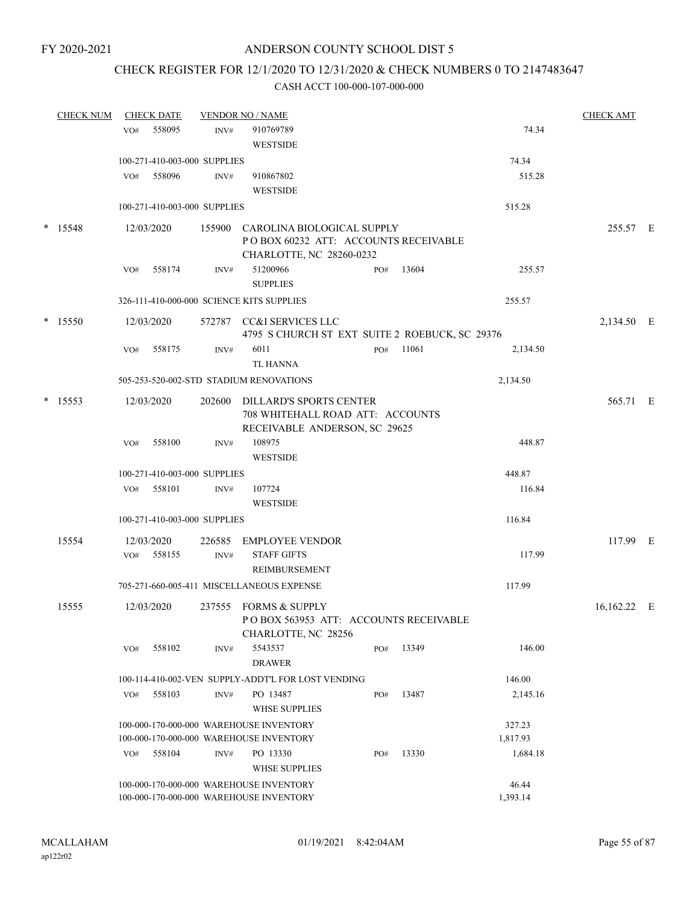### CHECK REGISTER FOR 12/1/2020 TO 12/31/2020 & CHECK NUMBERS 0 TO 2147483647

| <b>CHECK NUM</b> |     | <b>CHECK DATE</b> |                              | <b>VENDOR NO / NAME</b>                                        |     |       |          | <b>CHECK AMT</b> |  |
|------------------|-----|-------------------|------------------------------|----------------------------------------------------------------|-----|-------|----------|------------------|--|
|                  | VO# | 558095            | INV#                         | 910769789                                                      |     |       | 74.34    |                  |  |
|                  |     |                   |                              | <b>WESTSIDE</b>                                                |     |       |          |                  |  |
|                  |     |                   | 100-271-410-003-000 SUPPLIES |                                                                |     |       | 74.34    |                  |  |
|                  | VO# | 558096            | INV#                         | 910867802                                                      |     |       | 515.28   |                  |  |
|                  |     |                   |                              | <b>WESTSIDE</b>                                                |     |       |          |                  |  |
|                  |     |                   | 100-271-410-003-000 SUPPLIES |                                                                |     |       | 515.28   |                  |  |
| * 15548          |     | 12/03/2020        | 155900                       | CAROLINA BIOLOGICAL SUPPLY                                     |     |       |          | 255.57 E         |  |
|                  |     |                   |                              | POBOX 60232 ATT: ACCOUNTS RECEIVABLE                           |     |       |          |                  |  |
|                  |     |                   |                              | CHARLOTTE, NC 28260-0232                                       |     |       |          |                  |  |
|                  | VO# | 558174            | INV#                         | 51200966                                                       | PO# | 13604 | 255.57   |                  |  |
|                  |     |                   |                              | <b>SUPPLIES</b>                                                |     |       |          |                  |  |
|                  |     |                   |                              | 326-111-410-000-000 SCIENCE KITS SUPPLIES                      |     |       | 255.57   |                  |  |
| $*$ 15550        |     | 12/03/2020        | 572787                       | CC&I SERVICES LLC                                              |     |       |          | 2,134.50 E       |  |
|                  |     |                   |                              | 4795 S CHURCH ST EXT SUITE 2 ROEBUCK, SC 29376                 |     |       |          |                  |  |
|                  | VO# | 558175            | INV#                         | 6011                                                           | PO# | 11061 | 2,134.50 |                  |  |
|                  |     |                   |                              | TL HANNA                                                       |     |       |          |                  |  |
|                  |     |                   |                              | 505-253-520-002-STD STADIUM RENOVATIONS                        |     |       | 2,134.50 |                  |  |
| $*$ 15553        |     | 12/03/2020        | 202600                       | DILLARD'S SPORTS CENTER                                        |     |       |          | 565.71 E         |  |
|                  |     |                   |                              | 708 WHITEHALL ROAD ATT: ACCOUNTS                               |     |       |          |                  |  |
|                  |     |                   |                              | RECEIVABLE ANDERSON, SC 29625                                  |     |       |          |                  |  |
|                  | VO# | 558100            | INV#                         | 108975                                                         |     |       | 448.87   |                  |  |
|                  |     |                   |                              | <b>WESTSIDE</b>                                                |     |       |          |                  |  |
|                  |     |                   | 100-271-410-003-000 SUPPLIES |                                                                |     |       | 448.87   |                  |  |
|                  | VO# | 558101            | INV#                         | 107724                                                         |     |       | 116.84   |                  |  |
|                  |     |                   |                              | <b>WESTSIDE</b>                                                |     |       |          |                  |  |
|                  |     |                   | 100-271-410-003-000 SUPPLIES |                                                                |     |       | 116.84   |                  |  |
| 15554            |     | 12/03/2020        | 226585                       | <b>EMPLOYEE VENDOR</b>                                         |     |       |          | 117.99 E         |  |
|                  | VO# | 558155            | INV#                         | <b>STAFF GIFTS</b>                                             |     |       | 117.99   |                  |  |
|                  |     |                   |                              | REIMBURSEMENT                                                  |     |       |          |                  |  |
|                  |     |                   |                              | 705-271-660-005-411 MISCELLANEOUS EXPENSE                      |     |       | 117.99   |                  |  |
|                  |     |                   |                              |                                                                |     |       |          |                  |  |
| 15555            |     | 12/03/2020        |                              | 237555 FORMS & SUPPLY<br>POBOX 563953 ATT: ACCOUNTS RECEIVABLE |     |       |          | 16,162.22 E      |  |
|                  |     |                   |                              | CHARLOTTE, NC 28256                                            |     |       |          |                  |  |
|                  | VO# | 558102            | INV#                         | 5543537                                                        | PO# | 13349 | 146.00   |                  |  |
|                  |     |                   |                              | <b>DRAWER</b>                                                  |     |       |          |                  |  |
|                  |     |                   |                              | 100-114-410-002-VEN SUPPLY-ADDT'L FOR LOST VENDING             |     |       | 146.00   |                  |  |
|                  | VO# | 558103            | INV#                         | PO 13487                                                       | PO# | 13487 | 2,145.16 |                  |  |
|                  |     |                   |                              | <b>WHSE SUPPLIES</b>                                           |     |       |          |                  |  |
|                  |     |                   |                              | 100-000-170-000-000 WAREHOUSE INVENTORY                        |     |       | 327.23   |                  |  |
|                  |     |                   |                              | 100-000-170-000-000 WAREHOUSE INVENTORY                        |     |       | 1,817.93 |                  |  |
|                  | VO# | 558104            | INV#                         | PO 13330                                                       | PO# | 13330 | 1,684.18 |                  |  |
|                  |     |                   |                              | <b>WHSE SUPPLIES</b>                                           |     |       |          |                  |  |
|                  |     |                   |                              | 100-000-170-000-000 WAREHOUSE INVENTORY                        |     |       | 46.44    |                  |  |
|                  |     |                   |                              | 100-000-170-000-000 WAREHOUSE INVENTORY                        |     |       | 1,393.14 |                  |  |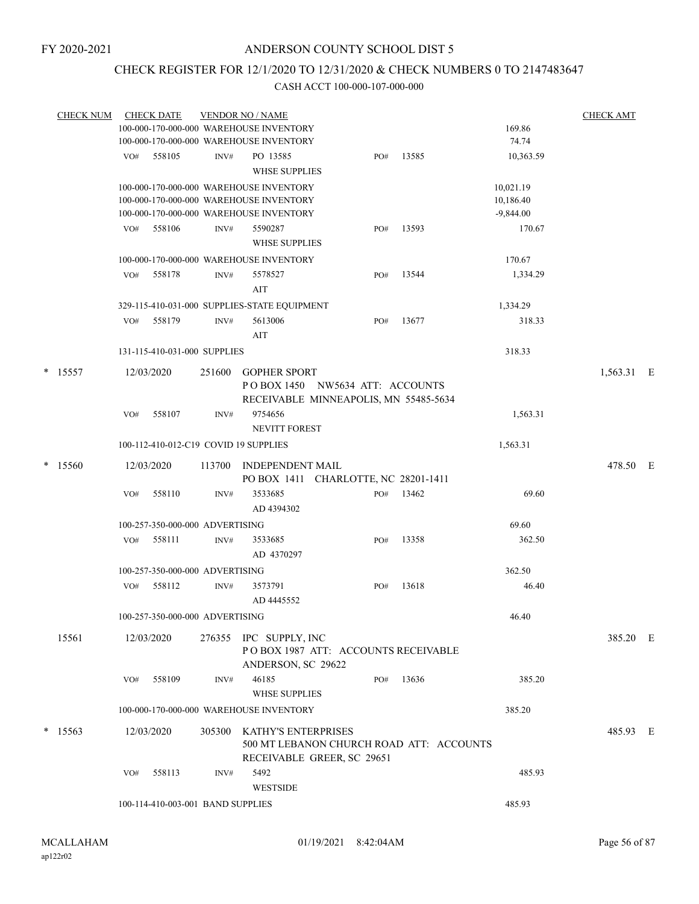### CHECK REGISTER FOR 12/1/2020 TO 12/31/2020 & CHECK NUMBERS 0 TO 2147483647

|  | <b>CHECK NUM</b> |     | <b>CHECK DATE</b>                 |                                         | <b>VENDOR NO / NAME</b>                                                                         |     |        |             | <b>CHECK AMT</b> |  |
|--|------------------|-----|-----------------------------------|-----------------------------------------|-------------------------------------------------------------------------------------------------|-----|--------|-------------|------------------|--|
|  |                  |     |                                   | 100-000-170-000-000 WAREHOUSE INVENTORY |                                                                                                 |     | 169.86 |             |                  |  |
|  |                  |     |                                   |                                         | 100-000-170-000-000 WAREHOUSE INVENTORY                                                         |     |        | 74.74       |                  |  |
|  |                  | VO# | 558105                            | INV#                                    | PO 13585<br><b>WHSE SUPPLIES</b>                                                                | PO# | 13585  | 10,363.59   |                  |  |
|  |                  |     |                                   |                                         | 100-000-170-000-000 WAREHOUSE INVENTORY                                                         |     |        | 10,021.19   |                  |  |
|  |                  |     |                                   |                                         | 100-000-170-000-000 WAREHOUSE INVENTORY                                                         |     |        | 10,186.40   |                  |  |
|  |                  |     |                                   |                                         | 100-000-170-000-000 WAREHOUSE INVENTORY                                                         |     |        | $-9,844.00$ |                  |  |
|  |                  | VO# | 558106                            | INV#                                    | 5590287<br><b>WHSE SUPPLIES</b>                                                                 | PO# | 13593  | 170.67      |                  |  |
|  |                  |     |                                   |                                         | 100-000-170-000-000 WAREHOUSE INVENTORY                                                         |     |        | 170.67      |                  |  |
|  |                  | VO# | 558178                            | INV#                                    | 5578527                                                                                         | PO# | 13544  | 1,334.29    |                  |  |
|  |                  |     |                                   |                                         | AIT                                                                                             |     |        |             |                  |  |
|  |                  |     |                                   |                                         | 329-115-410-031-000 SUPPLIES-STATE EQUIPMENT                                                    |     |        | 1,334.29    |                  |  |
|  |                  | VO# | 558179                            | INV#                                    | 5613006                                                                                         | PO# | 13677  | 318.33      |                  |  |
|  |                  |     |                                   |                                         | AIT                                                                                             |     |        |             |                  |  |
|  |                  |     | 131-115-410-031-000 SUPPLIES      |                                         |                                                                                                 |     |        | 318.33      |                  |  |
|  | $* 15557$        |     | 12/03/2020                        |                                         | 251600 GOPHER SPORT<br>POBOX 1450 NW5634 ATT: ACCOUNTS<br>RECEIVABLE MINNEAPOLIS, MN 55485-5634 |     |        |             | 1,563.31 E       |  |
|  |                  | VO# | 558107                            | INV#                                    | 9754656                                                                                         |     |        | 1,563.31    |                  |  |
|  |                  |     |                                   |                                         | <b>NEVITT FOREST</b>                                                                            |     |        |             |                  |  |
|  |                  |     |                                   |                                         | 100-112-410-012-C19 COVID 19 SUPPLIES                                                           |     |        | 1,563.31    |                  |  |
|  | $*$ 15560        |     | 12/03/2020                        | 113700                                  | <b>INDEPENDENT MAIL</b><br>PO BOX 1411 CHARLOTTE, NC 28201-1411                                 |     |        |             | 478.50 E         |  |
|  |                  | VO# | 558110                            | INV#                                    | 3533685                                                                                         | PO# | 13462  | 69.60       |                  |  |
|  |                  |     |                                   |                                         | AD 4394302                                                                                      |     |        |             |                  |  |
|  |                  |     | 100-257-350-000-000 ADVERTISING   |                                         |                                                                                                 |     |        | 69.60       |                  |  |
|  |                  | VO# | 558111                            | INV#                                    | 3533685                                                                                         | PO# | 13358  | 362.50      |                  |  |
|  |                  |     |                                   |                                         | AD 4370297                                                                                      |     |        |             |                  |  |
|  |                  |     | 100-257-350-000-000 ADVERTISING   |                                         |                                                                                                 |     |        | 362.50      |                  |  |
|  |                  | VO# | 558112                            | INV#                                    | 3573791                                                                                         | PO# | 13618  | 46.40       |                  |  |
|  |                  |     |                                   |                                         | AD 4445552                                                                                      |     |        |             |                  |  |
|  |                  |     | 100-257-350-000-000 ADVERTISING   |                                         |                                                                                                 |     |        | 46.40       |                  |  |
|  | 15561            |     | 12/03/2020                        |                                         | 276355 IPC SUPPLY, INC<br>POBOX 1987 ATT: ACCOUNTS RECEIVABLE<br>ANDERSON, SC 29622             |     |        |             | 385.20 E         |  |
|  |                  | VO# | 558109                            | INV#                                    | 46185                                                                                           | PO# | 13636  | 385.20      |                  |  |
|  |                  |     |                                   |                                         | <b>WHSE SUPPLIES</b>                                                                            |     |        |             |                  |  |
|  |                  |     |                                   |                                         | 100-000-170-000-000 WAREHOUSE INVENTORY                                                         |     |        | 385.20      |                  |  |
|  | $*$ 15563        |     | 12/03/2020                        | 305300                                  | KATHY'S ENTERPRISES                                                                             |     |        |             | 485.93 E         |  |
|  |                  |     |                                   |                                         | 500 MT LEBANON CHURCH ROAD ATT: ACCOUNTS<br>RECEIVABLE GREER, SC 29651                          |     |        |             |                  |  |
|  |                  | VO# | 558113                            | INV#                                    | 5492                                                                                            |     |        | 485.93      |                  |  |
|  |                  |     |                                   |                                         | <b>WESTSIDE</b>                                                                                 |     |        |             |                  |  |
|  |                  |     | 100-114-410-003-001 BAND SUPPLIES |                                         |                                                                                                 |     |        | 485.93      |                  |  |
|  |                  |     |                                   |                                         |                                                                                                 |     |        |             |                  |  |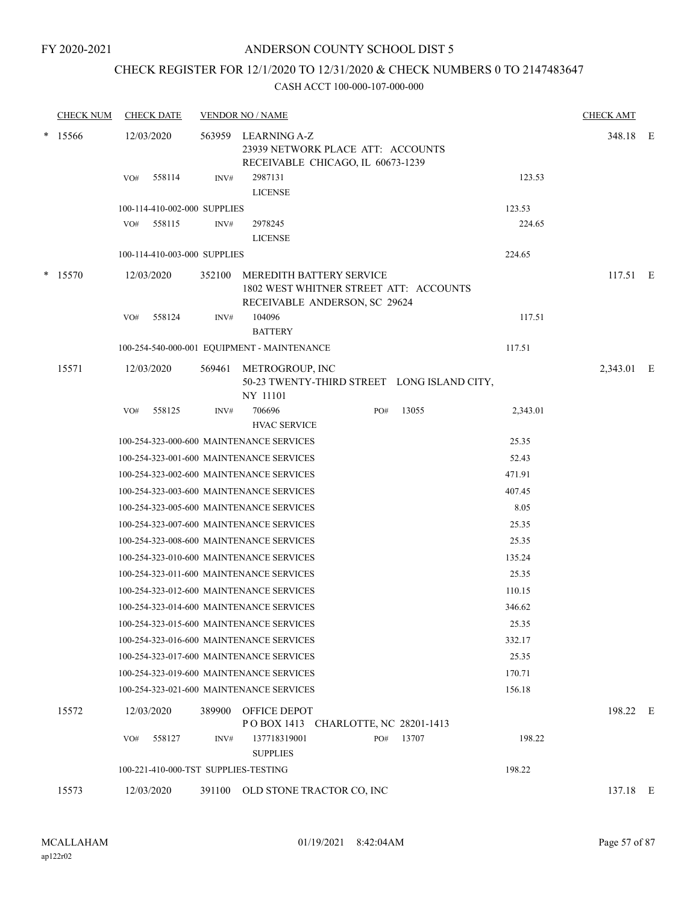#### FY 2020-2021

#### ANDERSON COUNTY SCHOOL DIST 5

# CHECK REGISTER FOR 12/1/2020 TO 12/31/2020 & CHECK NUMBERS 0 TO 2147483647

|        | <b>CHECK NUM</b> | <b>CHECK DATE</b>            |        | <b>VENDOR NO / NAME</b>                                                                       |     |                                             |          | <b>CHECK AMT</b> |  |
|--------|------------------|------------------------------|--------|-----------------------------------------------------------------------------------------------|-----|---------------------------------------------|----------|------------------|--|
| $\ast$ | 15566            | 12/03/2020                   |        | 563959 LEARNING A-Z<br>23939 NETWORK PLACE ATT: ACCOUNTS<br>RECEIVABLE CHICAGO, IL 60673-1239 |     |                                             |          | 348.18 E         |  |
|        |                  | 558114<br>VO#                | INV#   | 2987131<br><b>LICENSE</b>                                                                     |     |                                             | 123.53   |                  |  |
|        |                  | 100-114-410-002-000 SUPPLIES |        |                                                                                               |     |                                             | 123.53   |                  |  |
|        |                  | 558115<br>VO#                | INV#   | 2978245                                                                                       |     |                                             | 224.65   |                  |  |
|        |                  |                              |        | <b>LICENSE</b>                                                                                |     |                                             |          |                  |  |
|        |                  | 100-114-410-003-000 SUPPLIES |        |                                                                                               |     |                                             | 224.65   |                  |  |
|        | $*$ 15570        | 12/03/2020                   | 352100 | <b>MEREDITH BATTERY SERVICE</b><br>RECEIVABLE ANDERSON, SC 29624                              |     | 1802 WEST WHITNER STREET ATT: ACCOUNTS      |          | 117.51 E         |  |
|        |                  | 558124<br>VO#                | INV#   | 104096<br><b>BATTERY</b>                                                                      |     |                                             | 117.51   |                  |  |
|        |                  |                              |        | 100-254-540-000-001 EQUIPMENT - MAINTENANCE                                                   |     |                                             | 117.51   |                  |  |
|        | 15571            | 12/03/2020                   | 569461 | METROGROUP, INC<br>NY 11101                                                                   |     | 50-23 TWENTY-THIRD STREET LONG ISLAND CITY, |          | 2,343.01 E       |  |
|        |                  | 558125<br>VO#                | INV#   | 706696<br><b>HVAC SERVICE</b>                                                                 | PO# | 13055                                       | 2,343.01 |                  |  |
|        |                  |                              |        | 100-254-323-000-600 MAINTENANCE SERVICES                                                      |     |                                             | 25.35    |                  |  |
|        |                  |                              |        | 100-254-323-001-600 MAINTENANCE SERVICES                                                      |     |                                             | 52.43    |                  |  |
|        |                  |                              |        | 100-254-323-002-600 MAINTENANCE SERVICES                                                      |     |                                             | 471.91   |                  |  |
|        |                  |                              |        | 100-254-323-003-600 MAINTENANCE SERVICES                                                      |     |                                             | 407.45   |                  |  |
|        |                  |                              |        | 100-254-323-005-600 MAINTENANCE SERVICES                                                      |     |                                             | 8.05     |                  |  |
|        |                  |                              |        | 100-254-323-007-600 MAINTENANCE SERVICES                                                      |     |                                             | 25.35    |                  |  |
|        |                  |                              |        | 100-254-323-008-600 MAINTENANCE SERVICES                                                      |     |                                             | 25.35    |                  |  |
|        |                  |                              |        | 100-254-323-010-600 MAINTENANCE SERVICES                                                      |     |                                             | 135.24   |                  |  |
|        |                  |                              |        | 100-254-323-011-600 MAINTENANCE SERVICES                                                      |     |                                             | 25.35    |                  |  |
|        |                  |                              |        | 100-254-323-012-600 MAINTENANCE SERVICES                                                      |     |                                             | 110.15   |                  |  |
|        |                  |                              |        | 100-254-323-014-600 MAINTENANCE SERVICES                                                      |     |                                             | 346.62   |                  |  |
|        |                  |                              |        | 100-254-323-015-600 MAINTENANCE SERVICES                                                      |     |                                             | 25.35    |                  |  |
|        |                  |                              |        | 100-254-323-016-600 MAINTENANCE SERVICES                                                      |     |                                             | 332.17   |                  |  |
|        |                  |                              |        | 100-254-323-017-600 MAINTENANCE SERVICES                                                      |     |                                             | 25.35    |                  |  |
|        |                  |                              |        | 100-254-323-019-600 MAINTENANCE SERVICES                                                      |     |                                             | 170.71   |                  |  |
|        |                  |                              |        | 100-254-323-021-600 MAINTENANCE SERVICES                                                      |     |                                             | 156.18   |                  |  |
|        | 15572            | 12/03/2020                   | 389900 | OFFICE DEPOT<br>POBOX 1413 CHARLOTTE, NC 28201-1413                                           |     |                                             |          | 198.22 E         |  |
|        |                  | 558127<br>VO#                | INV#   | 137718319001<br><b>SUPPLIES</b>                                                               | PO# | 13707                                       | 198.22   |                  |  |
|        |                  |                              |        | 100-221-410-000-TST SUPPLIES-TESTING                                                          |     |                                             | 198.22   |                  |  |
|        | 15573            | 12/03/2020                   | 391100 | OLD STONE TRACTOR CO, INC                                                                     |     |                                             |          | 137.18 E         |  |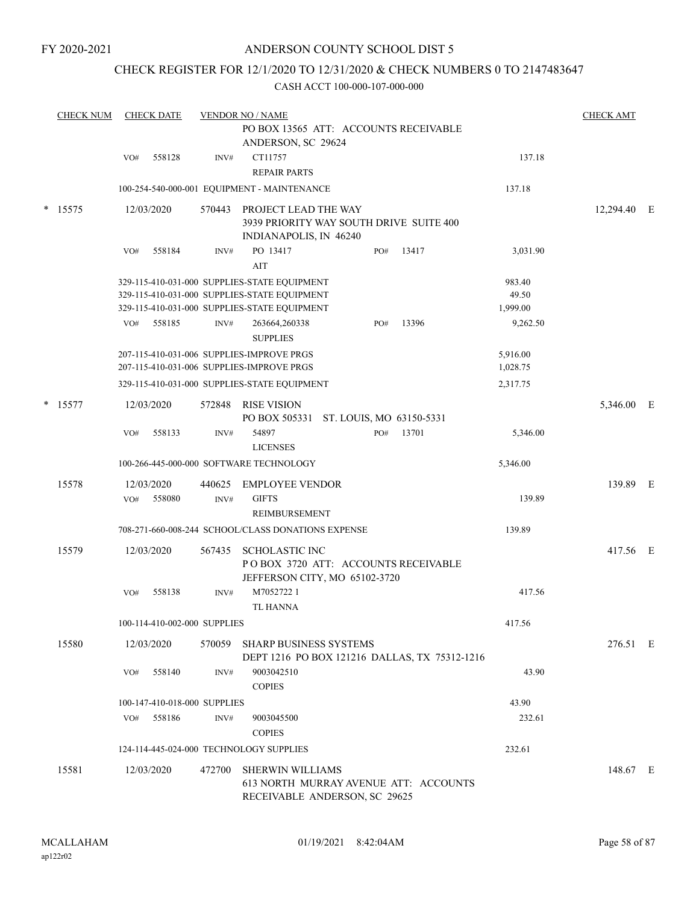FY 2020-2021

#### ANDERSON COUNTY SCHOOL DIST 5

### CHECK REGISTER FOR 12/1/2020 TO 12/31/2020 & CHECK NUMBERS 0 TO 2147483647

|        | <b>CHECK NUM</b> |            | <b>CHECK DATE</b>            |                | <b>VENDOR NO / NAME</b>                                                                           |     |                          |                      | <b>CHECK AMT</b> |  |
|--------|------------------|------------|------------------------------|----------------|---------------------------------------------------------------------------------------------------|-----|--------------------------|----------------------|------------------|--|
|        |                  |            |                              |                | PO BOX 13565 ATT: ACCOUNTS RECEIVABLE<br>ANDERSON, SC 29624                                       |     |                          |                      |                  |  |
|        |                  | VO#        | 558128                       | INV#           | CT11757<br><b>REPAIR PARTS</b>                                                                    |     |                          | 137.18               |                  |  |
|        |                  |            |                              |                | 100-254-540-000-001 EQUIPMENT - MAINTENANCE                                                       |     |                          | 137.18               |                  |  |
| $\ast$ | 15575            | 12/03/2020 |                              | 570443         | PROJECT LEAD THE WAY<br>3939 PRIORITY WAY SOUTH DRIVE SUITE 400<br>INDIANAPOLIS, IN 46240         |     |                          |                      | 12,294.40 E      |  |
|        |                  | VO#        | 558184                       | INV#           | PO 13417<br>AIT                                                                                   | PO# | 13417                    | 3,031.90             |                  |  |
|        |                  |            |                              |                | 329-115-410-031-000 SUPPLIES-STATE EQUIPMENT                                                      |     |                          | 983.40               |                  |  |
|        |                  |            |                              |                | 329-115-410-031-000 SUPPLIES-STATE EQUIPMENT                                                      |     |                          | 49.50                |                  |  |
|        |                  |            |                              |                | 329-115-410-031-000 SUPPLIES-STATE EQUIPMENT                                                      |     |                          | 1,999.00             |                  |  |
|        |                  | VO#        | 558185                       | INV#           | 263664,260338<br><b>SUPPLIES</b>                                                                  | PO# | 13396                    | 9,262.50             |                  |  |
|        |                  |            |                              |                | 207-115-410-031-006 SUPPLIES-IMPROVE PRGS<br>207-115-410-031-006 SUPPLIES-IMPROVE PRGS            |     |                          | 5,916.00<br>1,028.75 |                  |  |
|        |                  |            |                              |                | 329-115-410-031-000 SUPPLIES-STATE EQUIPMENT                                                      |     |                          | 2,317.75             |                  |  |
|        | $*$ 15577        | 12/03/2020 |                              | 572848         | <b>RISE VISION</b><br>PO BOX 505331                                                               |     | ST. LOUIS, MO 63150-5331 |                      | 5,346.00 E       |  |
|        |                  | VO#        | 558133                       | INV#           | 54897<br><b>LICENSES</b>                                                                          | PO# | 13701                    | 5,346.00             |                  |  |
|        |                  |            |                              |                | 100-266-445-000-000 SOFTWARE TECHNOLOGY                                                           |     |                          | 5,346.00             |                  |  |
|        | 15578            | 12/03/2020 |                              |                |                                                                                                   |     |                          |                      | 139.89 E         |  |
|        |                  | VO#        | 558080                       | 440625<br>INV# | <b>EMPLOYEE VENDOR</b><br><b>GIFTS</b><br>REIMBURSEMENT                                           |     |                          | 139.89               |                  |  |
|        |                  |            |                              |                | 708-271-660-008-244 SCHOOL/CLASS DONATIONS EXPENSE                                                |     |                          | 139.89               |                  |  |
|        | 15579            | 12/03/2020 |                              | 567435         | <b>SCHOLASTIC INC</b><br>POBOX 3720 ATT: ACCOUNTS RECEIVABLE                                      |     |                          |                      | 417.56 E         |  |
|        |                  |            |                              |                | JEFFERSON CITY, MO 65102-3720                                                                     |     |                          |                      |                  |  |
|        |                  | VO#        | 558138                       | INV#           | M70527221<br><b>TL HANNA</b>                                                                      |     |                          | 417.56               |                  |  |
|        |                  |            | 100-114-410-002-000 SUPPLIES |                |                                                                                                   |     |                          | 417.56               |                  |  |
|        | 15580            | 12/03/2020 |                              | 570059         | <b>SHARP BUSINESS SYSTEMS</b><br>DEPT 1216 PO BOX 121216 DALLAS, TX 75312-1216                    |     |                          |                      | 276.51 E         |  |
|        |                  | VO#        | 558140                       | INV#           | 9003042510<br><b>COPIES</b>                                                                       |     |                          | 43.90                |                  |  |
|        |                  |            | 100-147-410-018-000 SUPPLIES |                |                                                                                                   |     |                          | 43.90                |                  |  |
|        |                  | VO#        | 558186                       | INV#           | 9003045500<br><b>COPIES</b>                                                                       |     |                          | 232.61               |                  |  |
|        |                  |            |                              |                | 124-114-445-024-000 TECHNOLOGY SUPPLIES                                                           |     |                          | 232.61               |                  |  |
|        | 15581            | 12/03/2020 |                              | 472700         | <b>SHERWIN WILLIAMS</b><br>613 NORTH MURRAY AVENUE ATT: ACCOUNTS<br>RECEIVABLE ANDERSON, SC 29625 |     |                          |                      | 148.67 E         |  |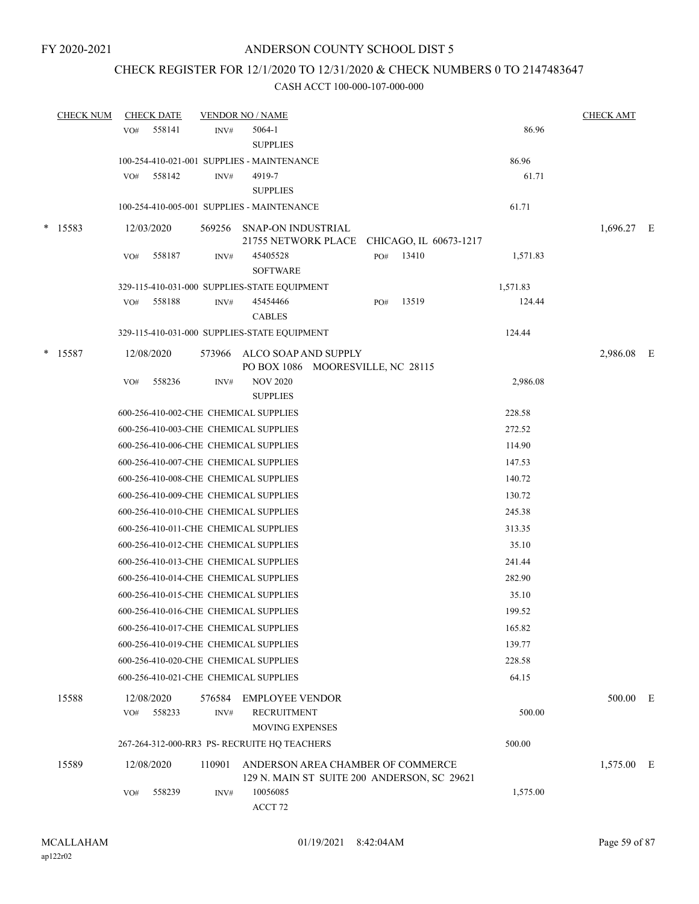### CHECK REGISTER FOR 12/1/2020 TO 12/31/2020 & CHECK NUMBERS 0 TO 2147483647

|        | <b>CHECK NUM</b> |     | <b>CHECK DATE</b> |        | <b>VENDOR NO / NAME</b>                                                          |     |                        |          | <b>CHECK AMT</b> |  |
|--------|------------------|-----|-------------------|--------|----------------------------------------------------------------------------------|-----|------------------------|----------|------------------|--|
|        |                  | VO# | 558141            | INV#   | 5064-1                                                                           |     |                        | 86.96    |                  |  |
|        |                  |     |                   |        | <b>SUPPLIES</b>                                                                  |     |                        |          |                  |  |
|        |                  |     |                   |        | 100-254-410-021-001 SUPPLIES - MAINTENANCE                                       |     |                        | 86.96    |                  |  |
|        |                  | VO# | 558142            | INV#   | 4919-7                                                                           |     |                        | 61.71    |                  |  |
|        |                  |     |                   |        | <b>SUPPLIES</b>                                                                  |     |                        |          |                  |  |
|        |                  |     |                   |        | 100-254-410-005-001 SUPPLIES - MAINTENANCE                                       |     |                        | 61.71    |                  |  |
| $\ast$ | 15583            |     | 12/03/2020        | 569256 | <b>SNAP-ON INDUSTRIAL</b><br>21755 NETWORK PLACE                                 |     | CHICAGO, IL 60673-1217 |          | 1,696.27 E       |  |
|        |                  | VO# | 558187            | INV#   | 45405528                                                                         | PO# | 13410                  | 1,571.83 |                  |  |
|        |                  |     |                   |        | <b>SOFTWARE</b>                                                                  |     |                        |          |                  |  |
|        |                  |     |                   |        | 329-115-410-031-000 SUPPLIES-STATE EQUIPMENT                                     |     |                        | 1,571.83 |                  |  |
|        |                  | VO# | 558188            | INV#   | 45454466                                                                         | PO# | 13519                  | 124.44   |                  |  |
|        |                  |     |                   |        | <b>CABLES</b>                                                                    |     |                        |          |                  |  |
|        |                  |     |                   |        | 329-115-410-031-000 SUPPLIES-STATE EQUIPMENT                                     |     |                        | 124.44   |                  |  |
| *      | 15587            |     | 12/08/2020        |        | 573966 ALCO SOAP AND SUPPLY<br>PO BOX 1086 MOORESVILLE, NC 28115                 |     |                        |          | 2,986.08 E       |  |
|        |                  | VO# | 558236            | INV#   | <b>NOV 2020</b><br><b>SUPPLIES</b>                                               |     |                        | 2,986.08 |                  |  |
|        |                  |     |                   |        | 600-256-410-002-CHE CHEMICAL SUPPLIES                                            |     |                        | 228.58   |                  |  |
|        |                  |     |                   |        | 600-256-410-003-CHE CHEMICAL SUPPLIES                                            |     |                        | 272.52   |                  |  |
|        |                  |     |                   |        | 600-256-410-006-CHE CHEMICAL SUPPLIES                                            |     |                        | 114.90   |                  |  |
|        |                  |     |                   |        | 600-256-410-007-CHE CHEMICAL SUPPLIES                                            |     |                        | 147.53   |                  |  |
|        |                  |     |                   |        | 600-256-410-008-CHE CHEMICAL SUPPLIES                                            |     |                        | 140.72   |                  |  |
|        |                  |     |                   |        | 600-256-410-009-CHE CHEMICAL SUPPLIES                                            |     |                        | 130.72   |                  |  |
|        |                  |     |                   |        | 600-256-410-010-CHE CHEMICAL SUPPLIES                                            |     |                        | 245.38   |                  |  |
|        |                  |     |                   |        | 600-256-410-011-CHE CHEMICAL SUPPLIES                                            |     |                        | 313.35   |                  |  |
|        |                  |     |                   |        | 600-256-410-012-CHE CHEMICAL SUPPLIES                                            |     |                        | 35.10    |                  |  |
|        |                  |     |                   |        | 600-256-410-013-CHE CHEMICAL SUPPLIES                                            |     |                        | 241.44   |                  |  |
|        |                  |     |                   |        | 600-256-410-014-CHE CHEMICAL SUPPLIES                                            |     |                        | 282.90   |                  |  |
|        |                  |     |                   |        | 600-256-410-015-CHE CHEMICAL SUPPLIES                                            |     |                        | 35.10    |                  |  |
|        |                  |     |                   |        | 600-256-410-016-CHE CHEMICAL SUPPLIES                                            |     |                        | 199.52   |                  |  |
|        |                  |     |                   |        | 600-256-410-017-CHE CHEMICAL SUPPLIES                                            |     |                        | 165.82   |                  |  |
|        |                  |     |                   |        |                                                                                  |     |                        |          |                  |  |
|        |                  |     |                   |        | 600-256-410-019-CHE CHEMICAL SUPPLIES                                            |     |                        | 139.77   |                  |  |
|        |                  |     |                   |        | 600-256-410-020-CHE CHEMICAL SUPPLIES                                            |     |                        | 228.58   |                  |  |
|        |                  |     |                   |        | 600-256-410-021-CHE CHEMICAL SUPPLIES                                            |     |                        | 64.15    |                  |  |
|        | 15588            |     | 12/08/2020        | 576584 | <b>EMPLOYEE VENDOR</b>                                                           |     |                        |          | 500.00 E         |  |
|        |                  | VO# | 558233            | INV#   | <b>RECRUITMENT</b>                                                               |     |                        | 500.00   |                  |  |
|        |                  |     |                   |        | <b>MOVING EXPENSES</b>                                                           |     |                        |          |                  |  |
|        |                  |     |                   |        | 267-264-312-000-RR3 PS-RECRUITE HQ TEACHERS                                      |     |                        | 500.00   |                  |  |
|        | 15589            |     | 12/08/2020        | 110901 | ANDERSON AREA CHAMBER OF COMMERCE<br>129 N. MAIN ST SUITE 200 ANDERSON, SC 29621 |     |                        |          | 1,575.00 E       |  |
|        |                  | VO# | 558239            | INV#   | 10056085<br>ACCT 72                                                              |     |                        | 1,575.00 |                  |  |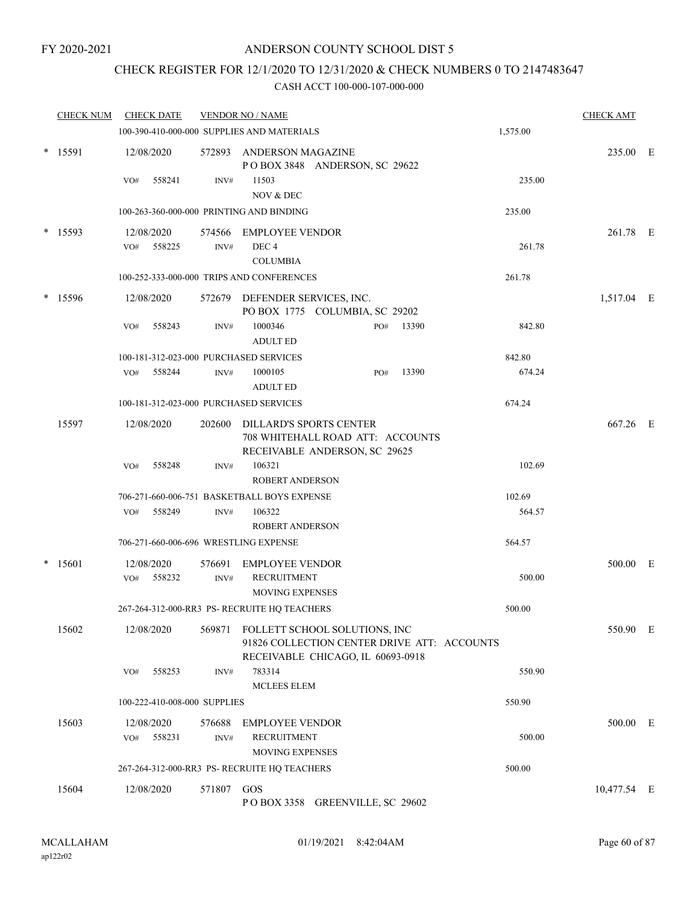### CHECK REGISTER FOR 12/1/2020 TO 12/31/2020 & CHECK NUMBERS 0 TO 2147483647

| <b>CHECK NUM</b> |     | <b>CHECK DATE</b>            |                | <b>VENDOR NO / NAME</b>                                                                                           |     |       |          | <b>CHECK AMT</b> |  |
|------------------|-----|------------------------------|----------------|-------------------------------------------------------------------------------------------------------------------|-----|-------|----------|------------------|--|
|                  |     |                              |                | 100-390-410-000-000 SUPPLIES AND MATERIALS                                                                        |     |       | 1,575.00 |                  |  |
| $*$ 15591        |     | 12/08/2020                   |                | 572893 ANDERSON MAGAZINE<br>POBOX 3848 ANDERSON, SC 29622                                                         |     |       |          | 235.00 E         |  |
|                  | VO# | 558241                       | INV#           | 11503                                                                                                             |     |       | 235.00   |                  |  |
|                  |     |                              |                | NOV & DEC                                                                                                         |     |       |          |                  |  |
|                  |     |                              |                | 100-263-360-000-000 PRINTING AND BINDING                                                                          |     |       | 235.00   |                  |  |
| $*$ 15593        |     | 12/08/2020                   | 574566         | EMPLOYEE VENDOR                                                                                                   |     |       |          | 261.78 E         |  |
|                  | VO# | 558225                       | INV#           | DEC <sub>4</sub>                                                                                                  |     |       | 261.78   |                  |  |
|                  |     |                              |                | <b>COLUMBIA</b>                                                                                                   |     |       |          |                  |  |
|                  |     |                              |                | 100-252-333-000-000 TRIPS AND CONFERENCES                                                                         |     |       | 261.78   |                  |  |
| $*$ 15596        |     | 12/08/2020                   |                | 572679 DEFENDER SERVICES, INC.<br>PO BOX 1775 COLUMBIA, SC 29202                                                  |     |       |          | 1,517.04 E       |  |
|                  | VO# | 558243                       | INV#           | 1000346<br><b>ADULT ED</b>                                                                                        | PO# | 13390 | 842.80   |                  |  |
|                  |     |                              |                | 100-181-312-023-000 PURCHASED SERVICES                                                                            |     |       | 842.80   |                  |  |
|                  | VO# | 558244                       | INV#           | 1000105<br><b>ADULT ED</b>                                                                                        | PO# | 13390 | 674.24   |                  |  |
|                  |     |                              |                | 100-181-312-023-000 PURCHASED SERVICES                                                                            |     |       | 674.24   |                  |  |
| 15597            |     | 12/08/2020                   | 202600         | DILLARD'S SPORTS CENTER<br>708 WHITEHALL ROAD ATT: ACCOUNTS<br>RECEIVABLE ANDERSON, SC 29625                      |     |       |          | 667.26 E         |  |
|                  | VO# | 558248                       | INV#           | 106321<br><b>ROBERT ANDERSON</b>                                                                                  |     |       | 102.69   |                  |  |
|                  |     |                              |                | 706-271-660-006-751 BASKETBALL BOYS EXPENSE                                                                       |     |       | 102.69   |                  |  |
|                  | VO# | 558249                       | INV#           | 106322<br><b>ROBERT ANDERSON</b>                                                                                  |     |       | 564.57   |                  |  |
|                  |     |                              |                | 706-271-660-006-696 WRESTLING EXPENSE                                                                             |     |       | 564.57   |                  |  |
| $*$ 15601        |     | 12/08/2020                   |                | 576691 EMPLOYEE VENDOR                                                                                            |     |       |          | 500.00 E         |  |
|                  | VO# | 558232                       | INV#           | <b>RECRUITMENT</b>                                                                                                |     |       | 500.00   |                  |  |
|                  |     |                              |                | <b>MOVING EXPENSES</b>                                                                                            |     |       |          |                  |  |
|                  |     |                              |                | 267-264-312-000-RR3 PS- RECRUITE HQ TEACHERS                                                                      |     |       | 500.00   |                  |  |
| 15602            |     | 12/08/2020                   | 569871         | FOLLETT SCHOOL SOLUTIONS, INC<br>91826 COLLECTION CENTER DRIVE ATT: ACCOUNTS<br>RECEIVABLE CHICAGO, IL 60693-0918 |     |       |          | 550.90 E         |  |
|                  | VO# | 558253                       | INV#           | 783314<br><b>MCLEES ELEM</b>                                                                                      |     |       | 550.90   |                  |  |
|                  |     | 100-222-410-008-000 SUPPLIES |                |                                                                                                                   |     |       | 550.90   |                  |  |
| 15603            | VO# | 12/08/2020<br>558231         | 576688<br>INV# | <b>EMPLOYEE VENDOR</b><br><b>RECRUITMENT</b>                                                                      |     |       | 500.00   | 500.00 E         |  |
|                  |     |                              |                | <b>MOVING EXPENSES</b>                                                                                            |     |       |          |                  |  |
|                  |     |                              |                | 267-264-312-000-RR3 PS- RECRUITE HQ TEACHERS                                                                      |     |       | 500.00   |                  |  |
| 15604            |     | 12/08/2020                   | 571807 GOS     | POBOX 3358 GREENVILLE, SC 29602                                                                                   |     |       |          | 10,477.54 E      |  |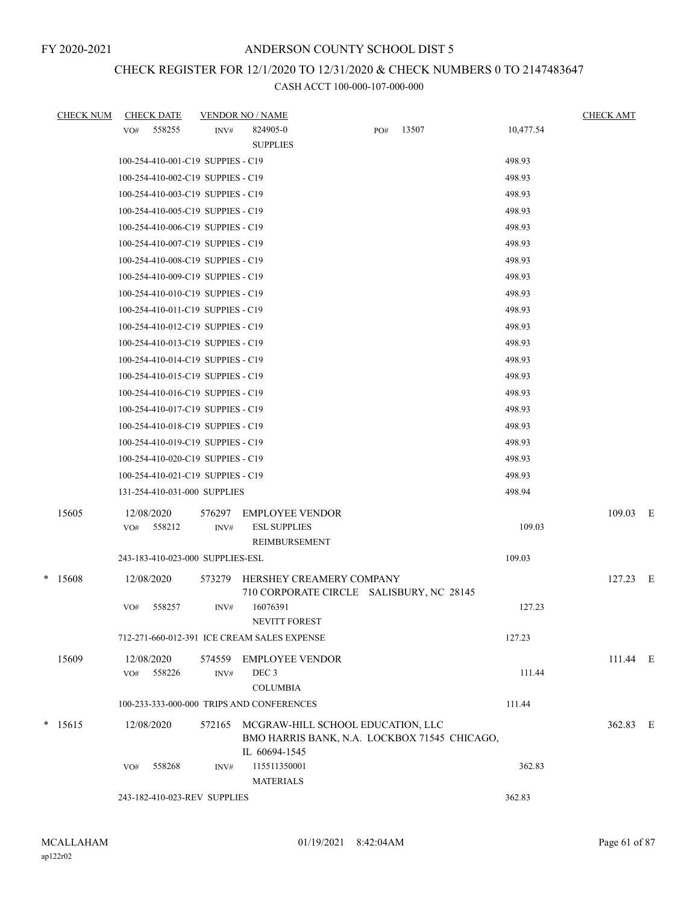# CHECK REGISTER FOR 12/1/2020 TO 12/31/2020 & CHECK NUMBERS 0 TO 2147483647

| <b>CHECK NUM</b> |     | <b>CHECK DATE</b>                 |                | <b>VENDOR NO / NAME</b>                                                           |     |       |           | <b>CHECK AMT</b> |  |
|------------------|-----|-----------------------------------|----------------|-----------------------------------------------------------------------------------|-----|-------|-----------|------------------|--|
|                  | VO# | 558255                            | INV#           | 824905-0<br><b>SUPPLIES</b>                                                       | PO# | 13507 | 10,477.54 |                  |  |
|                  |     | 100-254-410-001-C19 SUPPIES - C19 |                |                                                                                   |     |       | 498.93    |                  |  |
|                  |     | 100-254-410-002-C19 SUPPIES - C19 |                |                                                                                   |     |       | 498.93    |                  |  |
|                  |     | 100-254-410-003-C19 SUPPIES - C19 |                |                                                                                   |     |       | 498.93    |                  |  |
|                  |     | 100-254-410-005-C19 SUPPIES - C19 |                |                                                                                   |     |       | 498.93    |                  |  |
|                  |     | 100-254-410-006-C19 SUPPIES - C19 |                |                                                                                   |     |       | 498.93    |                  |  |
|                  |     | 100-254-410-007-C19 SUPPIES - C19 |                |                                                                                   |     |       | 498.93    |                  |  |
|                  |     | 100-254-410-008-C19 SUPPIES - C19 |                |                                                                                   |     |       | 498.93    |                  |  |
|                  |     | 100-254-410-009-C19 SUPPIES - C19 |                |                                                                                   |     |       | 498.93    |                  |  |
|                  |     | 100-254-410-010-C19 SUPPIES - C19 |                |                                                                                   |     |       | 498.93    |                  |  |
|                  |     | 100-254-410-011-C19 SUPPIES - C19 |                |                                                                                   |     |       | 498.93    |                  |  |
|                  |     | 100-254-410-012-C19 SUPPIES - C19 |                |                                                                                   |     |       | 498.93    |                  |  |
|                  |     | 100-254-410-013-C19 SUPPIES - C19 |                |                                                                                   |     |       | 498.93    |                  |  |
|                  |     | 100-254-410-014-C19 SUPPIES - C19 |                |                                                                                   |     |       | 498.93    |                  |  |
|                  |     | 100-254-410-015-C19 SUPPIES - C19 |                |                                                                                   |     |       | 498.93    |                  |  |
|                  |     | 100-254-410-016-C19 SUPPIES - C19 |                |                                                                                   |     |       | 498.93    |                  |  |
|                  |     | 100-254-410-017-C19 SUPPIES - C19 |                |                                                                                   |     |       | 498.93    |                  |  |
|                  |     | 100-254-410-018-C19 SUPPIES - C19 |                |                                                                                   |     |       | 498.93    |                  |  |
|                  |     | 100-254-410-019-C19 SUPPIES - C19 |                |                                                                                   |     |       | 498.93    |                  |  |
|                  |     | 100-254-410-020-C19 SUPPIES - C19 |                |                                                                                   |     |       | 498.93    |                  |  |
|                  |     | 100-254-410-021-C19 SUPPIES - C19 |                |                                                                                   |     |       | 498.93    |                  |  |
|                  |     | 131-254-410-031-000 SUPPLIES      |                |                                                                                   |     |       | 498.94    |                  |  |
| 15605            | VO# | 12/08/2020<br>558212              | 576297<br>INV# | <b>EMPLOYEE VENDOR</b><br><b>ESL SUPPLIES</b>                                     |     |       | 109.03    | 109.03 E         |  |
|                  |     |                                   |                | REIMBURSEMENT                                                                     |     |       |           |                  |  |
|                  |     | 243-183-410-023-000 SUPPLIES-ESL  |                |                                                                                   |     |       | 109.03    |                  |  |
| $*$ 15608        |     | 12/08/2020                        | 573279         | HERSHEY CREAMERY COMPANY<br>710 CORPORATE CIRCLE SALISBURY, NC 28145              |     |       |           | 127.23 E         |  |
|                  | VO# | 558257                            | INV#           | 16076391<br>NEVITT FOREST                                                         |     |       | 127.23    |                  |  |
|                  |     |                                   |                | 712-271-660-012-391 ICE CREAM SALES EXPENSE                                       |     |       | 127.23    |                  |  |
| 15609            |     | 12/08/2020                        |                | 574559 EMPLOYEE VENDOR                                                            |     |       |           | 111.44 E         |  |
|                  | VO# | 558226                            | INV#           | DEC <sub>3</sub>                                                                  |     |       | 111.44    |                  |  |
|                  |     |                                   |                | <b>COLUMBIA</b>                                                                   |     |       |           |                  |  |
|                  |     |                                   |                | 100-233-333-000-000 TRIPS AND CONFERENCES                                         |     |       | 111.44    |                  |  |
| $*$ 15615        |     | 12/08/2020                        | 572165         | MCGRAW-HILL SCHOOL EDUCATION, LLC<br>BMO HARRIS BANK, N.A. LOCKBOX 71545 CHICAGO, |     |       |           | 362.83 E         |  |
|                  | VO# | 558268                            | INV#           | IL 60694-1545<br>115511350001                                                     |     |       | 362.83    |                  |  |
|                  |     |                                   |                | <b>MATERIALS</b>                                                                  |     |       |           |                  |  |
|                  |     | 243-182-410-023-REV SUPPLIES      |                |                                                                                   |     |       | 362.83    |                  |  |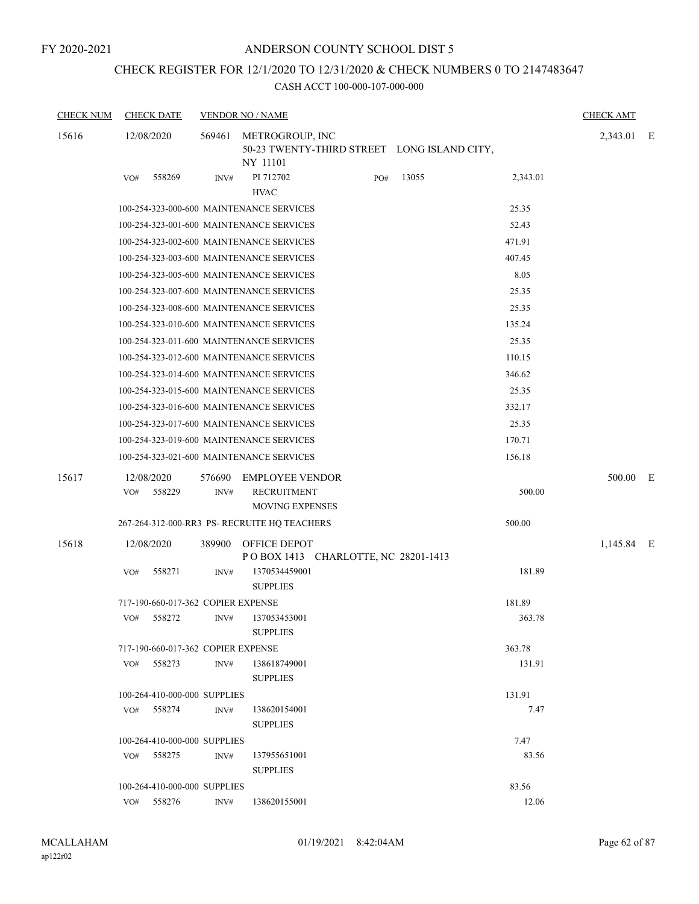FY 2020-2021

#### ANDERSON COUNTY SCHOOL DIST 5

# CHECK REGISTER FOR 12/1/2020 TO 12/31/2020 & CHECK NUMBERS 0 TO 2147483647

| <b>CHECK NUM</b> | <b>CHECK DATE</b>                  |        | <b>VENDOR NO / NAME</b>                                    |     |                                             |          | <b>CHECK AMT</b> |  |
|------------------|------------------------------------|--------|------------------------------------------------------------|-----|---------------------------------------------|----------|------------------|--|
| 15616            | 12/08/2020                         | 569461 | METROGROUP, INC<br>NY 11101                                |     | 50-23 TWENTY-THIRD STREET LONG ISLAND CITY, |          | 2,343.01 E       |  |
|                  | 558269<br>VO#                      | INV#   | PI 712702<br><b>HVAC</b>                                   | PO# | 13055                                       | 2,343.01 |                  |  |
|                  |                                    |        | 100-254-323-000-600 MAINTENANCE SERVICES                   |     |                                             | 25.35    |                  |  |
|                  |                                    |        | 100-254-323-001-600 MAINTENANCE SERVICES                   |     |                                             | 52.43    |                  |  |
|                  |                                    |        | 100-254-323-002-600 MAINTENANCE SERVICES                   |     |                                             | 471.91   |                  |  |
|                  |                                    |        | 100-254-323-003-600 MAINTENANCE SERVICES                   |     |                                             | 407.45   |                  |  |
|                  |                                    |        | 100-254-323-005-600 MAINTENANCE SERVICES                   |     |                                             | 8.05     |                  |  |
|                  |                                    |        | 100-254-323-007-600 MAINTENANCE SERVICES                   |     |                                             | 25.35    |                  |  |
|                  |                                    |        | 100-254-323-008-600 MAINTENANCE SERVICES                   |     |                                             | 25.35    |                  |  |
|                  |                                    |        | 100-254-323-010-600 MAINTENANCE SERVICES                   |     |                                             | 135.24   |                  |  |
|                  |                                    |        | 100-254-323-011-600 MAINTENANCE SERVICES                   |     |                                             | 25.35    |                  |  |
|                  |                                    |        | 100-254-323-012-600 MAINTENANCE SERVICES                   |     |                                             | 110.15   |                  |  |
|                  |                                    |        | 100-254-323-014-600 MAINTENANCE SERVICES                   |     |                                             | 346.62   |                  |  |
|                  |                                    |        | 100-254-323-015-600 MAINTENANCE SERVICES                   |     |                                             | 25.35    |                  |  |
|                  |                                    |        | 100-254-323-016-600 MAINTENANCE SERVICES                   |     |                                             | 332.17   |                  |  |
|                  |                                    |        | 100-254-323-017-600 MAINTENANCE SERVICES                   |     |                                             | 25.35    |                  |  |
|                  |                                    |        | 100-254-323-019-600 MAINTENANCE SERVICES                   |     |                                             | 170.71   |                  |  |
|                  |                                    |        | 100-254-323-021-600 MAINTENANCE SERVICES                   |     |                                             | 156.18   |                  |  |
| 15617            | 12/08/2020                         | 576690 | <b>EMPLOYEE VENDOR</b>                                     |     |                                             |          | 500.00 E         |  |
|                  | 558229<br>VO#                      | INV#   | <b>RECRUITMENT</b>                                         |     |                                             | 500.00   |                  |  |
|                  |                                    |        | <b>MOVING EXPENSES</b>                                     |     |                                             |          |                  |  |
|                  |                                    |        | 267-264-312-000-RR3 PS- RECRUITE HQ TEACHERS               |     |                                             | 500.00   |                  |  |
| 15618            | 12/08/2020                         | 389900 | <b>OFFICE DEPOT</b><br>POBOX 1413 CHARLOTTE, NC 28201-1413 |     |                                             |          | 1,145.84 E       |  |
|                  | VO#<br>558271                      | INV#   | 1370534459001<br><b>SUPPLIES</b>                           |     |                                             | 181.89   |                  |  |
|                  | 717-190-660-017-362 COPIER EXPENSE |        |                                                            |     |                                             | 181.89   |                  |  |
|                  | 558272<br>VO#                      | INV#   | 137053453001                                               |     |                                             | 363.78   |                  |  |
|                  |                                    |        | <b>SUPPLIES</b>                                            |     |                                             |          |                  |  |
|                  | 717-190-660-017-362 COPIER EXPENSE |        |                                                            |     |                                             | 363.78   |                  |  |
|                  | 558273<br>VO#                      | INV#   | 138618749001                                               |     |                                             | 131.91   |                  |  |
|                  |                                    |        | <b>SUPPLIES</b>                                            |     |                                             |          |                  |  |
|                  | 100-264-410-000-000 SUPPLIES       |        |                                                            |     |                                             | 131.91   |                  |  |
|                  | VO# 558274                         | INV#   | 138620154001<br><b>SUPPLIES</b>                            |     |                                             | 7.47     |                  |  |
|                  | 100-264-410-000-000 SUPPLIES       |        |                                                            |     |                                             | 7.47     |                  |  |
|                  | VO# 558275                         | INV#   | 137955651001<br><b>SUPPLIES</b>                            |     |                                             | 83.56    |                  |  |
|                  | 100-264-410-000-000 SUPPLIES       |        |                                                            |     |                                             | 83.56    |                  |  |
|                  | 558276<br>VO#                      | INV#   | 138620155001                                               |     |                                             | 12.06    |                  |  |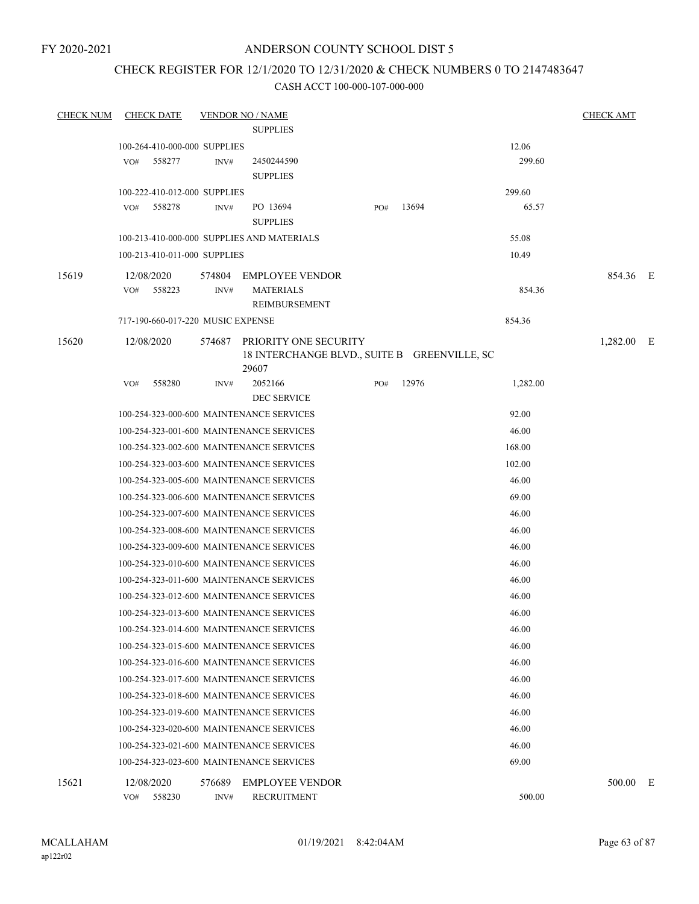FY 2020-2021

### ANDERSON COUNTY SCHOOL DIST 5

### CHECK REGISTER FOR 12/1/2020 TO 12/31/2020 & CHECK NUMBERS 0 TO 2147483647

| <b>CHECK NUM</b> | <b>CHECK DATE</b>                             |        | <b>VENDOR NO / NAME</b><br><b>SUPPLIES</b>                                     |     |       |                 | <b>CHECK AMT</b> |   |
|------------------|-----------------------------------------------|--------|--------------------------------------------------------------------------------|-----|-------|-----------------|------------------|---|
|                  | 100-264-410-000-000 SUPPLIES<br>558277<br>VO# | INV#   | 2450244590                                                                     |     |       | 12.06<br>299.60 |                  |   |
|                  |                                               |        | <b>SUPPLIES</b>                                                                |     |       |                 |                  |   |
|                  | 100-222-410-012-000 SUPPLIES                  |        |                                                                                |     |       | 299.60          |                  |   |
|                  | 558278<br>VO#                                 | INV#   | PO 13694<br><b>SUPPLIES</b>                                                    | PO# | 13694 | 65.57           |                  |   |
|                  |                                               |        | 100-213-410-000-000 SUPPLIES AND MATERIALS                                     |     |       | 55.08           |                  |   |
|                  | 100-213-410-011-000 SUPPLIES                  |        |                                                                                |     |       | 10.49           |                  |   |
| 15619            | 12/08/2020                                    |        | 574804 EMPLOYEE VENDOR                                                         |     |       |                 | 854.36 E         |   |
|                  | 558223<br>VO#                                 | INV#   | <b>MATERIALS</b><br>REIMBURSEMENT                                              |     |       | 854.36          |                  |   |
|                  | 717-190-660-017-220 MUSIC EXPENSE             |        |                                                                                |     |       | 854.36          |                  |   |
| 15620            | 12/08/2020                                    | 574687 | PRIORITY ONE SECURITY<br>18 INTERCHANGE BLVD., SUITE B GREENVILLE, SC<br>29607 |     |       |                 | 1,282.00 E       |   |
|                  | 558280<br>VO#                                 | INV#   | 2052166<br><b>DEC SERVICE</b>                                                  | PO# | 12976 | 1,282.00        |                  |   |
|                  |                                               |        | 100-254-323-000-600 MAINTENANCE SERVICES                                       |     |       | 92.00           |                  |   |
|                  |                                               |        | 100-254-323-001-600 MAINTENANCE SERVICES                                       |     |       | 46.00           |                  |   |
|                  |                                               |        | 100-254-323-002-600 MAINTENANCE SERVICES                                       |     |       | 168.00          |                  |   |
|                  |                                               |        | 100-254-323-003-600 MAINTENANCE SERVICES                                       |     |       | 102.00          |                  |   |
|                  |                                               |        | 100-254-323-005-600 MAINTENANCE SERVICES                                       |     |       | 46.00           |                  |   |
|                  |                                               |        | 100-254-323-006-600 MAINTENANCE SERVICES                                       |     |       | 69.00           |                  |   |
|                  |                                               |        | 100-254-323-007-600 MAINTENANCE SERVICES                                       |     |       | 46.00           |                  |   |
|                  |                                               |        | 100-254-323-008-600 MAINTENANCE SERVICES                                       |     |       | 46.00           |                  |   |
|                  |                                               |        | 100-254-323-009-600 MAINTENANCE SERVICES                                       |     |       | 46.00           |                  |   |
|                  |                                               |        | 100-254-323-010-600 MAINTENANCE SERVICES                                       |     |       | 46.00           |                  |   |
|                  |                                               |        | 100-254-323-011-600 MAINTENANCE SERVICES                                       |     |       | 46.00           |                  |   |
|                  |                                               |        | 100-254-323-012-600 MAINTENANCE SERVICES                                       |     |       | 46.00           |                  |   |
|                  |                                               |        | 100-254-323-013-600 MAINTENANCE SERVICES                                       |     |       | 46.00           |                  |   |
|                  |                                               |        | 100-254-323-014-600 MAINTENANCE SERVICES                                       |     |       | 46.00           |                  |   |
|                  |                                               |        | 100-254-323-015-600 MAINTENANCE SERVICES                                       |     |       | 46.00           |                  |   |
|                  |                                               |        | 100-254-323-016-600 MAINTENANCE SERVICES                                       |     |       | 46.00           |                  |   |
|                  |                                               |        | 100-254-323-017-600 MAINTENANCE SERVICES                                       |     |       | 46.00           |                  |   |
|                  |                                               |        | 100-254-323-018-600 MAINTENANCE SERVICES                                       |     |       | 46.00           |                  |   |
|                  |                                               |        | 100-254-323-019-600 MAINTENANCE SERVICES                                       |     |       | 46.00           |                  |   |
|                  |                                               |        | 100-254-323-020-600 MAINTENANCE SERVICES                                       |     |       | 46.00           |                  |   |
|                  |                                               |        | 100-254-323-021-600 MAINTENANCE SERVICES                                       |     |       | 46.00           |                  |   |
|                  |                                               |        | 100-254-323-023-600 MAINTENANCE SERVICES                                       |     |       | 69.00           |                  |   |
| 15621            | 12/08/2020                                    | 576689 | <b>EMPLOYEE VENDOR</b>                                                         |     |       |                 | 500.00           | E |
|                  | 558230<br>VO#                                 | INV#   | <b>RECRUITMENT</b>                                                             |     |       | 500.00          |                  |   |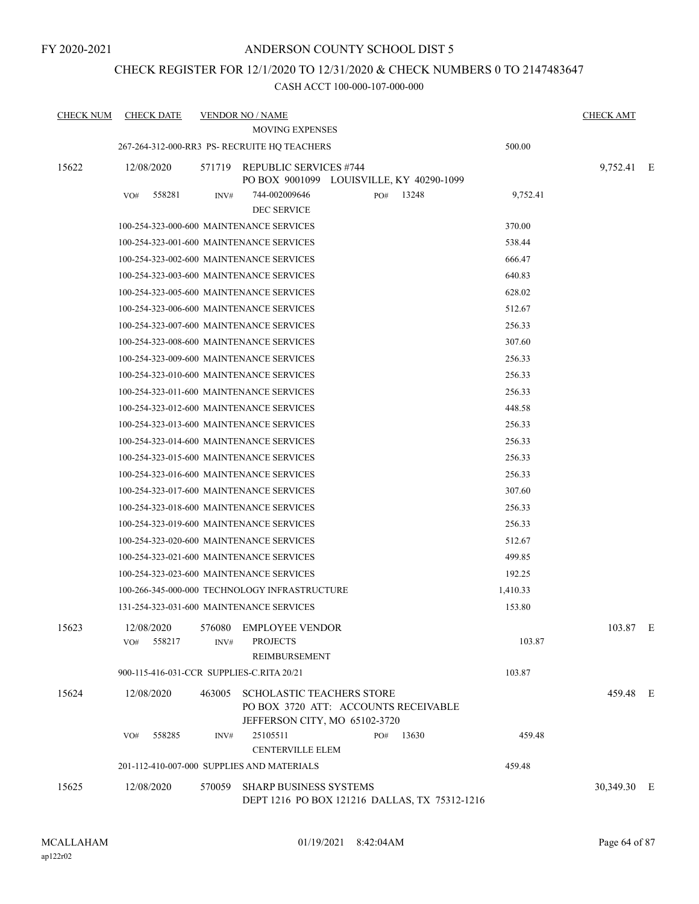### CHECK REGISTER FOR 12/1/2020 TO 12/31/2020 & CHECK NUMBERS 0 TO 2147483647

| <b>CHECK NUM</b> | <b>CHECK DATE</b>                         |        | <b>VENDOR NO / NAME</b>                                                                                   |              |          | <b>CHECK AMT</b> |  |
|------------------|-------------------------------------------|--------|-----------------------------------------------------------------------------------------------------------|--------------|----------|------------------|--|
|                  |                                           |        | <b>MOVING EXPENSES</b>                                                                                    |              |          |                  |  |
|                  |                                           |        | 267-264-312-000-RR3 PS- RECRUITE HQ TEACHERS                                                              |              | 500.00   |                  |  |
| 15622            | 12/08/2020                                | 571719 | <b>REPUBLIC SERVICES #744</b><br>PO BOX 9001099 LOUISVILLE, KY 40290-1099                                 |              |          | 9,752.41 E       |  |
|                  | VO#<br>558281                             | INV#   | 744-002009646<br>DEC SERVICE                                                                              | 13248<br>PO# | 9,752.41 |                  |  |
|                  |                                           |        | 100-254-323-000-600 MAINTENANCE SERVICES                                                                  |              | 370.00   |                  |  |
|                  |                                           |        | 100-254-323-001-600 MAINTENANCE SERVICES                                                                  |              | 538.44   |                  |  |
|                  |                                           |        | 100-254-323-002-600 MAINTENANCE SERVICES                                                                  |              | 666.47   |                  |  |
|                  |                                           |        | 100-254-323-003-600 MAINTENANCE SERVICES                                                                  |              | 640.83   |                  |  |
|                  |                                           |        | 100-254-323-005-600 MAINTENANCE SERVICES                                                                  |              | 628.02   |                  |  |
|                  |                                           |        | 100-254-323-006-600 MAINTENANCE SERVICES                                                                  |              | 512.67   |                  |  |
|                  |                                           |        | 100-254-323-007-600 MAINTENANCE SERVICES                                                                  |              | 256.33   |                  |  |
|                  |                                           |        | 100-254-323-008-600 MAINTENANCE SERVICES                                                                  |              | 307.60   |                  |  |
|                  |                                           |        | 100-254-323-009-600 MAINTENANCE SERVICES                                                                  |              | 256.33   |                  |  |
|                  |                                           |        | 100-254-323-010-600 MAINTENANCE SERVICES                                                                  |              | 256.33   |                  |  |
|                  |                                           |        | 100-254-323-011-600 MAINTENANCE SERVICES                                                                  |              | 256.33   |                  |  |
|                  |                                           |        | 100-254-323-012-600 MAINTENANCE SERVICES                                                                  |              | 448.58   |                  |  |
|                  |                                           |        | 100-254-323-013-600 MAINTENANCE SERVICES                                                                  |              | 256.33   |                  |  |
|                  |                                           |        | 100-254-323-014-600 MAINTENANCE SERVICES                                                                  |              | 256.33   |                  |  |
|                  |                                           |        | 100-254-323-015-600 MAINTENANCE SERVICES                                                                  |              | 256.33   |                  |  |
|                  |                                           |        | 100-254-323-016-600 MAINTENANCE SERVICES                                                                  |              | 256.33   |                  |  |
|                  |                                           |        | 100-254-323-017-600 MAINTENANCE SERVICES                                                                  |              | 307.60   |                  |  |
|                  |                                           |        | 100-254-323-018-600 MAINTENANCE SERVICES                                                                  |              | 256.33   |                  |  |
|                  |                                           |        | 100-254-323-019-600 MAINTENANCE SERVICES                                                                  |              | 256.33   |                  |  |
|                  |                                           |        | 100-254-323-020-600 MAINTENANCE SERVICES                                                                  |              | 512.67   |                  |  |
|                  |                                           |        | 100-254-323-021-600 MAINTENANCE SERVICES                                                                  |              | 499.85   |                  |  |
|                  |                                           |        | 100-254-323-023-600 MAINTENANCE SERVICES                                                                  |              | 192.25   |                  |  |
|                  |                                           |        | 100-266-345-000-000 TECHNOLOGY INFRASTRUCTURE                                                             |              | 1,410.33 |                  |  |
|                  |                                           |        | 131-254-323-031-600 MAINTENANCE SERVICES                                                                  |              | 153.80   |                  |  |
| 15623            | 12/08/2020                                | 576080 | <b>EMPLOYEE VENDOR</b>                                                                                    |              |          | 103.87 E         |  |
|                  | VO#<br>558217                             | INV#   | <b>PROJECTS</b><br>REIMBURSEMENT                                                                          |              | 103.87   |                  |  |
|                  | 900-115-416-031-CCR SUPPLIES-C.RITA 20/21 |        |                                                                                                           |              | 103.87   |                  |  |
| 15624            | 12/08/2020                                | 463005 | <b>SCHOLASTIC TEACHERS STORE</b><br>PO BOX 3720 ATT: ACCOUNTS RECEIVABLE<br>JEFFERSON CITY, MO 65102-3720 |              |          | 459.48 E         |  |
|                  | 558285<br>VO#                             | INV#   | 25105511<br><b>CENTERVILLE ELEM</b>                                                                       | 13630<br>PO# | 459.48   |                  |  |
|                  |                                           |        | 201-112-410-007-000 SUPPLIES AND MATERIALS                                                                |              | 459.48   |                  |  |
| 15625            | 12/08/2020                                | 570059 | <b>SHARP BUSINESS SYSTEMS</b><br>DEPT 1216 PO BOX 121216 DALLAS, TX 75312-1216                            |              |          | 30,349.30 E      |  |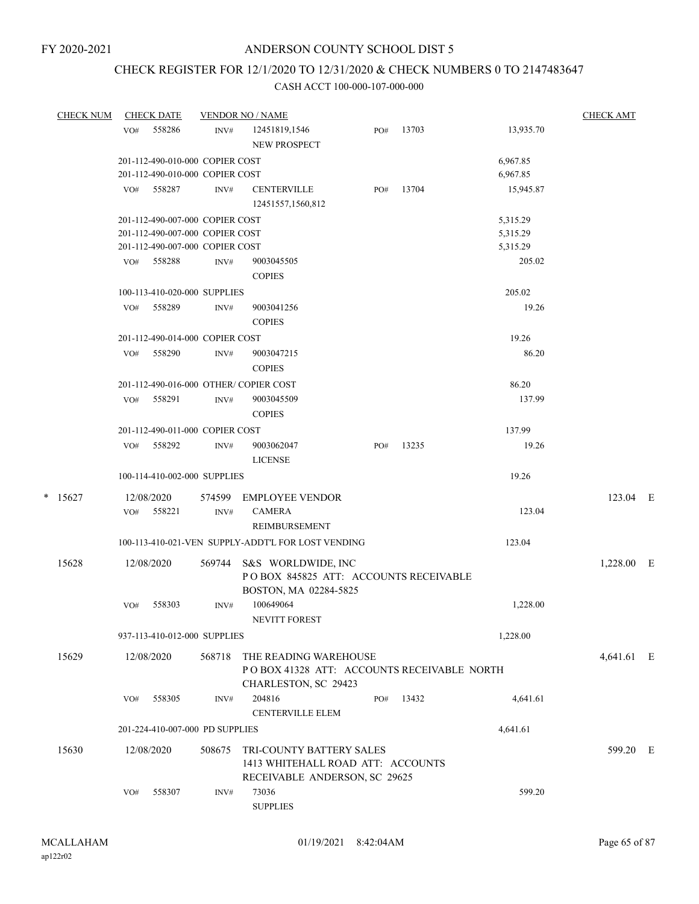# CHECK REGISTER FOR 12/1/2020 TO 12/31/2020 & CHECK NUMBERS 0 TO 2147483647

| <b>CHECK NUM</b> |     | <b>CHECK DATE</b>               |        | <b>VENDOR NO / NAME</b>                            |     |       |           | <b>CHECK AMT</b> |  |
|------------------|-----|---------------------------------|--------|----------------------------------------------------|-----|-------|-----------|------------------|--|
|                  | VO# | 558286                          | INV#   | 12451819,1546                                      | PO# | 13703 | 13,935.70 |                  |  |
|                  |     |                                 |        | NEW PROSPECT                                       |     |       |           |                  |  |
|                  |     | 201-112-490-010-000 COPIER COST |        |                                                    |     |       | 6,967.85  |                  |  |
|                  |     | 201-112-490-010-000 COPIER COST |        |                                                    |     |       | 6,967.85  |                  |  |
|                  |     | 558287                          | INV#   | <b>CENTERVILLE</b>                                 |     | 13704 | 15,945.87 |                  |  |
|                  | VO# |                                 |        |                                                    | PO# |       |           |                  |  |
|                  |     |                                 |        | 12451557,1560,812                                  |     |       |           |                  |  |
|                  |     | 201-112-490-007-000 COPIER COST |        |                                                    |     |       | 5,315.29  |                  |  |
|                  |     | 201-112-490-007-000 COPIER COST |        |                                                    |     |       | 5,315.29  |                  |  |
|                  |     | 201-112-490-007-000 COPIER COST |        |                                                    |     |       | 5,315.29  |                  |  |
|                  | VO# | 558288                          | INV#   | 9003045505                                         |     |       | 205.02    |                  |  |
|                  |     |                                 |        | <b>COPIES</b>                                      |     |       |           |                  |  |
|                  |     | 100-113-410-020-000 SUPPLIES    |        |                                                    |     |       | 205.02    |                  |  |
|                  | VO# | 558289                          | INV#   | 9003041256                                         |     |       | 19.26     |                  |  |
|                  |     |                                 |        | <b>COPIES</b>                                      |     |       |           |                  |  |
|                  |     | 201-112-490-014-000 COPIER COST |        |                                                    |     |       | 19.26     |                  |  |
|                  | VO# | 558290                          | INV#   | 9003047215                                         |     |       | 86.20     |                  |  |
|                  |     |                                 |        | <b>COPIES</b>                                      |     |       |           |                  |  |
|                  |     |                                 |        |                                                    |     |       |           |                  |  |
|                  |     |                                 |        | 201-112-490-016-000 OTHER/COPIER COST              |     |       | 86.20     |                  |  |
|                  | VO# | 558291                          | INV#   | 9003045509                                         |     |       | 137.99    |                  |  |
|                  |     |                                 |        | <b>COPIES</b>                                      |     |       |           |                  |  |
|                  |     | 201-112-490-011-000 COPIER COST |        |                                                    |     |       | 137.99    |                  |  |
|                  | VO# | 558292                          | INV#   | 9003062047                                         | PO# | 13235 | 19.26     |                  |  |
|                  |     |                                 |        | <b>LICENSE</b>                                     |     |       |           |                  |  |
|                  |     | 100-114-410-002-000 SUPPLIES    |        |                                                    |     |       | 19.26     |                  |  |
|                  |     |                                 |        |                                                    |     |       |           |                  |  |
| $*$ 15627        |     | 12/08/2020                      | 574599 | <b>EMPLOYEE VENDOR</b>                             |     |       |           | 123.04 E         |  |
|                  |     | VO# 558221                      | INV#   | <b>CAMERA</b>                                      |     |       | 123.04    |                  |  |
|                  |     |                                 |        | REIMBURSEMENT                                      |     |       |           |                  |  |
|                  |     |                                 |        | 100-113-410-021-VEN SUPPLY-ADDT'L FOR LOST VENDING |     |       | 123.04    |                  |  |
| 15628            |     | 12/08/2020                      | 569744 | S&S WORLDWIDE, INC                                 |     |       |           | 1,228.00 E       |  |
|                  |     |                                 |        | POBOX 845825 ATT: ACCOUNTS RECEIVABLE              |     |       |           |                  |  |
|                  |     |                                 |        | BOSTON, MA 02284-5825                              |     |       |           |                  |  |
|                  | VO# | 558303                          | INV#   | 100649064                                          |     |       | 1,228.00  |                  |  |
|                  |     |                                 |        | NEVITT FOREST                                      |     |       |           |                  |  |
|                  |     |                                 |        |                                                    |     |       |           |                  |  |
|                  |     | 937-113-410-012-000 SUPPLIES    |        |                                                    |     |       | 1,228.00  |                  |  |
| 15629            |     | 12/08/2020                      | 568718 | THE READING WAREHOUSE                              |     |       |           | 4,641.61 E       |  |
|                  |     |                                 |        | POBOX 41328 ATT: ACCOUNTS RECEIVABLE NORTH         |     |       |           |                  |  |
|                  |     |                                 |        | CHARLESTON, SC 29423                               |     |       |           |                  |  |
|                  | VO# | 558305                          | INV#   | 204816                                             | PO# | 13432 | 4,641.61  |                  |  |
|                  |     |                                 |        | <b>CENTERVILLE ELEM</b>                            |     |       |           |                  |  |
|                  |     | 201-224-410-007-000 PD SUPPLIES |        |                                                    |     |       | 4,641.61  |                  |  |
|                  |     |                                 |        |                                                    |     |       |           |                  |  |
| 15630            |     | 12/08/2020                      | 508675 | TRI-COUNTY BATTERY SALES                           |     |       |           | 599.20 E         |  |
|                  |     |                                 |        | 1413 WHITEHALL ROAD ATT: ACCOUNTS                  |     |       |           |                  |  |
|                  |     |                                 |        | RECEIVABLE ANDERSON, SC 29625                      |     |       |           |                  |  |
|                  | VO# | 558307                          | INV#   | 73036                                              |     |       | 599.20    |                  |  |
|                  |     |                                 |        | <b>SUPPLIES</b>                                    |     |       |           |                  |  |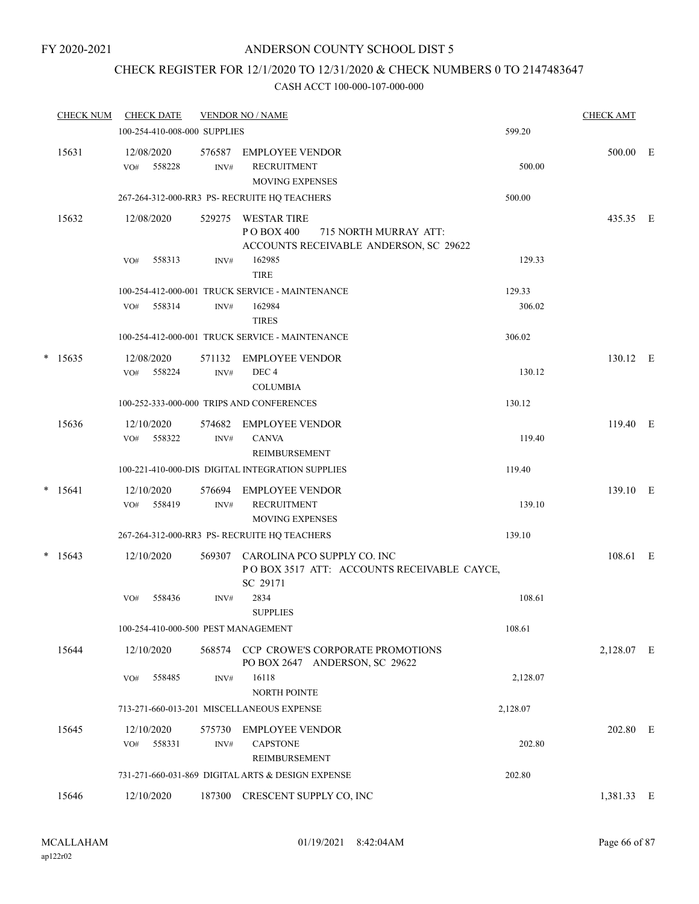### CHECK REGISTER FOR 12/1/2020 TO 12/31/2020 & CHECK NUMBERS 0 TO 2147483647

|   | <b>CHECK NUM</b> | <b>CHECK DATE</b>                   |                | <b>VENDOR NO / NAME</b>                                                                              |          | <b>CHECK AMT</b> |  |
|---|------------------|-------------------------------------|----------------|------------------------------------------------------------------------------------------------------|----------|------------------|--|
|   |                  | 100-254-410-008-000 SUPPLIES        |                |                                                                                                      | 599.20   |                  |  |
|   | 15631            | 12/08/2020<br>558228<br>VO#         | 576587<br>INV# | <b>EMPLOYEE VENDOR</b><br><b>RECRUITMENT</b><br><b>MOVING EXPENSES</b>                               | 500.00   | 500.00 E         |  |
|   |                  |                                     |                | 267-264-312-000-RR3 PS-RECRUITE HQ TEACHERS                                                          | 500.00   |                  |  |
|   | 15632            | 12/08/2020                          | 529275         | <b>WESTAR TIRE</b><br>P O BOX 400<br>715 NORTH MURRAY ATT:<br>ACCOUNTS RECEIVABLE ANDERSON, SC 29622 |          | 435.35 E         |  |
|   |                  | 558313<br>VO#                       | INV#           | 162985<br><b>TIRE</b>                                                                                | 129.33   |                  |  |
|   |                  |                                     |                | 100-254-412-000-001 TRUCK SERVICE - MAINTENANCE                                                      | 129.33   |                  |  |
|   |                  | 558314<br>VO#                       | INV#           | 162984<br><b>TIRES</b>                                                                               | 306.02   |                  |  |
|   |                  |                                     |                | 100-254-412-000-001 TRUCK SERVICE - MAINTENANCE                                                      | 306.02   |                  |  |
| * | 15635            | 12/08/2020<br>558224<br>VO#         | 571132<br>INV# | <b>EMPLOYEE VENDOR</b><br>DEC <sub>4</sub><br><b>COLUMBIA</b>                                        | 130.12   | 130.12 E         |  |
|   |                  |                                     |                | 100-252-333-000-000 TRIPS AND CONFERENCES                                                            | 130.12   |                  |  |
|   | 15636            | 12/10/2020                          | 574682         | <b>EMPLOYEE VENDOR</b>                                                                               |          | 119.40 E         |  |
|   |                  | 558322<br>VO#                       | INV#           | <b>CANVA</b><br><b>REIMBURSEMENT</b>                                                                 | 119.40   |                  |  |
|   |                  |                                     |                | 100-221-410-000-DIS DIGITAL INTEGRATION SUPPLIES                                                     | 119.40   |                  |  |
|   | $* 15641$        | 12/10/2020<br>558419<br>VO#         | 576694<br>INV# | <b>EMPLOYEE VENDOR</b><br><b>RECRUITMENT</b><br><b>MOVING EXPENSES</b>                               | 139.10   | 139.10 E         |  |
|   |                  |                                     |                | 267-264-312-000-RR3 PS- RECRUITE HQ TEACHERS                                                         | 139.10   |                  |  |
|   | $* 15643$        | 12/10/2020                          | 569307         | CAROLINA PCO SUPPLY CO. INC<br>POBOX 3517 ATT: ACCOUNTS RECEIVABLE CAYCE,<br>SC 29171                |          | 108.61 E         |  |
|   |                  | 558436<br>VO#                       | INV#           | 2834<br><b>SUPPLIES</b>                                                                              | 108.61   |                  |  |
|   |                  | 100-254-410-000-500 PEST MANAGEMENT |                |                                                                                                      | 108.61   |                  |  |
|   | 15644            | 12/10/2020                          |                | 568574 CCP CROWE'S CORPORATE PROMOTIONS<br>PO BOX 2647 ANDERSON, SC 29622                            |          | 2,128.07 E       |  |
|   |                  | 558485<br>VO#                       | INV#           | 16118<br>NORTH POINTE                                                                                | 2,128.07 |                  |  |
|   |                  |                                     |                | 713-271-660-013-201 MISCELLANEOUS EXPENSE                                                            | 2,128.07 |                  |  |
|   | 15645            | 12/10/2020<br>558331<br>VO#         | 575730<br>INV# | <b>EMPLOYEE VENDOR</b><br><b>CAPSTONE</b><br>REIMBURSEMENT                                           | 202.80   | 202.80 E         |  |
|   |                  |                                     |                | 731-271-660-031-869 DIGITAL ARTS & DESIGN EXPENSE                                                    | 202.80   |                  |  |
|   | 15646            | 12/10/2020                          | 187300         | CRESCENT SUPPLY CO, INC                                                                              |          | 1,381.33 E       |  |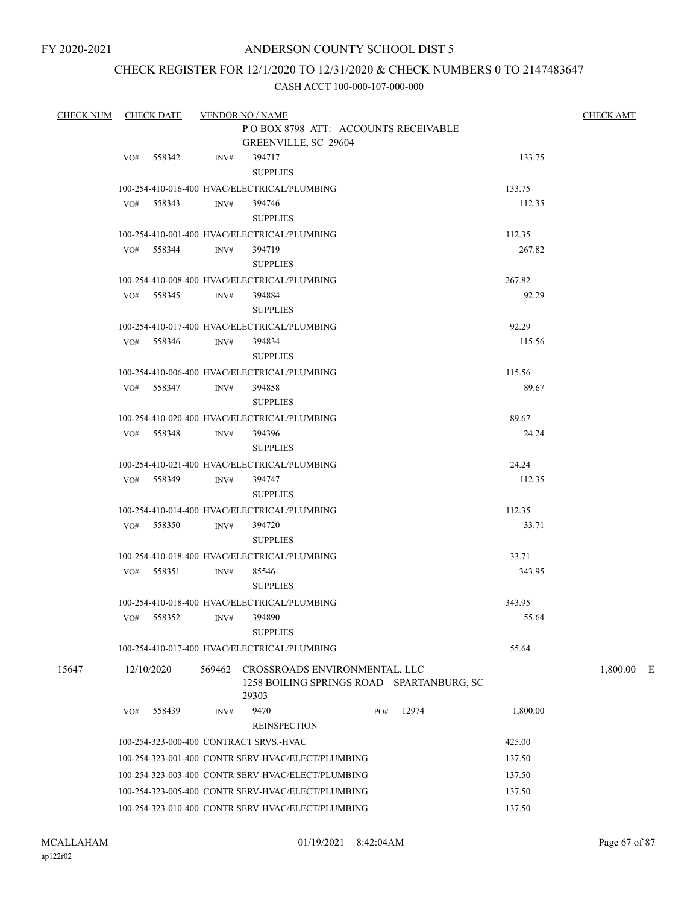### CHECK REGISTER FOR 12/1/2020 TO 12/31/2020 & CHECK NUMBERS 0 TO 2147483647

| CHECK NUM CHECK DATE |     |              |        | <b>VENDOR NO / NAME</b>                            |     |                                           |                 | <b>CHECK AMT</b> |  |
|----------------------|-----|--------------|--------|----------------------------------------------------|-----|-------------------------------------------|-----------------|------------------|--|
|                      |     |              |        | POBOX 8798 ATT: ACCOUNTS RECEIVABLE                |     |                                           |                 |                  |  |
|                      |     |              |        | GREENVILLE, SC 29604                               |     |                                           |                 |                  |  |
|                      | VO# | 558342       | INV#   | 394717                                             |     |                                           | 133.75          |                  |  |
|                      |     |              |        | <b>SUPPLIES</b>                                    |     |                                           |                 |                  |  |
|                      |     |              |        | 100-254-410-016-400 HVAC/ELECTRICAL/PLUMBING       |     |                                           | 133.75          |                  |  |
|                      |     | VO# 558343   | INV#   | 394746                                             |     |                                           | 112.35          |                  |  |
|                      |     |              |        | <b>SUPPLIES</b>                                    |     |                                           |                 |                  |  |
|                      |     |              |        | 100-254-410-001-400 HVAC/ELECTRICAL/PLUMBING       |     |                                           | 112.35          |                  |  |
|                      |     | $VO#$ 558344 | INV#   | 394719                                             |     |                                           | 267.82          |                  |  |
|                      |     |              |        | <b>SUPPLIES</b>                                    |     |                                           |                 |                  |  |
|                      |     |              |        | 100-254-410-008-400 HVAC/ELECTRICAL/PLUMBING       |     |                                           | 267.82          |                  |  |
|                      |     | VO# 558345   | INV#   | 394884                                             |     |                                           | 92.29           |                  |  |
|                      |     |              |        | <b>SUPPLIES</b>                                    |     |                                           |                 |                  |  |
|                      |     |              |        | 100-254-410-017-400 HVAC/ELECTRICAL/PLUMBING       |     |                                           | 92.29           |                  |  |
|                      |     | VO# 558346   | INV#   | 394834                                             |     |                                           | 115.56          |                  |  |
|                      |     |              |        | <b>SUPPLIES</b>                                    |     |                                           |                 |                  |  |
|                      |     |              |        | 100-254-410-006-400 HVAC/ELECTRICAL/PLUMBING       |     |                                           | 115.56          |                  |  |
|                      |     | VO# 558347   | INV#   | 394858                                             |     |                                           | 89.67           |                  |  |
|                      |     |              |        | <b>SUPPLIES</b>                                    |     |                                           |                 |                  |  |
|                      |     |              |        | 100-254-410-020-400 HVAC/ELECTRICAL/PLUMBING       |     |                                           | 89.67           |                  |  |
|                      |     | VO# 558348   | INV#   | 394396                                             |     |                                           | 24.24           |                  |  |
|                      |     |              |        | <b>SUPPLIES</b>                                    |     |                                           |                 |                  |  |
|                      |     |              |        | 100-254-410-021-400 HVAC/ELECTRICAL/PLUMBING       |     |                                           | 24.24           |                  |  |
|                      |     | VO# 558349   | INV#   | 394747                                             |     |                                           | 112.35          |                  |  |
|                      |     |              |        | <b>SUPPLIES</b>                                    |     |                                           |                 |                  |  |
|                      |     |              |        | 100-254-410-014-400 HVAC/ELECTRICAL/PLUMBING       |     |                                           | 112.35          |                  |  |
|                      |     | VO# 558350   | INV#   | 394720                                             |     |                                           | 33.71           |                  |  |
|                      |     |              |        | <b>SUPPLIES</b>                                    |     |                                           |                 |                  |  |
|                      |     |              |        | 100-254-410-018-400 HVAC/ELECTRICAL/PLUMBING       |     |                                           |                 |                  |  |
|                      | VO# | 558351       |        | 85546                                              |     |                                           | 33.71<br>343.95 |                  |  |
|                      |     |              | INV#   | <b>SUPPLIES</b>                                    |     |                                           |                 |                  |  |
|                      |     |              |        | 100-254-410-018-400 HVAC/ELECTRICAL/PLUMBING       |     |                                           |                 |                  |  |
|                      |     | VO# 558352   |        |                                                    |     |                                           | 343.95          |                  |  |
|                      |     |              | INV#   | 394890<br><b>SUPPLIES</b>                          |     |                                           | 55.64           |                  |  |
|                      |     |              |        |                                                    |     |                                           |                 |                  |  |
|                      |     |              |        | 100-254-410-017-400 HVAC/ELECTRICAL/PLUMBING       |     |                                           | 55.64           |                  |  |
| 15647                |     | 12/10/2020   | 569462 | CROSSROADS ENVIRONMENTAL, LLC<br>29303             |     | 1258 BOILING SPRINGS ROAD SPARTANBURG, SC |                 | $1,800.00$ E     |  |
|                      | VO# | 558439       | INV#   | 9470                                               | PO# | 12974                                     | 1,800.00        |                  |  |
|                      |     |              |        | <b>REINSPECTION</b>                                |     |                                           |                 |                  |  |
|                      |     |              |        | 100-254-323-000-400 CONTRACT SRVS.-HVAC            |     |                                           | 425.00          |                  |  |
|                      |     |              |        | 100-254-323-001-400 CONTR SERV-HVAC/ELECT/PLUMBING |     |                                           | 137.50          |                  |  |
|                      |     |              |        | 100-254-323-003-400 CONTR SERV-HVAC/ELECT/PLUMBING |     |                                           |                 |                  |  |
|                      |     |              |        |                                                    |     |                                           | 137.50          |                  |  |
|                      |     |              |        | 100-254-323-005-400 CONTR SERV-HVAC/ELECT/PLUMBING |     |                                           | 137.50          |                  |  |
|                      |     |              |        | 100-254-323-010-400 CONTR SERV-HVAC/ELECT/PLUMBING |     |                                           | 137.50          |                  |  |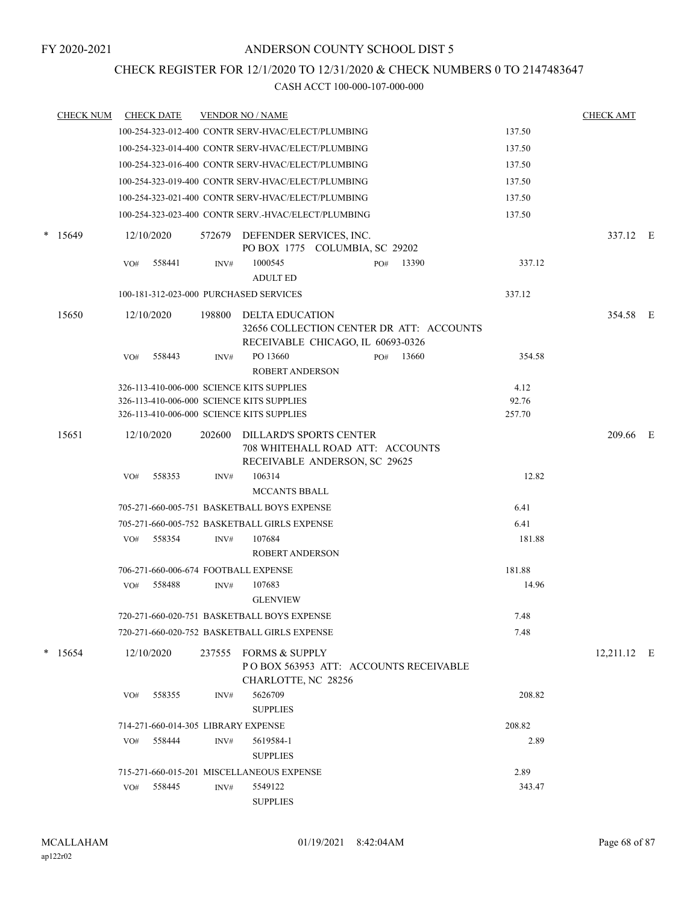CHECK REGISTER FOR 12/1/2020 TO 12/31/2020 & CHECK NUMBERS 0 TO 2147483647

|        | <b>CHECK NUM</b> |     | <b>CHECK DATE</b>                   |        | <b>VENDOR NO / NAME</b>                                                                          |     |       |        | <b>CHECK AMT</b> |  |
|--------|------------------|-----|-------------------------------------|--------|--------------------------------------------------------------------------------------------------|-----|-------|--------|------------------|--|
|        |                  |     |                                     |        | 100-254-323-012-400 CONTR SERV-HVAC/ELECT/PLUMBING                                               |     |       | 137.50 |                  |  |
|        |                  |     |                                     |        | 100-254-323-014-400 CONTR SERV-HVAC/ELECT/PLUMBING                                               |     |       | 137.50 |                  |  |
|        |                  |     |                                     |        | 100-254-323-016-400 CONTR SERV-HVAC/ELECT/PLUMBING                                               |     |       | 137.50 |                  |  |
|        |                  |     |                                     |        | 100-254-323-019-400 CONTR SERV-HVAC/ELECT/PLUMBING                                               |     |       | 137.50 |                  |  |
|        |                  |     |                                     |        | 100-254-323-021-400 CONTR SERV-HVAC/ELECT/PLUMBING                                               |     |       | 137.50 |                  |  |
|        |                  |     |                                     |        | 100-254-323-023-400 CONTR SERV.-HVAC/ELECT/PLUMBING                                              |     |       | 137.50 |                  |  |
| $\ast$ | 15649            |     | 12/10/2020                          |        | 572679 DEFENDER SERVICES, INC.<br>PO BOX 1775 COLUMBIA, SC 29202                                 |     |       |        | 337.12 E         |  |
|        |                  | VO# | 558441                              | INV#   | 1000545<br><b>ADULT ED</b>                                                                       | PO# | 13390 | 337.12 |                  |  |
|        |                  |     |                                     |        | 100-181-312-023-000 PURCHASED SERVICES                                                           |     |       | 337.12 |                  |  |
|        | 15650            |     | 12/10/2020                          | 198800 | DELTA EDUCATION<br>32656 COLLECTION CENTER DR ATT: ACCOUNTS<br>RECEIVABLE CHICAGO, IL 60693-0326 |     |       |        | 354.58 E         |  |
|        |                  | VO# | 558443                              | INV#   | PO 13660<br><b>ROBERT ANDERSON</b>                                                               | PO# | 13660 | 354.58 |                  |  |
|        |                  |     |                                     |        | 326-113-410-006-000 SCIENCE KITS SUPPLIES                                                        |     |       | 4.12   |                  |  |
|        |                  |     |                                     |        | 326-113-410-006-000 SCIENCE KITS SUPPLIES                                                        |     |       | 92.76  |                  |  |
|        |                  |     |                                     |        | 326-113-410-006-000 SCIENCE KITS SUPPLIES                                                        |     |       | 257.70 |                  |  |
|        | 15651            |     | 12/10/2020                          | 202600 | DILLARD'S SPORTS CENTER<br>708 WHITEHALL ROAD ATT: ACCOUNTS<br>RECEIVABLE ANDERSON, SC 29625     |     |       |        | 209.66 E         |  |
|        |                  | VO# | 558353                              | INV#   | 106314<br><b>MCCANTS BBALL</b>                                                                   |     |       | 12.82  |                  |  |
|        |                  |     |                                     |        | 705-271-660-005-751 BASKETBALL BOYS EXPENSE                                                      |     |       | 6.41   |                  |  |
|        |                  |     |                                     |        | 705-271-660-005-752 BASKETBALL GIRLS EXPENSE                                                     |     |       | 6.41   |                  |  |
|        |                  | VO# | 558354                              | INV#   | 107684<br><b>ROBERT ANDERSON</b>                                                                 |     |       | 181.88 |                  |  |
|        |                  |     |                                     |        | 706-271-660-006-674 FOOTBALL EXPENSE                                                             |     |       | 181.88 |                  |  |
|        |                  | VO# | 558488                              | INV#   | 107683<br><b>GLENVIEW</b>                                                                        |     |       | 14.96  |                  |  |
|        |                  |     |                                     |        | 720-271-660-020-751 BASKETBALL BOYS EXPENSE                                                      |     |       | 7.48   |                  |  |
|        |                  |     |                                     |        | 720-271-660-020-752 BASKETBALL GIRLS EXPENSE                                                     |     |       | 7.48   |                  |  |
| *      | 15654            |     | 12/10/2020                          | 237555 | FORMS & SUPPLY<br>POBOX 563953 ATT: ACCOUNTS RECEIVABLE<br>CHARLOTTE, NC 28256                   |     |       |        | 12,211.12 E      |  |
|        |                  | VO# | 558355                              | INV#   | 5626709<br><b>SUPPLIES</b>                                                                       |     |       | 208.82 |                  |  |
|        |                  |     | 714-271-660-014-305 LIBRARY EXPENSE |        |                                                                                                  |     |       | 208.82 |                  |  |
|        |                  | VO# | 558444                              | INV#   | 5619584-1                                                                                        |     |       | 2.89   |                  |  |
|        |                  |     |                                     |        | <b>SUPPLIES</b>                                                                                  |     |       |        |                  |  |
|        |                  |     |                                     |        | 715-271-660-015-201 MISCELLANEOUS EXPENSE                                                        |     |       | 2.89   |                  |  |
|        |                  | VO# | 558445                              | INV#   | 5549122<br><b>SUPPLIES</b>                                                                       |     |       | 343.47 |                  |  |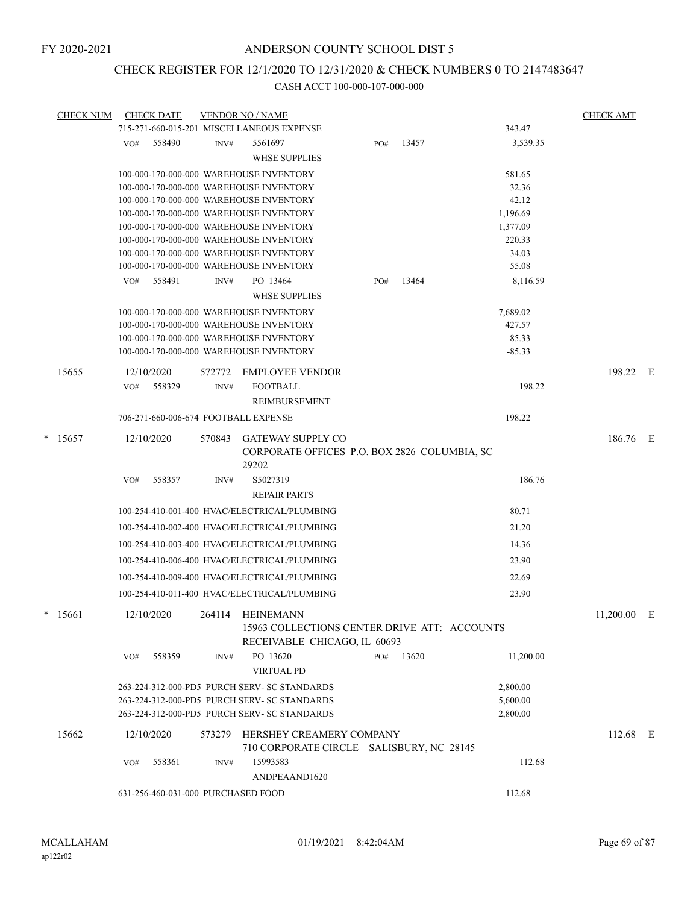### CHECK REGISTER FOR 12/1/2020 TO 12/31/2020 & CHECK NUMBERS 0 TO 2147483647

| CHECK NUM |            | <b>CHECK DATE</b>                  |        | <b>VENDOR NO / NAME</b>                                                            |     |       |                      | <b>CHECK AMT</b> |     |
|-----------|------------|------------------------------------|--------|------------------------------------------------------------------------------------|-----|-------|----------------------|------------------|-----|
|           |            |                                    |        | 715-271-660-015-201 MISCELLANEOUS EXPENSE                                          |     |       | 343.47               |                  |     |
|           | VO#        | 558490                             | INV#   | 5561697                                                                            | PO# | 13457 | 3.539.35             |                  |     |
|           |            |                                    |        | <b>WHSE SUPPLIES</b>                                                               |     |       |                      |                  |     |
|           |            |                                    |        | 100-000-170-000-000 WAREHOUSE INVENTORY                                            |     |       | 581.65               |                  |     |
|           |            |                                    |        | 100-000-170-000-000 WAREHOUSE INVENTORY                                            |     |       | 32.36                |                  |     |
|           |            |                                    |        | 100-000-170-000-000 WAREHOUSE INVENTORY                                            |     |       | 42.12                |                  |     |
|           |            |                                    |        | 100-000-170-000-000 WAREHOUSE INVENTORY<br>100-000-170-000-000 WAREHOUSE INVENTORY |     |       | 1,196.69<br>1,377.09 |                  |     |
|           |            |                                    |        | 100-000-170-000-000 WAREHOUSE INVENTORY                                            |     |       | 220.33               |                  |     |
|           |            |                                    |        | 100-000-170-000-000 WAREHOUSE INVENTORY                                            |     |       | 34.03                |                  |     |
|           |            |                                    |        | 100-000-170-000-000 WAREHOUSE INVENTORY                                            |     |       | 55.08                |                  |     |
|           | VO#        | 558491                             | INV#   | PO 13464                                                                           | PO# | 13464 | 8,116.59             |                  |     |
|           |            |                                    |        | <b>WHSE SUPPLIES</b>                                                               |     |       |                      |                  |     |
|           |            |                                    |        | 100-000-170-000-000 WAREHOUSE INVENTORY                                            |     |       | 7,689.02             |                  |     |
|           |            |                                    |        | 100-000-170-000-000 WAREHOUSE INVENTORY                                            |     |       | 427.57               |                  |     |
|           |            |                                    |        | 100-000-170-000-000 WAREHOUSE INVENTORY                                            |     |       | 85.33                |                  |     |
|           |            |                                    |        | 100-000-170-000-000 WAREHOUSE INVENTORY                                            |     |       | $-85.33$             |                  |     |
| 15655     | 12/10/2020 |                                    | 572772 | <b>EMPLOYEE VENDOR</b>                                                             |     |       |                      | 198.22           | - F |
|           | VO#        | 558329                             | INV#   | <b>FOOTBALL</b>                                                                    |     |       | 198.22               |                  |     |
|           |            |                                    |        | REIMBURSEMENT                                                                      |     |       |                      |                  |     |
|           |            |                                    |        | 706-271-660-006-674 FOOTBALL EXPENSE                                               |     |       | 198.22               |                  |     |
| $*$ 15657 | 12/10/2020 |                                    | 570843 | <b>GATEWAY SUPPLY CO</b>                                                           |     |       |                      | 186.76 E         |     |
|           |            |                                    |        | CORPORATE OFFICES P.O. BOX 2826 COLUMBIA, SC<br>29202                              |     |       |                      |                  |     |
|           | VO#        | 558357                             | INV#   | S5027319                                                                           |     |       | 186.76               |                  |     |
|           |            |                                    |        | <b>REPAIR PARTS</b>                                                                |     |       |                      |                  |     |
|           |            |                                    |        | 100-254-410-001-400 HVAC/ELECTRICAL/PLUMBING                                       |     |       | 80.71                |                  |     |
|           |            |                                    |        | 100-254-410-002-400 HVAC/ELECTRICAL/PLUMBING                                       |     |       | 21.20                |                  |     |
|           |            |                                    |        | 100-254-410-003-400 HVAC/ELECTRICAL/PLUMBING                                       |     |       | 14.36                |                  |     |
|           |            |                                    |        | 100-254-410-006-400 HVAC/ELECTRICAL/PLUMBING                                       |     |       | 23.90                |                  |     |
|           |            |                                    |        | 100-254-410-009-400 HVAC/ELECTRICAL/PLUMBING                                       |     |       | 22.69                |                  |     |
|           |            |                                    |        | 100-254-410-011-400 HVAC/ELECTRICAL/PLUMBING                                       |     |       | 23.90                |                  |     |
|           |            |                                    |        |                                                                                    |     |       |                      |                  |     |
| $*$ 15661 | 12/10/2020 |                                    |        | 264114 HEINEMANN<br>15963 COLLECTIONS CENTER DRIVE ATT: ACCOUNTS                   |     |       |                      | $11,200.00$ E    |     |
|           |            |                                    |        | RECEIVABLE CHICAGO, IL 60693                                                       |     |       |                      |                  |     |
|           | VO#        | 558359                             | INV#   | PO 13620                                                                           | PO# | 13620 | 11,200.00            |                  |     |
|           |            |                                    |        | <b>VIRTUAL PD</b>                                                                  |     |       |                      |                  |     |
|           |            |                                    |        | 263-224-312-000-PD5 PURCH SERV- SC STANDARDS                                       |     |       | 2,800.00             |                  |     |
|           |            |                                    |        | 263-224-312-000-PD5 PURCH SERV- SC STANDARDS                                       |     |       | 5,600.00             |                  |     |
|           |            |                                    |        | 263-224-312-000-PD5 PURCH SERV- SC STANDARDS                                       |     |       | 2,800.00             |                  |     |
| 15662     | 12/10/2020 |                                    | 573279 | HERSHEY CREAMERY COMPANY                                                           |     |       |                      | $112.68$ E       |     |
|           |            |                                    |        | 710 CORPORATE CIRCLE SALISBURY, NC 28145                                           |     |       |                      |                  |     |
|           | VO#        | 558361                             | INV#   | 15993583                                                                           |     |       | 112.68               |                  |     |
|           |            |                                    |        | ANDPEAAND1620                                                                      |     |       |                      |                  |     |
|           |            | 631-256-460-031-000 PURCHASED FOOD |        |                                                                                    |     |       | 112.68               |                  |     |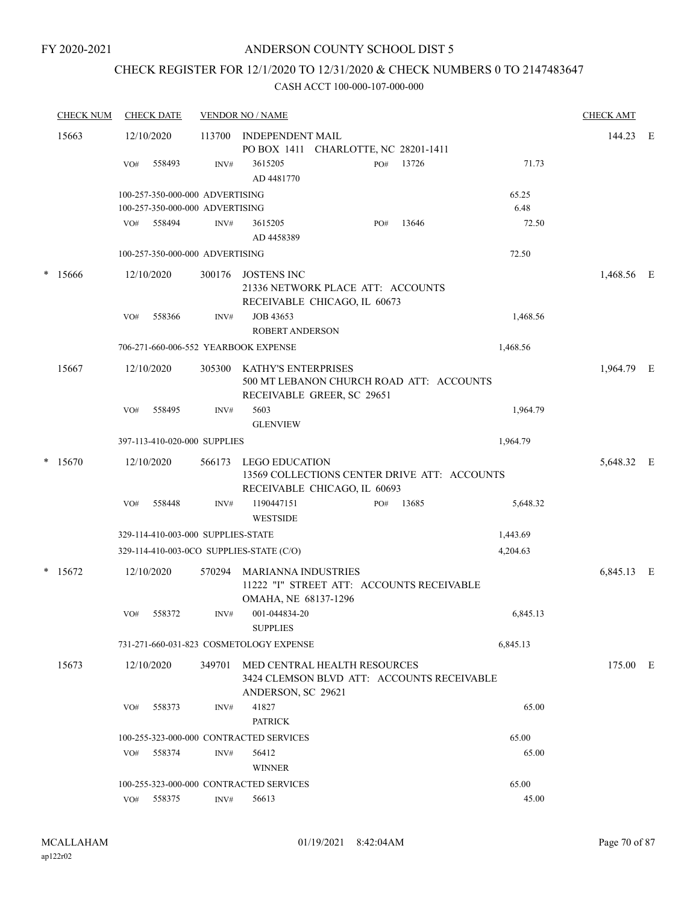#### FY 2020-2021

### ANDERSON COUNTY SCHOOL DIST 5

## CHECK REGISTER FOR 12/1/2020 TO 12/31/2020 & CHECK NUMBERS 0 TO 2147483647

| <b>CHECK NUM</b> | <b>CHECK DATE</b>                                                  |        | <b>VENDOR NO / NAME</b>                                                                          |     |       |               | <b>CHECK AMT</b> |  |
|------------------|--------------------------------------------------------------------|--------|--------------------------------------------------------------------------------------------------|-----|-------|---------------|------------------|--|
| 15663            | 12/10/2020                                                         | 113700 | INDEPENDENT MAIL<br>PO BOX 1411 CHARLOTTE, NC 28201-1411                                         |     |       |               | 144.23 E         |  |
|                  | 558493<br>VO#                                                      | INV#   | 3615205<br>AD 4481770                                                                            | PO# | 13726 | 71.73         |                  |  |
|                  | 100-257-350-000-000 ADVERTISING<br>100-257-350-000-000 ADVERTISING |        |                                                                                                  |     |       | 65.25<br>6.48 |                  |  |
|                  | 558494<br>VO#                                                      | INV#   | 3615205<br>AD 4458389                                                                            | PO# | 13646 | 72.50         |                  |  |
|                  | 100-257-350-000-000 ADVERTISING                                    |        |                                                                                                  |     |       | 72.50         |                  |  |
| * 15666          | 12/10/2020                                                         | 300176 | <b>JOSTENS INC</b><br>21336 NETWORK PLACE ATT: ACCOUNTS<br>RECEIVABLE CHICAGO, IL 60673          |     |       |               | 1,468.56 E       |  |
|                  | 558366<br>VO#                                                      | INV#   | JOB 43653<br><b>ROBERT ANDERSON</b>                                                              |     |       | 1,468.56      |                  |  |
|                  | 706-271-660-006-552 YEARBOOK EXPENSE                               |        |                                                                                                  |     |       |               |                  |  |
| 15667            | 12/10/2020                                                         | 305300 | KATHY'S ENTERPRISES<br>500 MT LEBANON CHURCH ROAD ATT: ACCOUNTS<br>RECEIVABLE GREER, SC 29651    |     |       |               | 1,964.79 E       |  |
|                  | 558495<br>VO#                                                      | INV#   | 5603<br><b>GLENVIEW</b>                                                                          |     |       | 1,964.79      |                  |  |
|                  | 397-113-410-020-000 SUPPLIES                                       |        |                                                                                                  |     |       | 1,964.79      |                  |  |
| $*$ 15670        | 12/10/2020                                                         | 566173 | LEGO EDUCATION<br>13569 COLLECTIONS CENTER DRIVE ATT: ACCOUNTS<br>RECEIVABLE CHICAGO, IL 60693   |     |       |               | 5,648.32 E       |  |
|                  | 558448<br>VO#                                                      | INV#   | 1190447151<br><b>WESTSIDE</b>                                                                    | PO# | 13685 | 5,648.32      |                  |  |
|                  | 329-114-410-003-000 SUPPLIES-STATE                                 |        |                                                                                                  |     |       | 1,443.69      |                  |  |
|                  | 329-114-410-003-0CO SUPPLIES-STATE (C/O)                           |        |                                                                                                  |     |       | 4,204.63      |                  |  |
| $*$ 15672        | 12/10/2020                                                         | 570294 | MARIANNA INDUSTRIES<br>11222 "I" STREET ATT: ACCOUNTS RECEIVABLE<br>OMAHA, NE 68137-1296         |     |       |               | 6,845.13 E       |  |
|                  | 558372<br>VO#                                                      | INV#   | 001-044834-20<br><b>SUPPLIES</b>                                                                 |     |       | 6,845.13      |                  |  |
|                  |                                                                    |        | 731-271-660-031-823 COSMETOLOGY EXPENSE                                                          |     |       | 6,845.13      |                  |  |
| 15673            | 12/10/2020                                                         | 349701 | MED CENTRAL HEALTH RESOURCES<br>3424 CLEMSON BLVD ATT: ACCOUNTS RECEIVABLE<br>ANDERSON, SC 29621 |     |       |               | 175.00 E         |  |
|                  | 558373<br>VO#                                                      | INV#   | 41827<br><b>PATRICK</b>                                                                          |     |       | 65.00         |                  |  |
|                  | 100-255-323-000-000 CONTRACTED SERVICES                            |        |                                                                                                  |     |       | 65.00         |                  |  |
|                  | 558374<br>VO#                                                      | INV#   | 56412<br><b>WINNER</b>                                                                           |     |       | 65.00         |                  |  |
|                  | 100-255-323-000-000 CONTRACTED SERVICES                            |        |                                                                                                  |     |       | 65.00         |                  |  |
|                  | VO# 558375                                                         | INV#   | 56613                                                                                            |     |       | 45.00         |                  |  |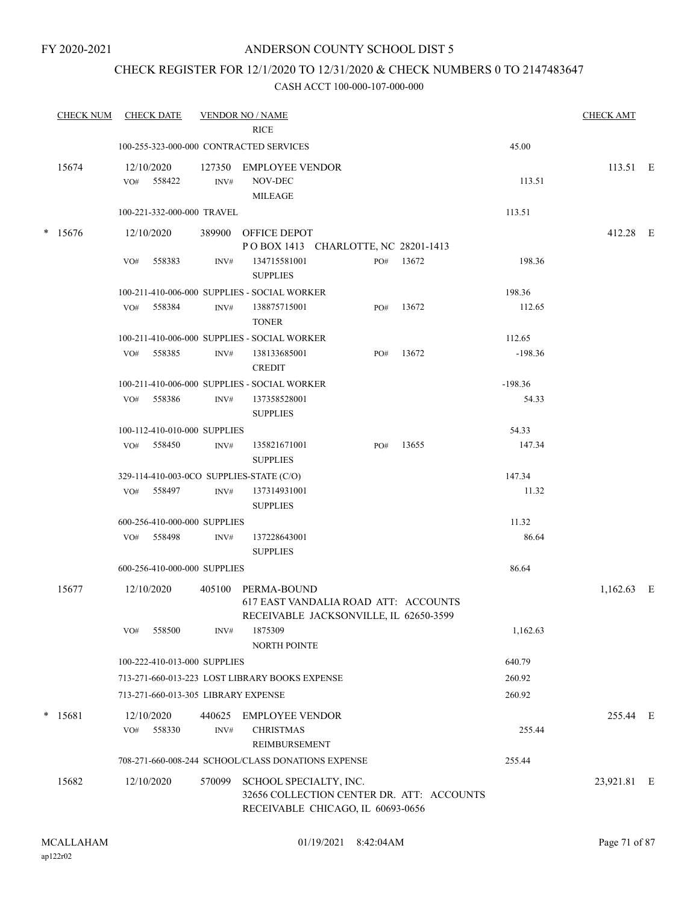### CHECK REGISTER FOR 12/1/2020 TO 12/31/2020 & CHECK NUMBERS 0 TO 2147483647

| <b>CHECK NUM</b> |     | <b>CHECK DATE</b>                   |        | <b>VENDOR NO / NAME</b>                                                                              |     |                                           |           | <b>CHECK AMT</b> |  |
|------------------|-----|-------------------------------------|--------|------------------------------------------------------------------------------------------------------|-----|-------------------------------------------|-----------|------------------|--|
|                  |     |                                     |        | <b>RICE</b>                                                                                          |     |                                           |           |                  |  |
|                  |     |                                     |        | 100-255-323-000-000 CONTRACTED SERVICES                                                              |     |                                           | 45.00     |                  |  |
| 15674            |     | 12/10/2020<br>VO# 558422            | INV#   | 127350 EMPLOYEE VENDOR<br>NOV-DEC<br>MILEAGE                                                         |     |                                           | 113.51    | $113.51$ E       |  |
|                  |     | 100-221-332-000-000 TRAVEL          |        |                                                                                                      |     |                                           | 113.51    |                  |  |
| $* 15676$        |     | 12/10/2020                          |        | 389900 OFFICE DEPOT                                                                                  |     |                                           |           | 412.28 E         |  |
|                  |     |                                     |        | POBOX 1413 CHARLOTTE, NC 28201-1413                                                                  |     |                                           |           |                  |  |
|                  | VO# | 558383                              | INV#   | 134715581001<br><b>SUPPLIES</b>                                                                      |     | PO# 13672                                 | 198.36    |                  |  |
|                  |     |                                     |        | 100-211-410-006-000 SUPPLIES - SOCIAL WORKER                                                         |     |                                           | 198.36    |                  |  |
|                  |     | VO# 558384                          | INV#   | 138875715001<br><b>TONER</b>                                                                         | PO# | 13672                                     | 112.65    |                  |  |
|                  |     |                                     |        | 100-211-410-006-000 SUPPLIES - SOCIAL WORKER                                                         |     |                                           | 112.65    |                  |  |
|                  | VO# | 558385                              | INV#   | 138133685001<br><b>CREDIT</b>                                                                        | PO# | 13672                                     | $-198.36$ |                  |  |
|                  |     |                                     |        | 100-211-410-006-000 SUPPLIES - SOCIAL WORKER                                                         |     |                                           | $-198.36$ |                  |  |
|                  |     | VO# 558386                          | INV#   | 137358528001<br><b>SUPPLIES</b>                                                                      |     |                                           | 54.33     |                  |  |
|                  |     | 100-112-410-010-000 SUPPLIES        |        |                                                                                                      |     |                                           | 54.33     |                  |  |
|                  |     | VO# 558450                          | INV#   | 135821671001<br><b>SUPPLIES</b>                                                                      | PO# | 13655                                     | 147.34    |                  |  |
|                  |     |                                     |        | 329-114-410-003-0CO SUPPLIES-STATE (C/O)                                                             |     |                                           | 147.34    |                  |  |
|                  |     | VO# 558497                          | INV#   | 137314931001<br><b>SUPPLIES</b>                                                                      |     |                                           | 11.32     |                  |  |
|                  |     | 600-256-410-000-000 SUPPLIES        |        |                                                                                                      |     |                                           | 11.32     |                  |  |
|                  |     | VO# 558498                          | INV#   | 137228643001<br><b>SUPPLIES</b>                                                                      |     |                                           | 86.64     |                  |  |
|                  |     | 600-256-410-000-000 SUPPLIES        |        |                                                                                                      |     |                                           | 86.64     |                  |  |
| 15677            |     | 12/10/2020                          |        | 405100 PERMA-BOUND<br>617 EAST VANDALIA ROAD ATT: ACCOUNTS<br>RECEIVABLE JACKSONVILLE, IL 62650-3599 |     |                                           |           | $1,162.63$ E     |  |
|                  | VO# | 558500                              | INV#   | 1875309<br>NORTH POINTE                                                                              |     |                                           | 1,162.63  |                  |  |
|                  |     | 100-222-410-013-000 SUPPLIES        |        |                                                                                                      |     |                                           | 640.79    |                  |  |
|                  |     |                                     |        | 713-271-660-013-223 LOST LIBRARY BOOKS EXPENSE                                                       |     |                                           | 260.92    |                  |  |
|                  |     | 713-271-660-013-305 LIBRARY EXPENSE |        |                                                                                                      |     |                                           | 260.92    |                  |  |
| $*$ 15681        | VO# | 12/10/2020<br>558330                | INV#   | 440625 EMPLOYEE VENDOR<br><b>CHRISTMAS</b><br>REIMBURSEMENT                                          |     |                                           | 255.44    | 255.44 E         |  |
|                  |     |                                     |        | 708-271-660-008-244 SCHOOL/CLASS DONATIONS EXPENSE                                                   |     |                                           | 255.44    |                  |  |
| 15682            |     | 12/10/2020                          | 570099 | SCHOOL SPECIALTY, INC.<br>RECEIVABLE CHICAGO, IL 60693-0656                                          |     | 32656 COLLECTION CENTER DR. ATT: ACCOUNTS |           | 23,921.81 E      |  |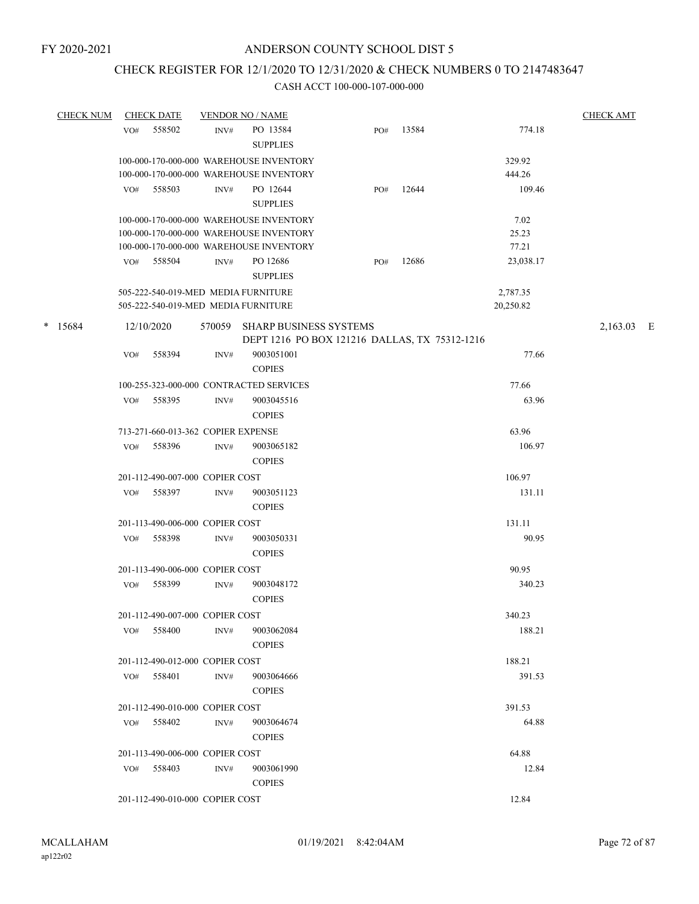### CHECK REGISTER FOR 12/1/2020 TO 12/31/2020 & CHECK NUMBERS 0 TO 2147483647

| <b>CHECK NUM</b> |     | <b>CHECK DATE</b>                  |        | <b>VENDOR NO / NAME</b>                       |     |       |           | <b>CHECK AMT</b> |  |
|------------------|-----|------------------------------------|--------|-----------------------------------------------|-----|-------|-----------|------------------|--|
|                  | VO# | 558502                             | INV#   | PO 13584<br><b>SUPPLIES</b>                   | PO# | 13584 | 774.18    |                  |  |
|                  |     |                                    |        | 100-000-170-000-000 WAREHOUSE INVENTORY       |     |       | 329.92    |                  |  |
|                  |     |                                    |        | 100-000-170-000-000 WAREHOUSE INVENTORY       |     |       | 444.26    |                  |  |
|                  | VO# | 558503                             | INV#   | PO 12644                                      | PO# | 12644 | 109.46    |                  |  |
|                  |     |                                    |        | <b>SUPPLIES</b>                               |     |       |           |                  |  |
|                  |     |                                    |        | 100-000-170-000-000 WAREHOUSE INVENTORY       |     |       | 7.02      |                  |  |
|                  |     |                                    |        | 100-000-170-000-000 WAREHOUSE INVENTORY       |     |       | 25.23     |                  |  |
|                  |     |                                    |        | 100-000-170-000-000 WAREHOUSE INVENTORY       |     |       | 77.21     |                  |  |
|                  | VO# | 558504                             | INV#   | PO 12686<br><b>SUPPLIES</b>                   | PO# | 12686 | 23,038.17 |                  |  |
|                  |     |                                    |        | 505-222-540-019-MED MEDIA FURNITURE           |     |       | 2,787.35  |                  |  |
|                  |     |                                    |        | 505-222-540-019-MED MEDIA FURNITURE           |     |       | 20,250.82 |                  |  |
| $* 15684$        |     | 12/10/2020                         | 570059 | <b>SHARP BUSINESS SYSTEMS</b>                 |     |       |           | 2,163.03 E       |  |
|                  |     |                                    |        | DEPT 1216 PO BOX 121216 DALLAS, TX 75312-1216 |     |       |           |                  |  |
|                  | VO# | 558394                             | INV#   | 9003051001                                    |     |       | 77.66     |                  |  |
|                  |     |                                    |        | <b>COPIES</b>                                 |     |       |           |                  |  |
|                  |     |                                    |        | 100-255-323-000-000 CONTRACTED SERVICES       |     |       | 77.66     |                  |  |
|                  | VO# | 558395                             | INV#   | 9003045516                                    |     |       | 63.96     |                  |  |
|                  |     |                                    |        | <b>COPIES</b>                                 |     |       |           |                  |  |
|                  |     | 713-271-660-013-362 COPIER EXPENSE |        |                                               |     |       | 63.96     |                  |  |
|                  | VO# | 558396                             | INV#   | 9003065182                                    |     |       | 106.97    |                  |  |
|                  |     |                                    |        | <b>COPIES</b>                                 |     |       |           |                  |  |
|                  |     | 201-112-490-007-000 COPIER COST    |        |                                               |     |       | 106.97    |                  |  |
|                  | VO# | 558397                             | INV#   | 9003051123                                    |     |       | 131.11    |                  |  |
|                  |     |                                    |        | <b>COPIES</b>                                 |     |       |           |                  |  |
|                  |     | 201-113-490-006-000 COPIER COST    |        |                                               |     |       | 131.11    |                  |  |
|                  | VO# | 558398                             | INV#   | 9003050331                                    |     |       | 90.95     |                  |  |
|                  |     |                                    |        | <b>COPIES</b>                                 |     |       |           |                  |  |
|                  |     | 201-113-490-006-000 COPIER COST    |        |                                               |     |       | 90.95     |                  |  |
|                  | VO# | 558399                             | INV#   | 9003048172                                    |     |       | 340.23    |                  |  |
|                  |     |                                    |        | <b>COPIES</b>                                 |     |       |           |                  |  |
|                  |     | 201-112-490-007-000 COPIER COST    |        |                                               |     |       | 340.23    |                  |  |
|                  | VO# | 558400                             | INV#   | 9003062084                                    |     |       | 188.21    |                  |  |
|                  |     |                                    |        | <b>COPIES</b>                                 |     |       |           |                  |  |
|                  |     | 201-112-490-012-000 COPIER COST    |        |                                               |     |       | 188.21    |                  |  |
|                  |     | VO# 558401                         | INV#   | 9003064666                                    |     |       | 391.53    |                  |  |
|                  |     |                                    |        | <b>COPIES</b>                                 |     |       |           |                  |  |
|                  |     | 201-112-490-010-000 COPIER COST    |        |                                               |     |       | 391.53    |                  |  |
|                  |     | VO# 558402                         | INV#   | 9003064674                                    |     |       | 64.88     |                  |  |
|                  |     |                                    |        | <b>COPIES</b>                                 |     |       |           |                  |  |
|                  |     | 201-113-490-006-000 COPIER COST    |        |                                               |     |       | 64.88     |                  |  |
|                  |     | VO# 558403                         | INV#   | 9003061990                                    |     |       | 12.84     |                  |  |
|                  |     |                                    |        | <b>COPIES</b>                                 |     |       |           |                  |  |
|                  |     | 201-112-490-010-000 COPIER COST    |        |                                               |     |       | 12.84     |                  |  |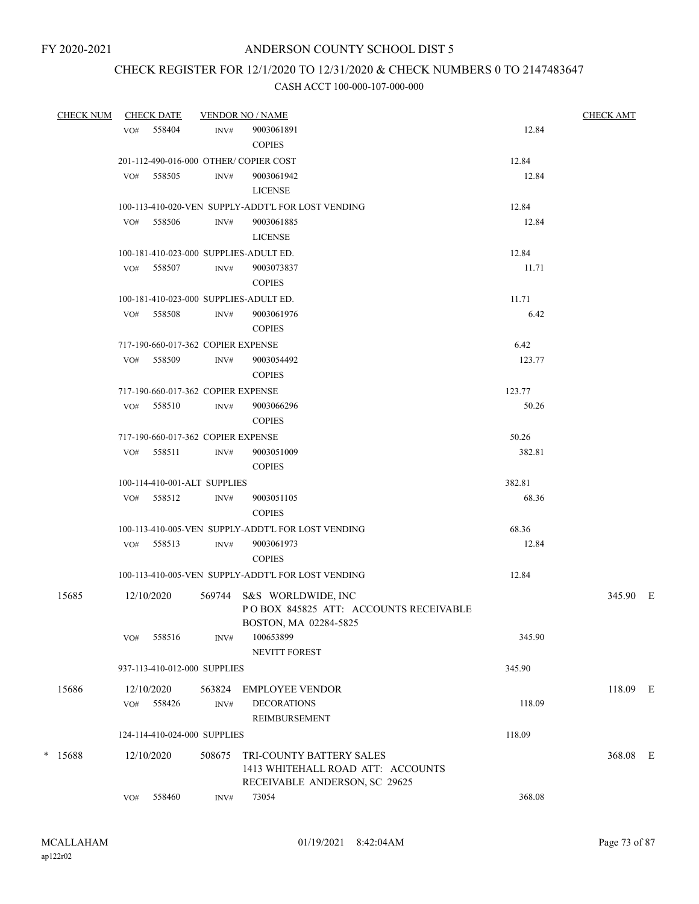# CHECK REGISTER FOR 12/1/2020 TO 12/31/2020 & CHECK NUMBERS 0 TO 2147483647

| <b>CHECK NUM</b> |     | <b>CHECK DATE</b> |                                    | <b>VENDOR NO / NAME</b>                                                                     |        | <b>CHECK AMT</b> |
|------------------|-----|-------------------|------------------------------------|---------------------------------------------------------------------------------------------|--------|------------------|
|                  | VO# | 558404            | INV#                               | 9003061891<br><b>COPIES</b>                                                                 | 12.84  |                  |
|                  |     |                   |                                    | 201-112-490-016-000 OTHER/COPIER COST                                                       | 12.84  |                  |
|                  | VO# | 558505            | INV#                               | 9003061942                                                                                  | 12.84  |                  |
|                  |     |                   |                                    | <b>LICENSE</b>                                                                              |        |                  |
|                  |     |                   |                                    | 100-113-410-020-VEN SUPPLY-ADDT'L FOR LOST VENDING                                          | 12.84  |                  |
|                  |     | VO# 558506        | INV#                               | 9003061885                                                                                  | 12.84  |                  |
|                  |     |                   |                                    | <b>LICENSE</b>                                                                              |        |                  |
|                  |     |                   |                                    | 100-181-410-023-000 SUPPLIES-ADULT ED.                                                      | 12.84  |                  |
|                  |     | VO# 558507        | INV#                               | 9003073837                                                                                  | 11.71  |                  |
|                  |     |                   |                                    | <b>COPIES</b>                                                                               |        |                  |
|                  |     |                   |                                    | 100-181-410-023-000 SUPPLIES-ADULT ED.                                                      | 11.71  |                  |
|                  | VO# | 558508            | INV#                               | 9003061976                                                                                  | 6.42   |                  |
|                  |     |                   |                                    | <b>COPIES</b>                                                                               |        |                  |
|                  |     |                   | 717-190-660-017-362 COPIER EXPENSE |                                                                                             | 6.42   |                  |
|                  |     | VO# 558509        | INV#                               | 9003054492                                                                                  | 123.77 |                  |
|                  |     |                   |                                    | <b>COPIES</b>                                                                               |        |                  |
|                  |     |                   | 717-190-660-017-362 COPIER EXPENSE |                                                                                             | 123.77 |                  |
|                  | VO# | 558510            | INV#                               | 9003066296                                                                                  | 50.26  |                  |
|                  |     |                   |                                    | <b>COPIES</b>                                                                               |        |                  |
|                  |     |                   | 717-190-660-017-362 COPIER EXPENSE |                                                                                             | 50.26  |                  |
|                  | VO# | 558511            | INV#                               | 9003051009                                                                                  | 382.81 |                  |
|                  |     |                   |                                    | <b>COPIES</b>                                                                               |        |                  |
|                  |     |                   | 100-114-410-001-ALT SUPPLIES       |                                                                                             | 382.81 |                  |
|                  |     | VO# 558512        | INV#                               | 9003051105                                                                                  | 68.36  |                  |
|                  |     |                   |                                    | <b>COPIES</b>                                                                               |        |                  |
|                  |     |                   |                                    | 100-113-410-005-VEN SUPPLY-ADDT'L FOR LOST VENDING                                          | 68.36  |                  |
|                  |     | VO# 558513        | INV#                               | 9003061973<br><b>COPIES</b>                                                                 | 12.84  |                  |
|                  |     |                   |                                    | 100-113-410-005-VEN SUPPLY-ADDT'L FOR LOST VENDING                                          | 12.84  |                  |
|                  |     |                   |                                    |                                                                                             |        |                  |
| 15685            |     | 12/10/2020        |                                    | 569744 S&S WORLDWIDE, INC<br>POBOX 845825 ATT: ACCOUNTS RECEIVABLE<br>BOSTON, MA 02284-5825 |        | 345.90 E         |
|                  | VO# | 558516            | INV#                               | 100653899<br>NEVITT FOREST                                                                  | 345.90 |                  |
|                  |     |                   | 937-113-410-012-000 SUPPLIES       |                                                                                             | 345.90 |                  |
| 15686            |     | 12/10/2020        | 563824                             | EMPLOYEE VENDOR                                                                             |        | 118.09 E         |
|                  | VO# | 558426            | INV#                               | <b>DECORATIONS</b>                                                                          | 118.09 |                  |
|                  |     |                   |                                    | REIMBURSEMENT                                                                               |        |                  |
|                  |     |                   | 124-114-410-024-000 SUPPLIES       |                                                                                             | 118.09 |                  |
| * 15688          |     | 12/10/2020        | 508675                             | TRI-COUNTY BATTERY SALES                                                                    |        | 368.08 E         |
|                  |     |                   |                                    | 1413 WHITEHALL ROAD ATT: ACCOUNTS                                                           |        |                  |
|                  |     |                   |                                    | RECEIVABLE ANDERSON, SC 29625                                                               |        |                  |
|                  | VO# | 558460            | INV#                               | 73054                                                                                       | 368.08 |                  |
|                  |     |                   |                                    |                                                                                             |        |                  |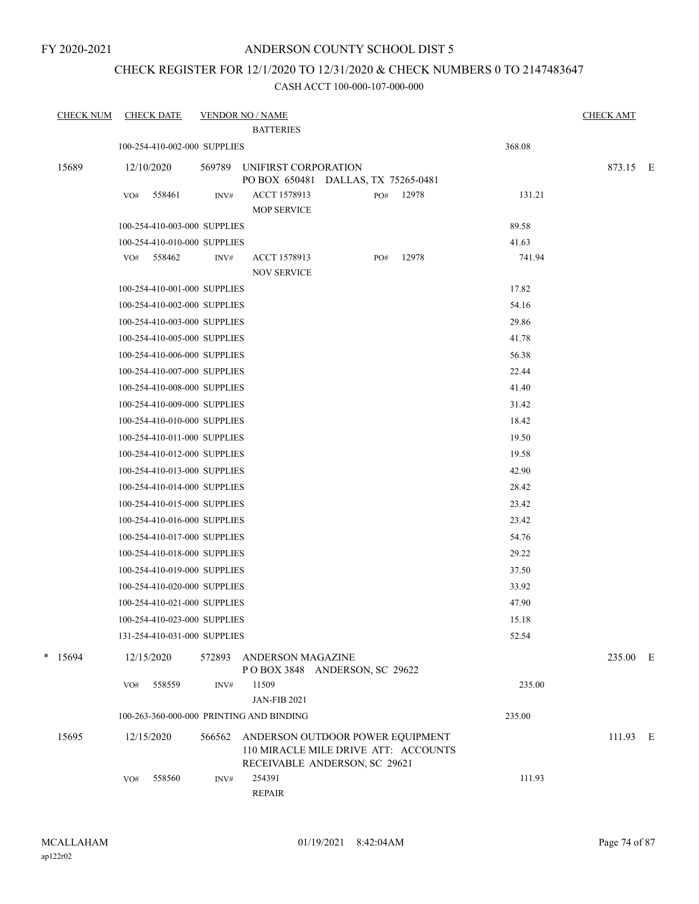### ANDERSON COUNTY SCHOOL DIST 5

### CHECK REGISTER FOR 12/1/2020 TO 12/31/2020 & CHECK NUMBERS 0 TO 2147483647

| <b>CHECK NUM</b> |     | <b>CHECK DATE</b>                          |        | <b>VENDOR NO / NAME</b><br><b>BATTERIES</b>                                                               |     |       |                | <b>CHECK AMT</b> |  |
|------------------|-----|--------------------------------------------|--------|-----------------------------------------------------------------------------------------------------------|-----|-------|----------------|------------------|--|
|                  |     | 100-254-410-002-000 SUPPLIES               |        |                                                                                                           |     |       | 368.08         |                  |  |
|                  |     |                                            |        |                                                                                                           |     |       |                |                  |  |
| 15689            |     | 12/10/2020                                 | 569789 | UNIFIRST CORPORATION<br>PO BOX 650481 DALLAS, TX 75265-0481                                               |     |       |                | 873.15 E         |  |
|                  | VO# | 558461                                     | INV#   | ACCT 1578913<br><b>MOP SERVICE</b>                                                                        | PO# | 12978 | 131.21         |                  |  |
|                  |     | 100-254-410-003-000 SUPPLIES               |        |                                                                                                           |     |       | 89.58          |                  |  |
|                  |     | 100-254-410-010-000 SUPPLIES               |        |                                                                                                           |     |       | 41.63          |                  |  |
|                  |     | VO# 558462                                 | INV#   | <b>ACCT 1578913</b><br><b>NOV SERVICE</b>                                                                 | PO# | 12978 | 741.94         |                  |  |
|                  |     | 100-254-410-001-000 SUPPLIES               |        |                                                                                                           |     |       | 17.82          |                  |  |
|                  |     | 100-254-410-002-000 SUPPLIES               |        |                                                                                                           |     |       | 54.16          |                  |  |
|                  |     | 100-254-410-003-000 SUPPLIES               |        |                                                                                                           |     |       | 29.86          |                  |  |
|                  |     | 100-254-410-005-000 SUPPLIES               |        |                                                                                                           |     |       | 41.78          |                  |  |
|                  |     | 100-254-410-006-000 SUPPLIES               |        |                                                                                                           |     |       | 56.38          |                  |  |
|                  |     | 100-254-410-007-000 SUPPLIES               |        |                                                                                                           |     |       | 22.44          |                  |  |
|                  |     | 100-254-410-008-000 SUPPLIES               |        |                                                                                                           |     |       |                |                  |  |
|                  |     | 100-254-410-009-000 SUPPLIES               |        |                                                                                                           |     |       | 41.40<br>31.42 |                  |  |
|                  |     | 100-254-410-010-000 SUPPLIES               |        |                                                                                                           |     |       | 18.42          |                  |  |
|                  |     | 100-254-410-011-000 SUPPLIES               |        |                                                                                                           |     |       | 19.50          |                  |  |
|                  |     | 100-254-410-012-000 SUPPLIES               |        |                                                                                                           |     |       | 19.58          |                  |  |
|                  |     | 100-254-410-013-000 SUPPLIES               |        |                                                                                                           |     |       | 42.90          |                  |  |
|                  |     | 100-254-410-014-000 SUPPLIES               |        |                                                                                                           |     |       | 28.42          |                  |  |
|                  |     | 100-254-410-015-000 SUPPLIES               |        |                                                                                                           |     |       | 23.42          |                  |  |
|                  |     | 100-254-410-016-000 SUPPLIES               |        |                                                                                                           |     |       | 23.42          |                  |  |
|                  |     | 100-254-410-017-000 SUPPLIES               |        |                                                                                                           |     |       | 54.76          |                  |  |
|                  |     | 100-254-410-018-000 SUPPLIES               |        |                                                                                                           |     |       | 29.22          |                  |  |
|                  |     | 100-254-410-019-000 SUPPLIES               |        |                                                                                                           |     |       | 37.50          |                  |  |
|                  |     | 100-254-410-020-000 SUPPLIES               |        |                                                                                                           |     |       | 33.92          |                  |  |
|                  |     | 100-254-410-021-000 SUPPLIES               |        |                                                                                                           |     |       | 47.90          |                  |  |
|                  |     | 100-254-410-023-000 SUPPLIES               |        |                                                                                                           |     |       | 15.18          |                  |  |
|                  |     |                                            |        |                                                                                                           |     |       | 52.54          |                  |  |
| $*$ 15694        |     | 131-254-410-031-000 SUPPLIES<br>12/15/2020 | 572893 | ANDERSON MAGAZINE                                                                                         |     |       |                | 235.00 E         |  |
|                  | VO# | 558559                                     | INV#   | POBOX 3848 ANDERSON, SC 29622<br>11509                                                                    |     |       | 235.00         |                  |  |
|                  |     |                                            |        | <b>JAN-FIB 2021</b>                                                                                       |     |       |                |                  |  |
|                  |     |                                            |        | 100-263-360-000-000 PRINTING AND BINDING                                                                  |     |       | 235.00         |                  |  |
| 15695            |     | 12/15/2020                                 | 566562 | ANDERSON OUTDOOR POWER EQUIPMENT<br>110 MIRACLE MILE DRIVE ATT: ACCOUNTS<br>RECEIVABLE ANDERSON, SC 29621 |     |       |                | 111.93 E         |  |
|                  | VO# | 558560                                     | INV#   | 254391<br>REPAIR                                                                                          |     |       | 111.93         |                  |  |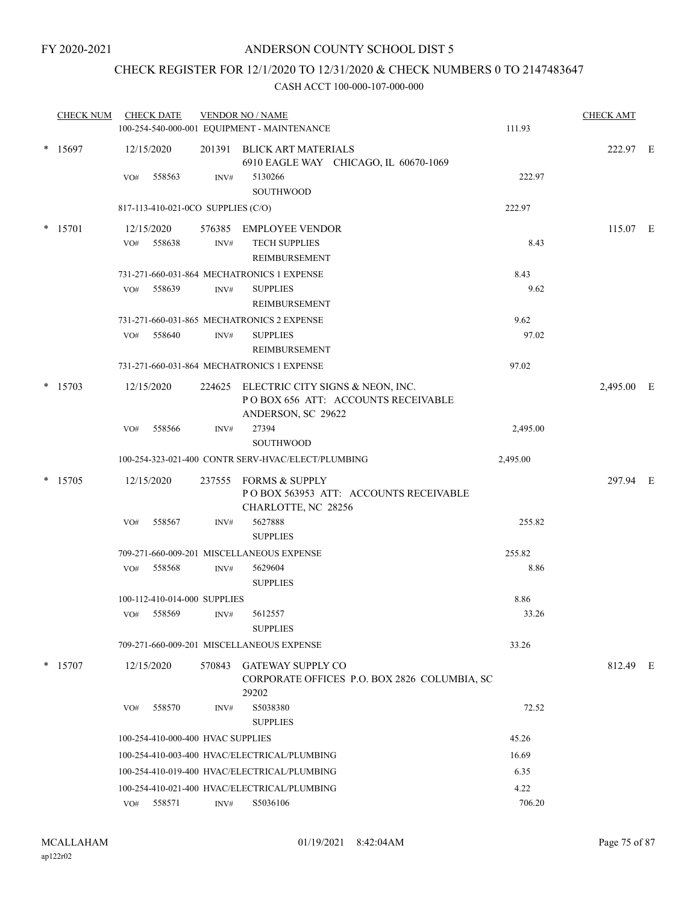### CHECK REGISTER FOR 12/1/2020 TO 12/31/2020 & CHECK NUMBERS 0 TO 2147483647

| <b>CHECK NUM</b> |     | <b>CHECK DATE</b>                  |                | <b>VENDOR NO / NAME</b><br>100-254-540-000-001 EQUIPMENT - MAINTENANCE                              | 111.93   | <b>CHECK AMT</b> |  |
|------------------|-----|------------------------------------|----------------|-----------------------------------------------------------------------------------------------------|----------|------------------|--|
| $*$ 15697        |     | 12/15/2020                         |                | 201391 BLICK ART MATERIALS                                                                          |          | 222.97 E         |  |
|                  | VO# | 558563                             | INV#           | 6910 EAGLE WAY CHICAGO, IL 60670-1069<br>5130266<br><b>SOUTHWOOD</b>                                | 222.97   |                  |  |
|                  |     | 817-113-410-021-0CO SUPPLIES (C/O) |                |                                                                                                     | 222.97   |                  |  |
|                  |     |                                    |                |                                                                                                     |          |                  |  |
| * 15701          |     | 12/15/2020                         |                | 576385 EMPLOYEE VENDOR                                                                              |          | 115.07 E         |  |
|                  | VO# | 558638                             | $\text{INV}\#$ | <b>TECH SUPPLIES</b><br>REIMBURSEMENT                                                               | 8.43     |                  |  |
|                  |     |                                    |                | 731-271-660-031-864 MECHATRONICS 1 EXPENSE                                                          | 8.43     |                  |  |
|                  | VO# | 558639                             | INV#           | <b>SUPPLIES</b>                                                                                     | 9.62     |                  |  |
|                  |     |                                    |                | REIMBURSEMENT                                                                                       |          |                  |  |
|                  |     |                                    |                | 731-271-660-031-865 MECHATRONICS 2 EXPENSE                                                          | 9.62     |                  |  |
|                  | VO# | 558640                             | INV#           | <b>SUPPLIES</b>                                                                                     | 97.02    |                  |  |
|                  |     |                                    |                | <b>REIMBURSEMENT</b>                                                                                |          |                  |  |
|                  |     |                                    |                | 731-271-660-031-864 MECHATRONICS 1 EXPENSE                                                          | 97.02    |                  |  |
| $*$ 15703        |     | 12/15/2020                         |                | 224625 ELECTRIC CITY SIGNS & NEON, INC.<br>POBOX 656 ATT: ACCOUNTS RECEIVABLE<br>ANDERSON, SC 29622 |          | 2,495.00 E       |  |
|                  | VO# | 558566                             | INV#           | 27394                                                                                               | 2,495.00 |                  |  |
|                  |     |                                    |                | <b>SOUTHWOOD</b>                                                                                    |          |                  |  |
|                  |     |                                    |                | 100-254-323-021-400 CONTR SERV-HVAC/ELECT/PLUMBING                                                  | 2,495.00 |                  |  |
| * 15705          |     | 12/15/2020                         |                | 237555 FORMS & SUPPLY<br>POBOX 563953 ATT: ACCOUNTS RECEIVABLE<br>CHARLOTTE, NC 28256               |          | 297.94 E         |  |
|                  | VO# | 558567                             | INV#           | 5627888<br><b>SUPPLIES</b>                                                                          | 255.82   |                  |  |
|                  |     |                                    |                | 709-271-660-009-201 MISCELLANEOUS EXPENSE                                                           | 255.82   |                  |  |
|                  | VO# | 558568                             | INV#           | 5629604<br><b>SUPPLIES</b>                                                                          | 8.86     |                  |  |
|                  |     | 100-112-410-014-000 SUPPLIES       |                |                                                                                                     | 8.86     |                  |  |
|                  | VO# | 558569                             | INV#           | 5612557<br><b>SUPPLIES</b>                                                                          | 33.26    |                  |  |
|                  |     |                                    |                | 709-271-660-009-201 MISCELLANEOUS EXPENSE                                                           | 33.26    |                  |  |
| $*$ 15707        |     | 12/15/2020                         | 570843         | <b>GATEWAY SUPPLY CO</b><br>CORPORATE OFFICES P.O. BOX 2826 COLUMBIA, SC                            |          | 812.49 E         |  |
|                  | VO# | 558570                             | INV#           | 29202<br>S5038380<br><b>SUPPLIES</b>                                                                | 72.52    |                  |  |
|                  |     | 100-254-410-000-400 HVAC SUPPLIES  |                |                                                                                                     | 45.26    |                  |  |
|                  |     |                                    |                | 100-254-410-003-400 HVAC/ELECTRICAL/PLUMBING                                                        | 16.69    |                  |  |
|                  |     |                                    |                | 100-254-410-019-400 HVAC/ELECTRICAL/PLUMBING                                                        | 6.35     |                  |  |
|                  |     |                                    |                | 100-254-410-021-400 HVAC/ELECTRICAL/PLUMBING                                                        | 4.22     |                  |  |
|                  |     | VO# 558571                         | INV#           | S5036106                                                                                            | 706.20   |                  |  |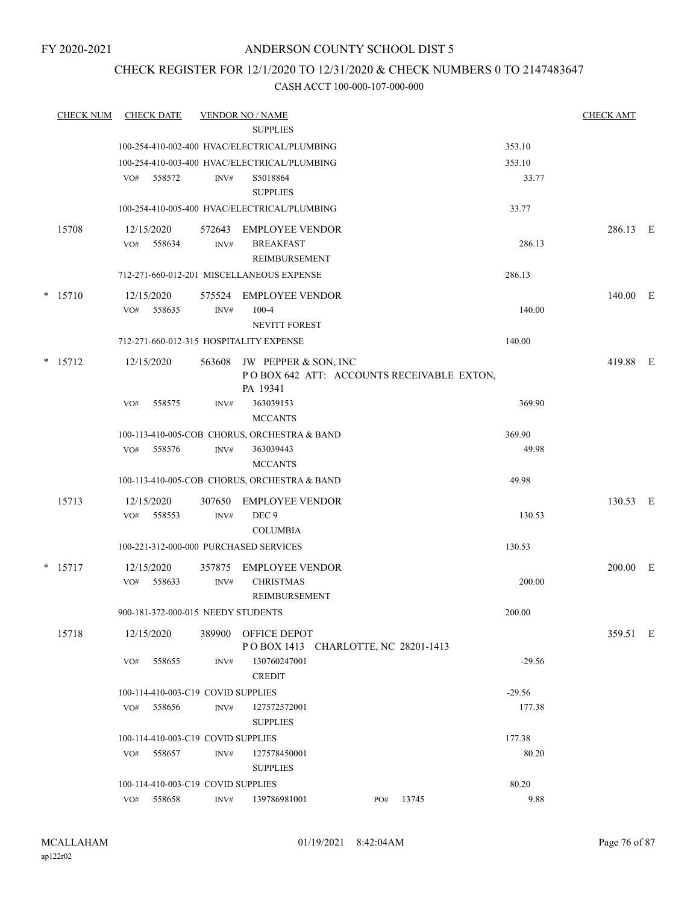### CHECK REGISTER FOR 12/1/2020 TO 12/31/2020 & CHECK NUMBERS 0 TO 2147483647

| <b>CHECK NUM</b> | <b>CHECK DATE</b>                       |        | <b>VENDOR NO / NAME</b>                                           |           |          | <b>CHECK AMT</b> |  |
|------------------|-----------------------------------------|--------|-------------------------------------------------------------------|-----------|----------|------------------|--|
|                  |                                         |        | <b>SUPPLIES</b>                                                   |           |          |                  |  |
|                  |                                         |        | 100-254-410-002-400 HVAC/ELECTRICAL/PLUMBING                      |           | 353.10   |                  |  |
|                  |                                         |        | 100-254-410-003-400 HVAC/ELECTRICAL/PLUMBING                      |           | 353.10   |                  |  |
|                  | 558572<br>VO#                           | INV#   | S5018864                                                          |           | 33.77    |                  |  |
|                  |                                         |        | <b>SUPPLIES</b>                                                   |           |          |                  |  |
|                  |                                         |        | 100-254-410-005-400 HVAC/ELECTRICAL/PLUMBING                      |           | 33.77    |                  |  |
| 15708            | 12/15/2020                              | 572643 | <b>EMPLOYEE VENDOR</b>                                            |           |          | 286.13 E         |  |
|                  | VO#<br>558634                           | INV#   | <b>BREAKFAST</b>                                                  |           | 286.13   |                  |  |
|                  |                                         |        | <b>REIMBURSEMENT</b>                                              |           |          |                  |  |
|                  |                                         |        | 712-271-660-012-201 MISCELLANEOUS EXPENSE                         |           | 286.13   |                  |  |
| $*$ 15710        | 12/15/2020                              |        | 575524 EMPLOYEE VENDOR                                            |           |          | 140.00 E         |  |
|                  | 558635<br>VO#                           | INV#   | $100 - 4$                                                         |           | 140.00   |                  |  |
|                  |                                         |        | <b>NEVITT FOREST</b>                                              |           |          |                  |  |
|                  | 712-271-660-012-315 HOSPITALITY EXPENSE |        |                                                                   |           | 140.00   |                  |  |
| $*$ 15712        | 12/15/2020                              | 563608 | JW PEPPER & SON, INC<br>POBOX 642 ATT: ACCOUNTS RECEIVABLE EXTON, |           |          | 419.88 E         |  |
|                  |                                         |        | PA 19341                                                          |           |          |                  |  |
|                  | 558575<br>VO#                           | INV#   | 363039153                                                         |           | 369.90   |                  |  |
|                  |                                         |        | <b>MCCANTS</b>                                                    |           |          |                  |  |
|                  |                                         |        | 100-113-410-005-COB CHORUS, ORCHESTRA & BAND                      |           | 369.90   |                  |  |
|                  | 558576<br>VO#                           | INV#   | 363039443                                                         |           | 49.98    |                  |  |
|                  |                                         |        | <b>MCCANTS</b>                                                    |           |          |                  |  |
|                  |                                         |        | 100-113-410-005-COB CHORUS, ORCHESTRA & BAND                      |           | 49.98    |                  |  |
| 15713            | 12/15/2020                              | 307650 | <b>EMPLOYEE VENDOR</b>                                            |           |          | 130.53 E         |  |
|                  | 558553<br>VO#                           | INV#   | DEC <sub>9</sub>                                                  |           | 130.53   |                  |  |
|                  |                                         |        | <b>COLUMBIA</b>                                                   |           |          |                  |  |
|                  | 100-221-312-000-000 PURCHASED SERVICES  |        |                                                                   |           | 130.53   |                  |  |
| $*$ 15717        | 12/15/2020                              | 357875 | <b>EMPLOYEE VENDOR</b>                                            |           |          | $200.00$ E       |  |
|                  | 558633<br>VO#                           | INV#   | <b>CHRISTMAS</b>                                                  |           | 200.00   |                  |  |
|                  |                                         |        | REIMBURSEMENT                                                     |           |          |                  |  |
|                  | 900-181-372-000-015 NEEDY STUDENTS      |        |                                                                   |           | 200.00   |                  |  |
| 15718            | 12/15/2020                              |        | 389900 OFFICE DEPOT                                               |           |          | 359.51 E         |  |
|                  | 558655<br>VO#                           | INV#   | POBOX 1413 CHARLOTTE, NC 28201-1413<br>130760247001               |           | $-29.56$ |                  |  |
|                  |                                         |        | <b>CREDIT</b>                                                     |           |          |                  |  |
|                  | 100-114-410-003-C19 COVID SUPPLIES      |        |                                                                   |           | $-29.56$ |                  |  |
|                  | 558656<br>VO#                           | INV#   | 127572572001                                                      |           | 177.38   |                  |  |
|                  |                                         |        | <b>SUPPLIES</b>                                                   |           |          |                  |  |
|                  | 100-114-410-003-C19 COVID SUPPLIES      |        |                                                                   |           | 177.38   |                  |  |
|                  | 558657<br>VO#                           | INV#   | 127578450001                                                      |           | 80.20    |                  |  |
|                  |                                         |        | <b>SUPPLIES</b>                                                   |           |          |                  |  |
|                  | 100-114-410-003-C19 COVID SUPPLIES      |        |                                                                   |           | 80.20    |                  |  |
|                  | VO# 558658                              | INV#   | 139786981001                                                      | PO# 13745 | 9.88     |                  |  |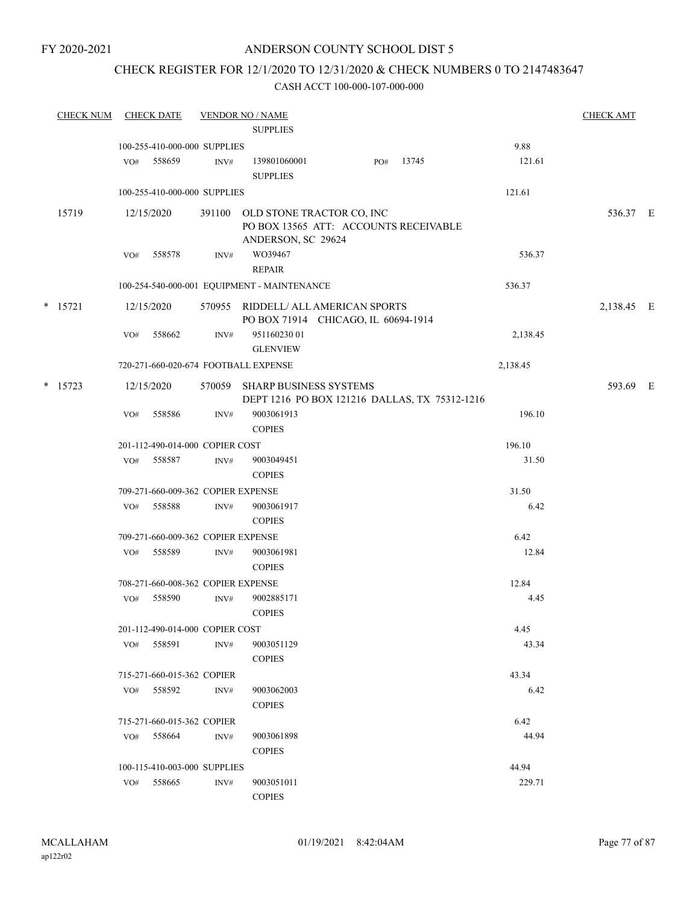### ANDERSON COUNTY SCHOOL DIST 5

### CHECK REGISTER FOR 12/1/2020 TO 12/31/2020 & CHECK NUMBERS 0 TO 2147483647

| <b>CHECK NUM</b> |     | <b>CHECK DATE</b>                  |                | <b>VENDOR NO / NAME</b>                                                                  |     |       |          | <b>CHECK AMT</b> |  |
|------------------|-----|------------------------------------|----------------|------------------------------------------------------------------------------------------|-----|-------|----------|------------------|--|
|                  |     |                                    |                | <b>SUPPLIES</b>                                                                          |     |       |          |                  |  |
|                  |     | 100-255-410-000-000 SUPPLIES       |                |                                                                                          |     |       | 9.88     |                  |  |
|                  | VO# | 558659                             | INV#           | 139801060001<br><b>SUPPLIES</b>                                                          | PO# | 13745 | 121.61   |                  |  |
|                  |     | 100-255-410-000-000 SUPPLIES       |                |                                                                                          |     |       | 121.61   |                  |  |
| 15719            |     | 12/15/2020                         | 391100         | OLD STONE TRACTOR CO, INC<br>PO BOX 13565 ATT: ACCOUNTS RECEIVABLE<br>ANDERSON, SC 29624 |     |       |          | 536.37 E         |  |
|                  | VO# | 558578                             | INV#           | WO39467<br><b>REPAIR</b>                                                                 |     |       | 536.37   |                  |  |
|                  |     |                                    |                | 100-254-540-000-001 EQUIPMENT - MAINTENANCE                                              |     |       | 536.37   |                  |  |
| $*$ 15721        |     | 12/15/2020                         |                | 570955 RIDDELL/ ALL AMERICAN SPORTS<br>PO BOX 71914 CHICAGO, IL 60694-1914               |     |       |          | 2,138.45 E       |  |
|                  | VO# | 558662                             | INV#           | 95116023001<br><b>GLENVIEW</b>                                                           |     |       | 2,138.45 |                  |  |
|                  |     |                                    |                | 720-271-660-020-674 FOOTBALL EXPENSE                                                     |     |       | 2,138.45 |                  |  |
| $*$ 15723        |     | 12/15/2020                         |                | 570059 SHARP BUSINESS SYSTEMS                                                            |     |       |          | 593.69 E         |  |
|                  |     |                                    |                | DEPT 1216 PO BOX 121216 DALLAS, TX 75312-1216                                            |     |       |          |                  |  |
|                  | VO# | 558586                             | INV#           | 9003061913<br><b>COPIES</b>                                                              |     |       | 196.10   |                  |  |
|                  |     | 201-112-490-014-000 COPIER COST    |                |                                                                                          |     |       | 196.10   |                  |  |
|                  | VO# | 558587                             | INV#           | 9003049451<br><b>COPIES</b>                                                              |     |       | 31.50    |                  |  |
|                  |     | 709-271-660-009-362 COPIER EXPENSE |                |                                                                                          |     |       | 31.50    |                  |  |
|                  | VO# | 558588                             | $\text{INV}\#$ | 9003061917<br><b>COPIES</b>                                                              |     |       | 6.42     |                  |  |
|                  |     | 709-271-660-009-362 COPIER EXPENSE |                |                                                                                          |     |       | 6.42     |                  |  |
|                  | VO# | 558589                             | INV#           | 9003061981<br><b>COPIES</b>                                                              |     |       | 12.84    |                  |  |
|                  |     | 708-271-660-008-362 COPIER EXPENSE |                |                                                                                          |     |       | 12.84    |                  |  |
|                  | VO# | 558590                             | INV#           | 9002885171<br><b>COPIES</b>                                                              |     |       | 4.45     |                  |  |
|                  |     | 201-112-490-014-000 COPIER COST    |                |                                                                                          |     |       | 4.45     |                  |  |
|                  |     | VO# 558591                         | $\text{INV}\#$ | 9003051129                                                                               |     |       | 43.34    |                  |  |
|                  |     |                                    |                | <b>COPIES</b>                                                                            |     |       |          |                  |  |
|                  |     | 715-271-660-015-362 COPIER         |                |                                                                                          |     |       | 43.34    |                  |  |
|                  | VO# | 558592                             | INV#           | 9003062003<br><b>COPIES</b>                                                              |     |       | 6.42     |                  |  |
|                  |     | 715-271-660-015-362 COPIER         |                |                                                                                          |     |       | 6.42     |                  |  |
|                  |     | VO# 558664                         | INV#           | 9003061898<br><b>COPIES</b>                                                              |     |       | 44.94    |                  |  |
|                  |     | 100-115-410-003-000 SUPPLIES       |                |                                                                                          |     |       | 44.94    |                  |  |
|                  | VO# | 558665                             | INV#           | 9003051011                                                                               |     |       | 229.71   |                  |  |
|                  |     |                                    |                | <b>COPIES</b>                                                                            |     |       |          |                  |  |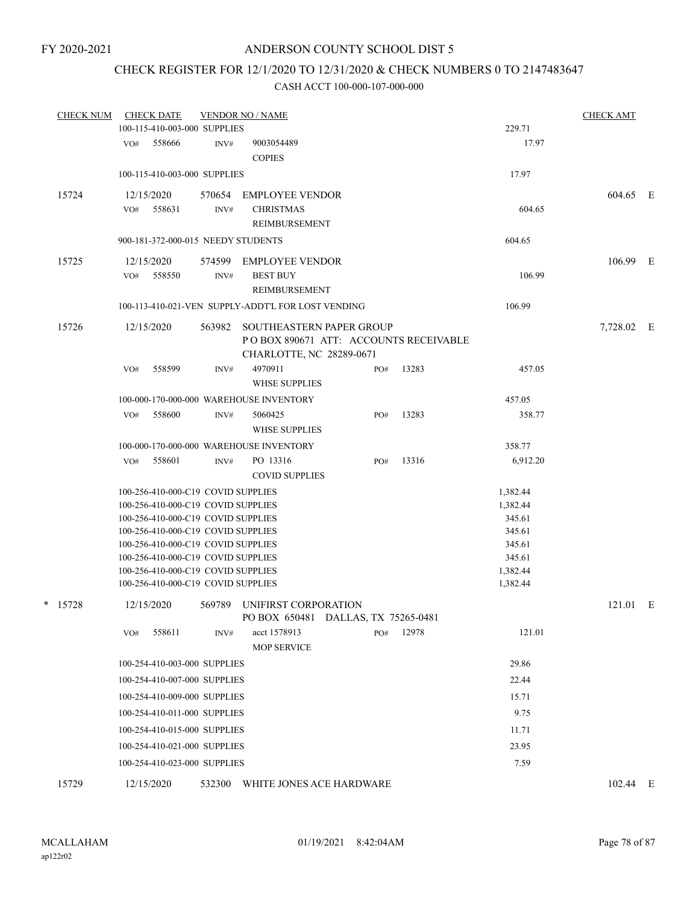# CHECK REGISTER FOR 12/1/2020 TO 12/31/2020 & CHECK NUMBERS 0 TO 2147483647

| <b>CHECK NUM</b> | <b>CHECK DATE</b> | 100-115-410-003-000 SUPPLIES                                             | <b>VENDOR NO / NAME</b>                                     |     |       | 229.71               | <b>CHECK AMT</b> |  |
|------------------|-------------------|--------------------------------------------------------------------------|-------------------------------------------------------------|-----|-------|----------------------|------------------|--|
|                  |                   |                                                                          |                                                             |     |       |                      |                  |  |
|                  | VO# 558666        | INV#                                                                     | 9003054489<br><b>COPIES</b>                                 |     |       | 17.97                |                  |  |
|                  |                   | 100-115-410-003-000 SUPPLIES                                             |                                                             |     |       | 17.97                |                  |  |
| 15724            | 12/15/2020        |                                                                          | 570654 EMPLOYEE VENDOR                                      |     |       |                      | 604.65 E         |  |
|                  | VO# 558631        | INV#                                                                     | <b>CHRISTMAS</b>                                            |     |       | 604.65               |                  |  |
|                  |                   |                                                                          | REIMBURSEMENT                                               |     |       |                      |                  |  |
|                  |                   | 900-181-372-000-015 NEEDY STUDENTS                                       |                                                             |     |       | 604.65               |                  |  |
| 15725            | 12/15/2020        |                                                                          | 574599 EMPLOYEE VENDOR                                      |     |       |                      | 106.99 E         |  |
|                  | 558550<br>VO#     | INV#                                                                     | <b>BEST BUY</b>                                             |     |       | 106.99               |                  |  |
|                  |                   |                                                                          | REIMBURSEMENT                                               |     |       |                      |                  |  |
|                  |                   |                                                                          | 100-113-410-021-VEN SUPPLY-ADDT'L FOR LOST VENDING          |     |       | 106.99               |                  |  |
| 15726            | 12/15/2020        | 563982                                                                   | SOUTHEASTERN PAPER GROUP                                    |     |       |                      | 7,728.02 E       |  |
|                  |                   |                                                                          | POBOX 890671 ATT: ACCOUNTS RECEIVABLE                       |     |       |                      |                  |  |
|                  |                   |                                                                          | CHARLOTTE, NC 28289-0671                                    |     |       |                      |                  |  |
|                  | VO#<br>558599     | INV#                                                                     | 4970911                                                     | PO# | 13283 | 457.05               |                  |  |
|                  |                   |                                                                          | <b>WHSE SUPPLIES</b>                                        |     |       |                      |                  |  |
|                  |                   |                                                                          | 100-000-170-000-000 WAREHOUSE INVENTORY                     |     |       | 457.05               |                  |  |
|                  | 558600<br>VO#     | INV#                                                                     | 5060425                                                     | PO# | 13283 | 358.77               |                  |  |
|                  |                   |                                                                          | <b>WHSE SUPPLIES</b>                                        |     |       |                      |                  |  |
|                  |                   |                                                                          | 100-000-170-000-000 WAREHOUSE INVENTORY                     |     |       | 358.77               |                  |  |
|                  | 558601<br>VO#     | INV#                                                                     | PO 13316                                                    | PO# | 13316 | 6,912.20             |                  |  |
|                  |                   |                                                                          | <b>COVID SUPPLIES</b>                                       |     |       |                      |                  |  |
|                  |                   | 100-256-410-000-C19 COVID SUPPLIES                                       |                                                             |     |       | 1,382.44             |                  |  |
|                  |                   | 100-256-410-000-C19 COVID SUPPLIES                                       |                                                             |     |       | 1,382.44             |                  |  |
|                  |                   | 100-256-410-000-C19 COVID SUPPLIES                                       |                                                             |     |       | 345.61               |                  |  |
|                  |                   | 100-256-410-000-C19 COVID SUPPLIES                                       |                                                             |     |       | 345.61               |                  |  |
|                  |                   | 100-256-410-000-C19 COVID SUPPLIES                                       |                                                             |     |       | 345.61               |                  |  |
|                  |                   | 100-256-410-000-C19 COVID SUPPLIES                                       |                                                             |     |       | 345.61               |                  |  |
|                  |                   | 100-256-410-000-C19 COVID SUPPLIES<br>100-256-410-000-C19 COVID SUPPLIES |                                                             |     |       | 1,382.44<br>1,382.44 |                  |  |
|                  |                   |                                                                          |                                                             |     |       |                      |                  |  |
| $*$ 15728        | 12/15/2020        | 569789                                                                   | UNIFIRST CORPORATION<br>PO BOX 650481 DALLAS, TX 75265-0481 |     |       |                      | 121.01 E         |  |
|                  | 558611<br>VO#     | INV#                                                                     | acct 1578913                                                | PO# | 12978 | 121.01               |                  |  |
|                  |                   |                                                                          | <b>MOP SERVICE</b>                                          |     |       |                      |                  |  |
|                  |                   | 100-254-410-003-000 SUPPLIES                                             |                                                             |     |       | 29.86                |                  |  |
|                  |                   | 100-254-410-007-000 SUPPLIES                                             |                                                             |     |       | 22.44                |                  |  |
|                  |                   | 100-254-410-009-000 SUPPLIES                                             |                                                             |     |       | 15.71                |                  |  |
|                  |                   | 100-254-410-011-000 SUPPLIES                                             |                                                             |     |       | 9.75                 |                  |  |
|                  |                   | 100-254-410-015-000 SUPPLIES                                             |                                                             |     |       | 11.71                |                  |  |
|                  |                   | 100-254-410-021-000 SUPPLIES                                             |                                                             |     |       | 23.95                |                  |  |
|                  |                   | 100-254-410-023-000 SUPPLIES                                             |                                                             |     |       | 7.59                 |                  |  |
| 15729            | 12/15/2020        | 532300                                                                   | WHITE JONES ACE HARDWARE                                    |     |       |                      | 102.44 E         |  |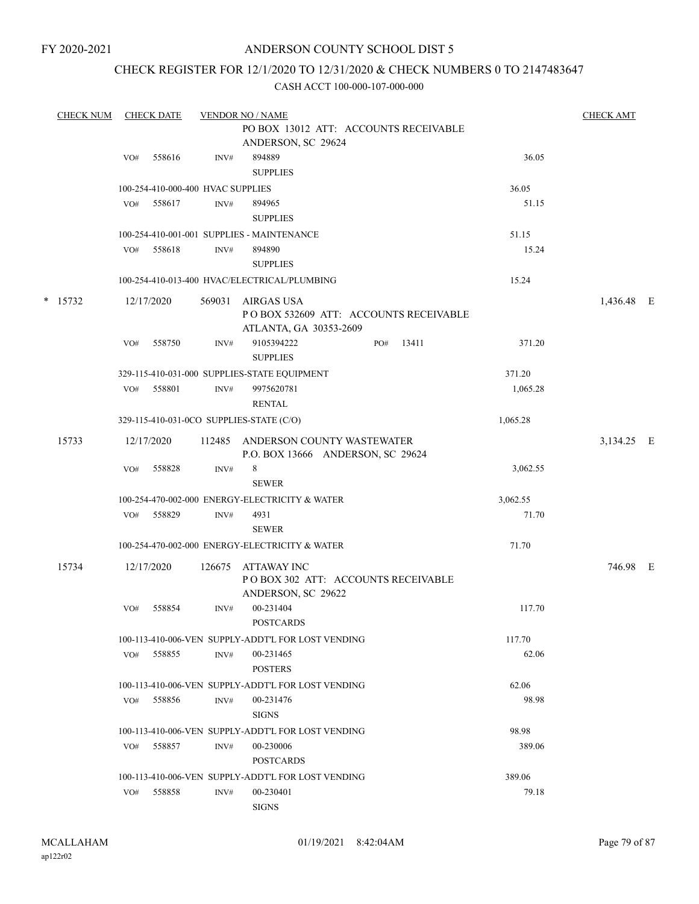### CHECK REGISTER FOR 12/1/2020 TO 12/31/2020 & CHECK NUMBERS 0 TO 2147483647

| <b>CHECK NUM</b> |     | <b>CHECK DATE</b> |                                   | <b>VENDOR NO / NAME</b>                                                       |                 | <b>CHECK AMT</b> |  |
|------------------|-----|-------------------|-----------------------------------|-------------------------------------------------------------------------------|-----------------|------------------|--|
|                  |     |                   |                                   | PO BOX 13012 ATT: ACCOUNTS RECEIVABLE<br>ANDERSON, SC 29624                   |                 |                  |  |
|                  | VO# | 558616            | INV#                              | 894889<br><b>SUPPLIES</b>                                                     | 36.05           |                  |  |
|                  |     |                   | 100-254-410-000-400 HVAC SUPPLIES |                                                                               | 36.05           |                  |  |
|                  | VO# | 558617            | INV#                              | 894965<br><b>SUPPLIES</b>                                                     | 51.15           |                  |  |
|                  |     |                   |                                   | 100-254-410-001-001 SUPPLIES - MAINTENANCE                                    | 51.15           |                  |  |
|                  | VO# | 558618            | INV#                              | 894890<br><b>SUPPLIES</b>                                                     | 15.24           |                  |  |
|                  |     |                   |                                   | 100-254-410-013-400 HVAC/ELECTRICAL/PLUMBING                                  | 15.24           |                  |  |
| $*$ 15732        |     | 12/17/2020        | 569031                            | AIRGAS USA<br>POBOX 532609 ATT: ACCOUNTS RECEIVABLE<br>ATLANTA, GA 30353-2609 |                 | 1,436.48 E       |  |
|                  | VO# | 558750            | INV#                              | 9105394222<br>PO#<br><b>SUPPLIES</b>                                          | 371.20<br>13411 |                  |  |
|                  |     |                   |                                   | 329-115-410-031-000 SUPPLIES-STATE EQUIPMENT                                  | 371.20          |                  |  |
|                  | VO# | 558801            | INV#                              | 9975620781<br><b>RENTAL</b>                                                   | 1,065.28        |                  |  |
|                  |     |                   |                                   | 329-115-410-031-0CO SUPPLIES-STATE (C/O)                                      | 1,065.28        |                  |  |
| 15733            |     | 12/17/2020        | 112485                            | ANDERSON COUNTY WASTEWATER<br>P.O. BOX 13666 ANDERSON, SC 29624               |                 | 3,134.25 E       |  |
|                  | VO# | 558828            | INV#                              | 8<br><b>SEWER</b>                                                             | 3,062.55        |                  |  |
|                  |     |                   |                                   | 100-254-470-002-000 ENERGY-ELECTRICITY & WATER                                | 3,062.55        |                  |  |
|                  | VO# | 558829            | INV#                              | 4931<br><b>SEWER</b>                                                          | 71.70           |                  |  |
|                  |     |                   |                                   | 100-254-470-002-000 ENERGY-ELECTRICITY & WATER                                | 71.70           |                  |  |
| 15734            |     | 12/17/2020        | 126675                            | ATTAWAY INC<br>POBOX 302 ATT: ACCOUNTS RECEIVABLE<br>ANDERSON, SC 29622       |                 | 746.98 E         |  |
|                  | VO# | 558854            | INV#                              | 00-231404<br><b>POSTCARDS</b>                                                 | 117.70          |                  |  |
|                  |     |                   |                                   | 100-113-410-006-VEN SUPPLY-ADDT'L FOR LOST VENDING                            | 117.70          |                  |  |
|                  | VO# | 558855            | INV#                              | 00-231465<br><b>POSTERS</b>                                                   | 62.06           |                  |  |
|                  |     |                   |                                   | 100-113-410-006-VEN SUPPLY-ADDT'L FOR LOST VENDING                            | 62.06           |                  |  |
|                  | VO# | 558856            | INV#                              | 00-231476<br><b>SIGNS</b>                                                     | 98.98           |                  |  |
|                  |     |                   |                                   | 100-113-410-006-VEN SUPPLY-ADDT'L FOR LOST VENDING                            | 98.98           |                  |  |
|                  | VO# | 558857            | INV#                              | 00-230006<br><b>POSTCARDS</b>                                                 | 389.06          |                  |  |
|                  |     |                   |                                   | 100-113-410-006-VEN SUPPLY-ADDT'L FOR LOST VENDING                            | 389.06          |                  |  |
|                  | VO# | 558858            | INV#                              | 00-230401<br><b>SIGNS</b>                                                     | 79.18           |                  |  |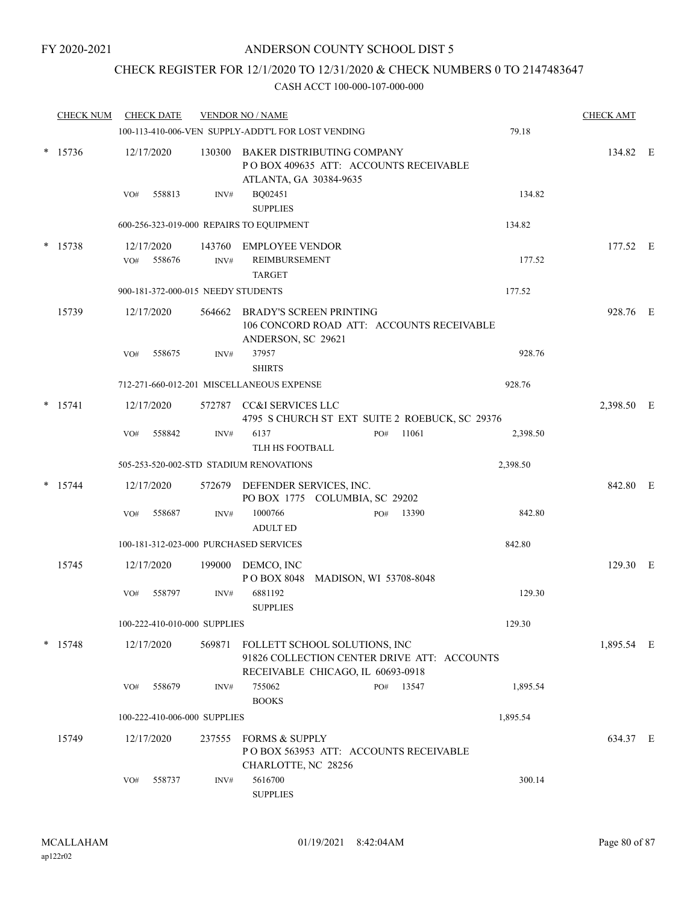### CHECK REGISTER FOR 12/1/2020 TO 12/31/2020 & CHECK NUMBERS 0 TO 2147483647

| <b>CHECK NUM</b> |     | <b>CHECK DATE</b>                  |        | <b>VENDOR NO / NAME</b>                                                                        |     |                                                |          | <b>CHECK AMT</b> |  |
|------------------|-----|------------------------------------|--------|------------------------------------------------------------------------------------------------|-----|------------------------------------------------|----------|------------------|--|
|                  |     |                                    |        | 100-113-410-006-VEN SUPPLY-ADDT'L FOR LOST VENDING                                             |     |                                                | 79.18    |                  |  |
| $* 15736$        |     | 12/17/2020                         | 130300 | BAKER DISTRIBUTING COMPANY<br>PO BOX 409635 ATT: ACCOUNTS RECEIVABLE<br>ATLANTA, GA 30384-9635 |     |                                                |          | 134.82 E         |  |
|                  | VO# | 558813                             | INV#   | BQ02451<br><b>SUPPLIES</b>                                                                     |     |                                                | 134.82   |                  |  |
|                  |     |                                    |        | 600-256-323-019-000 REPAIRS TO EQUIPMENT                                                       |     |                                                | 134.82   |                  |  |
| $*$ 15738        |     | 12/17/2020                         |        | 143760 EMPLOYEE VENDOR                                                                         |     |                                                |          | 177.52 E         |  |
|                  | VO# | 558676                             | INV#   | <b>REIMBURSEMENT</b><br><b>TARGET</b>                                                          |     |                                                | 177.52   |                  |  |
|                  |     | 900-181-372-000-015 NEEDY STUDENTS |        |                                                                                                |     |                                                | 177.52   |                  |  |
| 15739            |     | 12/17/2020                         |        | 564662 BRADY'S SCREEN PRINTING<br>ANDERSON, SC 29621                                           |     | 106 CONCORD ROAD ATT: ACCOUNTS RECEIVABLE      |          | 928.76 E         |  |
|                  | VO# | 558675                             | INV#   | 37957<br><b>SHIRTS</b>                                                                         |     |                                                | 928.76   |                  |  |
|                  |     |                                    |        | 712-271-660-012-201 MISCELLANEOUS EXPENSE                                                      |     |                                                | 928.76   |                  |  |
| $*$ 15741        |     | 12/17/2020                         |        | 572787 CC&I SERVICES LLC                                                                       |     | 4795 S CHURCH ST EXT SUITE 2 ROEBUCK, SC 29376 |          | 2,398.50 E       |  |
|                  | VO# | 558842                             | INV#   | 6137<br>TLH HS FOOTBALL                                                                        | PO# | 11061                                          | 2,398.50 |                  |  |
|                  |     |                                    |        | 505-253-520-002-STD STADIUM RENOVATIONS                                                        |     |                                                | 2,398.50 |                  |  |
| 15744            |     | 12/17/2020                         |        | 572679 DEFENDER SERVICES, INC.<br>PO BOX 1775 COLUMBIA, SC 29202                               |     |                                                |          | 842.80 E         |  |
|                  | VO# | 558687                             | INV#   | 1000766<br><b>ADULT ED</b>                                                                     | PO# | 13390                                          | 842.80   |                  |  |
|                  |     |                                    |        | 100-181-312-023-000 PURCHASED SERVICES                                                         |     |                                                | 842.80   |                  |  |
| 15745            |     | 12/17/2020                         | 199000 | DEMCO, INC<br>POBOX 8048 MADISON, WI 53708-8048                                                |     |                                                |          | 129.30 E         |  |
|                  | VO# | 558797                             | INV#   | 6881192<br><b>SUPPLIES</b>                                                                     |     |                                                | 129.30   |                  |  |
|                  |     | 100-222-410-010-000 SUPPLIES       |        |                                                                                                |     |                                                | 129.30   |                  |  |
| $*$ 15748        |     | 12/17/2020                         | 569871 | FOLLETT SCHOOL SOLUTIONS, INC<br>RECEIVABLE CHICAGO, IL 60693-0918                             |     | 91826 COLLECTION CENTER DRIVE ATT: ACCOUNTS    |          | 1,895.54 E       |  |
|                  | VO# | 558679                             | INV#   | 755062<br><b>BOOKS</b>                                                                         |     | PO# 13547                                      | 1,895.54 |                  |  |
|                  |     | 100-222-410-006-000 SUPPLIES       |        |                                                                                                |     |                                                | 1,895.54 |                  |  |
| 15749            |     | 12/17/2020                         | 237555 | <b>FORMS &amp; SUPPLY</b><br>POBOX 563953 ATT: ACCOUNTS RECEIVABLE<br>CHARLOTTE, NC 28256      |     |                                                |          | 634.37 E         |  |
|                  | VO# | 558737                             | INV#   | 5616700<br><b>SUPPLIES</b>                                                                     |     |                                                | 300.14   |                  |  |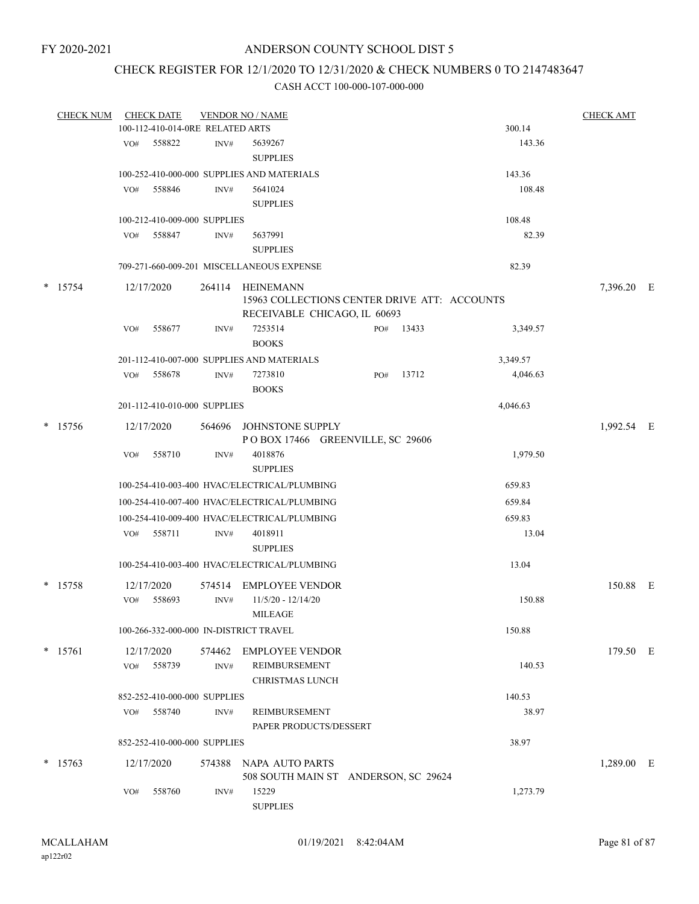### CHECK REGISTER FOR 12/1/2020 TO 12/31/2020 & CHECK NUMBERS 0 TO 2147483647

| <b>CHECK NUM</b> |     | <b>CHECK DATE</b>                |        | <b>VENDOR NO / NAME</b>                      |     |       |          | <b>CHECK AMT</b> |  |
|------------------|-----|----------------------------------|--------|----------------------------------------------|-----|-------|----------|------------------|--|
|                  |     | 100-112-410-014-0RE RELATED ARTS |        |                                              |     |       | 300.14   |                  |  |
|                  | VO# | 558822                           | INV#   | 5639267                                      |     |       | 143.36   |                  |  |
|                  |     |                                  |        | <b>SUPPLIES</b>                              |     |       |          |                  |  |
|                  |     |                                  |        | 100-252-410-000-000 SUPPLIES AND MATERIALS   |     |       | 143.36   |                  |  |
|                  | VO# | 558846                           | INV#   | 5641024                                      |     |       | 108.48   |                  |  |
|                  |     |                                  |        | <b>SUPPLIES</b>                              |     |       |          |                  |  |
|                  |     | 100-212-410-009-000 SUPPLIES     |        |                                              |     |       | 108.48   |                  |  |
|                  | VO# | 558847                           | INV#   | 5637991                                      |     |       | 82.39    |                  |  |
|                  |     |                                  |        | <b>SUPPLIES</b>                              |     |       |          |                  |  |
|                  |     |                                  |        | 709-271-660-009-201 MISCELLANEOUS EXPENSE    |     |       | 82.39    |                  |  |
| $*$ 15754        |     | 12/17/2020                       | 264114 | HEINEMANN                                    |     |       |          | 7,396.20 E       |  |
|                  |     |                                  |        | 15963 COLLECTIONS CENTER DRIVE ATT: ACCOUNTS |     |       |          |                  |  |
|                  |     |                                  |        | RECEIVABLE CHICAGO, IL 60693                 |     |       |          |                  |  |
|                  | VO# | 558677                           | INV#   | 7253514                                      | PO# | 13433 | 3,349.57 |                  |  |
|                  |     |                                  |        | <b>BOOKS</b>                                 |     |       |          |                  |  |
|                  |     |                                  |        | 201-112-410-007-000 SUPPLIES AND MATERIALS   |     |       | 3,349.57 |                  |  |
|                  | VO# | 558678                           | INV#   | 7273810                                      | PO# | 13712 | 4,046.63 |                  |  |
|                  |     |                                  |        | <b>BOOKS</b>                                 |     |       |          |                  |  |
|                  |     | 201-112-410-010-000 SUPPLIES     |        |                                              |     |       | 4,046.63 |                  |  |
| $*$ 15756        |     | 12/17/2020                       |        | 564696 JOHNSTONE SUPPLY                      |     |       |          | 1,992.54 E       |  |
|                  |     |                                  |        | POBOX 17466 GREENVILLE, SC 29606             |     |       |          |                  |  |
|                  | VO# | 558710                           | INV#   | 4018876                                      |     |       | 1,979.50 |                  |  |
|                  |     |                                  |        | <b>SUPPLIES</b>                              |     |       |          |                  |  |
|                  |     |                                  |        | 100-254-410-003-400 HVAC/ELECTRICAL/PLUMBING |     |       | 659.83   |                  |  |
|                  |     |                                  |        | 100-254-410-007-400 HVAC/ELECTRICAL/PLUMBING |     |       | 659.84   |                  |  |
|                  |     |                                  |        | 100-254-410-009-400 HVAC/ELECTRICAL/PLUMBING |     |       | 659.83   |                  |  |
|                  | VO# | 558711                           | INV#   | 4018911                                      |     |       | 13.04    |                  |  |
|                  |     |                                  |        | <b>SUPPLIES</b>                              |     |       |          |                  |  |
|                  |     |                                  |        | 100-254-410-003-400 HVAC/ELECTRICAL/PLUMBING |     |       | 13.04    |                  |  |
|                  |     |                                  |        |                                              |     |       |          |                  |  |
| * 15758          |     | 12/17/2020                       |        | 574514 EMPLOYEE VENDOR                       |     |       |          | 150.88 E         |  |
|                  | VO# | 558693                           | INV#   | $11/5/20 - 12/14/20$                         |     |       | 150.88   |                  |  |
|                  |     |                                  |        | <b>MILEAGE</b>                               |     |       |          |                  |  |
|                  |     |                                  |        | 100-266-332-000-000 IN-DISTRICT TRAVEL       |     |       | 150.88   |                  |  |
| $* 15761$        |     | 12/17/2020                       |        | 574462 EMPLOYEE VENDOR                       |     |       |          | 179.50 E         |  |
|                  | VO# | 558739                           | INV#   | REIMBURSEMENT                                |     |       | 140.53   |                  |  |
|                  |     |                                  |        | <b>CHRISTMAS LUNCH</b>                       |     |       |          |                  |  |
|                  |     | 852-252-410-000-000 SUPPLIES     |        |                                              |     |       | 140.53   |                  |  |
|                  | VO# | 558740                           | INV#   | REIMBURSEMENT                                |     |       | 38.97    |                  |  |
|                  |     |                                  |        | PAPER PRODUCTS/DESSERT                       |     |       |          |                  |  |
|                  |     | 852-252-410-000-000 SUPPLIES     |        |                                              |     |       | 38.97    |                  |  |
| $*$ 15763        |     | 12/17/2020                       |        | 574388 NAPA AUTO PARTS                       |     |       |          | 1,289.00 E       |  |
|                  |     |                                  |        | 508 SOUTH MAIN ST ANDERSON, SC 29624         |     |       |          |                  |  |
|                  | VO# | 558760                           | INV#   | 15229                                        |     |       | 1,273.79 |                  |  |
|                  |     |                                  |        | <b>SUPPLIES</b>                              |     |       |          |                  |  |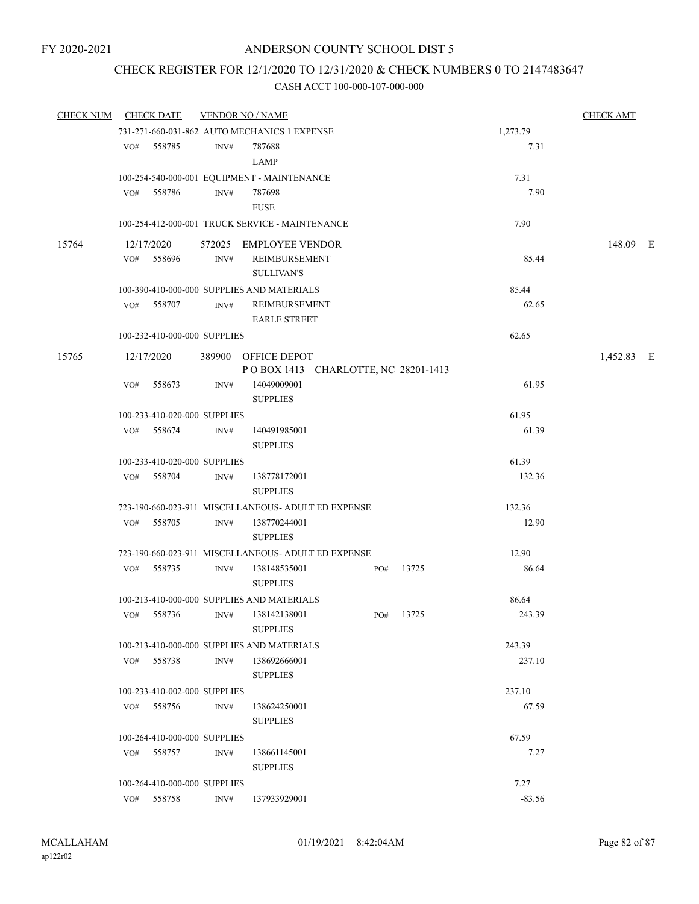### CHECK REGISTER FOR 12/1/2020 TO 12/31/2020 & CHECK NUMBERS 0 TO 2147483647

| <b>CHECK NUM</b> | <b>CHECK DATE</b> |                              |      | <b>VENDOR NO / NAME</b>                             |     |       |          | <b>CHECK AMT</b> |  |
|------------------|-------------------|------------------------------|------|-----------------------------------------------------|-----|-------|----------|------------------|--|
|                  |                   |                              |      | 731-271-660-031-862 AUTO MECHANICS 1 EXPENSE        |     |       | 1,273.79 |                  |  |
|                  | VO#               | 558785                       | INV# | 787688                                              |     |       | 7.31     |                  |  |
|                  |                   |                              |      | <b>LAMP</b>                                         |     |       |          |                  |  |
|                  |                   |                              |      | 100-254-540-000-001 EQUIPMENT - MAINTENANCE         |     |       | 7.31     |                  |  |
|                  | VO#               | 558786                       | INV# | 787698                                              |     |       | 7.90     |                  |  |
|                  |                   |                              |      | <b>FUSE</b>                                         |     |       |          |                  |  |
|                  |                   |                              |      | 100-254-412-000-001 TRUCK SERVICE - MAINTENANCE     |     |       | 7.90     |                  |  |
| 15764            | 12/17/2020        |                              |      | 572025 EMPLOYEE VENDOR                              |     |       |          | 148.09 E         |  |
|                  | VO#               | 558696                       | INV# | REIMBURSEMENT                                       |     |       | 85.44    |                  |  |
|                  |                   |                              |      | <b>SULLIVAN'S</b>                                   |     |       |          |                  |  |
|                  |                   |                              |      | 100-390-410-000-000 SUPPLIES AND MATERIALS          |     |       | 85.44    |                  |  |
|                  | VO# 558707        |                              | INV# | REIMBURSEMENT                                       |     |       | 62.65    |                  |  |
|                  |                   |                              |      | <b>EARLE STREET</b>                                 |     |       |          |                  |  |
|                  |                   | 100-232-410-000-000 SUPPLIES |      |                                                     |     |       | 62.65    |                  |  |
| 15765            | 12/17/2020        |                              |      | 389900 OFFICE DEPOT                                 |     |       |          | 1,452.83 E       |  |
|                  |                   |                              |      | POBOX 1413 CHARLOTTE, NC 28201-1413                 |     |       |          |                  |  |
|                  | VO#               | 558673                       | INV# | 14049009001                                         |     |       | 61.95    |                  |  |
|                  |                   |                              |      | <b>SUPPLIES</b>                                     |     |       |          |                  |  |
|                  |                   | 100-233-410-020-000 SUPPLIES |      |                                                     |     |       | 61.95    |                  |  |
|                  | VO# 558674        |                              | INV# | 140491985001                                        |     |       | 61.39    |                  |  |
|                  |                   |                              |      | <b>SUPPLIES</b>                                     |     |       |          |                  |  |
|                  |                   | 100-233-410-020-000 SUPPLIES |      |                                                     |     |       | 61.39    |                  |  |
|                  | VO# 558704        |                              | INV# | 138778172001                                        |     |       | 132.36   |                  |  |
|                  |                   |                              |      | <b>SUPPLIES</b>                                     |     |       |          |                  |  |
|                  |                   |                              |      | 723-190-660-023-911 MISCELLANEOUS- ADULT ED EXPENSE |     |       | 132.36   |                  |  |
|                  | VO#               | 558705                       | INV# | 138770244001                                        |     |       | 12.90    |                  |  |
|                  |                   |                              |      | <b>SUPPLIES</b>                                     |     |       |          |                  |  |
|                  |                   |                              |      | 723-190-660-023-911 MISCELLANEOUS- ADULT ED EXPENSE |     |       | 12.90    |                  |  |
|                  | VO# 558735        |                              | INV# | 138148535001                                        | PO# | 13725 | 86.64    |                  |  |
|                  |                   |                              |      | <b>SUPPLIES</b>                                     |     |       |          |                  |  |
|                  |                   |                              |      | 100-213-410-000-000 SUPPLIES AND MATERIALS          |     |       | 86.64    |                  |  |
|                  | VO# 558736        |                              | INV# | 138142138001                                        | PO# | 13725 | 243.39   |                  |  |
|                  |                   |                              |      | <b>SUPPLIES</b>                                     |     |       |          |                  |  |
|                  |                   |                              |      | 100-213-410-000-000 SUPPLIES AND MATERIALS          |     |       | 243.39   |                  |  |
|                  | VO# 558738        |                              | INV# | 138692666001                                        |     |       | 237.10   |                  |  |
|                  |                   |                              |      | <b>SUPPLIES</b>                                     |     |       |          |                  |  |
|                  |                   | 100-233-410-002-000 SUPPLIES |      |                                                     |     |       | 237.10   |                  |  |
|                  | VO# 558756        |                              | INV# | 138624250001<br><b>SUPPLIES</b>                     |     |       | 67.59    |                  |  |
|                  |                   | 100-264-410-000-000 SUPPLIES |      |                                                     |     |       | 67.59    |                  |  |
|                  | VO# 558757        |                              | INV# | 138661145001                                        |     |       | 7.27     |                  |  |
|                  |                   |                              |      | <b>SUPPLIES</b>                                     |     |       |          |                  |  |
|                  |                   | 100-264-410-000-000 SUPPLIES |      |                                                     |     |       | 7.27     |                  |  |
|                  | VO# 558758        |                              | INV# | 137933929001                                        |     |       | $-83.56$ |                  |  |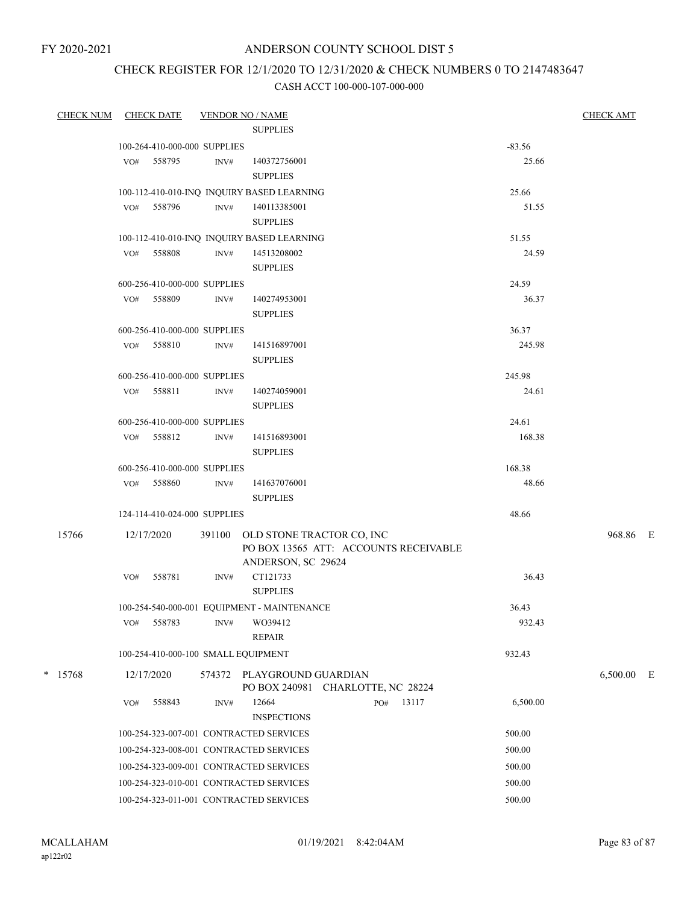### ANDERSON COUNTY SCHOOL DIST 5

# CHECK REGISTER FOR 12/1/2020 TO 12/31/2020 & CHECK NUMBERS 0 TO 2147483647

| CHECK NUM | <b>CHECK DATE</b>                       |        | <b>VENDOR NO / NAME</b>                                                                  |          | <b>CHECK AMT</b> |  |
|-----------|-----------------------------------------|--------|------------------------------------------------------------------------------------------|----------|------------------|--|
|           |                                         |        | <b>SUPPLIES</b>                                                                          |          |                  |  |
|           | 100-264-410-000-000 SUPPLIES            |        |                                                                                          | $-83.56$ |                  |  |
|           | VO# 558795                              | INV#   | 140372756001<br><b>SUPPLIES</b>                                                          | 25.66    |                  |  |
|           |                                         |        | 100-112-410-010-INQ INQUIRY BASED LEARNING                                               | 25.66    |                  |  |
|           | VO# 558796                              | INV#   | 140113385001<br><b>SUPPLIES</b>                                                          | 51.55    |                  |  |
|           |                                         |        | 100-112-410-010-INQ INQUIRY BASED LEARNING                                               | 51.55    |                  |  |
|           | VO# 558808                              | INV#   | 14513208002<br><b>SUPPLIES</b>                                                           | 24.59    |                  |  |
|           | 600-256-410-000-000 SUPPLIES            |        |                                                                                          | 24.59    |                  |  |
|           | VO# 558809                              | INV#   | 140274953001<br><b>SUPPLIES</b>                                                          | 36.37    |                  |  |
|           | 600-256-410-000-000 SUPPLIES            |        |                                                                                          | 36.37    |                  |  |
|           | VO# 558810                              | INV#   | 141516897001<br><b>SUPPLIES</b>                                                          | 245.98   |                  |  |
|           | 600-256-410-000-000 SUPPLIES            |        |                                                                                          | 245.98   |                  |  |
|           | VO# 558811                              | INV#   | 140274059001<br><b>SUPPLIES</b>                                                          | 24.61    |                  |  |
|           | 600-256-410-000-000 SUPPLIES            |        |                                                                                          | 24.61    |                  |  |
|           | VO# 558812                              | INV#   | 141516893001<br><b>SUPPLIES</b>                                                          | 168.38   |                  |  |
|           | 600-256-410-000-000 SUPPLIES            |        |                                                                                          | 168.38   |                  |  |
|           | VO# 558860                              | INV#   | 141637076001<br><b>SUPPLIES</b>                                                          | 48.66    |                  |  |
|           | 124-114-410-024-000 SUPPLIES            |        |                                                                                          | 48.66    |                  |  |
| 15766     | 12/17/2020                              | 391100 | OLD STONE TRACTOR CO, INC<br>PO BOX 13565 ATT: ACCOUNTS RECEIVABLE<br>ANDERSON, SC 29624 |          | 968.86 E         |  |
|           | VO#<br>558781                           | INV#   | CT121733<br><b>SUPPLIES</b>                                                              | 36.43    |                  |  |
|           |                                         |        | 100-254-540-000-001 EQUIPMENT - MAINTENANCE                                              | 36.43    |                  |  |
|           | 558783<br>VO#                           | INV#   | WO39412<br><b>REPAIR</b>                                                                 | 932.43   |                  |  |
|           | 100-254-410-000-100 SMALL EQUIPMENT     |        |                                                                                          | 932.43   |                  |  |
| $*$ 15768 | 12/17/2020                              |        | 574372 PLAYGROUND GUARDIAN<br>PO BOX 240981 CHARLOTTE, NC 28224                          |          | 6,500.00 E       |  |
|           | 558843<br>VO#                           | INV#   | 12664<br>13117<br>PO#<br><b>INSPECTIONS</b>                                              | 6,500.00 |                  |  |
|           | 100-254-323-007-001 CONTRACTED SERVICES |        |                                                                                          | 500.00   |                  |  |
|           | 100-254-323-008-001 CONTRACTED SERVICES |        |                                                                                          | 500.00   |                  |  |
|           | 100-254-323-009-001 CONTRACTED SERVICES |        |                                                                                          | 500.00   |                  |  |
|           | 100-254-323-010-001 CONTRACTED SERVICES |        |                                                                                          | 500.00   |                  |  |
|           | 100-254-323-011-001 CONTRACTED SERVICES |        |                                                                                          | 500.00   |                  |  |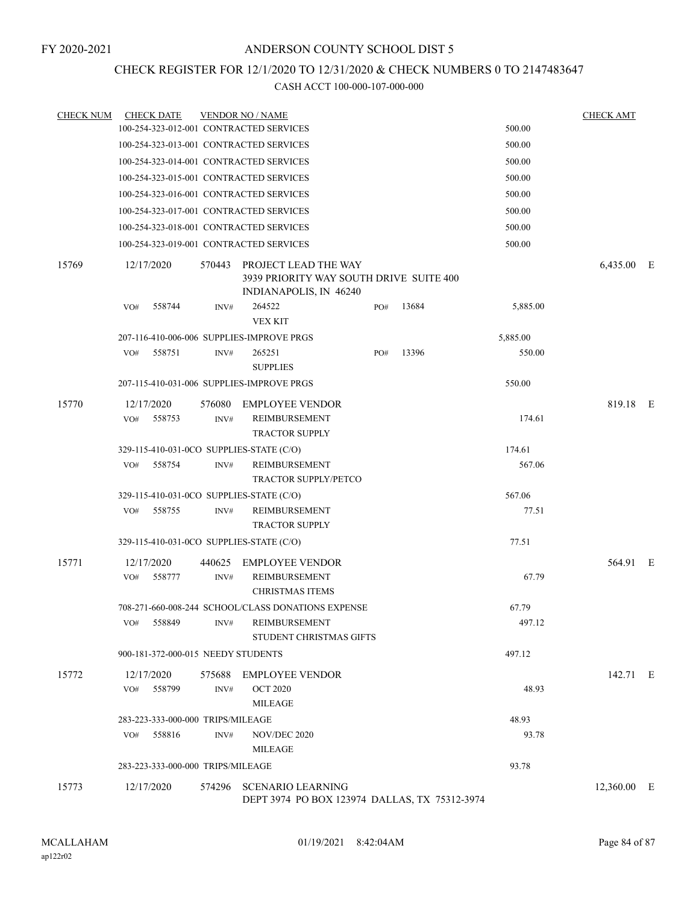# CHECK REGISTER FOR 12/1/2020 TO 12/31/2020 & CHECK NUMBERS 0 TO 2147483647

| <b>CHECK NUM</b> | <b>CHECK DATE</b>                         |        | <b>VENDOR NO / NAME</b>                                                                          |     |       |          | <b>CHECK AMT</b> |  |
|------------------|-------------------------------------------|--------|--------------------------------------------------------------------------------------------------|-----|-------|----------|------------------|--|
|                  | 100-254-323-012-001 CONTRACTED SERVICES   |        |                                                                                                  |     |       | 500.00   |                  |  |
|                  | 100-254-323-013-001 CONTRACTED SERVICES   |        |                                                                                                  |     |       | 500.00   |                  |  |
|                  | 100-254-323-014-001 CONTRACTED SERVICES   |        |                                                                                                  |     |       | 500.00   |                  |  |
|                  | 100-254-323-015-001 CONTRACTED SERVICES   |        |                                                                                                  |     |       | 500.00   |                  |  |
|                  | 100-254-323-016-001 CONTRACTED SERVICES   |        |                                                                                                  |     |       | 500.00   |                  |  |
|                  | 100-254-323-017-001 CONTRACTED SERVICES   |        |                                                                                                  |     |       | 500.00   |                  |  |
|                  | 100-254-323-018-001 CONTRACTED SERVICES   |        |                                                                                                  |     |       | 500.00   |                  |  |
|                  | 100-254-323-019-001 CONTRACTED SERVICES   |        |                                                                                                  |     |       | 500.00   |                  |  |
| 15769            | 12/17/2020                                |        | 570443 PROJECT LEAD THE WAY<br>3939 PRIORITY WAY SOUTH DRIVE SUITE 400<br>INDIANAPOLIS, IN 46240 |     |       |          | 6,435.00 E       |  |
|                  | 558744<br>VO#                             | INV#   | 264522<br><b>VEX KIT</b>                                                                         | PO# | 13684 | 5,885.00 |                  |  |
|                  | 207-116-410-006-006 SUPPLIES-IMPROVE PRGS |        |                                                                                                  |     |       | 5,885.00 |                  |  |
|                  | VO#<br>558751                             | INV#   | 265251<br><b>SUPPLIES</b>                                                                        | PO# | 13396 | 550.00   |                  |  |
|                  | 207-115-410-031-006 SUPPLIES-IMPROVE PRGS |        |                                                                                                  |     |       | 550.00   |                  |  |
| 15770            | 12/17/2020                                | 576080 | <b>EMPLOYEE VENDOR</b>                                                                           |     |       |          | 819.18 E         |  |
|                  | 558753<br>VO#                             | INV#   | <b>REIMBURSEMENT</b><br><b>TRACTOR SUPPLY</b>                                                    |     |       | 174.61   |                  |  |
|                  | 329-115-410-031-0CO SUPPLIES-STATE (C/O)  |        |                                                                                                  |     |       | 174.61   |                  |  |
|                  | 558754<br>VO#                             | INV#   | REIMBURSEMENT<br><b>TRACTOR SUPPLY/PETCO</b>                                                     |     |       | 567.06   |                  |  |
|                  | 329-115-410-031-0CO SUPPLIES-STATE (C/O)  |        |                                                                                                  |     |       | 567.06   |                  |  |
|                  | 558755<br>VO#                             | INV#   | REIMBURSEMENT<br><b>TRACTOR SUPPLY</b>                                                           |     |       | 77.51    |                  |  |
|                  | 329-115-410-031-0CO SUPPLIES-STATE (C/O)  |        |                                                                                                  |     |       | 77.51    |                  |  |
| 15771            | 12/17/2020                                | 440625 | <b>EMPLOYEE VENDOR</b>                                                                           |     |       |          | 564.91 E         |  |
|                  | VO#<br>558777                             | INV#   | REIMBURSEMENT<br><b>CHRISTMAS ITEMS</b>                                                          |     |       | 67.79    |                  |  |
|                  |                                           |        | 708-271-660-008-244 SCHOOL/CLASS DONATIONS EXPENSE                                               |     |       | 67.79    |                  |  |
|                  | VO#<br>558849                             | INV#   | <b>REIMBURSEMENT</b><br>STUDENT CHRISTMAS GIFTS                                                  |     |       | 497.12   |                  |  |
|                  | 900-181-372-000-015 NEEDY STUDENTS        |        |                                                                                                  |     |       | 497.12   |                  |  |
| 15772            | 12/17/2020                                |        | 575688 EMPLOYEE VENDOR                                                                           |     |       |          | 142.71 E         |  |
|                  | 558799<br>VO#                             | INV#   | <b>OCT 2020</b><br><b>MILEAGE</b>                                                                |     |       | 48.93    |                  |  |
|                  | 283-223-333-000-000 TRIPS/MILEAGE         |        |                                                                                                  |     |       | 48.93    |                  |  |
|                  | 558816<br>VO#                             | INV#   | NOV/DEC 2020<br><b>MILEAGE</b>                                                                   |     |       | 93.78    |                  |  |
|                  | 283-223-333-000-000 TRIPS/MILEAGE         |        |                                                                                                  |     |       | 93.78    |                  |  |
| 15773            | 12/17/2020                                |        | 574296 SCENARIO LEARNING<br>DEPT 3974 PO BOX 123974 DALLAS, TX 75312-3974                        |     |       |          | 12,360.00 E      |  |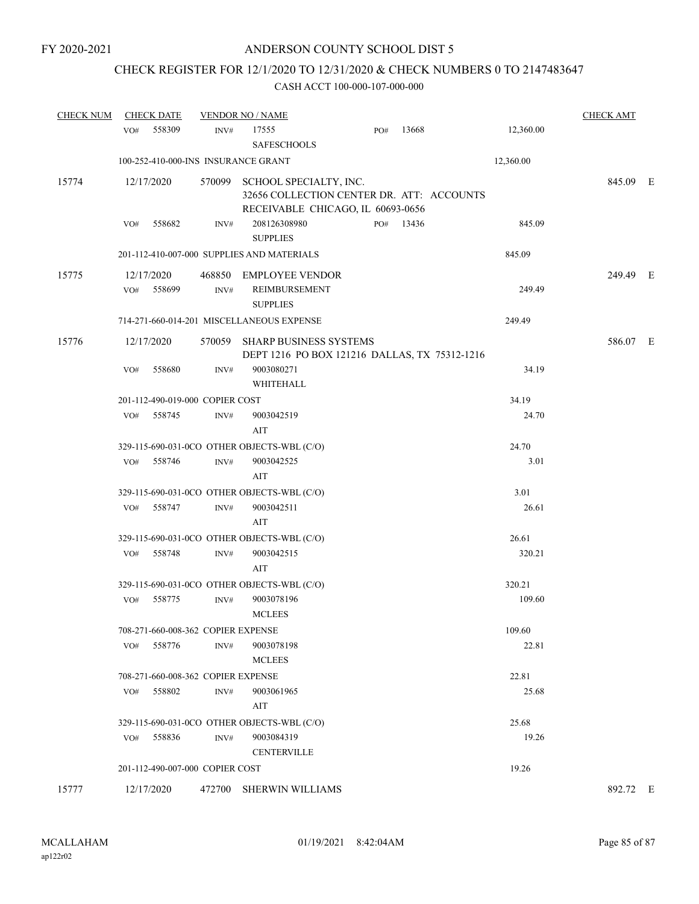# CHECK REGISTER FOR 12/1/2020 TO 12/31/2020 & CHECK NUMBERS 0 TO 2147483647

| <b>CHECK NUM</b> | <b>CHECK DATE</b>                           |                      | <b>VENDOR NO / NAME</b>            |                                                                                                                 |     |           |  |           | <b>CHECK AMT</b> |  |
|------------------|---------------------------------------------|----------------------|------------------------------------|-----------------------------------------------------------------------------------------------------------------|-----|-----------|--|-----------|------------------|--|
|                  | VO#                                         | 558309               | INV#                               | 17555<br><b>SAFESCHOOLS</b>                                                                                     | PO# | 13668     |  | 12,360.00 |                  |  |
|                  |                                             |                      |                                    | 100-252-410-000-INS INSURANCE GRANT                                                                             |     |           |  | 12,360.00 |                  |  |
| 15774            | 12/17/2020                                  |                      |                                    | 570099 SCHOOL SPECIALTY, INC.<br>32656 COLLECTION CENTER DR. ATT: ACCOUNTS<br>RECEIVABLE CHICAGO, IL 60693-0656 |     |           |  |           | 845.09 E         |  |
|                  | VO#                                         | 558682               | INV#                               | 208126308980<br><b>SUPPLIES</b>                                                                                 |     | PO# 13436 |  | 845.09    |                  |  |
|                  |                                             |                      |                                    | 201-112-410-007-000 SUPPLIES AND MATERIALS                                                                      |     |           |  | 845.09    |                  |  |
| 15775            | VO#                                         | 12/17/2020<br>558699 | INV#                               | 468850 EMPLOYEE VENDOR<br>REIMBURSEMENT<br><b>SUPPLIES</b>                                                      |     |           |  | 249.49    | 249.49 E         |  |
|                  |                                             |                      |                                    | 714-271-660-014-201 MISCELLANEOUS EXPENSE                                                                       |     |           |  | 249.49    |                  |  |
| 15776            |                                             | 12/17/2020           | 570059                             | <b>SHARP BUSINESS SYSTEMS</b><br>DEPT 1216 PO BOX 121216 DALLAS, TX 75312-1216                                  |     |           |  |           | 586.07 E         |  |
|                  | VO#                                         | 558680               | INV#                               | 9003080271<br>WHITEHALL                                                                                         |     |           |  | 34.19     |                  |  |
|                  | 201-112-490-019-000 COPIER COST             |                      |                                    |                                                                                                                 |     |           |  | 34.19     |                  |  |
|                  | VO#                                         | 558745               | INV#                               | 9003042519<br>AIT                                                                                               |     |           |  | 24.70     |                  |  |
|                  |                                             |                      |                                    | 329-115-690-031-0CO OTHER OBJECTS-WBL (C/O)                                                                     |     |           |  | 24.70     |                  |  |
|                  | VO#                                         | 558746               | $\text{INV}\#$                     | 9003042525<br>AIT                                                                                               |     |           |  | 3.01      |                  |  |
|                  |                                             |                      |                                    | 329-115-690-031-0CO OTHER OBJECTS-WBL (C/O)                                                                     |     |           |  | 3.01      |                  |  |
|                  | VO#                                         | 558747               | INV#                               | 9003042511<br>AIT                                                                                               |     |           |  | 26.61     |                  |  |
|                  |                                             |                      |                                    | 329-115-690-031-0CO OTHER OBJECTS-WBL (C/O)                                                                     |     |           |  | 26.61     |                  |  |
|                  | VO#                                         | 558748               | INV#                               | 9003042515<br>AIT                                                                                               |     |           |  | 320.21    |                  |  |
|                  | 329-115-690-031-0CO OTHER OBJECTS-WBL (C/O) |                      |                                    |                                                                                                                 |     |           |  | 320.21    |                  |  |
|                  | VO#                                         | 558775               | $\mathrm{INV}\#$                   | 9003078196<br><b>MCLEES</b>                                                                                     |     |           |  | 109.60    |                  |  |
|                  | 708-271-660-008-362 COPIER EXPENSE          |                      |                                    |                                                                                                                 |     |           |  | 109.60    |                  |  |
|                  | VO#                                         | 558776               | INV#                               | 9003078198<br><b>MCLEES</b>                                                                                     |     |           |  | 22.81     |                  |  |
|                  |                                             |                      | 708-271-660-008-362 COPIER EXPENSE |                                                                                                                 |     |           |  | 22.81     |                  |  |
|                  | VO#                                         | 558802               | INV#                               | 9003061965<br>AIT                                                                                               |     |           |  | 25.68     |                  |  |
|                  | 329-115-690-031-0CO OTHER OBJECTS-WBL (C/O) |                      |                                    |                                                                                                                 |     |           |  | 25.68     |                  |  |
|                  | VO#                                         | 558836               | $\text{INV}\#$                     | 9003084319<br><b>CENTERVILLE</b>                                                                                |     |           |  | 19.26     |                  |  |
|                  |                                             |                      | 201-112-490-007-000 COPIER COST    |                                                                                                                 |     |           |  | 19.26     |                  |  |
| 15777            |                                             | 12/17/2020           |                                    | 472700 SHERWIN WILLIAMS                                                                                         |     |           |  |           | 892.72 E         |  |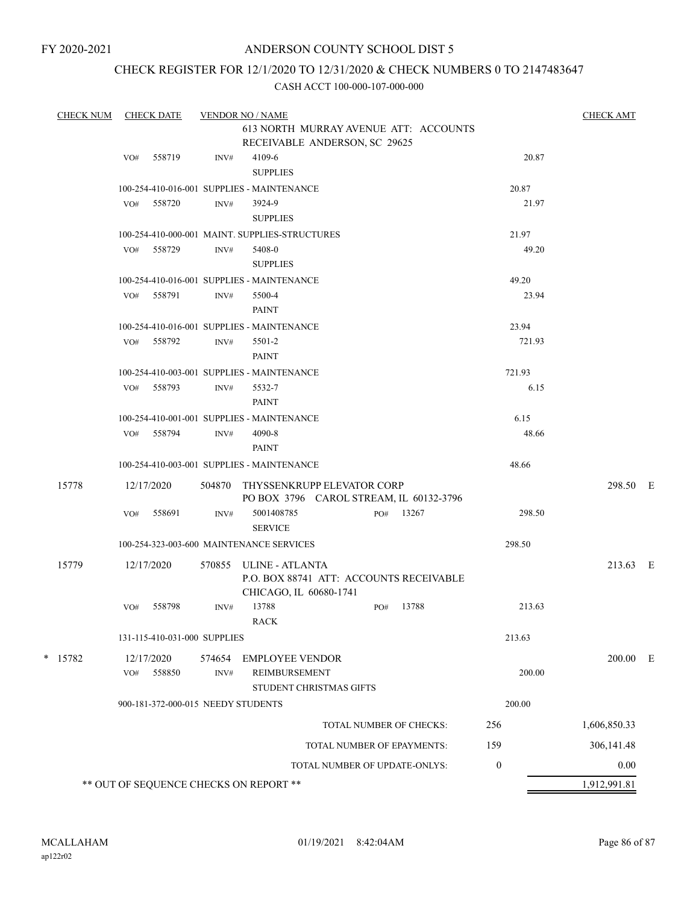### ANDERSON COUNTY SCHOOL DIST 5

## CHECK REGISTER FOR 12/1/2020 TO 12/31/2020 & CHECK NUMBERS 0 TO 2147483647

|           | <b>CHECK NUM</b>                                              |                                            | <b>CHECK DATE</b>                                                               |                                            | <b>VENDOR NO / NAME</b>                    |                               |                         |                                         |                  | <b>CHECK AMT</b> |  |
|-----------|---------------------------------------------------------------|--------------------------------------------|---------------------------------------------------------------------------------|--------------------------------------------|--------------------------------------------|-------------------------------|-------------------------|-----------------------------------------|------------------|------------------|--|
|           |                                                               |                                            |                                                                                 |                                            | RECEIVABLE ANDERSON, SC 29625              |                               |                         | 613 NORTH MURRAY AVENUE ATT: ACCOUNTS   |                  |                  |  |
|           | VO#                                                           | 558719                                     | INV#                                                                            | 4109-6                                     |                                            |                               |                         | 20.87                                   |                  |                  |  |
|           | <b>SUPPLIES</b><br>100-254-410-016-001 SUPPLIES - MAINTENANCE |                                            |                                                                                 |                                            |                                            |                               |                         |                                         |                  |                  |  |
|           | VO#                                                           | 558720                                     | INV#                                                                            | 3924-9                                     |                                            | 20.87<br>21.97                |                         |                                         |                  |                  |  |
|           |                                                               |                                            |                                                                                 | <b>SUPPLIES</b>                            |                                            |                               |                         |                                         |                  |                  |  |
|           | 100-254-410-000-001 MAINT. SUPPLIES-STRUCTURES                |                                            |                                                                                 |                                            |                                            |                               |                         | 21.97                                   |                  |                  |  |
|           |                                                               | VO#                                        | 558729                                                                          | INV#                                       | 5408-0                                     |                               |                         |                                         | 49.20            |                  |  |
|           |                                                               |                                            |                                                                                 | <b>SUPPLIES</b>                            |                                            |                               |                         |                                         |                  |                  |  |
|           |                                                               |                                            |                                                                                 | 100-254-410-016-001 SUPPLIES - MAINTENANCE |                                            |                               |                         | 49.20                                   |                  |                  |  |
|           |                                                               | VO# 558791                                 | INV#                                                                            | 5500-4                                     |                                            |                               |                         | 23.94                                   |                  |                  |  |
|           |                                                               |                                            |                                                                                 | <b>PAINT</b>                               |                                            |                               |                         |                                         |                  |                  |  |
|           |                                                               |                                            | 100-254-410-016-001 SUPPLIES - MAINTENANCE                                      |                                            |                                            |                               |                         | 23.94                                   |                  |                  |  |
|           | VO#                                                           | 558792                                     | INV#                                                                            | 5501-2                                     |                                            |                               |                         | 721.93                                  |                  |                  |  |
|           |                                                               |                                            |                                                                                 | <b>PAINT</b>                               |                                            |                               |                         |                                         |                  |                  |  |
|           |                                                               |                                            |                                                                                 |                                            | 100-254-410-003-001 SUPPLIES - MAINTENANCE |                               |                         |                                         | 721.93           |                  |  |
|           |                                                               | VO#                                        | 558793                                                                          | INV#                                       | 5532-7<br><b>PAINT</b>                     |                               |                         |                                         | 6.15             |                  |  |
|           |                                                               |                                            |                                                                                 |                                            | 100-254-410-001-001 SUPPLIES - MAINTENANCE |                               |                         |                                         | 6.15             |                  |  |
|           |                                                               | VO#                                        | 558794                                                                          | INV#                                       | 4090-8                                     |                               |                         |                                         | 48.66            |                  |  |
|           |                                                               |                                            |                                                                                 |                                            | <b>PAINT</b>                               |                               |                         |                                         |                  |                  |  |
|           |                                                               | 100-254-410-003-001 SUPPLIES - MAINTENANCE |                                                                                 |                                            |                                            |                               |                         |                                         | 48.66            |                  |  |
| 15778     | 12/17/2020                                                    |                                            | THYSSENKRUPP ELEVATOR CORP<br>504870<br>PO BOX 3796 CAROL STREAM, IL 60132-3796 |                                            |                                            |                               |                         | 298.50 E                                |                  |                  |  |
|           |                                                               | VO#                                        | 558691                                                                          | INV#                                       | 5001408785<br><b>SERVICE</b>               |                               |                         | PO# 13267                               | 298.50           |                  |  |
|           | 100-254-323-003-600 MAINTENANCE SERVICES                      |                                            |                                                                                 |                                            |                                            |                               |                         | 298.50                                  |                  |                  |  |
|           | 15779                                                         |                                            | 12/17/2020                                                                      | 570855                                     | ULINE - ATLANTA<br>CHICAGO, IL 60680-1741  |                               |                         | P.O. BOX 88741 ATT: ACCOUNTS RECEIVABLE |                  | 213.63 E         |  |
|           |                                                               | VO#                                        | 558798                                                                          | INV#                                       | 13788<br><b>RACK</b>                       |                               | PO#                     | 13788                                   | 213.63           |                  |  |
|           | 131-115-410-031-000 SUPPLIES                                  |                                            |                                                                                 |                                            |                                            |                               |                         | 213.63                                  |                  |                  |  |
| $*$ 15782 |                                                               | 12/17/2020                                 | 574654                                                                          | EMPLOYEE VENDOR                            |                                            |                               |                         |                                         | $200.00$ E       |                  |  |
|           |                                                               | VO#                                        | 558850                                                                          | $\mathrm{INV}\#$                           | REIMBURSEMENT<br>STUDENT CHRISTMAS GIFTS   |                               |                         |                                         | 200.00           |                  |  |
|           | 900-181-372-000-015 NEEDY STUDENTS                            |                                            |                                                                                 |                                            |                                            |                               |                         | 200.00                                  |                  |                  |  |
|           |                                                               |                                            |                                                                                 |                                            |                                            |                               | TOTAL NUMBER OF CHECKS: | 256                                     | 1,606,850.33     |                  |  |
|           |                                                               | TOTAL NUMBER OF EPAYMENTS:                 |                                                                                 |                                            |                                            |                               |                         | 159                                     | 306, 141.48      |                  |  |
|           |                                                               |                                            |                                                                                 |                                            |                                            | TOTAL NUMBER OF UPDATE-ONLYS: |                         |                                         | $\boldsymbol{0}$ | 0.00             |  |
|           |                                                               |                                            |                                                                                 |                                            | ** OUT OF SEQUENCE CHECKS ON REPORT **     |                               |                         |                                         |                  | 1,912,991.81     |  |